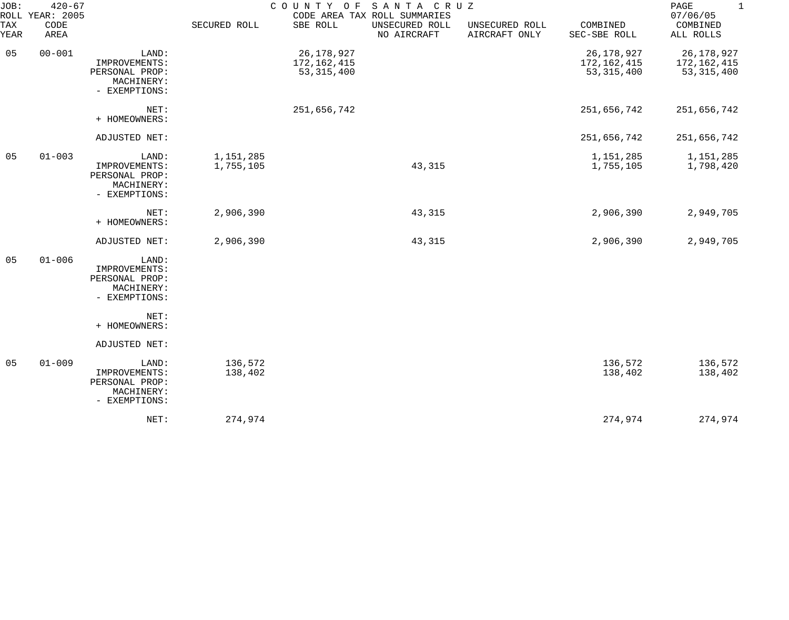| JOB:        | $420 - 67$<br>ROLL YEAR: 2005 |                                                                         |                        | COUNTY OF                                 | SANTA CRUZ<br>CODE AREA TAX ROLL SUMMARIES |                                 |                                           | PAGE<br>$\mathbf 1$<br>07/06/05             |
|-------------|-------------------------------|-------------------------------------------------------------------------|------------------------|-------------------------------------------|--------------------------------------------|---------------------------------|-------------------------------------------|---------------------------------------------|
| TAX<br>YEAR | CODE<br>AREA                  |                                                                         | SECURED ROLL           | SBE ROLL                                  | UNSECURED ROLL<br>NO AIRCRAFT              | UNSECURED ROLL<br>AIRCRAFT ONLY | COMBINED<br>SEC-SBE ROLL                  | COMBINED<br>ALL ROLLS                       |
| 05          | $00 - 001$                    | LAND:<br>IMPROVEMENTS:<br>PERSONAL PROP:<br>MACHINERY:<br>- EXEMPTIONS: |                        | 26,178,927<br>172,162,415<br>53, 315, 400 |                                            |                                 | 26,178,927<br>172,162,415<br>53, 315, 400 | 26, 178, 927<br>172,162,415<br>53, 315, 400 |
|             |                               | NET:<br>+ HOMEOWNERS:                                                   |                        | 251,656,742                               |                                            |                                 | 251,656,742                               | 251,656,742                                 |
|             |                               | ADJUSTED NET:                                                           |                        |                                           |                                            |                                 | 251,656,742                               | 251,656,742                                 |
| 05          | $01 - 003$                    | LAND:<br>IMPROVEMENTS:<br>PERSONAL PROP:<br>MACHINERY:<br>- EXEMPTIONS: | 1,151,285<br>1,755,105 |                                           | 43,315                                     |                                 | 1,151,285<br>1,755,105                    | 1,151,285<br>1,798,420                      |
|             |                               | NET:<br>+ HOMEOWNERS:                                                   | 2,906,390              |                                           | 43,315                                     |                                 | 2,906,390                                 | 2,949,705                                   |
|             |                               | ADJUSTED NET:                                                           | 2,906,390              |                                           | 43,315                                     |                                 | 2,906,390                                 | 2,949,705                                   |
| 05          | $01 - 006$                    | LAND:<br>IMPROVEMENTS:<br>PERSONAL PROP:<br>MACHINERY:<br>- EXEMPTIONS: |                        |                                           |                                            |                                 |                                           |                                             |
|             |                               | NET:<br>+ HOMEOWNERS:                                                   |                        |                                           |                                            |                                 |                                           |                                             |
|             |                               | ADJUSTED NET:                                                           |                        |                                           |                                            |                                 |                                           |                                             |
| 05          | $01 - 009$                    | LAND:<br>IMPROVEMENTS:<br>PERSONAL PROP:<br>MACHINERY:<br>- EXEMPTIONS: | 136,572<br>138,402     |                                           |                                            |                                 | 136,572<br>138,402                        | 136,572<br>138,402                          |
|             |                               | NET:                                                                    | 274,974                |                                           |                                            |                                 | 274,974                                   | 274,974                                     |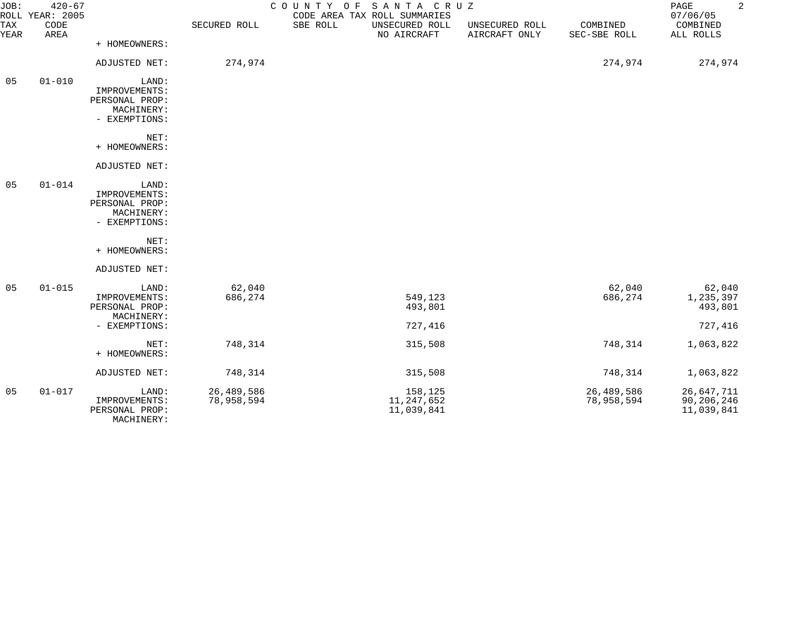| JOB:        | $420 - 67$<br>ROLL YEAR: 2005 |                                                                         |                          | COUNTY OF SANTA CRUZ<br>CODE AREA TAX ROLL SUMMARIES |                                 |                          | $\overline{a}$<br>PAGE<br>07/06/05     |
|-------------|-------------------------------|-------------------------------------------------------------------------|--------------------------|------------------------------------------------------|---------------------------------|--------------------------|----------------------------------------|
| TAX<br>YEAR | CODE<br>AREA                  |                                                                         | SECURED ROLL             | SBE ROLL<br>UNSECURED ROLL<br>NO AIRCRAFT            | UNSECURED ROLL<br>AIRCRAFT ONLY | COMBINED<br>SEC-SBE ROLL | COMBINED<br>ALL ROLLS                  |
|             |                               | + HOMEOWNERS:                                                           |                          |                                                      |                                 |                          |                                        |
|             |                               | ADJUSTED NET:                                                           | 274,974                  |                                                      |                                 | 274,974                  | 274,974                                |
| 05          | $01 - 010$                    | LAND:<br>IMPROVEMENTS:<br>PERSONAL PROP:<br>MACHINERY:<br>- EXEMPTIONS: |                          |                                                      |                                 |                          |                                        |
|             |                               | NET:<br>+ HOMEOWNERS:                                                   |                          |                                                      |                                 |                          |                                        |
|             |                               | ADJUSTED NET:                                                           |                          |                                                      |                                 |                          |                                        |
| 05          | $01 - 014$                    | LAND:<br>IMPROVEMENTS:<br>PERSONAL PROP:<br>MACHINERY:<br>- EXEMPTIONS: |                          |                                                      |                                 |                          |                                        |
|             |                               | NET:<br>+ HOMEOWNERS:                                                   |                          |                                                      |                                 |                          |                                        |
|             |                               | ADJUSTED NET:                                                           |                          |                                                      |                                 |                          |                                        |
| 05          | $01 - 015$                    | LAND:<br>IMPROVEMENTS:<br>PERSONAL PROP:<br>MACHINERY:                  | 62,040<br>686,274        | 549,123<br>493,801                                   |                                 | 62,040<br>686,274        | 62,040<br>1,235,397<br>493,801         |
|             |                               | - EXEMPTIONS:                                                           |                          | 727,416                                              |                                 |                          | 727,416                                |
|             |                               | NET:<br>+ HOMEOWNERS:                                                   | 748,314                  | 315,508                                              |                                 | 748,314                  | 1,063,822                              |
|             |                               | ADJUSTED NET:                                                           | 748,314                  | 315,508                                              |                                 | 748,314                  | 1,063,822                              |
| 05          | $01 - 017$                    | LAND:<br>IMPROVEMENTS:<br>PERSONAL PROP:<br>MACHINERY:                  | 26,489,586<br>78,958,594 | 158,125<br>11, 247, 652<br>11,039,841                |                                 | 26,489,586<br>78,958,594 | 26,647,711<br>90,206,246<br>11,039,841 |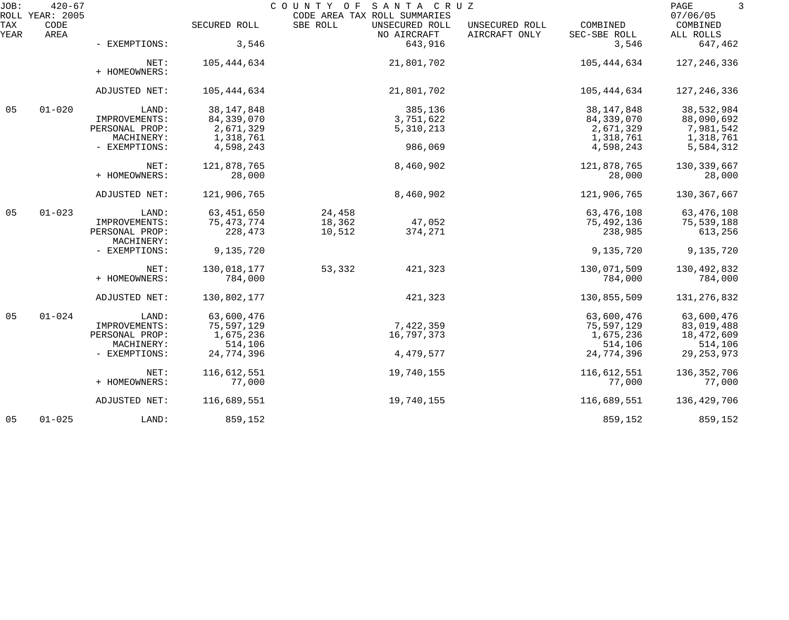| JOB:        | $420 - 67$<br>ROLL YEAR: 2005 |                              |              | COUNTY OF | SANTA CRUZ<br>CODE AREA TAX ROLL SUMMARIES |                                 |                          | PAGE<br>3<br>07/06/05 |
|-------------|-------------------------------|------------------------------|--------------|-----------|--------------------------------------------|---------------------------------|--------------------------|-----------------------|
| TAX<br>YEAR | CODE<br>AREA                  |                              | SECURED ROLL | SBE ROLL  | UNSECURED ROLL<br>NO AIRCRAFT              | UNSECURED ROLL<br>AIRCRAFT ONLY | COMBINED<br>SEC-SBE ROLL | COMBINED<br>ALL ROLLS |
|             |                               | - EXEMPTIONS:                | 3,546        |           | 643,916                                    |                                 | 3,546                    | 647,462               |
|             |                               | NET:<br>+ HOMEOWNERS:        | 105,444,634  |           | 21,801,702                                 |                                 | 105,444,634              | 127, 246, 336         |
|             |                               | ADJUSTED NET:                | 105,444,634  |           | 21,801,702                                 |                                 | 105,444,634              | 127, 246, 336         |
| 05          | $01 - 020$                    | LAND:                        | 38, 147, 848 |           | 385,136                                    |                                 | 38, 147, 848             | 38,532,984            |
|             |                               | IMPROVEMENTS:                | 84,339,070   |           | 3,751,622                                  |                                 | 84,339,070               | 88,090,692            |
|             |                               | PERSONAL PROP:               | 2,671,329    |           | 5,310,213                                  |                                 | 2,671,329                | 7,981,542             |
|             |                               | MACHINERY:                   | 1,318,761    |           |                                            |                                 | 1,318,761                | 1,318,761             |
|             |                               | - EXEMPTIONS:                | 4,598,243    |           | 986,069                                    |                                 | 4,598,243                | 5,584,312             |
|             |                               | NET:                         | 121,878,765  |           | 8,460,902                                  |                                 | 121,878,765              | 130, 339, 667         |
|             |                               | + HOMEOWNERS:                | 28,000       |           |                                            |                                 | 28,000                   | 28,000                |
|             |                               | ADJUSTED NET:                | 121,906,765  |           | 8,460,902                                  |                                 | 121,906,765              | 130,367,667           |
| 05          | $01 - 023$                    | LAND:                        | 63, 451, 650 | 24,458    |                                            |                                 | 63,476,108               | 63,476,108            |
|             |                               | IMPROVEMENTS:                | 75, 473, 774 | 18,362    | 47,052                                     |                                 | 75,492,136               | 75,539,188            |
|             |                               | PERSONAL PROP:<br>MACHINERY: | 228,473      | 10,512    | 374,271                                    |                                 | 238,985                  | 613,256               |
|             |                               | - EXEMPTIONS:                | 9,135,720    |           |                                            |                                 | 9,135,720                | 9,135,720             |
|             |                               | NET:                         | 130,018,177  | 53,332    | 421,323                                    |                                 | 130,071,509              | 130,492,832           |
|             |                               | + HOMEOWNERS:                | 784,000      |           |                                            |                                 | 784,000                  | 784,000               |
|             |                               | ADJUSTED NET:                | 130,802,177  |           | 421,323                                    |                                 | 130,855,509              | 131, 276, 832         |
| 05          | $01 - 024$                    | LAND:                        | 63,600,476   |           |                                            |                                 | 63,600,476               | 63,600,476            |
|             |                               | IMPROVEMENTS:                | 75,597,129   |           | 7,422,359                                  |                                 | 75,597,129               | 83,019,488            |
|             |                               | PERSONAL PROP:               | 1,675,236    |           | 16,797,373                                 |                                 | 1,675,236                | 18,472,609            |
|             |                               | MACHINERY:                   | 514,106      |           |                                            |                                 | 514,106                  | 514,106               |
|             |                               | - EXEMPTIONS:                | 24,774,396   |           | 4,479,577                                  |                                 | 24,774,396               | 29, 253, 973          |
|             |                               | NET:                         | 116,612,551  |           | 19,740,155                                 |                                 | 116,612,551              | 136, 352, 706         |
|             |                               | + HOMEOWNERS:                | 77,000       |           |                                            |                                 | 77,000                   | 77,000                |
|             |                               | ADJUSTED NET:                | 116,689,551  |           | 19,740,155                                 |                                 | 116,689,551              | 136, 429, 706         |
| 05          | $01 - 025$                    | LAND:                        | 859,152      |           |                                            |                                 | 859,152                  | 859,152               |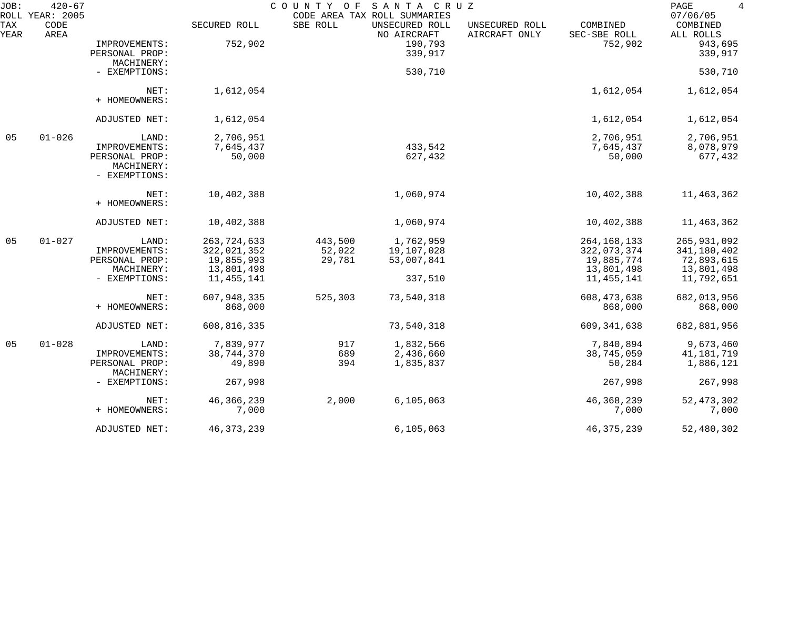| JOB:               | $420 - 67$<br>ROLL YEAR: 2005 |                                               |                        | COUNTY OF | SANTA CRUZ<br>CODE AREA TAX ROLL SUMMARIES |                                 |                          | $\overline{4}$<br>PAGE<br>07/06/05 |
|--------------------|-------------------------------|-----------------------------------------------|------------------------|-----------|--------------------------------------------|---------------------------------|--------------------------|------------------------------------|
| <b>TAX</b><br>YEAR | CODE<br>AREA                  |                                               | SECURED ROLL           | SBE ROLL  | UNSECURED ROLL<br>NO AIRCRAFT              | UNSECURED ROLL<br>AIRCRAFT ONLY | COMBINED<br>SEC-SBE ROLL | COMBINED<br>ALL ROLLS              |
|                    |                               | IMPROVEMENTS:<br>PERSONAL PROP:               | 752,902                |           | 190,793<br>339,917                         |                                 | 752,902                  | 943,695<br>339,917                 |
|                    |                               | MACHINERY:<br>- EXEMPTIONS:                   |                        |           | 530,710                                    |                                 |                          | 530,710                            |
|                    |                               | NET:<br>+ HOMEOWNERS:                         | 1,612,054              |           |                                            |                                 | 1,612,054                | 1,612,054                          |
|                    |                               | ADJUSTED NET:                                 | 1,612,054              |           |                                            |                                 | 1,612,054                | 1,612,054                          |
| 05                 | $01 - 026$                    | LAND:                                         | 2,706,951              |           |                                            |                                 | 2,706,951                | 2,706,951                          |
|                    |                               | IMPROVEMENTS:                                 | 7,645,437              |           | 433,542                                    |                                 | 7,645,437                | 8,078,979                          |
|                    |                               | PERSONAL PROP:<br>MACHINERY:<br>- EXEMPTIONS: | 50,000                 |           | 627,432                                    |                                 | 50,000                   | 677,432                            |
|                    |                               | NET:<br>+ HOMEOWNERS:                         | 10,402,388             |           | 1,060,974                                  |                                 | 10,402,388               | 11,463,362                         |
|                    |                               | ADJUSTED NET:                                 | 10,402,388             |           | 1,060,974                                  |                                 | 10,402,388               | 11,463,362                         |
| 05                 | $01 - 027$                    | LAND:                                         | 263, 724, 633          | 443,500   | 1,762,959                                  |                                 | 264, 168, 133            | 265, 931, 092                      |
|                    |                               | IMPROVEMENTS:                                 | 322,021,352            | 52,022    | 19,107,028                                 |                                 | 322,073,374              | 341,180,402                        |
|                    |                               | PERSONAL PROP:                                | 19,855,993             | 29,781    | 53,007,841                                 |                                 | 19,885,774               | 72,893,615                         |
|                    |                               | MACHINERY:                                    | 13,801,498             |           |                                            |                                 | 13,801,498               | 13,801,498                         |
|                    |                               | - EXEMPTIONS:                                 | 11,455,141             |           | 337,510                                    |                                 | 11, 455, 141             | 11,792,651                         |
|                    |                               | NET:<br>+ HOMEOWNERS:                         | 607,948,335<br>868,000 | 525,303   | 73,540,318                                 |                                 | 608, 473, 638<br>868,000 | 682,013,956<br>868,000             |
|                    |                               | ADJUSTED NET:                                 | 608,816,335            |           | 73,540,318                                 |                                 | 609, 341, 638            | 682,881,956                        |
| 05                 | $01 - 028$                    | LAND:                                         | 7,839,977              | 917       | 1,832,566                                  |                                 | 7,840,894                | 9,673,460                          |
|                    |                               | IMPROVEMENTS:                                 | 38,744,370             | 689       | 2,436,660                                  |                                 | 38,745,059               | 41, 181, 719                       |
|                    |                               | PERSONAL PROP:<br>MACHINERY:                  | 49,890                 | 394       | 1,835,837                                  |                                 | 50,284                   | 1,886,121                          |
|                    |                               | - EXEMPTIONS:                                 | 267,998                |           |                                            |                                 | 267,998                  | 267,998                            |
|                    |                               | NET:                                          | 46, 366, 239           | 2,000     | 6, 105, 063                                |                                 | 46, 368, 239             | 52, 473, 302                       |
|                    |                               | + HOMEOWNERS:                                 | 7,000                  |           |                                            |                                 | 7,000                    | 7,000                              |
|                    |                               | ADJUSTED NET:                                 | 46, 373, 239           |           | 6, 105, 063                                |                                 | 46, 375, 239             | 52,480,302                         |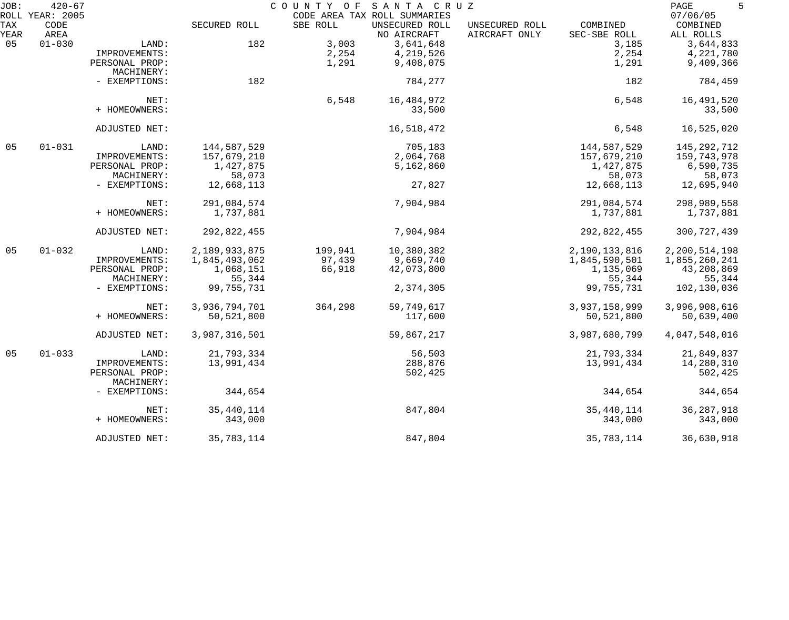| JOB:        | $420 - 67$<br>ROLL YEAR: 2005 |                              |               | COUNTY OF | SANTA CRUZ                                                    |                                 |                          | PAGE<br>5<br>07/06/05 |
|-------------|-------------------------------|------------------------------|---------------|-----------|---------------------------------------------------------------|---------------------------------|--------------------------|-----------------------|
| TAX<br>YEAR | CODE<br>AREA                  |                              | SECURED ROLL  | SBE ROLL  | CODE AREA TAX ROLL SUMMARIES<br>UNSECURED ROLL<br>NO AIRCRAFT | UNSECURED ROLL<br>AIRCRAFT ONLY | COMBINED<br>SEC-SBE ROLL | COMBINED<br>ALL ROLLS |
| 05          | $01 - 030$                    | LAND:                        | 182           | 3,003     | 3,641,648                                                     |                                 | 3,185                    | 3,644,833             |
|             |                               | IMPROVEMENTS:                |               | 2,254     | 4,219,526                                                     |                                 | 2,254                    | 4,221,780             |
|             |                               | PERSONAL PROP:               |               | 1,291     | 9,408,075                                                     |                                 | 1,291                    | 9,409,366             |
|             |                               | MACHINERY:                   |               |           |                                                               |                                 |                          |                       |
|             |                               | - EXEMPTIONS:                | 182           |           | 784,277                                                       |                                 | 182                      | 784,459               |
|             |                               | NET:                         |               | 6,548     | 16,484,972                                                    |                                 | 6,548                    | 16,491,520            |
|             |                               | + HOMEOWNERS:                |               |           | 33,500                                                        |                                 |                          | 33,500                |
|             |                               | ADJUSTED NET:                |               |           | 16,518,472                                                    |                                 | 6,548                    | 16,525,020            |
| 05          | $01 - 031$                    | LAND:                        | 144,587,529   |           | 705,183                                                       |                                 | 144,587,529              | 145, 292, 712         |
|             |                               | IMPROVEMENTS:                | 157,679,210   |           | 2,064,768                                                     |                                 | 157,679,210              | 159,743,978           |
|             |                               | PERSONAL PROP:               | 1,427,875     |           | 5,162,860                                                     |                                 | 1,427,875                | 6,590,735             |
|             |                               | MACHINERY:                   | 58,073        |           |                                                               |                                 | 58,073                   | 58,073                |
|             |                               | - EXEMPTIONS:                | 12,668,113    |           | 27,827                                                        |                                 | 12,668,113               | 12,695,940            |
|             |                               | NET:                         | 291,084,574   |           | 7,904,984                                                     |                                 | 291,084,574              | 298,989,558           |
|             |                               | + HOMEOWNERS:                | 1,737,881     |           |                                                               |                                 | 1,737,881                | 1,737,881             |
|             |                               | ADJUSTED NET:                | 292,822,455   |           | 7,904,984                                                     |                                 | 292,822,455              | 300, 727, 439         |
| 05          | $01 - 032$                    | LAND:                        | 2,189,933,875 | 199,941   | 10,380,382                                                    |                                 | 2,190,133,816            | 2,200,514,198         |
|             |                               | IMPROVEMENTS:                | 1,845,493,062 | 97,439    | 9,669,740                                                     |                                 | 1,845,590,501            | 1,855,260,241         |
|             |                               | PERSONAL PROP:               | 1,068,151     | 66,918    | 42,073,800                                                    |                                 | 1,135,069                | 43,208,869            |
|             |                               | MACHINERY:                   | 55,344        |           |                                                               |                                 | 55,344                   | 55,344                |
|             |                               | - EXEMPTIONS:                | 99,755,731    |           | 2,374,305                                                     |                                 | 99,755,731               | 102,130,036           |
|             |                               | NET:                         | 3,936,794,701 | 364,298   | 59,749,617                                                    |                                 | 3,937,158,999            | 3,996,908,616         |
|             |                               | + HOMEOWNERS:                | 50,521,800    |           | 117,600                                                       |                                 | 50,521,800               | 50,639,400            |
|             |                               | ADJUSTED NET:                | 3,987,316,501 |           | 59,867,217                                                    |                                 | 3,987,680,799            | 4,047,548,016         |
| 05          | $01 - 033$                    | LAND:                        | 21,793,334    |           | 56,503                                                        |                                 | 21,793,334               | 21,849,837            |
|             |                               | IMPROVEMENTS:                | 13,991,434    |           | 288,876                                                       |                                 | 13,991,434               | 14,280,310            |
|             |                               | PERSONAL PROP:<br>MACHINERY: |               |           | 502,425                                                       |                                 |                          | 502,425               |
|             |                               | - EXEMPTIONS:                | 344,654       |           |                                                               |                                 | 344,654                  | 344,654               |
|             |                               | NET:                         | 35, 440, 114  |           | 847,804                                                       |                                 | 35, 440, 114             | 36, 287, 918          |
|             |                               | + HOMEOWNERS:                | 343,000       |           |                                                               |                                 | 343,000                  | 343,000               |
|             |                               | ADJUSTED NET:                | 35,783,114    |           | 847,804                                                       |                                 | 35,783,114               | 36,630,918            |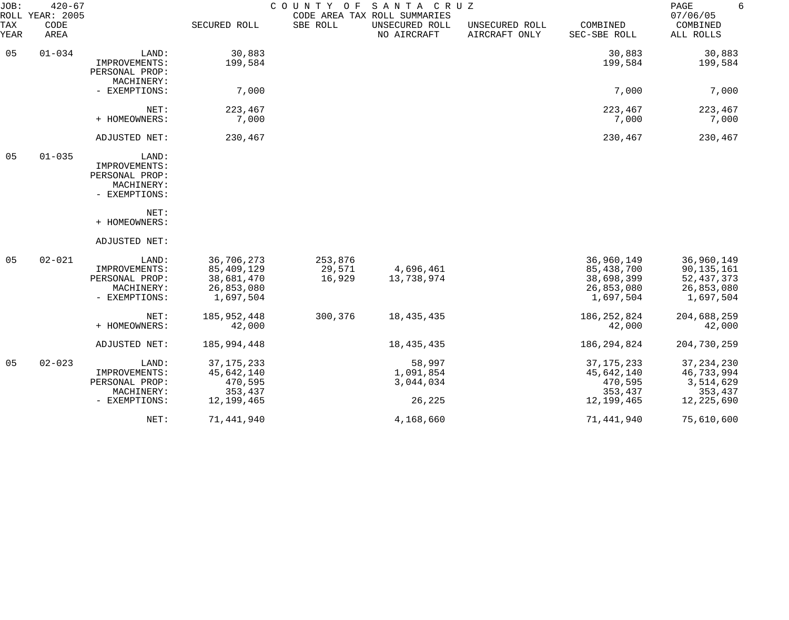| JOB:        | $420 - 67$<br>ROLL YEAR: 2005 |                                                                                                  |                                                                   | COUNTY<br>O F               | SANTA CRUZ<br>CODE AREA TAX ROLL SUMMARIES |                                 |                                                                   | PAGE<br>6<br>07/06/05                                               |
|-------------|-------------------------------|--------------------------------------------------------------------------------------------------|-------------------------------------------------------------------|-----------------------------|--------------------------------------------|---------------------------------|-------------------------------------------------------------------|---------------------------------------------------------------------|
| TAX<br>YEAR | CODE<br>AREA                  |                                                                                                  | SECURED ROLL                                                      | SBE ROLL                    | UNSECURED ROLL<br>NO AIRCRAFT              | UNSECURED ROLL<br>AIRCRAFT ONLY | COMBINED<br>SEC-SBE ROLL                                          | COMBINED<br>ALL ROLLS                                               |
| 05          | $01 - 034$                    | LAND:<br>IMPROVEMENTS:<br>PERSONAL PROP:<br>MACHINERY:                                           | 30,883<br>199,584                                                 |                             |                                            |                                 | 30,883<br>199,584                                                 | 30,883<br>199,584                                                   |
|             |                               | - EXEMPTIONS:                                                                                    | 7,000                                                             |                             |                                            |                                 | 7,000                                                             | 7,000                                                               |
|             |                               | NET:<br>+ HOMEOWNERS:                                                                            | 223,467<br>7,000                                                  |                             |                                            |                                 | 223,467<br>7,000                                                  | 223,467<br>7,000                                                    |
|             |                               | ADJUSTED NET:                                                                                    | 230,467                                                           |                             |                                            |                                 | 230,467                                                           | 230,467                                                             |
| 05          | $01 - 035$                    | LAND:<br>IMPROVEMENTS:<br>PERSONAL PROP:<br>MACHINERY:<br>- EXEMPTIONS:<br>NET:<br>+ HOMEOWNERS: |                                                                   |                             |                                            |                                 |                                                                   |                                                                     |
|             |                               | ADJUSTED NET:                                                                                    |                                                                   |                             |                                            |                                 |                                                                   |                                                                     |
| 05          | $02 - 021$                    | LAND:<br>IMPROVEMENTS:<br>PERSONAL PROP:<br>MACHINERY:<br>- EXEMPTIONS:                          | 36,706,273<br>85,409,129<br>38,681,470<br>26,853,080<br>1,697,504 | 253,876<br>29,571<br>16,929 | 4,696,461<br>13,738,974                    |                                 | 36,960,149<br>85,438,700<br>38,698,399<br>26,853,080<br>1,697,504 | 36,960,149<br>90,135,161<br>52, 437, 373<br>26,853,080<br>1,697,504 |
|             |                               | NET:<br>+ HOMEOWNERS:                                                                            | 185,952,448<br>42,000                                             | 300,376                     | 18, 435, 435                               |                                 | 186, 252, 824<br>42,000                                           | 204,688,259<br>42,000                                               |
|             |                               | ADJUSTED NET:                                                                                    | 185,994,448                                                       |                             | 18, 435, 435                               |                                 | 186, 294, 824                                                     | 204,730,259                                                         |
| 05          | $02 - 023$                    | LAND:<br>IMPROVEMENTS:<br>PERSONAL PROP:<br>MACHINERY:<br>- EXEMPTIONS:                          | 37, 175, 233<br>45,642,140<br>470,595<br>353,437<br>12,199,465    |                             | 58,997<br>1,091,854<br>3,044,034<br>26,225 |                                 | 37, 175, 233<br>45,642,140<br>470,595<br>353,437<br>12,199,465    | 37, 234, 230<br>46,733,994<br>3,514,629<br>353,437<br>12,225,690    |
|             |                               | NET:                                                                                             | 71,441,940                                                        |                             | 4,168,660                                  |                                 | 71,441,940                                                        | 75,610,600                                                          |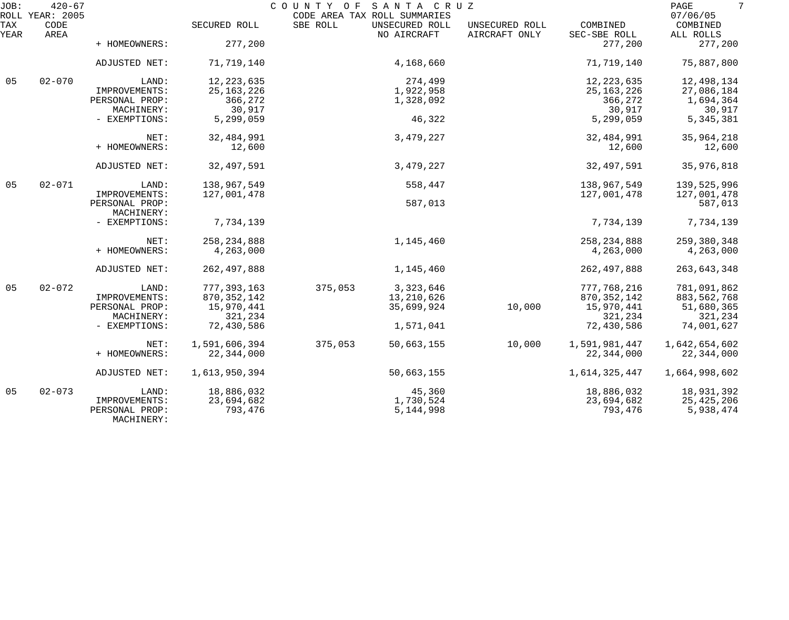| JOB:        | $420 - 67$<br>ROLL YEAR: 2005 |                              |               | COUNTY OF SANTA CRUZ<br>CODE AREA TAX ROLL SUMMARIES |                               |                                 |                          | 7<br>PAGE<br>07/06/05 |
|-------------|-------------------------------|------------------------------|---------------|------------------------------------------------------|-------------------------------|---------------------------------|--------------------------|-----------------------|
| TAX<br>YEAR | CODE<br>AREA                  |                              | SECURED ROLL  | SBE ROLL                                             | UNSECURED ROLL<br>NO AIRCRAFT | UNSECURED ROLL<br>AIRCRAFT ONLY | COMBINED<br>SEC-SBE ROLL | COMBINED<br>ALL ROLLS |
|             |                               | + HOMEOWNERS:                | 277,200       |                                                      |                               |                                 | 277,200                  | 277,200               |
|             |                               | ADJUSTED NET:                | 71,719,140    |                                                      | 4,168,660                     |                                 | 71,719,140               | 75,887,800            |
| 05          | $02 - 070$                    | LAND:                        | 12, 223, 635  |                                                      | 274,499                       |                                 | 12, 223, 635             | 12,498,134            |
|             |                               | IMPROVEMENTS:                | 25, 163, 226  |                                                      | 1,922,958                     |                                 | 25, 163, 226             | 27,086,184            |
|             |                               | PERSONAL PROP:               | 366,272       |                                                      | 1,328,092                     |                                 | 366,272                  | 1,694,364             |
|             |                               | MACHINERY:                   | 30,917        |                                                      |                               |                                 | 30,917                   | 30,917                |
|             |                               | - EXEMPTIONS:                | 5,299,059     |                                                      | 46,322                        |                                 | 5,299,059                | 5, 345, 381           |
|             |                               | NET:                         | 32,484,991    |                                                      | 3,479,227                     |                                 | 32,484,991               | 35,964,218            |
|             |                               | + HOMEOWNERS:                | 12,600        |                                                      |                               |                                 | 12,600                   | 12,600                |
|             |                               | ADJUSTED NET:                | 32, 497, 591  |                                                      | 3,479,227                     |                                 | 32,497,591               | 35,976,818            |
| 05          | $02 - 071$                    | LAND:                        | 138,967,549   |                                                      | 558,447                       |                                 | 138,967,549              | 139,525,996           |
|             |                               | IMPROVEMENTS:                | 127,001,478   |                                                      |                               |                                 | 127,001,478              | 127,001,478           |
|             |                               | PERSONAL PROP:               |               |                                                      | 587,013                       |                                 |                          | 587,013               |
|             |                               | MACHINERY:                   |               |                                                      |                               |                                 |                          |                       |
|             |                               | - EXEMPTIONS:                | 7,734,139     |                                                      |                               |                                 | 7,734,139                | 7,734,139             |
|             |                               | NET:                         | 258, 234, 888 |                                                      | 1,145,460                     |                                 | 258, 234, 888            | 259,380,348           |
|             |                               | + HOMEOWNERS:                | 4,263,000     |                                                      |                               |                                 | 4,263,000                | 4,263,000             |
|             |                               | ADJUSTED NET:                | 262, 497, 888 |                                                      | 1,145,460                     |                                 | 262, 497, 888            | 263,643,348           |
| 05          | $02 - 072$                    | LAND:                        | 777, 393, 163 | 375,053                                              | 3, 323, 646                   |                                 | 777,768,216              | 781,091,862           |
|             |                               | IMPROVEMENTS:                | 870, 352, 142 |                                                      | 13,210,626                    |                                 | 870, 352, 142            | 883,562,768           |
|             |                               | PERSONAL PROP:               | 15,970,441    |                                                      | 35,699,924                    | 10,000                          | 15,970,441               | 51,680,365            |
|             |                               | MACHINERY:                   | 321,234       |                                                      |                               |                                 | 321,234                  | 321,234               |
|             |                               | - EXEMPTIONS:                | 72,430,586    |                                                      | 1,571,041                     |                                 | 72,430,586               | 74,001,627            |
|             |                               | NET:                         | 1,591,606,394 | 375,053                                              | 50,663,155                    | 10,000                          | 1,591,981,447            | 1,642,654,602         |
|             |                               | + HOMEOWNERS:                | 22,344,000    |                                                      |                               |                                 | 22,344,000               | 22,344,000            |
|             |                               | ADJUSTED NET:                | 1,613,950,394 |                                                      | 50,663,155                    |                                 | 1,614,325,447            | 1,664,998,602         |
| 05          | $02 - 073$                    | LAND:                        | 18,886,032    |                                                      | 45,360                        |                                 | 18,886,032               | 18,931,392            |
|             |                               | IMPROVEMENTS:                | 23,694,682    |                                                      | 1,730,524                     |                                 | 23,694,682               | 25,425,206            |
|             |                               | PERSONAL PROP:<br>MACHINERY: | 793,476       |                                                      | 5, 144, 998                   |                                 | 793,476                  | 5,938,474             |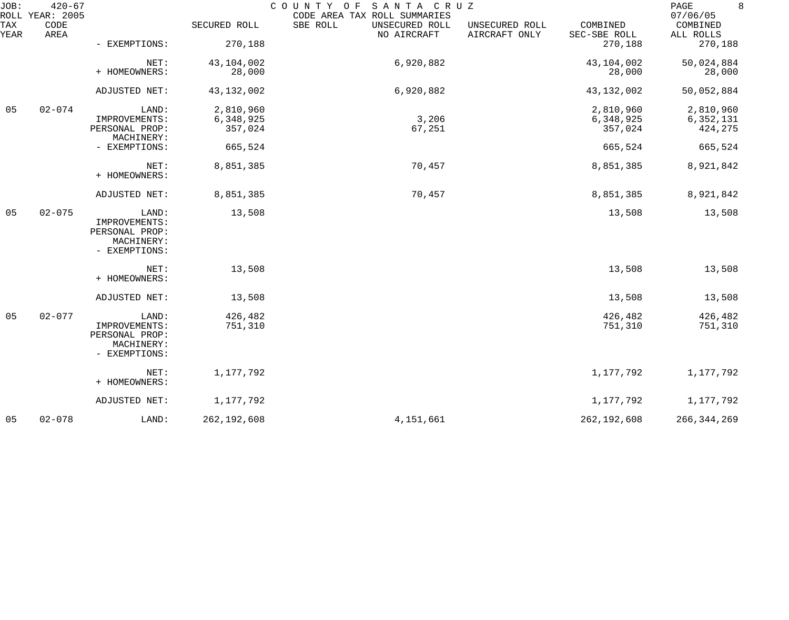| JOB:        | $420 - 67$<br>ROLL YEAR: 2005 |                                                                         |                                   | SANTA CRUZ<br>COUNTY OF<br>CODE AREA TAX ROLL SUMMARIES |                                 |                                   | 8<br>PAGE<br>07/06/05               |
|-------------|-------------------------------|-------------------------------------------------------------------------|-----------------------------------|---------------------------------------------------------|---------------------------------|-----------------------------------|-------------------------------------|
| TAX<br>YEAR | CODE<br>AREA                  |                                                                         | SECURED ROLL                      | SBE ROLL<br>UNSECURED ROLL<br>NO AIRCRAFT               | UNSECURED ROLL<br>AIRCRAFT ONLY | COMBINED<br>SEC-SBE ROLL          | COMBINED<br>ALL ROLLS               |
|             |                               | - EXEMPTIONS:                                                           | 270,188                           |                                                         |                                 | 270,188                           | 270,188                             |
|             |                               | NET:<br>+ HOMEOWNERS:                                                   | 43,104,002<br>28,000              | 6,920,882                                               |                                 | 43,104,002<br>28,000              | 50,024,884<br>28,000                |
|             |                               | ADJUSTED NET:                                                           | 43, 132, 002                      | 6,920,882                                               |                                 | 43, 132, 002                      | 50,052,884                          |
| 05          | $02 - 074$                    | LAND:<br>IMPROVEMENTS:<br>PERSONAL PROP:                                | 2,810,960<br>6,348,925<br>357,024 | 3,206<br>67,251                                         |                                 | 2,810,960<br>6,348,925<br>357,024 | 2,810,960<br>6, 352, 131<br>424,275 |
|             |                               | MACHINERY:<br>- EXEMPTIONS:                                             | 665,524                           |                                                         |                                 | 665,524                           | 665,524                             |
|             |                               | NET:<br>+ HOMEOWNERS:                                                   | 8,851,385                         | 70,457                                                  |                                 | 8,851,385                         | 8,921,842                           |
|             |                               | ADJUSTED NET:                                                           | 8,851,385                         | 70,457                                                  |                                 | 8,851,385                         | 8,921,842                           |
| 05          | $02 - 075$                    | LAND:<br>IMPROVEMENTS:<br>PERSONAL PROP:<br>MACHINERY:<br>- EXEMPTIONS: | 13,508                            |                                                         |                                 | 13,508                            | 13,508                              |
|             |                               | NET:<br>+ HOMEOWNERS:                                                   | 13,508                            |                                                         |                                 | 13,508                            | 13,508                              |
|             |                               | ADJUSTED NET:                                                           | 13,508                            |                                                         |                                 | 13,508                            | 13,508                              |
| 05          | $02 - 077$                    | LAND:<br>IMPROVEMENTS:<br>PERSONAL PROP:<br>MACHINERY:<br>- EXEMPTIONS: | 426,482<br>751,310                |                                                         |                                 | 426,482<br>751,310                | 426,482<br>751,310                  |
|             |                               | NET:<br>+ HOMEOWNERS:                                                   | 1,177,792                         |                                                         |                                 | 1,177,792                         | 1,177,792                           |
|             |                               | ADJUSTED NET:                                                           | 1,177,792                         |                                                         |                                 | 1,177,792                         | 1,177,792                           |
| 05          | $02 - 078$                    | LAND:                                                                   | 262, 192, 608                     | 4,151,661                                               |                                 | 262, 192, 608                     | 266, 344, 269                       |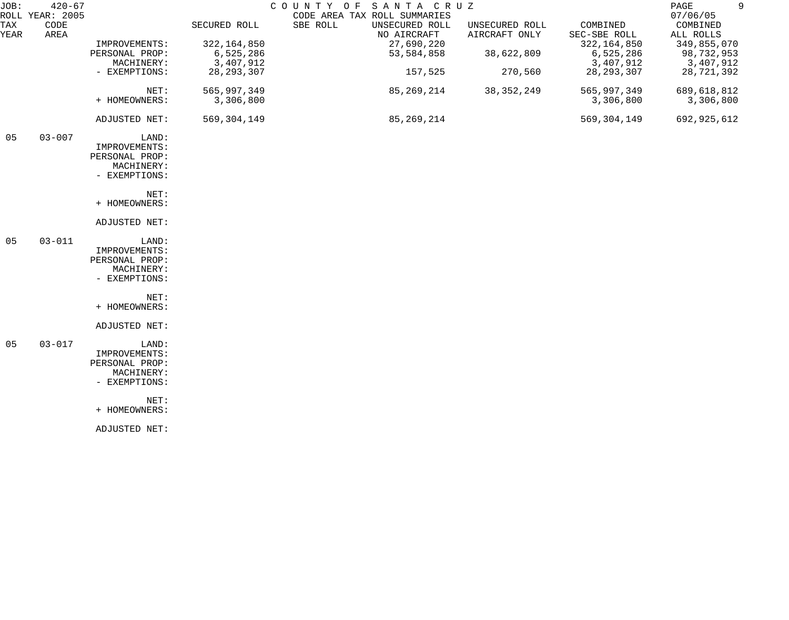| JOB:        | $420 - 67$<br>ROLL YEAR: 2005 |                |               | SANTA CRUZ<br>COUNTY OF<br>CODE AREA TAX ROLL SUMMARIES |                                 |                          | 9<br>PAGE<br>07/06/05 |
|-------------|-------------------------------|----------------|---------------|---------------------------------------------------------|---------------------------------|--------------------------|-----------------------|
| TAX<br>YEAR | CODE<br>AREA                  |                | SECURED ROLL  | SBE ROLL<br>UNSECURED ROLL<br>NO AIRCRAFT               | UNSECURED ROLL<br>AIRCRAFT ONLY | COMBINED<br>SEC-SBE ROLL | COMBINED<br>ALL ROLLS |
|             |                               | IMPROVEMENTS:  | 322, 164, 850 | 27,690,220                                              |                                 | 322, 164, 850            | 349,855,070           |
|             |                               | PERSONAL PROP: | 6,525,286     | 53,584,858                                              | 38,622,809                      | 6,525,286                | 98,732,953            |
|             |                               | MACHINERY:     | 3,407,912     |                                                         |                                 | 3,407,912                | 3,407,912             |
|             |                               | - EXEMPTIONS:  | 28, 293, 307  | 157,525                                                 | 270,560                         | 28, 293, 307             | 28,721,392            |
|             |                               | NET:           | 565, 997, 349 | 85,269,214                                              | 38, 352, 249                    | 565,997,349              | 689,618,812           |
|             |                               | + HOMEOWNERS:  | 3,306,800     |                                                         |                                 | 3,306,800                | 3,306,800             |
|             |                               | ADJUSTED NET:  | 569, 304, 149 | 85, 269, 214                                            |                                 | 569, 304, 149            | 692,925,612           |
| 05          | $03 - 007$                    | LAND:          |               |                                                         |                                 |                          |                       |
|             |                               | IMPROVEMENTS:  |               |                                                         |                                 |                          |                       |
|             |                               | PERSONAL PROP: |               |                                                         |                                 |                          |                       |
|             |                               | MACHINERY:     |               |                                                         |                                 |                          |                       |
|             |                               | - EXEMPTIONS:  |               |                                                         |                                 |                          |                       |
|             |                               | NET:           |               |                                                         |                                 |                          |                       |
|             |                               | + HOMEOWNERS:  |               |                                                         |                                 |                          |                       |
|             |                               | ADJUSTED NET:  |               |                                                         |                                 |                          |                       |
| 05          | $03 - 011$                    | LAND:          |               |                                                         |                                 |                          |                       |
|             |                               | IMPROVEMENTS:  |               |                                                         |                                 |                          |                       |
|             |                               | PERSONAL PROP: |               |                                                         |                                 |                          |                       |
|             |                               | MACHINERY:     |               |                                                         |                                 |                          |                       |
|             |                               | - EXEMPTIONS:  |               |                                                         |                                 |                          |                       |
|             |                               | NET:           |               |                                                         |                                 |                          |                       |
|             |                               | + HOMEOWNERS:  |               |                                                         |                                 |                          |                       |
|             |                               | ADJUSTED NET:  |               |                                                         |                                 |                          |                       |
| 05          | $03 - 017$                    | LAND:          |               |                                                         |                                 |                          |                       |
|             |                               | IMPROVEMENTS:  |               |                                                         |                                 |                          |                       |
|             |                               | PERSONAL PROP: |               |                                                         |                                 |                          |                       |
|             |                               | MACHINERY:     |               |                                                         |                                 |                          |                       |
|             |                               | - EXEMPTIONS:  |               |                                                         |                                 |                          |                       |
|             |                               | NET:           |               |                                                         |                                 |                          |                       |
|             |                               | + HOMEOWNERS:  |               |                                                         |                                 |                          |                       |
|             |                               | ADJUSTED NET:  |               |                                                         |                                 |                          |                       |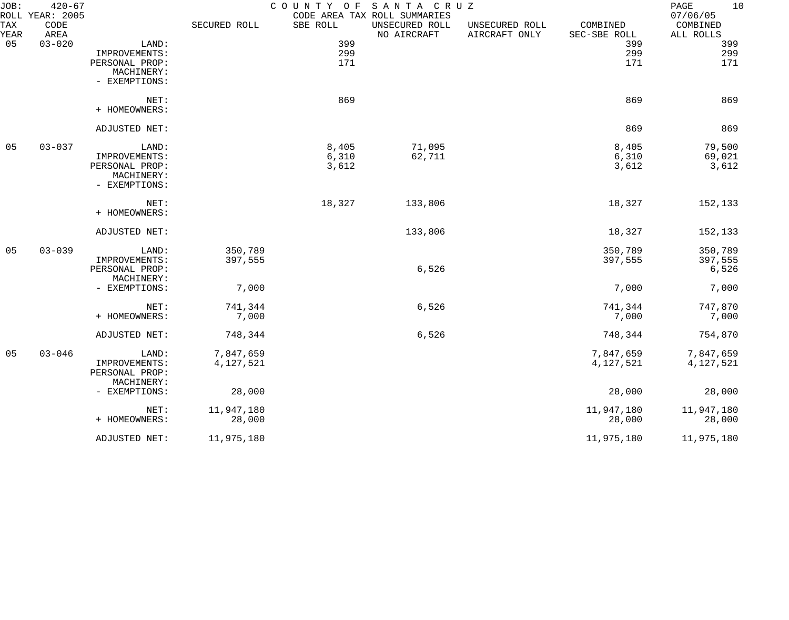| JOB:<br>ROLL       | $420 - 67$<br>YEAR: 2005 |                |              |          | COUNTY OF SANTA CRUZ<br>CODE AREA TAX ROLL SUMMARIES |                                 |                          | 10<br>PAGE<br>07/06/05 |
|--------------------|--------------------------|----------------|--------------|----------|------------------------------------------------------|---------------------------------|--------------------------|------------------------|
| <b>TAX</b><br>YEAR | CODE<br>AREA             |                | SECURED ROLL | SBE ROLL | UNSECURED ROLL<br>NO AIRCRAFT                        | UNSECURED ROLL<br>AIRCRAFT ONLY | COMBINED<br>SEC-SBE ROLL | COMBINED<br>ALL ROLLS  |
| 05                 | $03 - 020$               | LAND:          |              | 399      |                                                      |                                 | 399                      | 399                    |
|                    |                          | IMPROVEMENTS:  |              | 299      |                                                      |                                 | 299                      | 299                    |
|                    |                          | PERSONAL PROP: |              | 171      |                                                      |                                 | 171                      | 171                    |
|                    |                          | MACHINERY:     |              |          |                                                      |                                 |                          |                        |
|                    |                          | - EXEMPTIONS:  |              |          |                                                      |                                 |                          |                        |
|                    |                          | NET:           |              | 869      |                                                      |                                 | 869                      | 869                    |
|                    |                          | + HOMEOWNERS:  |              |          |                                                      |                                 |                          |                        |
|                    |                          | ADJUSTED NET:  |              |          |                                                      |                                 | 869                      | 869                    |
| 05                 | $03 - 037$               | LAND:          |              | 8,405    | 71,095                                               |                                 | 8,405                    | 79,500                 |
|                    |                          | IMPROVEMENTS:  |              | 6,310    | 62,711                                               |                                 | 6,310                    | 69,021                 |
|                    |                          | PERSONAL PROP: |              | 3,612    |                                                      |                                 | 3,612                    | 3,612                  |
|                    |                          | MACHINERY:     |              |          |                                                      |                                 |                          |                        |
|                    |                          | - EXEMPTIONS:  |              |          |                                                      |                                 |                          |                        |
|                    |                          | NET:           |              | 18,327   | 133,806                                              |                                 | 18,327                   | 152,133                |
|                    |                          | + HOMEOWNERS:  |              |          |                                                      |                                 |                          |                        |
|                    |                          | ADJUSTED NET:  |              |          | 133,806                                              |                                 | 18,327                   | 152,133                |
| 05                 | $03 - 039$               | LAND:          | 350,789      |          |                                                      |                                 | 350,789                  | 350,789                |
|                    |                          | IMPROVEMENTS:  | 397,555      |          |                                                      |                                 | 397,555                  | 397,555                |
|                    |                          | PERSONAL PROP: |              |          | 6,526                                                |                                 |                          | 6,526                  |
|                    |                          | MACHINERY:     |              |          |                                                      |                                 |                          |                        |
|                    |                          | - EXEMPTIONS:  | 7,000        |          |                                                      |                                 | 7,000                    | 7,000                  |
|                    |                          | NET:           | 741,344      |          | 6,526                                                |                                 | 741,344                  | 747,870                |
|                    |                          | + HOMEOWNERS:  | 7,000        |          |                                                      |                                 | 7,000                    | 7,000                  |
|                    |                          |                |              |          |                                                      |                                 |                          |                        |
|                    |                          | ADJUSTED NET:  | 748,344      |          | 6,526                                                |                                 | 748,344                  | 754,870                |
| 05                 | $03 - 046$               | LAND:          | 7,847,659    |          |                                                      |                                 | 7,847,659                | 7,847,659              |
|                    |                          | IMPROVEMENTS:  | 4,127,521    |          |                                                      |                                 | 4,127,521                | 4,127,521              |
|                    |                          | PERSONAL PROP: |              |          |                                                      |                                 |                          |                        |
|                    |                          | MACHINERY:     |              |          |                                                      |                                 |                          |                        |
|                    |                          | - EXEMPTIONS:  | 28,000       |          |                                                      |                                 | 28,000                   | 28,000                 |
|                    |                          | NET:           | 11,947,180   |          |                                                      |                                 | 11,947,180               | 11,947,180             |
|                    |                          | + HOMEOWNERS:  | 28,000       |          |                                                      |                                 | 28,000                   | 28,000                 |
|                    |                          | ADJUSTED NET:  | 11,975,180   |          |                                                      |                                 | 11,975,180               | 11,975,180             |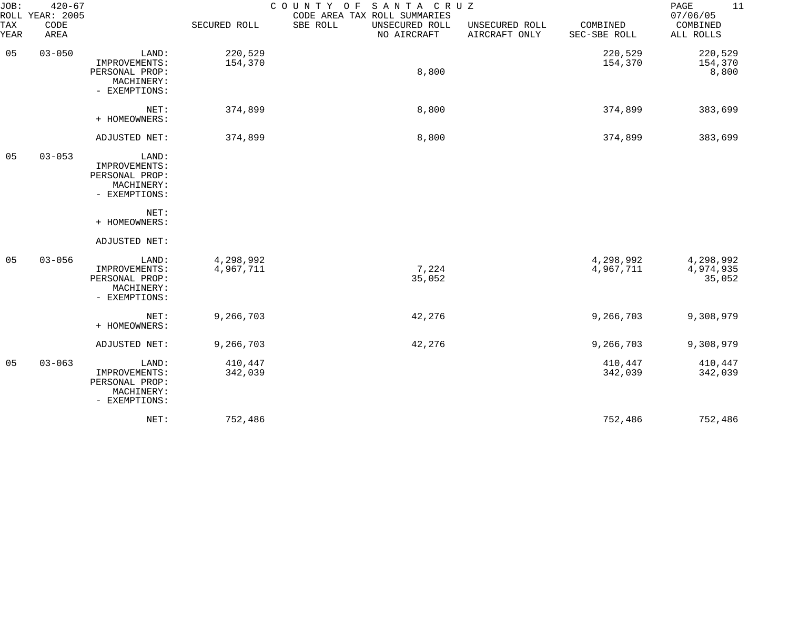| JOB:<br>ROLL | $420 - 67$<br>YEAR: 2005 |                                                                         | COUNTY OF<br>SANTA CRUZ<br>CODE AREA TAX ROLL SUMMARIES |                                           |                                 |                          |                                   |  |  |
|--------------|--------------------------|-------------------------------------------------------------------------|---------------------------------------------------------|-------------------------------------------|---------------------------------|--------------------------|-----------------------------------|--|--|
| TAX<br>YEAR  | CODE<br>AREA             |                                                                         | SECURED ROLL                                            | SBE ROLL<br>UNSECURED ROLL<br>NO AIRCRAFT | UNSECURED ROLL<br>AIRCRAFT ONLY | COMBINED<br>SEC-SBE ROLL | 07/06/05<br>COMBINED<br>ALL ROLLS |  |  |
| 05           | $03 - 050$               | LAND:<br>IMPROVEMENTS:<br>PERSONAL PROP:<br>MACHINERY:<br>- EXEMPTIONS: | 220,529<br>154,370                                      | 8,800                                     |                                 | 220,529<br>154,370       | 220,529<br>154,370<br>8,800       |  |  |
|              |                          | NET:<br>+ HOMEOWNERS:                                                   | 374,899                                                 | 8,800                                     |                                 | 374,899                  | 383,699                           |  |  |
|              |                          | ADJUSTED NET:                                                           | 374,899                                                 | 8,800                                     |                                 | 374,899                  | 383,699                           |  |  |
| 05           | $03 - 053$               | LAND:<br>IMPROVEMENTS:<br>PERSONAL PROP:<br>MACHINERY:<br>- EXEMPTIONS: |                                                         |                                           |                                 |                          |                                   |  |  |
|              |                          | NET:<br>+ HOMEOWNERS:                                                   |                                                         |                                           |                                 |                          |                                   |  |  |
|              |                          | ADJUSTED NET:                                                           |                                                         |                                           |                                 |                          |                                   |  |  |
| 05           | $03 - 056$               | LAND:<br>IMPROVEMENTS:<br>PERSONAL PROP:<br>MACHINERY:<br>- EXEMPTIONS: | 4,298,992<br>4,967,711                                  | 7,224<br>35,052                           |                                 | 4,298,992<br>4,967,711   | 4,298,992<br>4,974,935<br>35,052  |  |  |
|              |                          | NET:<br>+ HOMEOWNERS:                                                   | 9,266,703                                               | 42,276                                    |                                 | 9,266,703                | 9,308,979                         |  |  |
|              |                          | ADJUSTED NET:                                                           | 9,266,703                                               | 42,276                                    |                                 | 9,266,703                | 9,308,979                         |  |  |
| 05           | $03 - 063$               | LAND:<br>IMPROVEMENTS:<br>PERSONAL PROP:<br>MACHINERY:<br>- EXEMPTIONS: | 410,447<br>342,039                                      |                                           |                                 | 410,447<br>342,039       | 410,447<br>342,039                |  |  |
|              |                          | NET:                                                                    | 752,486                                                 |                                           |                                 | 752,486                  | 752,486                           |  |  |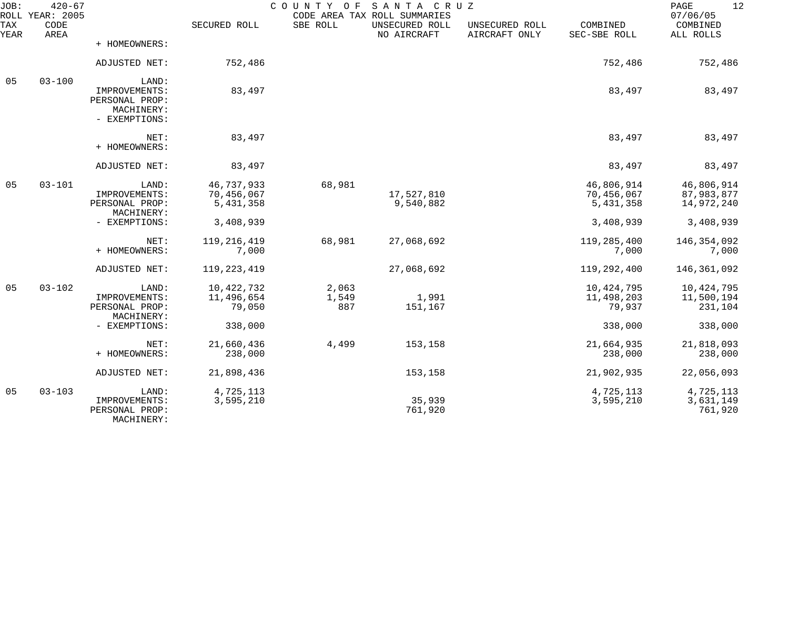| JOB:        | $420 - 67$<br>ROLL YEAR: 2005 |                                                                         |                                       | COUNTY OF             | SANTA CRUZ<br>CODE AREA TAX ROLL SUMMARIES |                                 |                                       | 12<br>PAGE<br>07/06/05                 |
|-------------|-------------------------------|-------------------------------------------------------------------------|---------------------------------------|-----------------------|--------------------------------------------|---------------------------------|---------------------------------------|----------------------------------------|
| TAX<br>YEAR | CODE<br>AREA                  |                                                                         | SECURED ROLL                          | SBE ROLL              | UNSECURED ROLL<br>NO AIRCRAFT              | UNSECURED ROLL<br>AIRCRAFT ONLY | COMBINED<br>SEC-SBE ROLL              | COMBINED<br>ALL ROLLS                  |
|             |                               | + HOMEOWNERS:                                                           |                                       |                       |                                            |                                 |                                       |                                        |
|             |                               | ADJUSTED NET:                                                           | 752,486                               |                       |                                            |                                 | 752,486                               | 752,486                                |
| 05          | $03 - 100$                    | LAND:<br>IMPROVEMENTS:<br>PERSONAL PROP:<br>MACHINERY:<br>- EXEMPTIONS: | 83,497                                |                       |                                            |                                 | 83,497                                | 83,497                                 |
|             |                               | NET:<br>+ HOMEOWNERS:                                                   | 83,497                                |                       |                                            |                                 | 83,497                                | 83,497                                 |
|             |                               | ADJUSTED NET:                                                           | 83,497                                |                       |                                            |                                 | 83,497                                | 83,497                                 |
| 05          | $03 - 101$                    | LAND:<br>IMPROVEMENTS:<br>PERSONAL PROP:<br>MACHINERY:                  | 46,737,933<br>70,456,067<br>5,431,358 | 68,981                | 17,527,810<br>9,540,882                    |                                 | 46,806,914<br>70,456,067<br>5,431,358 | 46,806,914<br>87,983,877<br>14,972,240 |
|             |                               | - EXEMPTIONS:                                                           | 3,408,939                             |                       |                                            |                                 | 3,408,939                             | 3,408,939                              |
|             |                               | NET:<br>+ HOMEOWNERS:                                                   | 119, 216, 419<br>7,000                | 68,981                | 27,068,692                                 |                                 | 119,285,400<br>7,000                  | 146, 354, 092<br>7,000                 |
|             |                               | ADJUSTED NET:                                                           | 119, 223, 419                         |                       | 27,068,692                                 |                                 | 119,292,400                           | 146,361,092                            |
| 05          | $03 - 102$                    | LAND:<br>IMPROVEMENTS:<br>PERSONAL PROP:<br>MACHINERY:                  | 10,422,732<br>11,496,654<br>79,050    | 2,063<br>1,549<br>887 | 1,991<br>151,167                           |                                 | 10,424,795<br>11,498,203<br>79,937    | 10,424,795<br>11,500,194<br>231,104    |
|             |                               | - EXEMPTIONS:                                                           | 338,000                               |                       |                                            |                                 | 338,000                               | 338,000                                |
|             |                               | NET:<br>+ HOMEOWNERS:                                                   | 21,660,436<br>238,000                 | 4,499                 | 153,158                                    |                                 | 21,664,935<br>238,000                 | 21,818,093<br>238,000                  |
|             |                               | ADJUSTED NET:                                                           | 21,898,436                            |                       | 153,158                                    |                                 | 21,902,935                            | 22,056,093                             |
| 05          | $03 - 103$                    | LAND:<br>IMPROVEMENTS:<br>PERSONAL PROP:<br>MACHINERY:                  | 4,725,113<br>3,595,210                |                       | 35,939<br>761,920                          |                                 | 4,725,113<br>3,595,210                | 4,725,113<br>3,631,149<br>761,920      |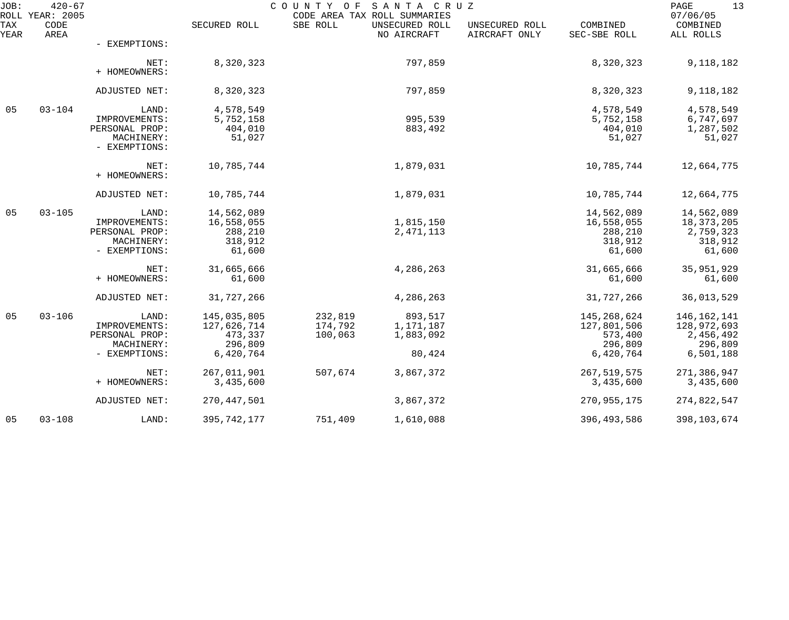| JOB:        | $420 - 67$<br>ROLL YEAR: 2005 |                                                                         |                                                               | COUNTY OF<br>CODE AREA TAX ROLL SUMMARIES | SANTA CRUZ                                  |                                 |                                                               | 13<br>PAGE<br>07/06/05                                            |
|-------------|-------------------------------|-------------------------------------------------------------------------|---------------------------------------------------------------|-------------------------------------------|---------------------------------------------|---------------------------------|---------------------------------------------------------------|-------------------------------------------------------------------|
| TAX<br>YEAR | CODE<br>AREA                  |                                                                         | SECURED ROLL                                                  | SBE ROLL                                  | UNSECURED ROLL<br>NO AIRCRAFT               | UNSECURED ROLL<br>AIRCRAFT ONLY | COMBINED<br>SEC-SBE ROLL                                      | COMBINED<br>ALL ROLLS                                             |
|             |                               | - EXEMPTIONS:                                                           |                                                               |                                           |                                             |                                 |                                                               |                                                                   |
|             |                               | NET:<br>+ HOMEOWNERS:                                                   | 8,320,323                                                     |                                           | 797,859                                     |                                 | 8,320,323                                                     | 9,118,182                                                         |
|             |                               | ADJUSTED NET:                                                           | 8,320,323                                                     |                                           | 797,859                                     |                                 | 8,320,323                                                     | 9,118,182                                                         |
| 05          | $03 - 104$                    | LAND:<br>IMPROVEMENTS:<br>PERSONAL PROP:<br>MACHINERY:<br>- EXEMPTIONS: | 4,578,549<br>5,752,158<br>404,010<br>51,027                   |                                           | 995,539<br>883,492                          |                                 | 4,578,549<br>5,752,158<br>404,010<br>51,027                   | 4,578,549<br>6,747,697<br>1,287,502<br>51,027                     |
|             |                               | NET:<br>+ HOMEOWNERS:                                                   | 10,785,744                                                    |                                           | 1,879,031                                   |                                 | 10,785,744                                                    | 12,664,775                                                        |
|             |                               | ADJUSTED NET:                                                           | 10,785,744                                                    |                                           | 1,879,031                                   |                                 | 10,785,744                                                    | 12,664,775                                                        |
| 05          | $03 - 105$                    | LAND:<br>IMPROVEMENTS:<br>PERSONAL PROP:<br>MACHINERY:<br>- EXEMPTIONS: | 14,562,089<br>16,558,055<br>288,210<br>318,912<br>61,600      |                                           | 1,815,150<br>2, 471, 113                    |                                 | 14,562,089<br>16,558,055<br>288,210<br>318,912<br>61,600      | 14,562,089<br>18, 373, 205<br>2,759,323<br>318,912<br>61,600      |
|             |                               | NET:<br>+ HOMEOWNERS:                                                   | 31,665,666<br>61,600                                          |                                           | 4,286,263                                   |                                 | 31,665,666<br>61,600                                          | 35,951,929<br>61,600                                              |
|             |                               | ADJUSTED NET:                                                           | 31,727,266                                                    |                                           | 4,286,263                                   |                                 | 31,727,266                                                    | 36,013,529                                                        |
| 05          | $03 - 106$                    | LAND:<br>IMPROVEMENTS:<br>PERSONAL PROP:<br>MACHINERY:<br>- EXEMPTIONS: | 145,035,805<br>127,626,714<br>473,337<br>296,809<br>6,420,764 | 232,819<br>174,792<br>100,063             | 893,517<br>1,171,187<br>1,883,092<br>80,424 |                                 | 145,268,624<br>127,801,506<br>573,400<br>296,809<br>6,420,764 | 146, 162, 141<br>128,972,693<br>2,456,492<br>296,809<br>6,501,188 |
|             |                               | NET:<br>+ HOMEOWNERS:                                                   | 267,011,901<br>3,435,600                                      | 507,674                                   | 3,867,372                                   |                                 | 267,519,575<br>3,435,600                                      | 271,386,947<br>3,435,600                                          |
|             |                               | ADJUSTED NET:                                                           | 270, 447, 501                                                 |                                           | 3,867,372                                   |                                 | 270,955,175                                                   | 274,822,547                                                       |
| 05          | $03 - 108$                    | LAND:                                                                   | 395, 742, 177                                                 | 751,409                                   | 1,610,088                                   |                                 | 396, 493, 586                                                 | 398,103,674                                                       |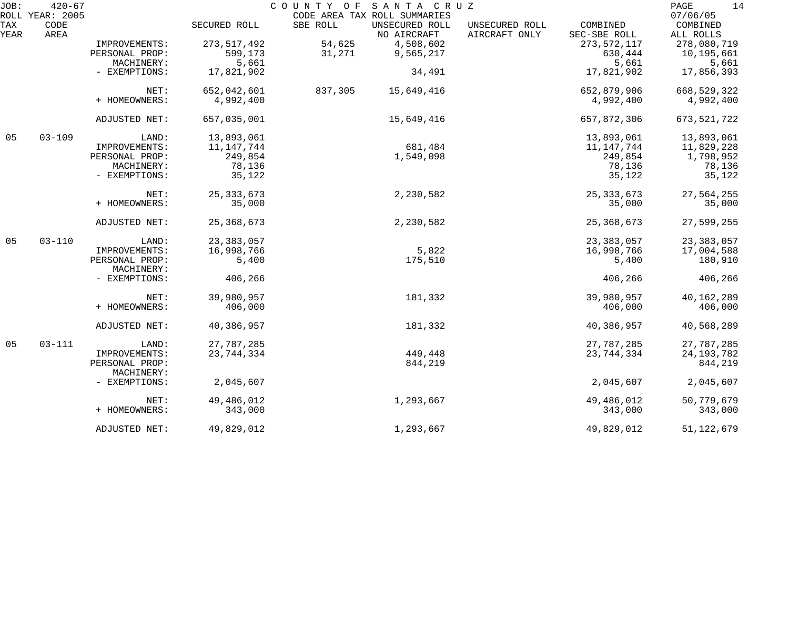| JOB:        | $420 - 67$<br>ROLL YEAR: 2005 |                |               | COUNTY OF | SANTA CRUZ                                                    |                                 |                          | PAGE<br>14<br>07/06/05 |
|-------------|-------------------------------|----------------|---------------|-----------|---------------------------------------------------------------|---------------------------------|--------------------------|------------------------|
| TAX<br>YEAR | CODE<br>AREA                  |                | SECURED ROLL  | SBE ROLL  | CODE AREA TAX ROLL SUMMARIES<br>UNSECURED ROLL<br>NO AIRCRAFT | UNSECURED ROLL<br>AIRCRAFT ONLY | COMBINED<br>SEC-SBE ROLL | COMBINED<br>ALL ROLLS  |
|             |                               | IMPROVEMENTS:  | 273, 517, 492 | 54,625    | 4,508,602                                                     |                                 | 273, 572, 117            | 278,080,719            |
|             |                               | PERSONAL PROP: | 599,173       | 31,271    | 9,565,217                                                     |                                 | 630,444                  | 10,195,661             |
|             |                               | MACHINERY:     | 5,661         |           |                                                               |                                 | 5,661                    | 5,661                  |
|             |                               | - EXEMPTIONS:  | 17,821,902    |           | 34,491                                                        |                                 | 17,821,902               | 17,856,393             |
|             |                               |                |               |           |                                                               |                                 |                          |                        |
|             |                               | NET:           | 652,042,601   | 837,305   | 15,649,416                                                    |                                 | 652,879,906              | 668, 529, 322          |
|             |                               | + HOMEOWNERS:  | 4,992,400     |           |                                                               |                                 | 4,992,400                | 4,992,400              |
|             |                               | ADJUSTED NET:  | 657,035,001   |           | 15,649,416                                                    |                                 | 657,872,306              | 673,521,722            |
| 05          | $03 - 109$                    | LAND:          | 13,893,061    |           |                                                               |                                 | 13,893,061               | 13,893,061             |
|             |                               | IMPROVEMENTS:  | 11, 147, 744  |           | 681,484                                                       |                                 | 11, 147, 744             | 11,829,228             |
|             |                               | PERSONAL PROP: | 249,854       |           | 1,549,098                                                     |                                 | 249,854                  | 1,798,952              |
|             |                               | MACHINERY:     | 78,136        |           |                                                               |                                 | 78,136                   | 78,136                 |
|             |                               | - EXEMPTIONS:  | 35,122        |           |                                                               |                                 | 35,122                   | 35,122                 |
|             |                               | NET:           | 25, 333, 673  |           | 2,230,582                                                     |                                 | 25, 333, 673             | 27,564,255             |
|             |                               | + HOMEOWNERS:  | 35,000        |           |                                                               |                                 | 35,000                   | 35,000                 |
|             |                               | ADJUSTED NET:  | 25, 368, 673  |           | 2,230,582                                                     |                                 | 25, 368, 673             | 27,599,255             |
| 05          | $03 - 110$                    | LAND:          | 23, 383, 057  |           |                                                               |                                 | 23, 383, 057             | 23,383,057             |
|             |                               | IMPROVEMENTS:  | 16,998,766    |           | 5,822                                                         |                                 | 16,998,766               | 17,004,588             |
|             |                               | PERSONAL PROP: | 5,400         |           | 175,510                                                       |                                 | 5,400                    | 180,910                |
|             |                               | MACHINERY:     |               |           |                                                               |                                 |                          |                        |
|             |                               | - EXEMPTIONS:  | 406,266       |           |                                                               |                                 | 406,266                  | 406,266                |
|             |                               | NET:           | 39,980,957    |           | 181,332                                                       |                                 | 39,980,957               | 40,162,289             |
|             |                               | + HOMEOWNERS:  | 406,000       |           |                                                               |                                 | 406,000                  | 406,000                |
|             |                               | ADJUSTED NET:  | 40,386,957    |           | 181,332                                                       |                                 | 40,386,957               | 40,568,289             |
| 05          | $03 - 111$                    | LAND:          | 27,787,285    |           |                                                               |                                 | 27,787,285               | 27,787,285             |
|             |                               | IMPROVEMENTS:  | 23,744,334    |           | 449,448                                                       |                                 | 23, 744, 334             | 24, 193, 782           |
|             |                               | PERSONAL PROP: |               |           | 844,219                                                       |                                 |                          | 844,219                |
|             |                               | MACHINERY:     |               |           |                                                               |                                 |                          |                        |
|             |                               | - EXEMPTIONS:  | 2,045,607     |           |                                                               |                                 | 2,045,607                | 2,045,607              |
|             |                               |                |               |           |                                                               |                                 |                          |                        |
|             |                               | NET:           | 49,486,012    |           | 1,293,667                                                     |                                 | 49,486,012               | 50,779,679             |
|             |                               | + HOMEOWNERS:  | 343,000       |           |                                                               |                                 | 343,000                  | 343,000                |
|             |                               | ADJUSTED NET:  | 49,829,012    |           | 1,293,667                                                     |                                 | 49,829,012               | 51, 122, 679           |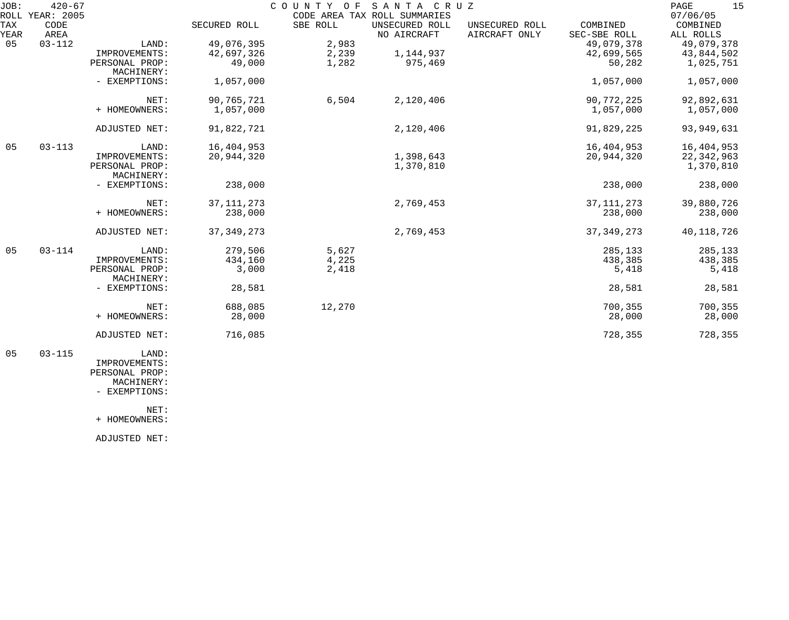| JOB:<br>ROLL | $420 - 67$<br><b>YEAR: 2005</b> |                              |              | COUNTY OF | SANTA CRUZ<br>CODE AREA TAX ROLL SUMMARIES |                                 |                          | 15<br>PAGE<br>07/06/05 |
|--------------|---------------------------------|------------------------------|--------------|-----------|--------------------------------------------|---------------------------------|--------------------------|------------------------|
| TAX<br>YEAR  | CODE<br>AREA                    |                              | SECURED ROLL | SBE ROLL  | UNSECURED ROLL<br>NO AIRCRAFT              | UNSECURED ROLL<br>AIRCRAFT ONLY | COMBINED<br>SEC-SBE ROLL | COMBINED<br>ALL ROLLS  |
| 05           | $03 - 112$                      | LAND:                        | 49,076,395   | 2,983     |                                            |                                 | 49,079,378               | 49,079,378             |
|              |                                 | IMPROVEMENTS:                | 42,697,326   | 2,239     | 1,144,937                                  |                                 | 42,699,565               | 43,844,502             |
|              |                                 | PERSONAL PROP:<br>MACHINERY: | 49,000       | 1,282     | 975,469                                    |                                 | 50,282                   | 1,025,751              |
|              |                                 | - EXEMPTIONS:                | 1,057,000    |           |                                            |                                 | 1,057,000                | 1,057,000              |
|              |                                 | NET:                         | 90,765,721   | 6,504     | 2,120,406                                  |                                 | 90,772,225               | 92,892,631             |
|              |                                 | + HOMEOWNERS:                | 1,057,000    |           |                                            |                                 | 1,057,000                | 1,057,000              |
|              |                                 | ADJUSTED NET:                | 91,822,721   |           | 2,120,406                                  |                                 | 91,829,225               | 93, 949, 631           |
| 05           | $03 - 113$                      | LAND:                        | 16,404,953   |           |                                            |                                 | 16,404,953               | 16,404,953             |
|              |                                 | IMPROVEMENTS:                | 20,944,320   |           | 1,398,643                                  |                                 | 20,944,320               | 22, 342, 963           |
|              |                                 | PERSONAL PROP:<br>MACHINERY: |              |           | 1,370,810                                  |                                 |                          | 1,370,810              |
|              |                                 | - EXEMPTIONS:                | 238,000      |           |                                            |                                 | 238,000                  | 238,000                |
|              |                                 | NET:                         | 37, 111, 273 |           | 2,769,453                                  |                                 | 37, 111, 273             | 39,880,726             |
|              |                                 | + HOMEOWNERS:                | 238,000      |           |                                            |                                 | 238,000                  | 238,000                |
|              |                                 | ADJUSTED NET:                | 37, 349, 273 |           | 2,769,453                                  |                                 | 37, 349, 273             | 40, 118, 726           |
| 05           | $03 - 114$                      | LAND:                        | 279,506      | 5,627     |                                            |                                 | 285,133                  | 285,133                |
|              |                                 | IMPROVEMENTS:                | 434,160      | 4,225     |                                            |                                 | 438,385                  | 438,385                |
|              |                                 | PERSONAL PROP:<br>MACHINERY: | 3,000        | 2,418     |                                            |                                 | 5,418                    | 5,418                  |
|              |                                 | - EXEMPTIONS:                | 28,581       |           |                                            |                                 | 28,581                   | 28,581                 |
|              |                                 | NET:                         | 688,085      | 12,270    |                                            |                                 | 700,355                  | 700,355                |
|              |                                 | + HOMEOWNERS:                | 28,000       |           |                                            |                                 | 28,000                   | 28,000                 |
|              |                                 | ADJUSTED NET:                | 716,085      |           |                                            |                                 | 728,355                  | 728,355                |
|              |                                 |                              |              |           |                                            |                                 |                          |                        |

 05 03-115 LAND: IMPROVEMENTS: PERSONAL PROP: MACHINERY:

- EXEMPTIONS:

NET:

+ HOMEOWNERS:

ADJUSTED NET: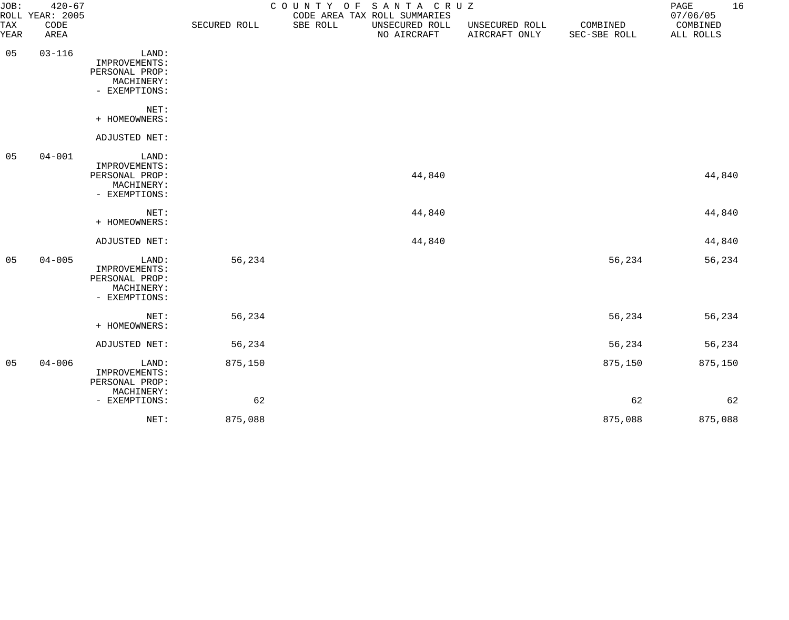| JOB:        | $420 - 67$<br>ROLL YEAR: 2005 |                                                                         |              |          | COUNTY OF SANTA CRUZ<br>CODE AREA TAX ROLL SUMMARIES |                                 |                          | 16<br>PAGE<br>07/06/05 |
|-------------|-------------------------------|-------------------------------------------------------------------------|--------------|----------|------------------------------------------------------|---------------------------------|--------------------------|------------------------|
| TAX<br>YEAR | CODE<br>AREA                  |                                                                         | SECURED ROLL | SBE ROLL | UNSECURED ROLL<br>NO AIRCRAFT                        | UNSECURED ROLL<br>AIRCRAFT ONLY | COMBINED<br>SEC-SBE ROLL | COMBINED<br>ALL ROLLS  |
| 05          | $03 - 116$                    | LAND:<br>IMPROVEMENTS:<br>PERSONAL PROP:<br>MACHINERY:<br>- EXEMPTIONS: |              |          |                                                      |                                 |                          |                        |
|             |                               | NET:<br>+ HOMEOWNERS:                                                   |              |          |                                                      |                                 |                          |                        |
|             |                               | ADJUSTED NET:                                                           |              |          |                                                      |                                 |                          |                        |
| 05          | $04 - 001$                    | LAND:<br>IMPROVEMENTS:<br>PERSONAL PROP:<br>MACHINERY:<br>- EXEMPTIONS: |              |          | 44,840                                               |                                 |                          | 44,840                 |
|             |                               | NET:<br>+ HOMEOWNERS:                                                   |              |          | 44,840                                               |                                 |                          | 44,840                 |
|             |                               | ADJUSTED NET:                                                           |              |          | 44,840                                               |                                 |                          | 44,840                 |
| 05          | $04 - 005$                    | LAND:<br>IMPROVEMENTS:<br>PERSONAL PROP:<br>MACHINERY:<br>- EXEMPTIONS: | 56,234       |          |                                                      |                                 | 56,234                   | 56,234                 |
|             |                               | NET:<br>+ HOMEOWNERS:                                                   | 56,234       |          |                                                      |                                 | 56,234                   | 56,234                 |
|             |                               | ADJUSTED NET:                                                           | 56,234       |          |                                                      |                                 | 56,234                   | 56,234                 |
| 05          | $04 - 006$                    | LAND:<br>IMPROVEMENTS:<br>PERSONAL PROP:<br>MACHINERY:                  | 875,150      |          |                                                      |                                 | 875,150                  | 875,150                |
|             |                               | - EXEMPTIONS:                                                           | 62           |          |                                                      |                                 | 62                       | 62                     |
|             |                               | NET:                                                                    | 875,088      |          |                                                      |                                 | 875,088                  | 875,088                |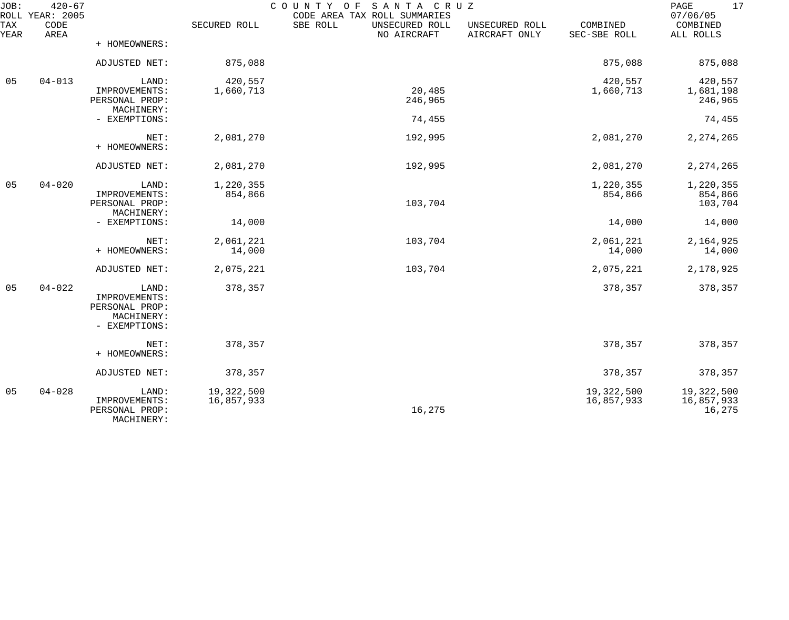| JOB:        | $420 - 67$<br>ROLL YEAR: 2005 |                                                                         |                          | COUNTY<br>SANTA CRUZ<br>ΟF<br>CODE AREA TAX ROLL SUMMARIES |                                 |                          | 17<br>PAGE<br>07/06/05             |
|-------------|-------------------------------|-------------------------------------------------------------------------|--------------------------|------------------------------------------------------------|---------------------------------|--------------------------|------------------------------------|
| TAX<br>YEAR | CODE<br>AREA                  |                                                                         | SECURED ROLL             | SBE ROLL<br>UNSECURED ROLL<br>NO AIRCRAFT                  | UNSECURED ROLL<br>AIRCRAFT ONLY | COMBINED<br>SEC-SBE ROLL | COMBINED<br>ALL ROLLS              |
|             |                               | + HOMEOWNERS:                                                           |                          |                                                            |                                 |                          |                                    |
|             |                               | ADJUSTED NET:                                                           | 875,088                  |                                                            |                                 | 875,088                  | 875,088                            |
| 05          | $04 - 013$                    | LAND:<br>IMPROVEMENTS:                                                  | 420,557<br>1,660,713     | 20,485                                                     |                                 | 420,557<br>1,660,713     | 420,557<br>1,681,198               |
|             |                               | PERSONAL PROP:<br>MACHINERY:                                            |                          | 246,965                                                    |                                 |                          | 246,965                            |
|             |                               | - EXEMPTIONS:                                                           |                          | 74,455                                                     |                                 |                          | 74,455                             |
|             |                               | NET:<br>+ HOMEOWNERS:                                                   | 2,081,270                | 192,995                                                    |                                 | 2,081,270                | 2, 274, 265                        |
|             |                               | ADJUSTED NET:                                                           | 2,081,270                | 192,995                                                    |                                 | 2,081,270                | 2, 274, 265                        |
| 05          | $04 - 020$                    | LAND:<br>IMPROVEMENTS:<br>PERSONAL PROP:<br>MACHINERY:                  | 1,220,355<br>854,866     | 103,704                                                    |                                 | 1,220,355<br>854,866     | 1,220,355<br>854,866<br>103,704    |
|             |                               | - EXEMPTIONS:                                                           | 14,000                   |                                                            |                                 | 14,000                   | 14,000                             |
|             |                               | NET:<br>+ HOMEOWNERS:                                                   | 2,061,221<br>14,000      | 103,704                                                    |                                 | 2,061,221<br>14,000      | 2,164,925<br>14,000                |
|             |                               | ADJUSTED NET:                                                           | 2,075,221                | 103,704                                                    |                                 | 2,075,221                | 2,178,925                          |
| 05          | $04 - 022$                    | LAND:<br>IMPROVEMENTS:<br>PERSONAL PROP:<br>MACHINERY:<br>- EXEMPTIONS: | 378,357                  |                                                            |                                 | 378,357                  | 378,357                            |
|             |                               | NET:<br>+ HOMEOWNERS:                                                   | 378,357                  |                                                            |                                 | 378,357                  | 378,357                            |
|             |                               | ADJUSTED NET:                                                           | 378,357                  |                                                            |                                 | 378,357                  | 378,357                            |
| 05          | $04 - 028$                    | LAND:<br>IMPROVEMENTS:<br>PERSONAL PROP:<br>MACHINERY:                  | 19,322,500<br>16,857,933 | 16,275                                                     |                                 | 19,322,500<br>16,857,933 | 19,322,500<br>16,857,933<br>16,275 |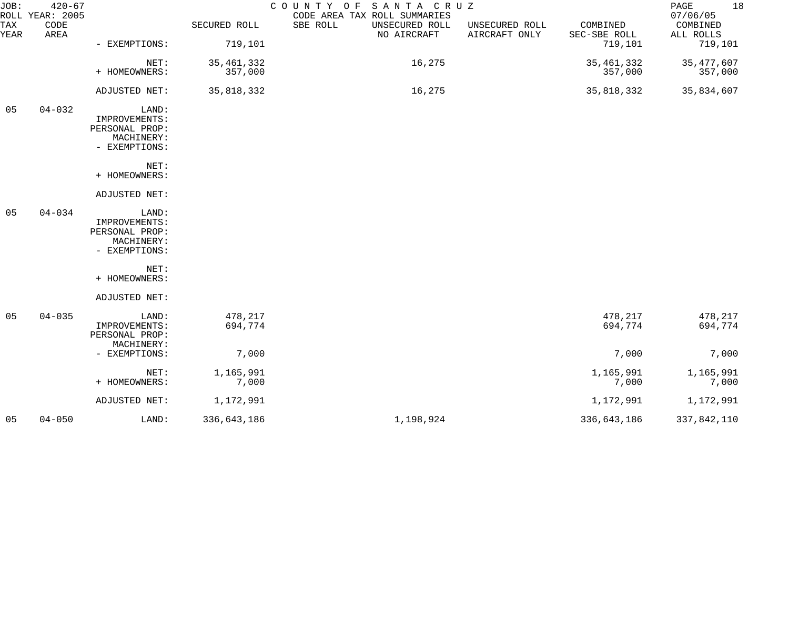| JOB:           | $420 - 67$<br>ROLL YEAR: 2005 |                                                                         |                         | COUNTY OF SANTA CRUZ<br>CODE AREA TAX ROLL SUMMARIES |                                 |                          | 18<br>PAGE<br>07/06/05  |
|----------------|-------------------------------|-------------------------------------------------------------------------|-------------------------|------------------------------------------------------|---------------------------------|--------------------------|-------------------------|
| TAX<br>YEAR    | CODE<br>AREA                  |                                                                         | SECURED ROLL            | SBE ROLL<br>UNSECURED ROLL<br>NO AIRCRAFT            | UNSECURED ROLL<br>AIRCRAFT ONLY | COMBINED<br>SEC-SBE ROLL | COMBINED<br>ALL ROLLS   |
|                |                               | - EXEMPTIONS:                                                           | 719,101                 |                                                      |                                 | 719,101                  | 719,101                 |
|                |                               | NET:<br>+ HOMEOWNERS:                                                   | 35, 461, 332<br>357,000 | 16,275                                               |                                 | 35, 461, 332<br>357,000  | 35, 477, 607<br>357,000 |
|                |                               | ADJUSTED NET:                                                           | 35,818,332              | 16,275                                               |                                 | 35,818,332               | 35,834,607              |
| 05             | $04 - 032$                    | LAND:<br>IMPROVEMENTS:<br>PERSONAL PROP:<br>MACHINERY:<br>- EXEMPTIONS: |                         |                                                      |                                 |                          |                         |
|                |                               | NET:<br>+ HOMEOWNERS:                                                   |                         |                                                      |                                 |                          |                         |
|                |                               | ADJUSTED NET:                                                           |                         |                                                      |                                 |                          |                         |
| 05             | $04 - 034$                    | LAND:<br>IMPROVEMENTS:<br>PERSONAL PROP:<br>MACHINERY:<br>- EXEMPTIONS: |                         |                                                      |                                 |                          |                         |
|                |                               | NET:<br>+ HOMEOWNERS:                                                   |                         |                                                      |                                 |                          |                         |
|                |                               | ADJUSTED NET:                                                           |                         |                                                      |                                 |                          |                         |
| 05             | $04 - 035$                    | LAND:<br>IMPROVEMENTS:<br>PERSONAL PROP:                                | 478,217<br>694,774      |                                                      |                                 | 478,217<br>694,774       | 478,217<br>694,774      |
|                |                               | MACHINERY:<br>- EXEMPTIONS:                                             | 7,000                   |                                                      |                                 | 7,000                    | 7,000                   |
|                |                               | NET:<br>+ HOMEOWNERS:                                                   | 1,165,991<br>7,000      |                                                      |                                 | 1,165,991<br>7,000       | 1,165,991<br>7,000      |
|                |                               | ADJUSTED NET:                                                           | 1,172,991               |                                                      |                                 | 1,172,991                | 1,172,991               |
| 0 <sub>5</sub> | $04 - 050$                    | LAND:                                                                   | 336,643,186             | 1,198,924                                            |                                 | 336,643,186              | 337,842,110             |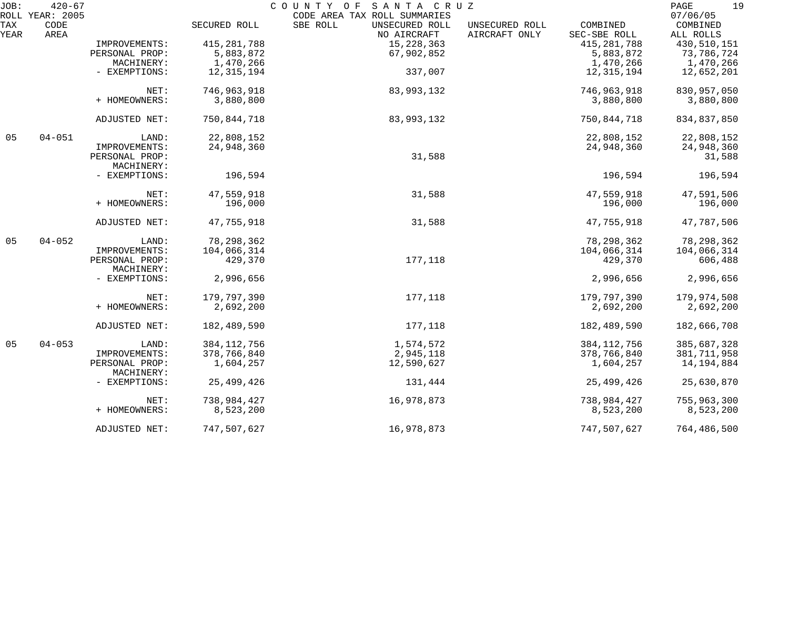| JOB:        | $420 - 67$      |                              |               | COUNTY OF SANTA CRUZ                      |                                 |                          | 19<br>PAGE            |
|-------------|-----------------|------------------------------|---------------|-------------------------------------------|---------------------------------|--------------------------|-----------------------|
|             | ROLL YEAR: 2005 |                              |               | CODE AREA TAX ROLL SUMMARIES              |                                 |                          | 07/06/05              |
| TAX<br>YEAR | CODE<br>AREA    |                              | SECURED ROLL  | SBE ROLL<br>UNSECURED ROLL<br>NO AIRCRAFT | UNSECURED ROLL<br>AIRCRAFT ONLY | COMBINED<br>SEC-SBE ROLL | COMBINED<br>ALL ROLLS |
|             |                 | IMPROVEMENTS:                | 415, 281, 788 | 15, 228, 363                              |                                 | 415, 281, 788            | 430,510,151           |
|             |                 | PERSONAL PROP:               | 5,883,872     | 67,902,852                                |                                 | 5,883,872                | 73,786,724            |
|             |                 | MACHINERY:                   | 1,470,266     |                                           |                                 | 1,470,266                | 1,470,266             |
|             |                 | - EXEMPTIONS:                | 12,315,194    | 337,007                                   |                                 | 12,315,194               | 12,652,201            |
|             |                 | NET:                         | 746,963,918   | 83,993,132                                |                                 | 746,963,918              | 830, 957, 050         |
|             |                 | + HOMEOWNERS:                | 3,880,800     |                                           |                                 | 3,880,800                | 3,880,800             |
|             |                 | ADJUSTED NET:                | 750,844,718   | 83,993,132                                |                                 | 750,844,718              | 834,837,850           |
| 05          | $04 - 051$      | LAND:                        | 22,808,152    |                                           |                                 | 22,808,152               | 22,808,152            |
|             |                 | IMPROVEMENTS:                | 24,948,360    |                                           |                                 | 24,948,360               | 24,948,360            |
|             |                 | PERSONAL PROP:<br>MACHINERY: |               | 31,588                                    |                                 |                          | 31,588                |
|             |                 | - EXEMPTIONS:                | 196,594       |                                           |                                 | 196,594                  | 196,594               |
|             |                 | NET:                         | 47,559,918    | 31,588                                    |                                 | 47,559,918               | 47,591,506            |
|             |                 | + HOMEOWNERS:                | 196,000       |                                           |                                 | 196,000                  | 196,000               |
|             |                 | ADJUSTED NET:                | 47,755,918    | 31,588                                    |                                 | 47,755,918               | 47,787,506            |
| 05          | $04 - 052$      | LAND:                        | 78, 298, 362  |                                           |                                 | 78, 298, 362             | 78, 298, 362          |
|             |                 | IMPROVEMENTS:                | 104,066,314   |                                           |                                 | 104,066,314              | 104,066,314           |
|             |                 | PERSONAL PROP:<br>MACHINERY: | 429,370       | 177,118                                   |                                 | 429,370                  | 606,488               |
|             |                 | - EXEMPTIONS:                | 2,996,656     |                                           |                                 | 2,996,656                | 2,996,656             |
|             |                 | NET:                         | 179,797,390   | 177,118                                   |                                 | 179,797,390              | 179,974,508           |
|             |                 | + HOMEOWNERS:                | 2,692,200     |                                           |                                 | 2,692,200                | 2,692,200             |
|             |                 | ADJUSTED NET:                | 182,489,590   | 177,118                                   |                                 | 182,489,590              | 182,666,708           |
| 05          | $04 - 053$      | LAND:                        | 384, 112, 756 | 1,574,572                                 |                                 | 384, 112, 756            | 385,687,328           |
|             |                 | IMPROVEMENTS:                | 378,766,840   | 2,945,118                                 |                                 | 378,766,840              | 381, 711, 958         |
|             |                 | PERSONAL PROP:<br>MACHINERY: | 1,604,257     | 12,590,627                                |                                 | 1,604,257                | 14,194,884            |
|             |                 | - EXEMPTIONS:                | 25, 499, 426  | 131,444                                   |                                 | 25,499,426               | 25,630,870            |
|             |                 | NET:                         | 738,984,427   | 16,978,873                                |                                 | 738,984,427              | 755,963,300           |
|             |                 | + HOMEOWNERS:                | 8,523,200     |                                           |                                 | 8,523,200                | 8,523,200             |
|             |                 | ADJUSTED NET:                | 747,507,627   | 16,978,873                                |                                 | 747,507,627              | 764,486,500           |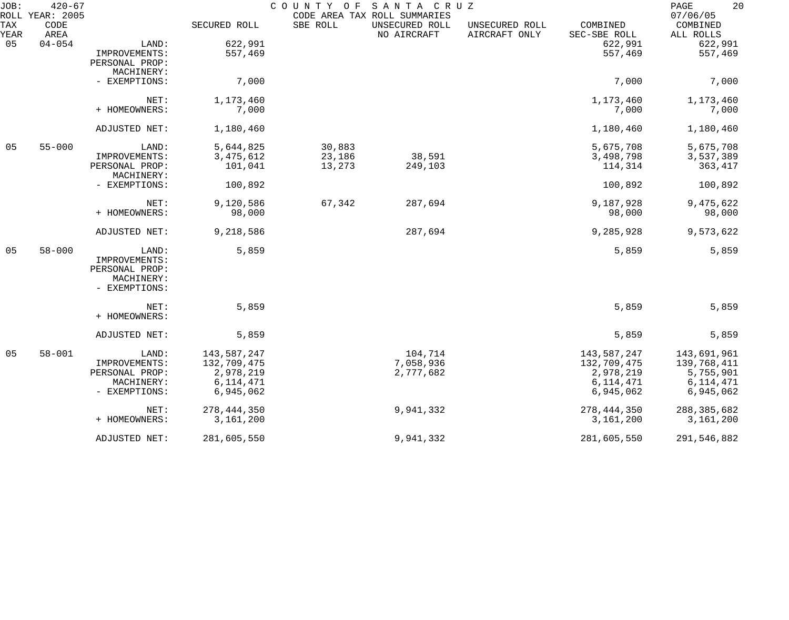| JOB:        | $420 - 67$                      |                |               | COUNTY OF | SANTA CRUZ                                                    |                                 |                          | 20<br>PAGE<br>07/06/05 |
|-------------|---------------------------------|----------------|---------------|-----------|---------------------------------------------------------------|---------------------------------|--------------------------|------------------------|
| TAX<br>YEAR | ROLL YEAR: 2005<br>CODE<br>AREA |                | SECURED ROLL  | SBE ROLL  | CODE AREA TAX ROLL SUMMARIES<br>UNSECURED ROLL<br>NO AIRCRAFT | UNSECURED ROLL<br>AIRCRAFT ONLY | COMBINED<br>SEC-SBE ROLL | COMBINED<br>ALL ROLLS  |
| 05          | $04 - 054$                      | LAND:          | 622,991       |           |                                                               |                                 | 622,991                  | 622,991                |
|             |                                 | IMPROVEMENTS:  | 557,469       |           |                                                               |                                 | 557,469                  | 557,469                |
|             |                                 | PERSONAL PROP: |               |           |                                                               |                                 |                          |                        |
|             |                                 | MACHINERY:     |               |           |                                                               |                                 |                          |                        |
|             |                                 | - EXEMPTIONS:  | 7,000         |           |                                                               |                                 | 7,000                    | 7,000                  |
|             |                                 | NET:           | 1,173,460     |           |                                                               |                                 | 1,173,460                | 1,173,460              |
|             |                                 | + HOMEOWNERS:  | 7,000         |           |                                                               |                                 | 7,000                    | 7,000                  |
|             |                                 | ADJUSTED NET:  | 1,180,460     |           |                                                               |                                 | 1,180,460                | 1,180,460              |
| 05          | $55 - 000$                      | LAND:          | 5,644,825     | 30,883    |                                                               |                                 | 5,675,708                | 5,675,708              |
|             |                                 | IMPROVEMENTS:  | 3, 475, 612   | 23,186    | 38,591                                                        |                                 | 3,498,798                | 3,537,389              |
|             |                                 | PERSONAL PROP: | 101,041       | 13,273    | 249,103                                                       |                                 | 114,314                  | 363,417                |
|             |                                 | MACHINERY:     |               |           |                                                               |                                 |                          |                        |
|             |                                 | - EXEMPTIONS:  | 100,892       |           |                                                               |                                 | 100,892                  | 100,892                |
|             |                                 | NET:           | 9,120,586     | 67,342    | 287,694                                                       |                                 | 9,187,928                | 9,475,622              |
|             |                                 | + HOMEOWNERS:  | 98,000        |           |                                                               |                                 | 98,000                   | 98,000                 |
|             |                                 | ADJUSTED NET:  | 9,218,586     |           | 287,694                                                       |                                 | 9,285,928                | 9,573,622              |
| 05          | $58 - 000$                      | LAND:          | 5,859         |           |                                                               |                                 | 5,859                    | 5,859                  |
|             |                                 | IMPROVEMENTS:  |               |           |                                                               |                                 |                          |                        |
|             |                                 | PERSONAL PROP: |               |           |                                                               |                                 |                          |                        |
|             |                                 | MACHINERY:     |               |           |                                                               |                                 |                          |                        |
|             |                                 | - EXEMPTIONS:  |               |           |                                                               |                                 |                          |                        |
|             |                                 | NET:           | 5,859         |           |                                                               |                                 | 5,859                    | 5,859                  |
|             |                                 | + HOMEOWNERS:  |               |           |                                                               |                                 |                          |                        |
|             |                                 | ADJUSTED NET:  | 5,859         |           |                                                               |                                 | 5,859                    | 5,859                  |
| 05          | $58 - 001$                      | LAND:          | 143,587,247   |           | 104,714                                                       |                                 | 143,587,247              | 143,691,961            |
|             |                                 | IMPROVEMENTS:  | 132,709,475   |           | 7,058,936                                                     |                                 | 132,709,475              | 139,768,411            |
|             |                                 | PERSONAL PROP: | 2,978,219     |           | 2,777,682                                                     |                                 | 2,978,219                | 5,755,901              |
|             |                                 | MACHINERY:     | 6, 114, 471   |           |                                                               |                                 | 6, 114, 471              | 6, 114, 471            |
|             |                                 | - EXEMPTIONS:  | 6,945,062     |           |                                                               |                                 | 6,945,062                | 6,945,062              |
|             |                                 | NET:           | 278, 444, 350 |           | 9,941,332                                                     |                                 | 278, 444, 350            | 288,385,682            |
|             |                                 | + HOMEOWNERS:  | 3,161,200     |           |                                                               |                                 | 3,161,200                | 3,161,200              |
|             |                                 | ADJUSTED NET:  | 281,605,550   |           | 9,941,332                                                     |                                 | 281,605,550              | 291,546,882            |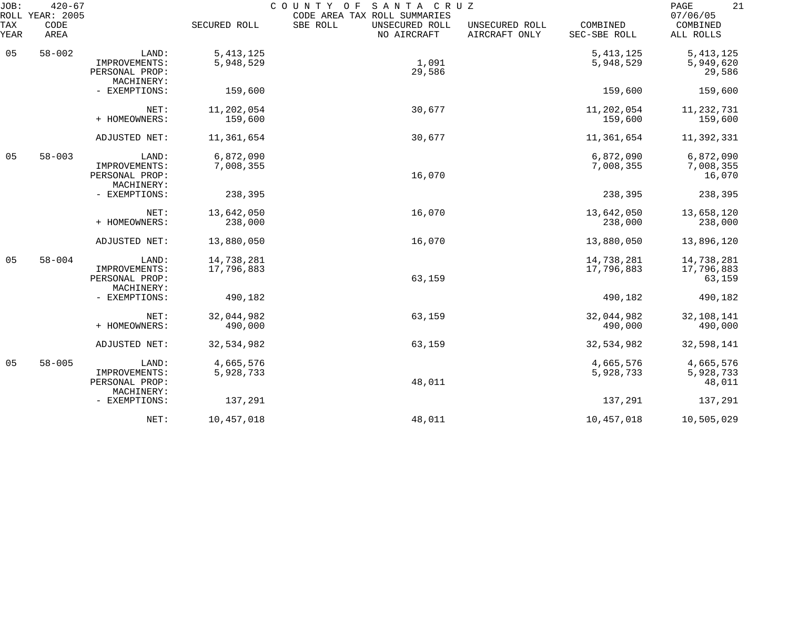| JOB:<br>ROLL | $420 - 67$<br>YEAR: 2005 |                                               |                          | COUNTY<br>SANTA CRUZ<br>O F<br>CODE AREA TAX ROLL SUMMARIES |                                 |                          | 21<br>PAGE<br>07/06/05           |
|--------------|--------------------------|-----------------------------------------------|--------------------------|-------------------------------------------------------------|---------------------------------|--------------------------|----------------------------------|
| TAX<br>YEAR  | CODE<br>AREA             |                                               | SECURED ROLL             | SBE ROLL<br>UNSECURED ROLL<br>NO AIRCRAFT                   | UNSECURED ROLL<br>AIRCRAFT ONLY | COMBINED<br>SEC-SBE ROLL | COMBINED<br>ALL ROLLS            |
| 05           | $58 - 002$               | LAND:                                         | 5, 413, 125              |                                                             |                                 | 5, 413, 125              | 5, 413, 125                      |
|              |                          | IMPROVEMENTS:<br>PERSONAL PROP:<br>MACHINERY: | 5,948,529                | 1,091<br>29,586                                             |                                 | 5,948,529                | 5,949,620<br>29,586              |
|              |                          | - EXEMPTIONS:                                 | 159,600                  |                                                             |                                 | 159,600                  | 159,600                          |
|              |                          | NET:<br>+ HOMEOWNERS:                         | 11,202,054<br>159,600    | 30,677                                                      |                                 | 11,202,054<br>159,600    | 11, 232, 731<br>159,600          |
|              |                          | ADJUSTED NET:                                 | 11,361,654               | 30,677                                                      |                                 | 11,361,654               | 11,392,331                       |
| 05           | $58 - 003$               | LAND:<br>IMPROVEMENTS:                        | 6,872,090<br>7,008,355   |                                                             |                                 | 6,872,090<br>7,008,355   | 6,872,090<br>7,008,355           |
|              |                          | PERSONAL PROP:<br>MACHINERY:                  |                          | 16,070                                                      |                                 |                          | 16,070                           |
|              |                          | - EXEMPTIONS:                                 | 238,395                  |                                                             |                                 | 238,395                  | 238,395                          |
|              |                          | NET:<br>+ HOMEOWNERS:                         | 13,642,050<br>238,000    | 16,070                                                      |                                 | 13,642,050<br>238,000    | 13,658,120<br>238,000            |
|              |                          | ADJUSTED NET:                                 | 13,880,050               | 16,070                                                      |                                 | 13,880,050               | 13,896,120                       |
| 05           | $58 - 004$               | LAND:<br>IMPROVEMENTS:                        | 14,738,281<br>17,796,883 |                                                             |                                 | 14,738,281<br>17,796,883 | 14,738,281<br>17,796,883         |
|              |                          | PERSONAL PROP:<br>MACHINERY:<br>- EXEMPTIONS: | 490,182                  | 63,159                                                      |                                 | 490,182                  | 63,159<br>490,182                |
|              |                          |                                               |                          |                                                             |                                 |                          |                                  |
|              |                          | NET:<br>+ HOMEOWNERS:                         | 32,044,982<br>490,000    | 63,159                                                      |                                 | 32,044,982<br>490,000    | 32,108,141<br>490,000            |
|              |                          | ADJUSTED NET:                                 | 32,534,982               | 63,159                                                      |                                 | 32,534,982               | 32,598,141                       |
| 05           | $58 - 005$               | LAND:<br>IMPROVEMENTS:<br>PERSONAL PROP:      | 4,665,576<br>5,928,733   | 48,011                                                      |                                 | 4,665,576<br>5,928,733   | 4,665,576<br>5,928,733<br>48,011 |
|              |                          | MACHINERY:<br>- EXEMPTIONS:                   | 137,291                  |                                                             |                                 | 137,291                  | 137,291                          |
|              |                          | NET:                                          | 10,457,018               | 48,011                                                      |                                 | 10,457,018               | 10,505,029                       |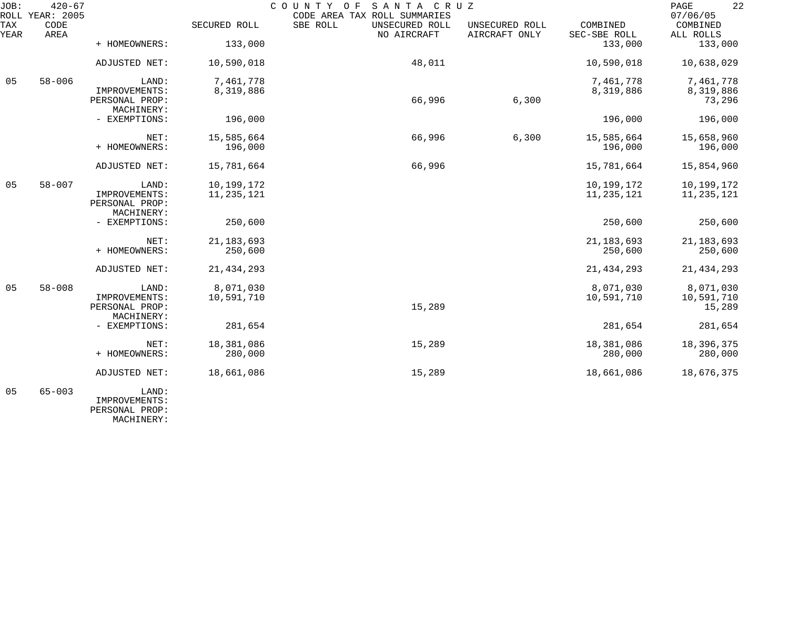| JOB:           | $420 - 67$<br>ROLL YEAR: 2005 |                              |              | SANTA CRUZ<br>COUNTY OF<br>CODE AREA TAX ROLL SUMMARIES |                                 |                          | 22<br>PAGE<br>07/06/05 |
|----------------|-------------------------------|------------------------------|--------------|---------------------------------------------------------|---------------------------------|--------------------------|------------------------|
| TAX<br>YEAR    | $\texttt{CODE}$<br>AREA       |                              | SECURED ROLL | SBE ROLL<br>UNSECURED ROLL<br>NO AIRCRAFT               | UNSECURED ROLL<br>AIRCRAFT ONLY | COMBINED<br>SEC-SBE ROLL | COMBINED<br>ALL ROLLS  |
|                |                               | + HOMEOWNERS:                | 133,000      |                                                         |                                 | 133,000                  | 133,000                |
|                |                               | ADJUSTED NET:                | 10,590,018   | 48,011                                                  |                                 | 10,590,018               | 10,638,029             |
| 05             | $58 - 006$                    | LAND:                        | 7,461,778    |                                                         |                                 | 7,461,778                | 7,461,778              |
|                |                               | IMPROVEMENTS:                | 8,319,886    |                                                         |                                 | 8,319,886                | 8,319,886              |
|                |                               | PERSONAL PROP:<br>MACHINERY: |              | 66,996                                                  | 6,300                           |                          | 73,296                 |
|                |                               | - EXEMPTIONS:                | 196,000      |                                                         |                                 | 196,000                  | 196,000                |
|                |                               | NET:                         | 15,585,664   | 66,996                                                  | 6,300                           | 15,585,664               | 15,658,960             |
|                |                               | + HOMEOWNERS:                | 196,000      |                                                         |                                 | 196,000                  | 196,000                |
|                |                               | ADJUSTED NET:                | 15,781,664   | 66,996                                                  |                                 | 15,781,664               | 15,854,960             |
|                |                               |                              |              |                                                         |                                 |                          |                        |
| 0 <sub>5</sub> | $58 - 007$                    | LAND:                        | 10,199,172   |                                                         |                                 | 10,199,172               | 10,199,172             |
|                |                               | IMPROVEMENTS:                | 11, 235, 121 |                                                         |                                 | 11, 235, 121             | 11, 235, 121           |
|                |                               | PERSONAL PROP:<br>MACHINERY: |              |                                                         |                                 |                          |                        |
|                |                               | - EXEMPTIONS:                | 250,600      |                                                         |                                 | 250,600                  | 250,600                |
|                |                               |                              |              |                                                         |                                 |                          |                        |
|                |                               | NET:                         | 21, 183, 693 |                                                         |                                 | 21, 183, 693             | 21, 183, 693           |
|                |                               | + HOMEOWNERS:                | 250,600      |                                                         |                                 | 250,600                  | 250,600                |
|                |                               | ADJUSTED NET:                | 21, 434, 293 |                                                         |                                 | 21, 434, 293             | 21, 434, 293           |
| 05             | $58 - 008$                    | LAND:                        | 8,071,030    |                                                         |                                 | 8,071,030                | 8,071,030              |
|                |                               | IMPROVEMENTS:                | 10,591,710   |                                                         |                                 | 10,591,710               | 10,591,710             |
|                |                               | PERSONAL PROP:               |              | 15,289                                                  |                                 |                          | 15,289                 |
|                |                               | MACHINERY:                   |              |                                                         |                                 |                          |                        |
|                |                               | - EXEMPTIONS:                | 281,654      |                                                         |                                 | 281,654                  | 281,654                |
|                |                               | NET:                         | 18,381,086   | 15,289                                                  |                                 | 18,381,086               | 18,396,375             |
|                |                               | + HOMEOWNERS:                | 280,000      |                                                         |                                 | 280,000                  | 280,000                |
|                |                               | ADJUSTED NET:                | 18,661,086   | 15,289                                                  |                                 | 18,661,086               | 18,676,375             |
| 05             | $65 - 003$                    | LAND:                        |              |                                                         |                                 |                          |                        |
|                |                               | IMPROVEMENTS:                |              |                                                         |                                 |                          |                        |

 PERSONAL PROP: MACHINERY: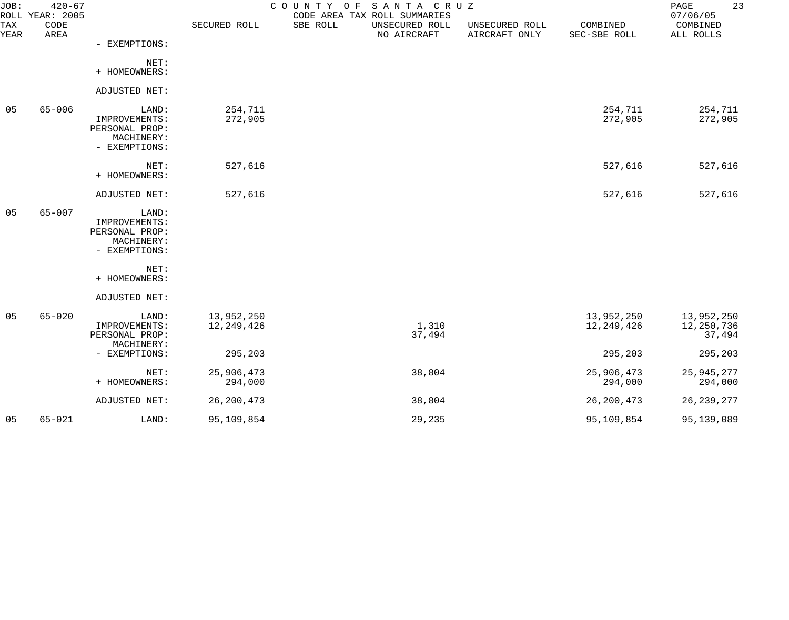| JOB:        | $420 - 67$<br>ROLL YEAR: 2005 |                                                                         |                          | COUNTY OF SANTA CRUZ | CODE AREA TAX ROLL SUMMARIES  |                                 |                          | 23<br>PAGE<br>07/06/05             |
|-------------|-------------------------------|-------------------------------------------------------------------------|--------------------------|----------------------|-------------------------------|---------------------------------|--------------------------|------------------------------------|
| TAX<br>YEAR | CODE<br>AREA                  |                                                                         | SECURED ROLL             | SBE ROLL             | UNSECURED ROLL<br>NO AIRCRAFT | UNSECURED ROLL<br>AIRCRAFT ONLY | COMBINED<br>SEC-SBE ROLL | COMBINED<br>ALL ROLLS              |
|             |                               | - EXEMPTIONS:                                                           |                          |                      |                               |                                 |                          |                                    |
|             |                               | NET:<br>+ HOMEOWNERS:                                                   |                          |                      |                               |                                 |                          |                                    |
|             |                               | ADJUSTED NET:                                                           |                          |                      |                               |                                 |                          |                                    |
| 05          | $65 - 006$                    | LAND:<br>IMPROVEMENTS:<br>PERSONAL PROP:<br>MACHINERY:<br>- EXEMPTIONS: | 254,711<br>272,905       |                      |                               |                                 | 254,711<br>272,905       | 254,711<br>272,905                 |
|             |                               | NET:<br>+ HOMEOWNERS:                                                   | 527,616                  |                      |                               |                                 | 527,616                  | 527,616                            |
|             |                               | ADJUSTED NET:                                                           | 527,616                  |                      |                               |                                 | 527,616                  | 527,616                            |
| 05          | $65 - 007$                    | LAND:<br>IMPROVEMENTS:<br>PERSONAL PROP:<br>MACHINERY:<br>- EXEMPTIONS: |                          |                      |                               |                                 |                          |                                    |
|             |                               | NET:<br>+ HOMEOWNERS:                                                   |                          |                      |                               |                                 |                          |                                    |
|             |                               | ADJUSTED NET:                                                           |                          |                      |                               |                                 |                          |                                    |
| 05          | $65 - 020$                    | LAND:<br>IMPROVEMENTS:<br>PERSONAL PROP:<br>MACHINERY:                  | 13,952,250<br>12,249,426 |                      | 1,310<br>37,494               |                                 | 13,952,250<br>12,249,426 | 13,952,250<br>12,250,736<br>37,494 |
|             |                               | - EXEMPTIONS:                                                           | 295,203                  |                      |                               |                                 | 295,203                  | 295,203                            |
|             |                               | NET:<br>+ HOMEOWNERS:                                                   | 25,906,473<br>294,000    |                      | 38,804                        |                                 | 25,906,473<br>294,000    | 25, 945, 277<br>294,000            |
|             |                               | ADJUSTED NET:                                                           | 26, 200, 473             |                      | 38,804                        |                                 | 26, 200, 473             | 26, 239, 277                       |
| 05          | $65 - 021$                    | LAND:                                                                   | 95,109,854               |                      | 29,235                        |                                 | 95,109,854               | 95,139,089                         |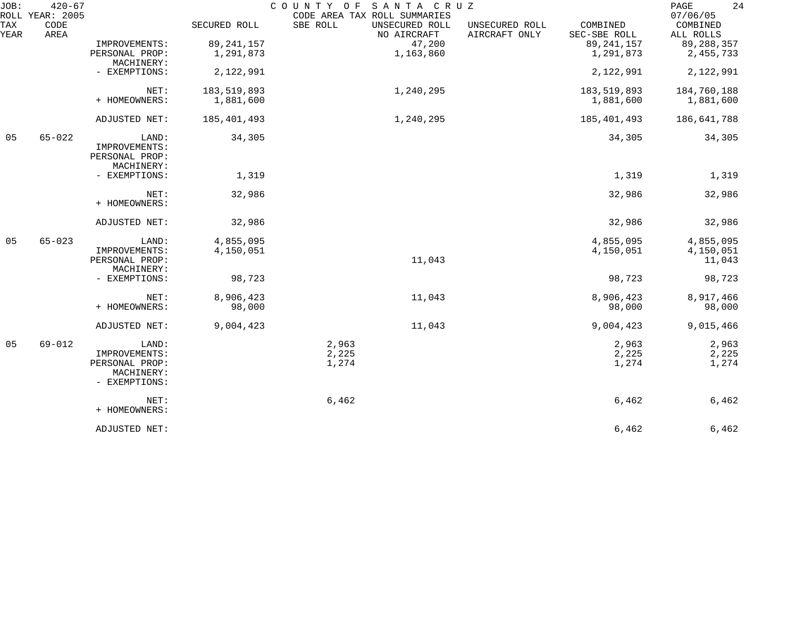| JOB:        | $420 - 67$<br>ROLL YEAR: 2005 |                                                                         |                        | SANTA CRUZ<br>COUNTY OF<br>CODE AREA TAX ROLL SUMMARIES |                                 |                          | 24<br>PAGE<br>07/06/05           |
|-------------|-------------------------------|-------------------------------------------------------------------------|------------------------|---------------------------------------------------------|---------------------------------|--------------------------|----------------------------------|
| TAX<br>YEAR | CODE<br>AREA                  |                                                                         | SECURED ROLL           | SBE ROLL<br>UNSECURED ROLL<br>NO AIRCRAFT               | UNSECURED ROLL<br>AIRCRAFT ONLY | COMBINED<br>SEC-SBE ROLL | COMBINED<br>ALL ROLLS            |
|             |                               | IMPROVEMENTS:                                                           | 89, 241, 157           | 47,200                                                  |                                 | 89, 241, 157             | 89, 288, 357                     |
|             |                               | PERSONAL PROP:<br>MACHINERY:                                            | 1,291,873              | 1,163,860                                               |                                 | 1,291,873                | 2, 455, 733                      |
|             |                               | - EXEMPTIONS:                                                           | 2,122,991              |                                                         |                                 | 2,122,991                | 2,122,991                        |
|             |                               | NET:                                                                    | 183,519,893            | 1,240,295                                               |                                 | 183,519,893              | 184,760,188                      |
|             |                               | + HOMEOWNERS:                                                           | 1,881,600              |                                                         |                                 | 1,881,600                | 1,881,600                        |
|             |                               | ADJUSTED NET:                                                           | 185,401,493            | 1,240,295                                               |                                 | 185,401,493              | 186,641,788                      |
| 05          | $65 - 022$                    | LAND:<br>IMPROVEMENTS:<br>PERSONAL PROP:<br>MACHINERY:                  | 34,305                 |                                                         |                                 | 34,305                   | 34,305                           |
|             |                               | - EXEMPTIONS:                                                           | 1,319                  |                                                         |                                 | 1,319                    | 1,319                            |
|             |                               | NET:<br>+ HOMEOWNERS:                                                   | 32,986                 |                                                         |                                 | 32,986                   | 32,986                           |
|             |                               | ADJUSTED NET:                                                           | 32,986                 |                                                         |                                 | 32,986                   | 32,986                           |
| 05          | $65 - 023$                    | LAND:<br>IMPROVEMENTS:<br>PERSONAL PROP:                                | 4,855,095<br>4,150,051 | 11,043                                                  |                                 | 4,855,095<br>4,150,051   | 4,855,095<br>4,150,051<br>11,043 |
|             |                               | MACHINERY:<br>- EXEMPTIONS:                                             | 98,723                 |                                                         |                                 | 98,723                   | 98,723                           |
|             |                               | NET:<br>+ HOMEOWNERS:                                                   | 8,906,423<br>98,000    | 11,043                                                  |                                 | 8,906,423<br>98,000      | 8,917,466<br>98,000              |
|             |                               | ADJUSTED NET:                                                           | 9,004,423              | 11,043                                                  |                                 | 9,004,423                | 9,015,466                        |
| 05          | $69 - 012$                    | LAND:<br>IMPROVEMENTS:<br>PERSONAL PROP:<br>MACHINERY:<br>- EXEMPTIONS: |                        | 2,963<br>2,225<br>1,274                                 |                                 | 2,963<br>2,225<br>1,274  | 2,963<br>2,225<br>1,274          |
|             |                               | NET:<br>+ HOMEOWNERS:                                                   |                        | 6,462                                                   |                                 | 6,462                    | 6,462                            |
|             |                               | ADJUSTED NET:                                                           |                        |                                                         |                                 | 6,462                    | $6,462$                          |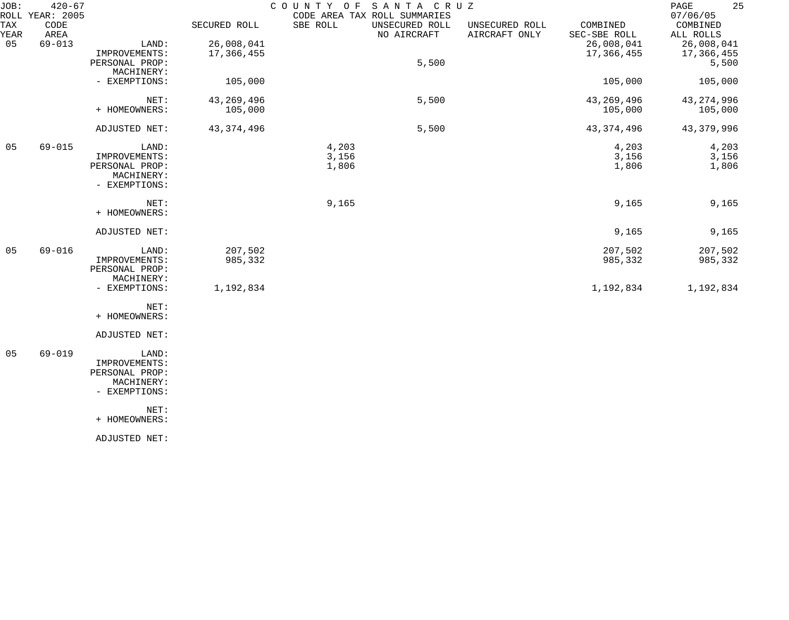| JOB:        | $420 - 67$<br>ROLL YEAR: 2005 |                                                                         |                          | COUNTY OF               | SANTA CRUZ<br>CODE AREA TAX ROLL SUMMARIES |                                 |                          | 25<br>PAGE<br>07/06/05            |
|-------------|-------------------------------|-------------------------------------------------------------------------|--------------------------|-------------------------|--------------------------------------------|---------------------------------|--------------------------|-----------------------------------|
| TAX<br>YEAR | CODE<br>AREA                  |                                                                         | SECURED ROLL             | SBE ROLL                | UNSECURED ROLL<br>NO AIRCRAFT              | UNSECURED ROLL<br>AIRCRAFT ONLY | COMBINED<br>SEC-SBE ROLL | COMBINED<br>ALL ROLLS             |
| 05          | $69 - 013$                    | LAND:<br>IMPROVEMENTS:<br>PERSONAL PROP:                                | 26,008,041<br>17,366,455 |                         | 5,500                                      |                                 | 26,008,041<br>17,366,455 | 26,008,041<br>17,366,455<br>5,500 |
|             |                               | MACHINERY:<br>- EXEMPTIONS:                                             | 105,000                  |                         |                                            |                                 | 105,000                  | 105,000                           |
|             |                               | NET:<br>+ HOMEOWNERS:                                                   | 43, 269, 496<br>105,000  |                         | 5,500                                      |                                 | 43,269,496<br>105,000    | 43, 274, 996<br>105,000           |
|             |                               | ADJUSTED NET:                                                           | 43, 374, 496             |                         | 5,500                                      |                                 | 43, 374, 496             | 43, 379, 996                      |
| 05          | $69 - 015$                    | LAND:<br>IMPROVEMENTS:<br>PERSONAL PROP:<br>MACHINERY:<br>- EXEMPTIONS: |                          | 4,203<br>3,156<br>1,806 |                                            |                                 | 4,203<br>3,156<br>1,806  | 4,203<br>3,156<br>1,806           |
|             |                               | NET:<br>+ HOMEOWNERS:                                                   |                          | 9,165                   |                                            |                                 | 9,165                    | 9,165                             |
|             |                               | ADJUSTED NET:                                                           |                          |                         |                                            |                                 | 9,165                    | 9,165                             |
| 05          | $69 - 016$                    | LAND:<br>IMPROVEMENTS:<br>PERSONAL PROP:<br>MACHINERY:                  | 207,502<br>985,332       |                         |                                            |                                 | 207,502<br>985,332       | 207,502<br>985,332                |
|             |                               | - EXEMPTIONS:                                                           | 1,192,834                |                         |                                            |                                 | 1,192,834                | 1,192,834                         |
|             |                               | NET:<br>+ HOMEOWNERS:                                                   |                          |                         |                                            |                                 |                          |                                   |
|             |                               | ADJUSTED NET:                                                           |                          |                         |                                            |                                 |                          |                                   |
| 05          | $69 - 019$                    | LAND:<br>IMPROVEMENTS:<br>PERSONAL PROP:<br>MACHINERY:<br>- EXEMPTIONS: |                          |                         |                                            |                                 |                          |                                   |
|             |                               | NET:<br>+ HOMEOWNERS:                                                   |                          |                         |                                            |                                 |                          |                                   |
|             |                               | ADJUSTED NET:                                                           |                          |                         |                                            |                                 |                          |                                   |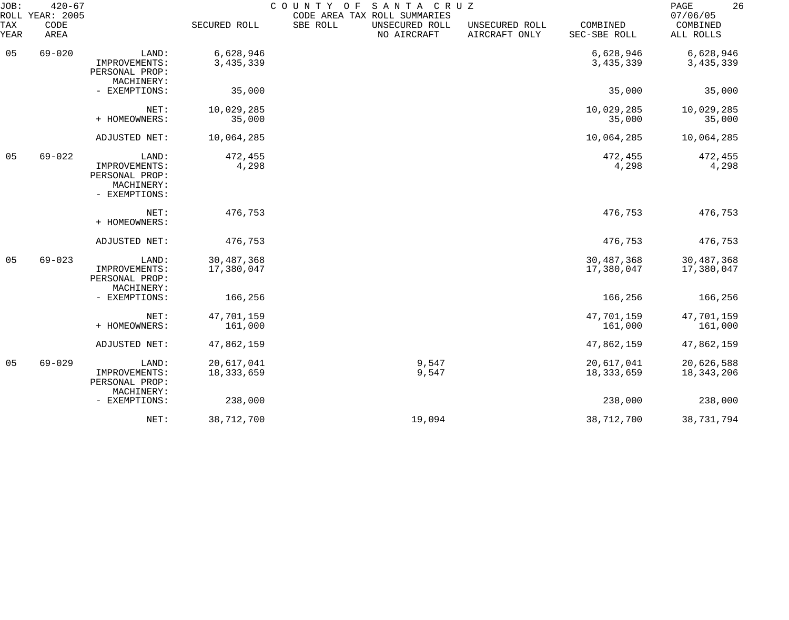| JOB:        | $420 - 67$<br>ROLL YEAR: 2005 |                                                                         |                            | COUNTY OF | SANTA CRUZ<br>CODE AREA TAX ROLL SUMMARIES |                                 |                          | 26<br>PAGE<br>07/06/05     |
|-------------|-------------------------------|-------------------------------------------------------------------------|----------------------------|-----------|--------------------------------------------|---------------------------------|--------------------------|----------------------------|
| TAX<br>YEAR | CODE<br>AREA                  |                                                                         | SECURED ROLL               | SBE ROLL  | UNSECURED ROLL<br>NO AIRCRAFT              | UNSECURED ROLL<br>AIRCRAFT ONLY | COMBINED<br>SEC-SBE ROLL | COMBINED<br>ALL ROLLS      |
| 05          | $69 - 020$                    | LAND:<br>IMPROVEMENTS:<br>PERSONAL PROP:<br>MACHINERY:                  | 6,628,946<br>3,435,339     |           |                                            |                                 | 6,628,946<br>3,435,339   | 6,628,946<br>3, 435, 339   |
|             |                               | - EXEMPTIONS:                                                           | 35,000                     |           |                                            |                                 | 35,000                   | 35,000                     |
|             |                               | NET:<br>+ HOMEOWNERS:                                                   | 10,029,285<br>35,000       |           |                                            |                                 | 10,029,285<br>35,000     | 10,029,285<br>35,000       |
|             |                               | ADJUSTED NET:                                                           | 10,064,285                 |           |                                            |                                 | 10,064,285               | 10,064,285                 |
| 05          | $69 - 022$                    | LAND:<br>IMPROVEMENTS:<br>PERSONAL PROP:<br>MACHINERY:<br>- EXEMPTIONS: | 472,455<br>4,298           |           |                                            |                                 | 472,455<br>4,298         | 472,455<br>4,298           |
|             |                               | NET:<br>+ HOMEOWNERS:                                                   | 476,753                    |           |                                            |                                 | 476,753                  | 476,753                    |
|             |                               | ADJUSTED NET:                                                           | 476,753                    |           |                                            |                                 | 476,753                  | 476,753                    |
| 05          | $69 - 023$                    | LAND:<br>IMPROVEMENTS:<br>PERSONAL PROP:<br>MACHINERY:                  | 30, 487, 368<br>17,380,047 |           |                                            |                                 | 30,487,368<br>17,380,047 | 30,487,368<br>17,380,047   |
|             |                               | - EXEMPTIONS:                                                           | 166,256                    |           |                                            |                                 | 166,256                  | 166,256                    |
|             |                               | NET:<br>+ HOMEOWNERS:                                                   | 47,701,159<br>161,000      |           |                                            |                                 | 47,701,159<br>161,000    | 47,701,159<br>161,000      |
|             |                               | ADJUSTED NET:                                                           | 47,862,159                 |           |                                            |                                 | 47,862,159               | 47,862,159                 |
| 05          | $69 - 029$                    | LAND:<br>IMPROVEMENTS:<br>PERSONAL PROP:                                | 20,617,041<br>18, 333, 659 |           | 9,547<br>9,547                             |                                 | 20,617,041<br>18,333,659 | 20,626,588<br>18, 343, 206 |
|             |                               | MACHINERY:<br>- EXEMPTIONS:                                             | 238,000                    |           |                                            |                                 | 238,000                  | 238,000                    |
|             |                               | NET:                                                                    | 38,712,700                 |           | 19,094                                     |                                 | 38,712,700               | 38,731,794                 |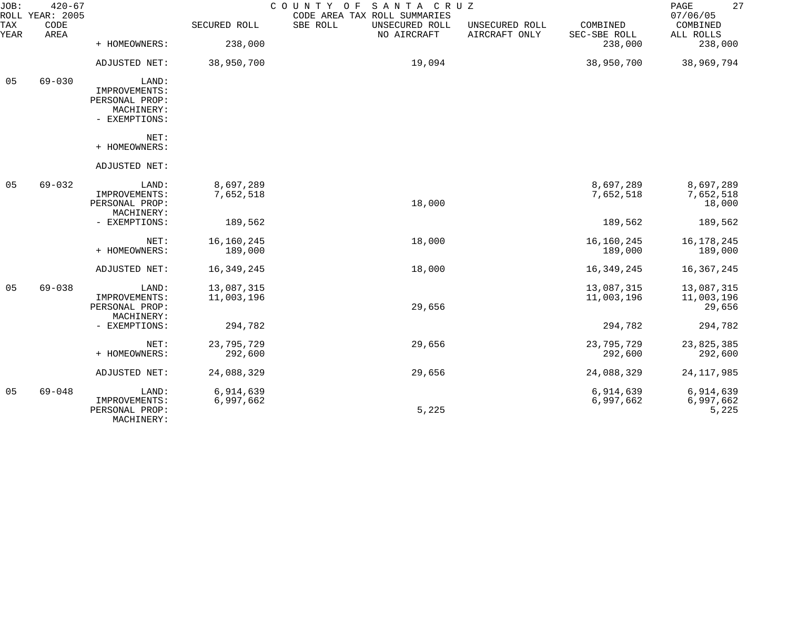| JOB:        | $420 - 67$<br>ROLL YEAR: 2005 |                                                                         |                          | SANTA CRUZ<br>COUNTY<br>O F<br>CODE AREA TAX ROLL SUMMARIES |                                 |                          | 27<br>PAGE<br>07/06/05             |
|-------------|-------------------------------|-------------------------------------------------------------------------|--------------------------|-------------------------------------------------------------|---------------------------------|--------------------------|------------------------------------|
| TAX<br>YEAR | CODE<br>AREA                  |                                                                         | SECURED ROLL             | SBE ROLL<br>UNSECURED ROLL<br>NO AIRCRAFT                   | UNSECURED ROLL<br>AIRCRAFT ONLY | COMBINED<br>SEC-SBE ROLL | COMBINED<br>ALL ROLLS              |
|             |                               | + HOMEOWNERS:                                                           | 238,000                  |                                                             |                                 | 238,000                  | 238,000                            |
|             |                               | ADJUSTED NET:                                                           | 38,950,700               | 19,094                                                      |                                 | 38,950,700               | 38,969,794                         |
| 05          | $69 - 030$                    | LAND:<br>IMPROVEMENTS:<br>PERSONAL PROP:<br>MACHINERY:<br>- EXEMPTIONS: |                          |                                                             |                                 |                          |                                    |
|             |                               | $NET$ :<br>+ HOMEOWNERS:                                                |                          |                                                             |                                 |                          |                                    |
|             |                               | ADJUSTED NET:                                                           |                          |                                                             |                                 |                          |                                    |
| 05          | $69 - 032$                    | LAND:<br>IMPROVEMENTS:<br>PERSONAL PROP:<br>MACHINERY:                  | 8,697,289<br>7,652,518   | 18,000                                                      |                                 | 8,697,289<br>7,652,518   | 8,697,289<br>7,652,518<br>18,000   |
|             |                               | - EXEMPTIONS:                                                           | 189,562                  |                                                             |                                 | 189,562                  | 189,562                            |
|             |                               | NET:<br>+ HOMEOWNERS:                                                   | 16, 160, 245<br>189,000  | 18,000                                                      |                                 | 16,160,245<br>189,000    | 16, 178, 245<br>189,000            |
|             |                               | ADJUSTED NET:                                                           | 16, 349, 245             | 18,000                                                      |                                 | 16, 349, 245             | 16, 367, 245                       |
| 05          | $69 - 038$                    | LAND:<br>IMPROVEMENTS:<br>PERSONAL PROP:<br>MACHINERY:                  | 13,087,315<br>11,003,196 | 29,656                                                      |                                 | 13,087,315<br>11,003,196 | 13,087,315<br>11,003,196<br>29,656 |
|             |                               | - EXEMPTIONS:                                                           | 294,782                  |                                                             |                                 | 294,782                  | 294,782                            |
|             |                               | NET:<br>+ HOMEOWNERS:                                                   | 23,795,729<br>292,600    | 29,656                                                      |                                 | 23,795,729<br>292,600    | 23,825,385<br>292,600              |
|             |                               | ADJUSTED NET:                                                           | 24,088,329               | 29,656                                                      |                                 | 24,088,329               | 24, 117, 985                       |
| 05          | $69 - 048$                    | LAND:<br>IMPROVEMENTS:<br>PERSONAL PROP:<br>MACHINERY:                  | 6,914,639<br>6,997,662   | 5,225                                                       |                                 | 6,914,639<br>6,997,662   | 6,914,639<br>6,997,662<br>5,225    |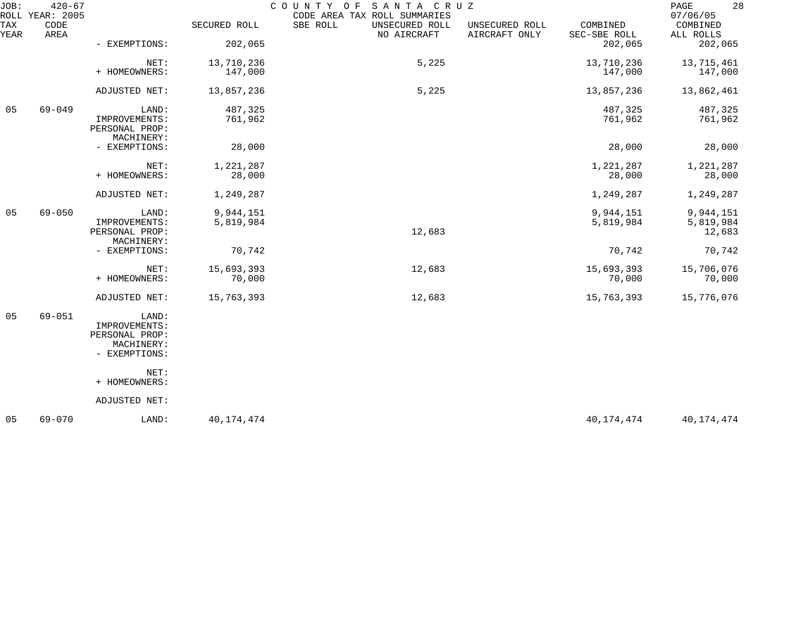| JOB:        | $420 - 67$<br>ROLL YEAR: 2005 |                                                                         |                        | SANTA CRUZ<br>COUNTY<br>O F<br>CODE AREA TAX ROLL SUMMARIES |                                 |                          | 28<br>PAGE<br>07/06/05           |
|-------------|-------------------------------|-------------------------------------------------------------------------|------------------------|-------------------------------------------------------------|---------------------------------|--------------------------|----------------------------------|
| TAX<br>YEAR | CODE<br>AREA                  |                                                                         | SECURED ROLL           | SBE ROLL<br>UNSECURED ROLL<br>NO AIRCRAFT                   | UNSECURED ROLL<br>AIRCRAFT ONLY | COMBINED<br>SEC-SBE ROLL | COMBINED<br>ALL ROLLS            |
|             |                               | - EXEMPTIONS:                                                           | 202,065                |                                                             |                                 | 202,065                  | 202,065                          |
|             |                               | NET:<br>+ HOMEOWNERS:                                                   | 13,710,236<br>147,000  | 5,225                                                       |                                 | 13,710,236<br>147,000    | 13,715,461<br>147,000            |
|             |                               | ADJUSTED NET:                                                           | 13,857,236             | 5,225                                                       |                                 | 13,857,236               | 13,862,461                       |
| 05          | $69 - 049$                    | LAND:<br>IMPROVEMENTS:<br>PERSONAL PROP:<br>MACHINERY:                  | 487,325<br>761,962     |                                                             |                                 | 487,325<br>761,962       | 487,325<br>761,962               |
|             |                               | - EXEMPTIONS:                                                           | 28,000                 |                                                             |                                 | 28,000                   | 28,000                           |
|             |                               | NET:<br>+ HOMEOWNERS:                                                   | 1,221,287<br>28,000    |                                                             |                                 | 1,221,287<br>28,000      | 1,221,287<br>28,000              |
|             |                               | ADJUSTED NET:                                                           | 1,249,287              |                                                             |                                 | 1,249,287                | 1,249,287                        |
| 05          | $69 - 050$                    | LAND:<br>IMPROVEMENTS:<br>PERSONAL PROP:<br>MACHINERY:                  | 9,944,151<br>5,819,984 | 12,683                                                      |                                 | 9,944,151<br>5,819,984   | 9,944,151<br>5,819,984<br>12,683 |
|             |                               | - EXEMPTIONS:                                                           | 70,742                 |                                                             |                                 | 70,742                   | 70,742                           |
|             |                               | NET:<br>+ HOMEOWNERS:                                                   | 15,693,393<br>70,000   | 12,683                                                      |                                 | 15,693,393<br>70,000     | 15,706,076<br>70,000             |
|             |                               | ADJUSTED NET:                                                           | 15,763,393             | 12,683                                                      |                                 | 15,763,393               | 15,776,076                       |
| 05          | $69 - 051$                    | LAND:<br>IMPROVEMENTS:<br>PERSONAL PROP:<br>MACHINERY:<br>- EXEMPTIONS: |                        |                                                             |                                 |                          |                                  |
|             |                               | NET:<br>+ HOMEOWNERS:                                                   |                        |                                                             |                                 |                          |                                  |
|             |                               | ADJUSTED NET:                                                           |                        |                                                             |                                 |                          |                                  |
| 05          | $69 - 070$                    | LAND:                                                                   | 40, 174, 474           |                                                             |                                 | 40, 174, 474             | 40,174,474                       |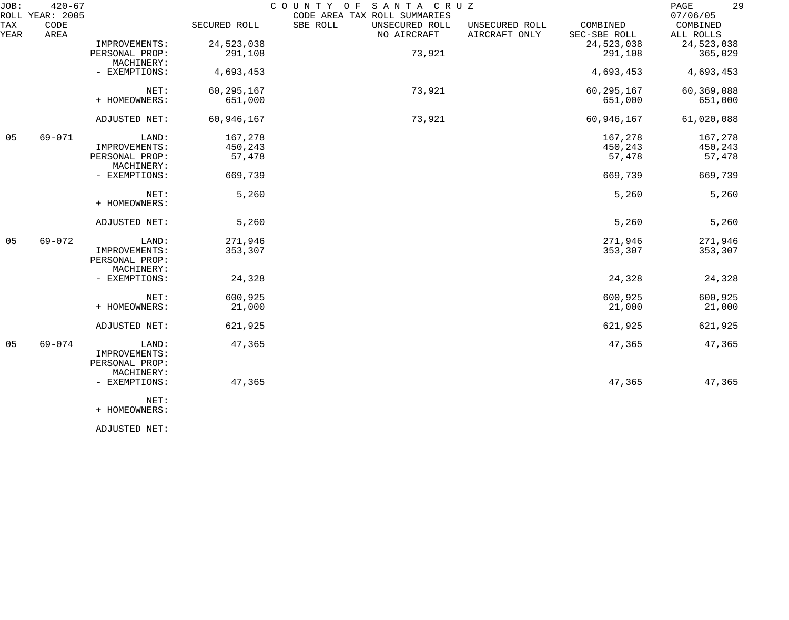| JOB:        | $420 - 67$<br>ROLL YEAR: 2005 |                                                        |              | COUNTY OF<br>SANTA CRUZ<br>CODE AREA TAX ROLL SUMMARIES |                                 |                          | 29<br>PAGE<br>07/06/05 |
|-------------|-------------------------------|--------------------------------------------------------|--------------|---------------------------------------------------------|---------------------------------|--------------------------|------------------------|
| TAX<br>YEAR | CODE<br>AREA                  |                                                        | SECURED ROLL | SBE ROLL<br>UNSECURED ROLL<br>NO AIRCRAFT               | UNSECURED ROLL<br>AIRCRAFT ONLY | COMBINED<br>SEC-SBE ROLL | COMBINED<br>ALL ROLLS  |
|             |                               | IMPROVEMENTS:                                          | 24,523,038   |                                                         |                                 | 24,523,038               | 24,523,038             |
|             |                               | PERSONAL PROP:<br>MACHINERY:                           | 291,108      | 73,921                                                  |                                 | 291,108                  | 365,029                |
|             |                               | - EXEMPTIONS:                                          | 4,693,453    |                                                         |                                 | 4,693,453                | 4,693,453              |
|             |                               | NET:                                                   | 60, 295, 167 | 73,921                                                  |                                 | 60, 295, 167             | 60,369,088             |
|             |                               | + HOMEOWNERS:                                          | 651,000      |                                                         |                                 | 651,000                  | 651,000                |
|             |                               | ADJUSTED NET:                                          | 60,946,167   | 73,921                                                  |                                 | 60,946,167               | 61,020,088             |
| 05          | 69-071                        | LAND:                                                  | 167,278      |                                                         |                                 | 167,278                  | 167,278                |
|             |                               | IMPROVEMENTS:                                          | 450,243      |                                                         |                                 | 450,243                  | 450,243                |
|             |                               | PERSONAL PROP:<br>MACHINERY:                           | 57,478       |                                                         |                                 | 57,478                   | 57,478                 |
|             |                               | - EXEMPTIONS:                                          | 669,739      |                                                         |                                 | 669,739                  | 669,739                |
|             |                               | NET:                                                   | 5,260        |                                                         |                                 | 5,260                    | 5,260                  |
|             |                               | + HOMEOWNERS:                                          |              |                                                         |                                 |                          |                        |
|             |                               | ADJUSTED NET:                                          | 5,260        |                                                         |                                 | 5,260                    | 5,260                  |
| 05          | 69-072                        | LAND:                                                  | 271,946      |                                                         |                                 | 271,946                  | 271,946                |
|             |                               | IMPROVEMENTS:                                          | 353,307      |                                                         |                                 | 353,307                  | 353,307                |
|             |                               | PERSONAL PROP:<br>MACHINERY:                           |              |                                                         |                                 |                          |                        |
|             |                               | - EXEMPTIONS:                                          | 24,328       |                                                         |                                 | 24,328                   | 24,328                 |
|             |                               | NET:                                                   | 600,925      |                                                         |                                 | 600,925                  | 600,925                |
|             |                               | + HOMEOWNERS:                                          | 21,000       |                                                         |                                 | 21,000                   | 21,000                 |
|             |                               | ADJUSTED NET:                                          | 621,925      |                                                         |                                 | 621,925                  | 621,925                |
| 05          | 69-074                        | LAND:<br>IMPROVEMENTS:<br>PERSONAL PROP:<br>MACHINERY: | 47,365       |                                                         |                                 | 47,365                   | 47,365                 |
|             |                               | - EXEMPTIONS:<br>NET:                                  | 47,365       |                                                         |                                 | 47,365                   | 47,365                 |
|             |                               | + HOMEOWNERS:                                          |              |                                                         |                                 |                          |                        |

ADJUSTED NET: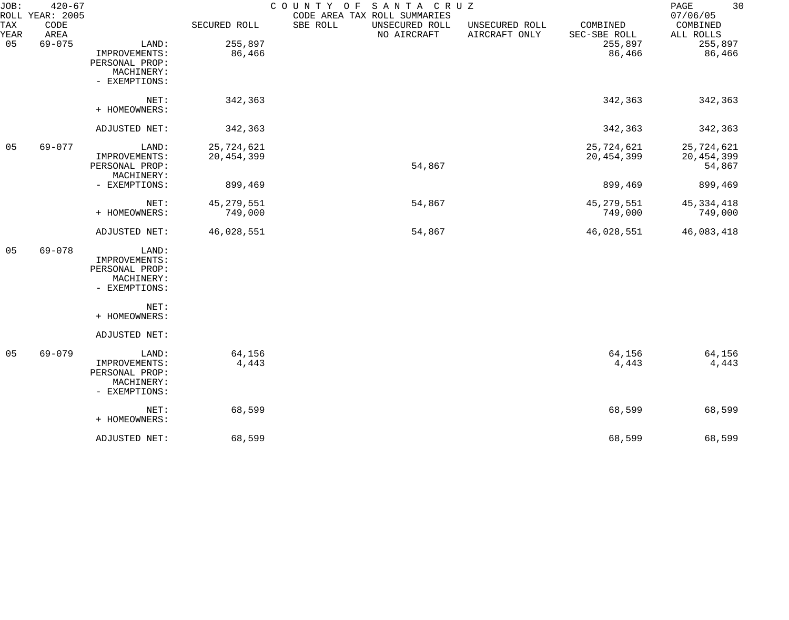| JOB:        | $420 - 67$<br>ROLL YEAR: 2005 |                                                                         |                            | COUNTY OF<br>SANTA CRUZ<br>CODE AREA TAX ROLL SUMMARIES |                                 |                            | 30<br>PAGE<br>07/06/05     |
|-------------|-------------------------------|-------------------------------------------------------------------------|----------------------------|---------------------------------------------------------|---------------------------------|----------------------------|----------------------------|
| TAX<br>YEAR | CODE<br>AREA                  |                                                                         | SECURED ROLL               | SBE ROLL<br>UNSECURED ROLL<br>NO AIRCRAFT               | UNSECURED ROLL<br>AIRCRAFT ONLY | COMBINED<br>SEC-SBE ROLL   | COMBINED<br>ALL ROLLS      |
| 05          | $69 - 075$                    | LAND:<br>IMPROVEMENTS:<br>PERSONAL PROP:                                | 255,897<br>86,466          |                                                         |                                 | 255,897<br>86,466          | 255,897<br>86,466          |
|             |                               | MACHINERY:<br>- EXEMPTIONS:                                             |                            |                                                         |                                 |                            |                            |
|             |                               | NET:<br>+ HOMEOWNERS:                                                   | 342,363                    |                                                         |                                 | 342,363                    | 342,363                    |
|             |                               | ADJUSTED NET:                                                           | 342,363                    |                                                         |                                 | 342,363                    | 342,363                    |
| 05          | 69-077                        | LAND:<br>IMPROVEMENTS:                                                  | 25,724,621<br>20, 454, 399 |                                                         |                                 | 25,724,621<br>20, 454, 399 | 25,724,621<br>20, 454, 399 |
|             |                               | PERSONAL PROP:<br>MACHINERY:                                            |                            | 54,867                                                  |                                 |                            | 54,867                     |
|             |                               | - EXEMPTIONS:                                                           | 899,469                    |                                                         |                                 | 899,469                    | 899,469                    |
|             |                               | NET:<br>+ HOMEOWNERS:                                                   | 45, 279, 551<br>749,000    | 54,867                                                  |                                 | 45, 279, 551<br>749,000    | 45, 334, 418<br>749,000    |
|             |                               | ADJUSTED NET:                                                           | 46,028,551                 | 54,867                                                  |                                 | 46,028,551                 | 46,083,418                 |
| 05          | $69 - 078$                    | LAND:<br>IMPROVEMENTS:<br>PERSONAL PROP:<br>MACHINERY:<br>- EXEMPTIONS: |                            |                                                         |                                 |                            |                            |
|             |                               | NET:<br>+ HOMEOWNERS:                                                   |                            |                                                         |                                 |                            |                            |
|             |                               | ADJUSTED NET:                                                           |                            |                                                         |                                 |                            |                            |
| 05          | $69 - 079$                    | LAND:<br>IMPROVEMENTS:<br>PERSONAL PROP:<br>MACHINERY:<br>- EXEMPTIONS: | 64,156<br>4,443            |                                                         |                                 | 64,156<br>4,443            | 64,156<br>4,443            |
|             |                               | NET:<br>+ HOMEOWNERS:                                                   | 68,599                     |                                                         |                                 | 68,599                     | 68,599                     |
|             |                               | ADJUSTED NET:                                                           | 68,599                     |                                                         |                                 | 68,599                     | 68,599                     |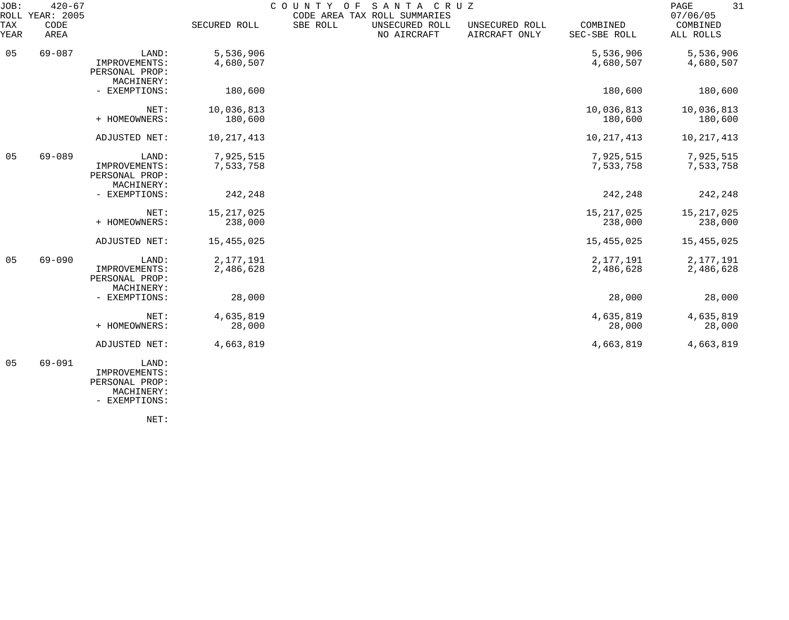| JOB:<br>ROLL | $420 - 67$<br><b>YEAR: 2005</b> |                                                        |                         | SANTA CRUZ<br>COUNTY OF<br>CODE AREA TAX ROLL SUMMARIES |                               |                                 |                          | 31<br>PAGE<br>07/06/05   |
|--------------|---------------------------------|--------------------------------------------------------|-------------------------|---------------------------------------------------------|-------------------------------|---------------------------------|--------------------------|--------------------------|
| TAX<br>YEAR  | CODE<br>AREA                    |                                                        | SECURED ROLL            | SBE ROLL                                                | UNSECURED ROLL<br>NO AIRCRAFT | UNSECURED ROLL<br>AIRCRAFT ONLY | COMBINED<br>SEC-SBE ROLL | COMBINED<br>ALL ROLLS    |
| 05           | $69 - 087$                      | LAND:<br>IMPROVEMENTS:<br>PERSONAL PROP:<br>MACHINERY: | 5,536,906<br>4,680,507  |                                                         |                               |                                 | 5,536,906<br>4,680,507   | 5,536,906<br>4,680,507   |
|              |                                 | - EXEMPTIONS:                                          | 180,600                 |                                                         |                               |                                 | 180,600                  | 180,600                  |
|              |                                 | NET:<br>+ HOMEOWNERS:                                  | 10,036,813<br>180,600   |                                                         |                               |                                 | 10,036,813<br>180,600    | 10,036,813<br>180,600    |
|              |                                 | ADJUSTED NET:                                          | 10, 217, 413            |                                                         |                               |                                 | 10, 217, 413             | 10, 217, 413             |
| 05           | $69 - 089$                      | LAND:<br>IMPROVEMENTS:<br>PERSONAL PROP:<br>MACHINERY: | 7,925,515<br>7,533,758  |                                                         |                               |                                 | 7,925,515<br>7,533,758   | 7,925,515<br>7,533,758   |
|              |                                 | - EXEMPTIONS:                                          | 242,248                 |                                                         |                               |                                 | 242,248                  | 242,248                  |
|              |                                 | NET:<br>+ HOMEOWNERS:                                  | 15, 217, 025<br>238,000 |                                                         |                               |                                 | 15, 217, 025<br>238,000  | 15, 217, 025<br>238,000  |
|              |                                 | ADJUSTED NET:                                          | 15,455,025              |                                                         |                               |                                 | 15, 455, 025             | 15,455,025               |
| 05           | $69 - 090$                      | LAND:<br>IMPROVEMENTS:<br>PERSONAL PROP:<br>MACHINERY: | 2,177,191<br>2,486,628  |                                                         |                               |                                 | 2,177,191<br>2,486,628   | 2, 177, 191<br>2,486,628 |
|              |                                 | - EXEMPTIONS:                                          | 28,000                  |                                                         |                               |                                 | 28,000                   | 28,000                   |
|              |                                 | NET:<br>+ HOMEOWNERS:                                  | 4,635,819<br>28,000     |                                                         |                               |                                 | 4,635,819<br>28,000      | 4,635,819<br>28,000      |
|              |                                 | ADJUSTED NET:                                          | 4,663,819               |                                                         |                               |                                 | 4,663,819                | 4,663,819                |
| 05           | $69 - 091$                      | LAND:                                                  |                         |                                                         |                               |                                 |                          |                          |

 IMPROVEMENTS: PERSONAL PROP:

 MACHINERY: - EXEMPTIONS:

NET: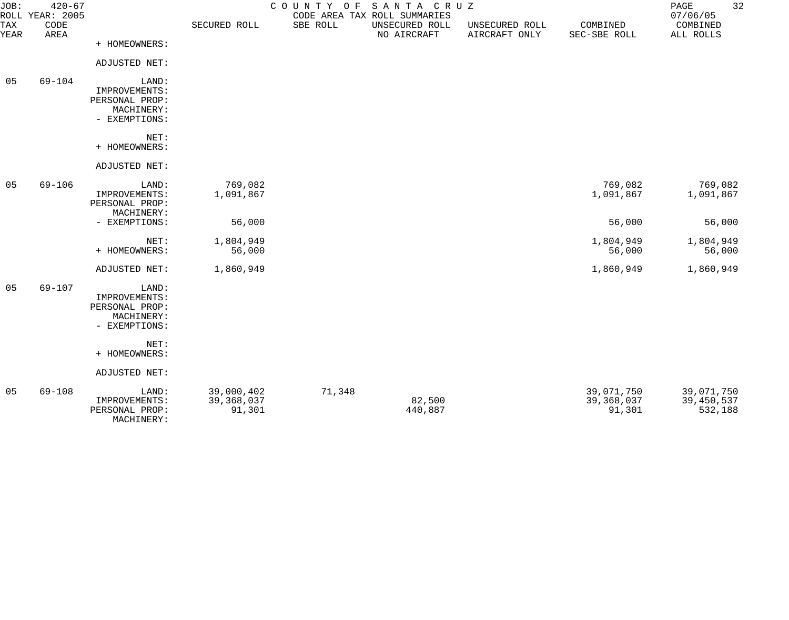| JOB:        | $420 - 67$<br>ROLL YEAR: 2005 |                                 |              | COUNTY<br>O F | SANTA CRUZ<br>CODE AREA TAX ROLL SUMMARIES |                                 |                          | PAGE<br>07/06/05      | 32 |
|-------------|-------------------------------|---------------------------------|--------------|---------------|--------------------------------------------|---------------------------------|--------------------------|-----------------------|----|
| TAX<br>YEAR | CODE<br>AREA                  |                                 | SECURED ROLL | SBE ROLL      | UNSECURED ROLL<br>NO AIRCRAFT              | UNSECURED ROLL<br>AIRCRAFT ONLY | COMBINED<br>SEC-SBE ROLL | COMBINED<br>ALL ROLLS |    |
|             |                               | + HOMEOWNERS:                   |              |               |                                            |                                 |                          |                       |    |
|             |                               | ADJUSTED NET:                   |              |               |                                            |                                 |                          |                       |    |
| 05          | $69 - 104$                    | LAND:                           |              |               |                                            |                                 |                          |                       |    |
|             |                               | IMPROVEMENTS:<br>PERSONAL PROP: |              |               |                                            |                                 |                          |                       |    |
|             |                               | MACHINERY:                      |              |               |                                            |                                 |                          |                       |    |
|             |                               | - EXEMPTIONS:                   |              |               |                                            |                                 |                          |                       |    |
|             |                               | NET:                            |              |               |                                            |                                 |                          |                       |    |
|             |                               | + HOMEOWNERS:                   |              |               |                                            |                                 |                          |                       |    |
|             |                               | ADJUSTED NET:                   |              |               |                                            |                                 |                          |                       |    |
| 05          | $69 - 106$                    | LAND:                           | 769,082      |               |                                            |                                 | 769,082                  | 769,082               |    |
|             |                               | IMPROVEMENTS:<br>PERSONAL PROP: | 1,091,867    |               |                                            |                                 | 1,091,867                | 1,091,867             |    |
|             |                               | MACHINERY:                      |              |               |                                            |                                 |                          |                       |    |
|             |                               | - EXEMPTIONS:                   | 56,000       |               |                                            |                                 | 56,000                   | 56,000                |    |
|             |                               | NET:                            | 1,804,949    |               |                                            |                                 | 1,804,949                | 1,804,949             |    |
|             |                               | + HOMEOWNERS:                   | 56,000       |               |                                            |                                 | 56,000                   | 56,000                |    |
|             |                               | ADJUSTED NET:                   | 1,860,949    |               |                                            |                                 | 1,860,949                | 1,860,949             |    |
| 05          | $69 - 107$                    | LAND:                           |              |               |                                            |                                 |                          |                       |    |
|             |                               | IMPROVEMENTS:                   |              |               |                                            |                                 |                          |                       |    |
|             |                               | PERSONAL PROP:<br>MACHINERY:    |              |               |                                            |                                 |                          |                       |    |
|             |                               | - EXEMPTIONS:                   |              |               |                                            |                                 |                          |                       |    |
|             |                               | NET:                            |              |               |                                            |                                 |                          |                       |    |
|             |                               | + HOMEOWNERS:                   |              |               |                                            |                                 |                          |                       |    |
|             |                               | ADJUSTED NET:                   |              |               |                                            |                                 |                          |                       |    |
| 05          | $69 - 108$                    | LAND:                           | 39,000,402   | 71,348        |                                            |                                 | 39,071,750               | 39,071,750            |    |
|             |                               | IMPROVEMENTS:                   | 39, 368, 037 |               | 82,500                                     |                                 | 39, 368, 037             | 39,450,537            |    |
|             |                               | PERSONAL PROP:                  | 91,301       |               | 440,887                                    |                                 | 91,301                   | 532,188               |    |

MACHINERY: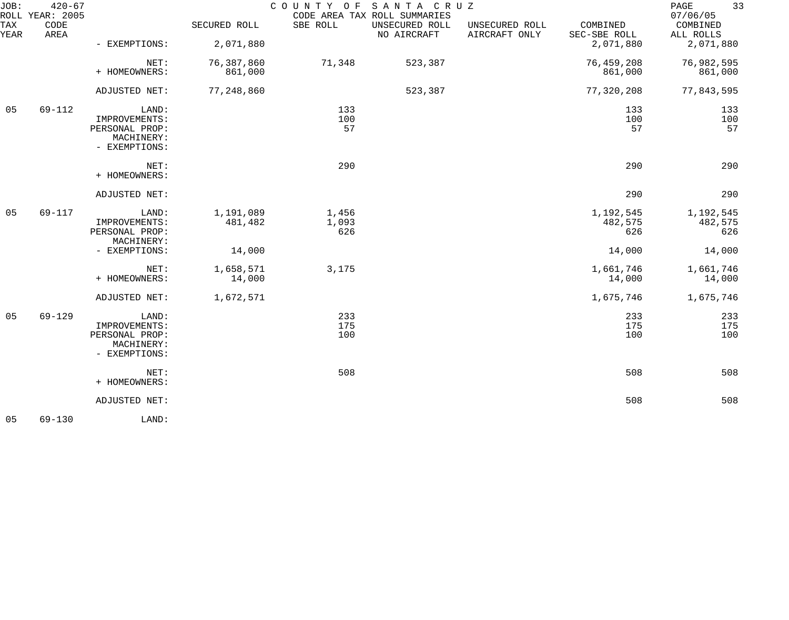| JOB:             | $420 - 67$<br>ROLL YEAR: 2005 |                                                                         |                       | COUNTY OF SANTA CRUZ  | CODE AREA TAX ROLL SUMMARIES  |                                 |                             | 33<br>PAGE<br>07/06/05      |
|------------------|-------------------------------|-------------------------------------------------------------------------|-----------------------|-----------------------|-------------------------------|---------------------------------|-----------------------------|-----------------------------|
| TAX<br>YEAR      | CODE<br>AREA                  |                                                                         | SECURED ROLL          | SBE ROLL              | UNSECURED ROLL<br>NO AIRCRAFT | UNSECURED ROLL<br>AIRCRAFT ONLY | COMBINED<br>SEC-SBE ROLL    | COMBINED<br>ALL ROLLS       |
|                  |                               | - EXEMPTIONS:                                                           | 2,071,880             |                       |                               |                                 | 2,071,880                   | 2,071,880                   |
|                  |                               | NET:<br>+ HOMEOWNERS:                                                   | 76,387,860<br>861,000 | 71,348                | 523,387                       |                                 | 76,459,208<br>861,000       | 76,982,595<br>861,000       |
|                  |                               | ADJUSTED NET:                                                           | 77,248,860            |                       | 523,387                       |                                 | 77,320,208                  | 77,843,595                  |
| 05<br>$69 - 112$ |                               | LAND:<br>IMPROVEMENTS:<br>PERSONAL PROP:<br>MACHINERY:<br>- EXEMPTIONS: |                       | 133<br>100<br>57      |                               |                                 | 133<br>100<br>57            | 133<br>100<br>57            |
|                  |                               | NET:<br>+ HOMEOWNERS:                                                   |                       | 290                   |                               |                                 | 290                         | 290                         |
|                  |                               | ADJUSTED NET:                                                           |                       |                       |                               |                                 | 290                         | 290                         |
| 05               | 69-117                        | LAND:<br>IMPROVEMENTS:<br>PERSONAL PROP:<br>MACHINERY:                  | 1,191,089<br>481,482  | 1,456<br>1,093<br>626 |                               |                                 | 1,192,545<br>482,575<br>626 | 1,192,545<br>482,575<br>626 |
|                  |                               | - EXEMPTIONS:                                                           | 14,000                |                       |                               |                                 | 14,000                      | 14,000                      |
|                  |                               | NET:<br>+ HOMEOWNERS:                                                   | 1,658,571<br>14,000   | 3,175                 |                               |                                 | 1,661,746<br>14,000         | 1,661,746<br>14,000         |
|                  |                               | ADJUSTED NET:                                                           | 1,672,571             |                       |                               |                                 | 1,675,746                   | 1,675,746                   |
| 05               | $69 - 129$                    | LAND:<br>IMPROVEMENTS:<br>PERSONAL PROP:<br>MACHINERY:<br>- EXEMPTIONS: |                       | 233<br>175<br>100     |                               |                                 | 233<br>175<br>100           | 233<br>175<br>100           |
|                  |                               | NET:<br>+ HOMEOWNERS:                                                   |                       | 508                   |                               |                                 | 508                         | 508                         |
|                  |                               | ADJUSTED NET:                                                           |                       |                       |                               |                                 | 508                         | 508                         |
| 05               | $69 - 130$                    | LAND:                                                                   |                       |                       |                               |                                 |                             |                             |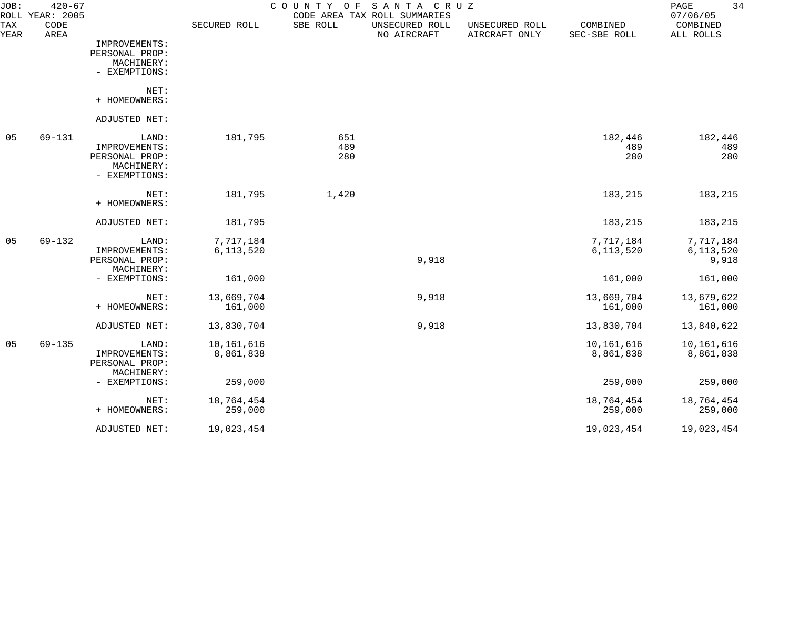| JOB:<br>ROLL | $420 - 67$<br>YEAR: 2005 |                                                                         |                         | COUNTY<br>O F     | SANTA CRUZ<br>CODE AREA TAX ROLL SUMMARIES |                                 |                          | 34<br>PAGE<br>07/06/05          |
|--------------|--------------------------|-------------------------------------------------------------------------|-------------------------|-------------------|--------------------------------------------|---------------------------------|--------------------------|---------------------------------|
| TAX<br>YEAR  | CODE<br>AREA             |                                                                         | SECURED ROLL            | SBE ROLL          | UNSECURED ROLL<br>NO AIRCRAFT              | UNSECURED ROLL<br>AIRCRAFT ONLY | COMBINED<br>SEC-SBE ROLL | COMBINED<br>ALL ROLLS           |
|              |                          | IMPROVEMENTS:<br>PERSONAL PROP:<br>MACHINERY:<br>- EXEMPTIONS:          |                         |                   |                                            |                                 |                          |                                 |
|              |                          | NET:<br>+ HOMEOWNERS:                                                   |                         |                   |                                            |                                 |                          |                                 |
|              |                          | ADJUSTED NET:                                                           |                         |                   |                                            |                                 |                          |                                 |
| 05           | 69-131                   | LAND:<br>IMPROVEMENTS:<br>PERSONAL PROP:<br>MACHINERY:<br>- EXEMPTIONS: | 181,795                 | 651<br>489<br>280 |                                            |                                 | 182,446<br>489<br>280    | 182,446<br>489<br>280           |
|              |                          | NET:<br>+ HOMEOWNERS:                                                   | 181,795                 | 1,420             |                                            |                                 | 183,215                  | 183,215                         |
|              |                          | ADJUSTED NET:                                                           | 181,795                 |                   |                                            |                                 | 183,215                  | 183,215                         |
| 05           | $69 - 132$               | LAND:<br>IMPROVEMENTS:<br>PERSONAL PROP:                                | 7,717,184<br>6,113,520  |                   | 9,918                                      |                                 | 7,717,184<br>6, 113, 520 | 7,717,184<br>6,113,520<br>9,918 |
|              |                          | MACHINERY:<br>- EXEMPTIONS:                                             | 161,000                 |                   |                                            |                                 | 161,000                  | 161,000                         |
|              |                          | NET:<br>+ HOMEOWNERS:                                                   | 13,669,704<br>161,000   |                   | 9,918                                      |                                 | 13,669,704<br>161,000    | 13,679,622<br>161,000           |
|              |                          | ADJUSTED NET:                                                           | 13,830,704              |                   | 9,918                                      |                                 | 13,830,704               | 13,840,622                      |
| 05           | $69 - 135$               | LAND:<br>IMPROVEMENTS:<br>PERSONAL PROP:<br>MACHINERY:                  | 10,161,616<br>8,861,838 |                   |                                            |                                 | 10,161,616<br>8,861,838  | 10,161,616<br>8,861,838         |
|              |                          | - EXEMPTIONS:                                                           | 259,000                 |                   |                                            |                                 | 259,000                  | 259,000                         |
|              |                          | NET:<br>+ HOMEOWNERS:                                                   | 18,764,454<br>259,000   |                   |                                            |                                 | 18,764,454<br>259,000    | 18,764,454<br>259,000           |
|              |                          | ADJUSTED NET:                                                           | 19,023,454              |                   |                                            |                                 | 19,023,454               | 19,023,454                      |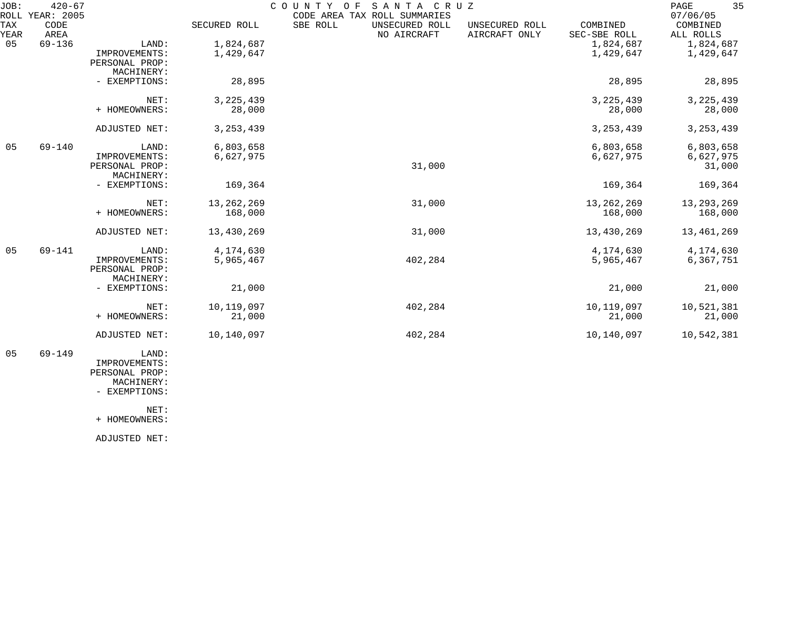| JOB:        | $420 - 67$<br>ROLL YEAR: 2005 |                                                        |                         | COUNTY OF | SANTA CRUZ<br>CODE AREA TAX ROLL SUMMARIES |                                 |                          | 35<br>PAGE<br>07/06/05           |
|-------------|-------------------------------|--------------------------------------------------------|-------------------------|-----------|--------------------------------------------|---------------------------------|--------------------------|----------------------------------|
| TAX<br>YEAR | CODE<br>AREA                  |                                                        | SECURED ROLL            | SBE ROLL  | UNSECURED ROLL<br>NO AIRCRAFT              | UNSECURED ROLL<br>AIRCRAFT ONLY | COMBINED<br>SEC-SBE ROLL | COMBINED<br>ALL ROLLS            |
| 05          | $69 - 136$                    | LAND:<br>IMPROVEMENTS:<br>PERSONAL PROP:               | 1,824,687<br>1,429,647  |           |                                            |                                 | 1,824,687<br>1,429,647   | 1,824,687<br>1,429,647           |
|             |                               | MACHINERY:<br>- EXEMPTIONS:                            | 28,895                  |           |                                            |                                 | 28,895                   | 28,895                           |
|             |                               | NET:<br>+ HOMEOWNERS:                                  | 3, 225, 439<br>28,000   |           |                                            |                                 | 3, 225, 439<br>28,000    | 3, 225, 439<br>28,000            |
|             |                               | ADJUSTED NET:                                          | 3, 253, 439             |           |                                            |                                 | 3, 253, 439              | 3, 253, 439                      |
| 05          | $69 - 140$                    | LAND:<br>IMPROVEMENTS:<br>PERSONAL PROP:               | 6,803,658<br>6,627,975  |           | 31,000                                     |                                 | 6,803,658<br>6,627,975   | 6,803,658<br>6,627,975<br>31,000 |
|             |                               | MACHINERY:<br>- EXEMPTIONS:                            | 169,364                 |           |                                            |                                 | 169,364                  | 169,364                          |
|             |                               | NET:<br>+ HOMEOWNERS:                                  | 13, 262, 269<br>168,000 |           | 31,000                                     |                                 | 13, 262, 269<br>168,000  | 13, 293, 269<br>168,000          |
|             |                               | ADJUSTED NET:                                          | 13,430,269              |           | 31,000                                     |                                 | 13,430,269               | 13,461,269                       |
| 05          | 69-141                        | LAND:<br>IMPROVEMENTS:<br>PERSONAL PROP:<br>MACHINERY: | 4,174,630<br>5,965,467  |           | 402,284                                    |                                 | 4,174,630<br>5,965,467   | 4,174,630<br>6,367,751           |
|             |                               | - EXEMPTIONS:                                          | 21,000                  |           |                                            |                                 | 21,000                   | 21,000                           |
|             |                               | NET:<br>+ HOMEOWNERS:                                  | 10,119,097<br>21,000    |           | 402,284                                    |                                 | 10,119,097<br>21,000     | 10,521,381<br>21,000             |
|             |                               | ADJUSTED NET:                                          | 10,140,097              |           | 402,284                                    |                                 | 10,140,097               | 10,542,381                       |
|             |                               |                                                        |                         |           |                                            |                                 |                          |                                  |

 05 69-149 LAND: IMPROVEMENTS: PERSONAL PROP: MACHINERY:

- EXEMPTIONS:

NET:

+ HOMEOWNERS:

ADJUSTED NET: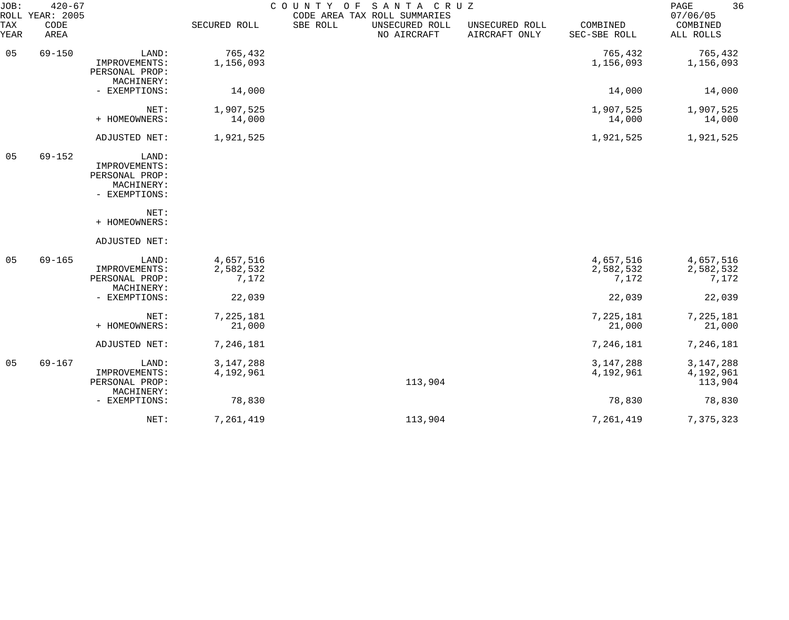| JOB:        | $420 - 67$<br>ROLL YEAR: 2005 |                                                                         |                                 | COUNTY OF | SANTA CRUZ<br>CODE AREA TAX ROLL SUMMARIES |                                 |                                 | 36<br>PAGE<br>07/06/05              |
|-------------|-------------------------------|-------------------------------------------------------------------------|---------------------------------|-----------|--------------------------------------------|---------------------------------|---------------------------------|-------------------------------------|
| TAX<br>YEAR | CODE<br>AREA                  |                                                                         | SECURED ROLL                    | SBE ROLL  | UNSECURED ROLL<br>NO AIRCRAFT              | UNSECURED ROLL<br>AIRCRAFT ONLY | COMBINED<br>SEC-SBE ROLL        | COMBINED<br>ALL ROLLS               |
| 05          | $69 - 150$                    | LAND:<br>IMPROVEMENTS:                                                  | 765,432<br>1,156,093            |           |                                            |                                 | 765,432<br>1,156,093            | 765,432<br>1,156,093                |
|             |                               | PERSONAL PROP:<br>MACHINERY:<br>- EXEMPTIONS:                           |                                 |           |                                            |                                 |                                 |                                     |
|             |                               |                                                                         | 14,000                          |           |                                            |                                 | 14,000                          | 14,000                              |
|             |                               | NET:<br>+ HOMEOWNERS:                                                   | 1,907,525<br>14,000             |           |                                            |                                 | 1,907,525<br>14,000             | 1,907,525<br>14,000                 |
|             |                               | ADJUSTED NET:                                                           | 1,921,525                       |           |                                            |                                 | 1,921,525                       | 1,921,525                           |
| 05          | $69 - 152$                    | LAND:<br>IMPROVEMENTS:<br>PERSONAL PROP:<br>MACHINERY:<br>- EXEMPTIONS: |                                 |           |                                            |                                 |                                 |                                     |
|             |                               | NET:<br>+ HOMEOWNERS:                                                   |                                 |           |                                            |                                 |                                 |                                     |
|             |                               | ADJUSTED NET:                                                           |                                 |           |                                            |                                 |                                 |                                     |
| 05          | $69 - 165$                    | LAND:<br>IMPROVEMENTS:<br>PERSONAL PROP:<br>MACHINERY:                  | 4,657,516<br>2,582,532<br>7,172 |           |                                            |                                 | 4,657,516<br>2,582,532<br>7,172 | 4,657,516<br>2,582,532<br>7,172     |
|             |                               | - EXEMPTIONS:                                                           | 22,039                          |           |                                            |                                 | 22,039                          | 22,039                              |
|             |                               | NET:<br>+ HOMEOWNERS:                                                   | 7,225,181<br>21,000             |           |                                            |                                 | 7,225,181<br>21,000             | 7,225,181<br>21,000                 |
|             |                               | ADJUSTED NET:                                                           | 7,246,181                       |           |                                            |                                 | 7,246,181                       | 7,246,181                           |
| 05          | $69 - 167$                    | LAND:<br>IMPROVEMENTS:<br>PERSONAL PROP:                                | 3, 147, 288<br>4,192,961        |           | 113,904                                    |                                 | 3, 147, 288<br>4,192,961        | 3, 147, 288<br>4,192,961<br>113,904 |
|             |                               | MACHINERY:<br>- EXEMPTIONS:                                             | 78,830                          |           |                                            |                                 | 78,830                          | 78,830                              |
|             |                               | NET:                                                                    | 7,261,419                       |           | 113,904                                    |                                 | 7,261,419                       | 7,375,323                           |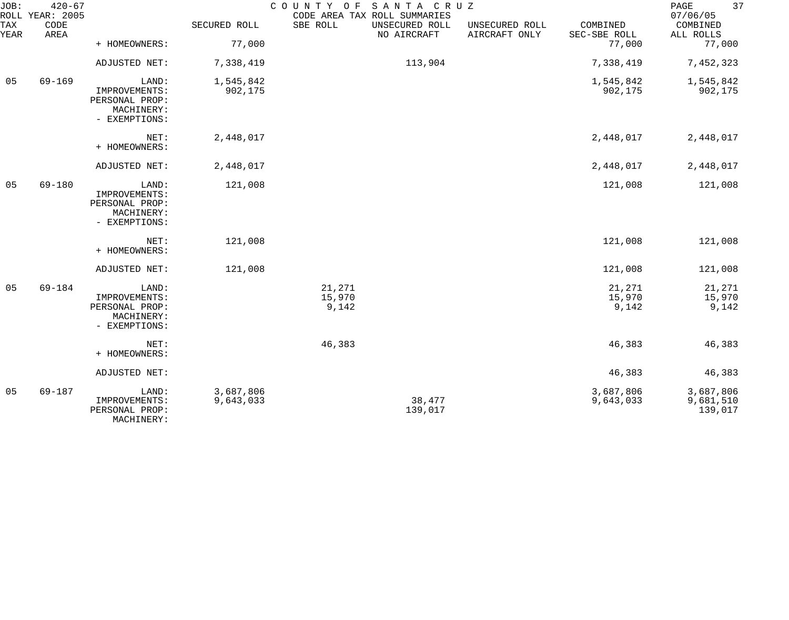| JOB:        | $420 - 67$<br>ROLL YEAR: 2005 |                                                                         |                        | COUNTY OF                 | SANTA CRUZ<br>CODE AREA TAX ROLL SUMMARIES |                                 |                           | 37<br>PAGE<br>07/06/05            |
|-------------|-------------------------------|-------------------------------------------------------------------------|------------------------|---------------------------|--------------------------------------------|---------------------------------|---------------------------|-----------------------------------|
| TAX<br>YEAR | CODE<br>AREA                  |                                                                         | SECURED ROLL           | SBE ROLL                  | UNSECURED ROLL<br>NO AIRCRAFT              | UNSECURED ROLL<br>AIRCRAFT ONLY | COMBINED<br>SEC-SBE ROLL  | COMBINED<br>ALL ROLLS             |
|             |                               | + HOMEOWNERS:                                                           | 77,000                 |                           |                                            |                                 | 77,000                    | 77,000                            |
|             |                               | ADJUSTED NET:                                                           | 7,338,419              |                           | 113,904                                    |                                 | 7,338,419                 | 7,452,323                         |
| 05          | $69 - 169$                    | LAND:<br>IMPROVEMENTS:<br>PERSONAL PROP:<br>MACHINERY:<br>- EXEMPTIONS: | 1,545,842<br>902,175   |                           |                                            |                                 | 1,545,842<br>902,175      | 1,545,842<br>902,175              |
|             |                               | NET:<br>+ HOMEOWNERS:                                                   | 2,448,017              |                           |                                            |                                 | 2,448,017                 | 2,448,017                         |
|             |                               | ADJUSTED NET:                                                           | 2,448,017              |                           |                                            |                                 | 2,448,017                 | 2,448,017                         |
| 05          | 69-180                        | LAND:<br>IMPROVEMENTS:<br>PERSONAL PROP:<br>MACHINERY:<br>- EXEMPTIONS: | 121,008                |                           |                                            |                                 | 121,008                   | 121,008                           |
|             |                               | NET:<br>+ HOMEOWNERS:                                                   | 121,008                |                           |                                            |                                 | 121,008                   | 121,008                           |
|             |                               | ADJUSTED NET:                                                           | 121,008                |                           |                                            |                                 | 121,008                   | 121,008                           |
| 05          | 69-184                        | LAND:<br>IMPROVEMENTS:<br>PERSONAL PROP:<br>MACHINERY:<br>- EXEMPTIONS: |                        | 21,271<br>15,970<br>9,142 |                                            |                                 | 21,271<br>15,970<br>9,142 | 21,271<br>15,970<br>9,142         |
|             |                               | NET:<br>+ HOMEOWNERS:                                                   |                        | 46,383                    |                                            |                                 | 46,383                    | 46,383                            |
|             |                               | ADJUSTED NET:                                                           |                        |                           |                                            |                                 | 46,383                    | 46,383                            |
| 05          | $69 - 187$                    | LAND:<br>IMPROVEMENTS:<br>PERSONAL PROP:<br>MACHINERY:                  | 3,687,806<br>9,643,033 |                           | 38,477<br>139,017                          |                                 | 3,687,806<br>9,643,033    | 3,687,806<br>9,681,510<br>139,017 |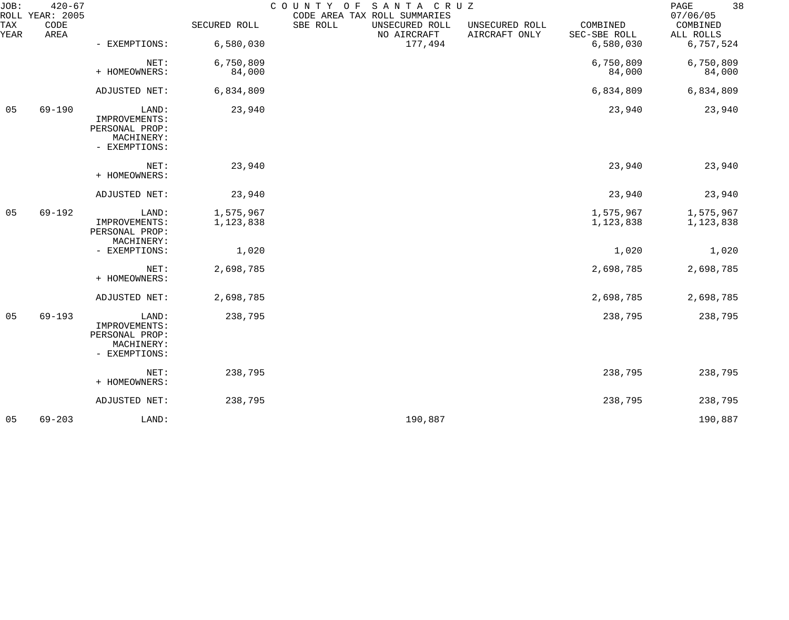| JOB:        | $420 - 67$<br>ROLL YEAR: 2005 |                                                                         |                        | COUNTY OF SANTA CRUZ | CODE AREA TAX ROLL SUMMARIES  |                                 |                          | 38<br>PAGE<br>07/06/05 |
|-------------|-------------------------------|-------------------------------------------------------------------------|------------------------|----------------------|-------------------------------|---------------------------------|--------------------------|------------------------|
| TAX<br>YEAR | CODE<br>AREA                  |                                                                         | SECURED ROLL           | SBE ROLL             | UNSECURED ROLL<br>NO AIRCRAFT | UNSECURED ROLL<br>AIRCRAFT ONLY | COMBINED<br>SEC-SBE ROLL | COMBINED<br>ALL ROLLS  |
|             |                               | - EXEMPTIONS:                                                           | 6,580,030              |                      | 177,494                       |                                 | 6,580,030                | 6,757,524              |
|             |                               | NET:<br>+ HOMEOWNERS:                                                   | 6,750,809<br>84,000    |                      |                               |                                 | 6,750,809<br>84,000      | 6,750,809<br>84,000    |
|             |                               | ADJUSTED NET:                                                           | 6,834,809              |                      |                               |                                 | 6,834,809                | 6,834,809              |
| 05          | 69-190                        | LAND:<br>IMPROVEMENTS:<br>PERSONAL PROP:<br>MACHINERY:<br>- EXEMPTIONS: | 23,940                 |                      |                               |                                 | 23,940                   | 23,940                 |
|             |                               | NET:<br>+ HOMEOWNERS:                                                   | 23,940                 |                      |                               |                                 | 23,940                   | 23,940                 |
|             |                               | ADJUSTED NET:                                                           | 23,940                 |                      |                               |                                 | 23,940                   | 23,940                 |
| 05          | 69-192                        | LAND:<br>IMPROVEMENTS:<br>PERSONAL PROP:<br>MACHINERY:                  | 1,575,967<br>1,123,838 |                      |                               |                                 | 1,575,967<br>1,123,838   | 1,575,967<br>1,123,838 |
|             |                               | - EXEMPTIONS:                                                           | 1,020                  |                      |                               |                                 | 1,020                    | 1,020                  |
|             |                               | NET:<br>+ HOMEOWNERS:                                                   | 2,698,785              |                      |                               |                                 | 2,698,785                | 2,698,785              |
|             |                               | ADJUSTED NET:                                                           | 2,698,785              |                      |                               |                                 | 2,698,785                | 2,698,785              |
| 05          | $69 - 193$                    | LAND:<br>IMPROVEMENTS:<br>PERSONAL PROP:<br>MACHINERY:<br>- EXEMPTIONS: | 238,795                |                      |                               |                                 | 238,795                  | 238,795                |
|             |                               | NET:<br>+ HOMEOWNERS:                                                   | 238,795                |                      |                               |                                 | 238,795                  | 238,795                |
|             |                               | ADJUSTED NET:                                                           | 238,795                |                      |                               |                                 | 238,795                  | 238,795                |
| 05          | $69 - 203$                    | LAND:                                                                   |                        |                      | 190,887                       |                                 |                          | 190,887                |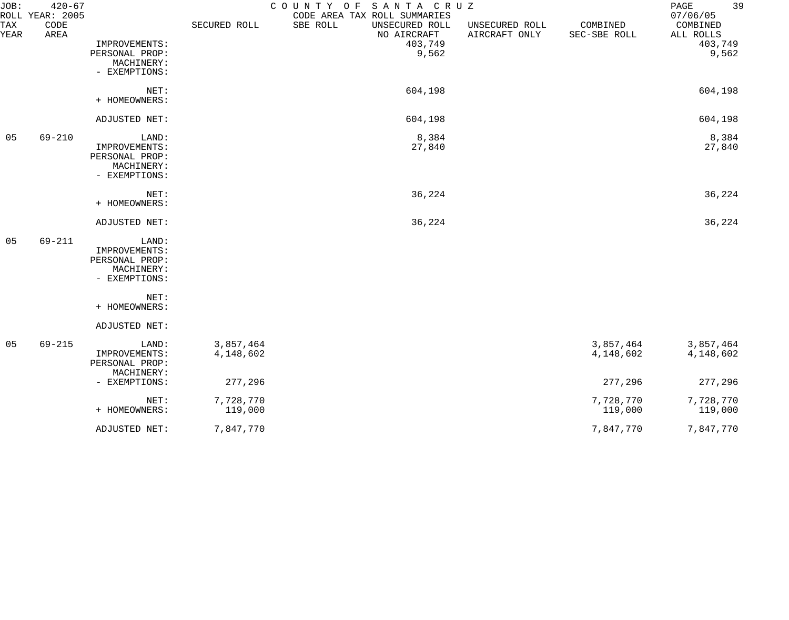| JOB:        | $420 - 67$<br>COUNTY OF SANTA CRUZ<br>ROLL YEAR: 2005<br>CODE AREA TAX ROLL SUMMARIES |                                                                         |                        |                                                      |                                 |                          | 39<br>PAGE<br>07/06/05           |  |
|-------------|---------------------------------------------------------------------------------------|-------------------------------------------------------------------------|------------------------|------------------------------------------------------|---------------------------------|--------------------------|----------------------------------|--|
| TAX<br>YEAR | CODE<br>AREA                                                                          | IMPROVEMENTS:                                                           | SECURED ROLL           | SBE ROLL<br>UNSECURED ROLL<br>NO AIRCRAFT<br>403,749 | UNSECURED ROLL<br>AIRCRAFT ONLY | COMBINED<br>SEC-SBE ROLL | COMBINED<br>ALL ROLLS<br>403,749 |  |
|             |                                                                                       | PERSONAL PROP:<br>MACHINERY:<br>- EXEMPTIONS:                           |                        | 9,562                                                |                                 |                          | 9,562                            |  |
|             |                                                                                       | NET:<br>+ HOMEOWNERS:                                                   |                        | 604,198                                              |                                 |                          | 604,198                          |  |
|             |                                                                                       | ADJUSTED NET:                                                           |                        | 604,198                                              |                                 |                          | 604,198                          |  |
| 05          | $69 - 210$                                                                            | LAND:<br>IMPROVEMENTS:<br>PERSONAL PROP:<br>MACHINERY:<br>- EXEMPTIONS: |                        | 8,384<br>27,840                                      |                                 |                          | 8,384<br>27,840                  |  |
|             |                                                                                       | NET:<br>+ HOMEOWNERS:                                                   |                        | 36,224                                               |                                 |                          | 36,224                           |  |
|             |                                                                                       | ADJUSTED NET:                                                           |                        | 36,224                                               |                                 |                          | 36,224                           |  |
| 05          | $69 - 211$                                                                            | LAND:<br>IMPROVEMENTS:<br>PERSONAL PROP:<br>MACHINERY:<br>- EXEMPTIONS: |                        |                                                      |                                 |                          |                                  |  |
|             |                                                                                       | NET:<br>+ HOMEOWNERS:                                                   |                        |                                                      |                                 |                          |                                  |  |
|             |                                                                                       | ADJUSTED NET:                                                           |                        |                                                      |                                 |                          |                                  |  |
| 05          | $69 - 215$                                                                            | LAND:<br>IMPROVEMENTS:<br>PERSONAL PROP:<br>MACHINERY:                  | 3,857,464<br>4,148,602 |                                                      |                                 | 3,857,464<br>4,148,602   | 3,857,464<br>4,148,602           |  |
|             |                                                                                       | - EXEMPTIONS:                                                           | 277,296                |                                                      |                                 | 277,296                  | 277,296                          |  |
|             |                                                                                       | NET:<br>+ HOMEOWNERS:                                                   | 7,728,770<br>119,000   |                                                      |                                 | 7,728,770<br>119,000     | 7,728,770<br>119,000             |  |
|             |                                                                                       | ADJUSTED NET:                                                           | 7,847,770              |                                                      |                                 | 7,847,770                | 7,847,770                        |  |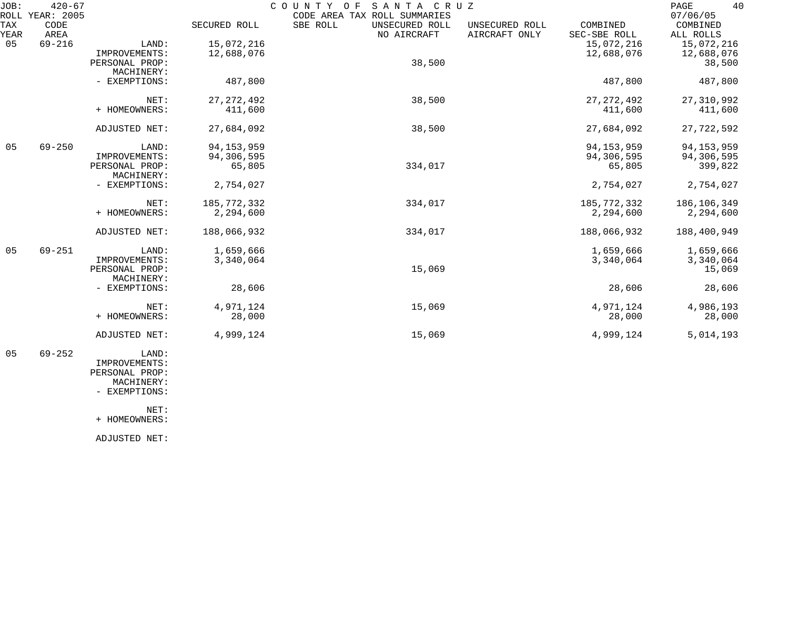| JOB:        | $420 - 67$<br>ROLL YEAR: 2005 |                              |              | SANTA CRUZ<br>COUNTY OF<br>CODE AREA TAX ROLL SUMMARIES |                                 |                          | 40<br>PAGE<br>07/06/05 |
|-------------|-------------------------------|------------------------------|--------------|---------------------------------------------------------|---------------------------------|--------------------------|------------------------|
| TAX<br>YEAR | <b>CODE</b><br>AREA           |                              | SECURED ROLL | SBE ROLL<br>UNSECURED ROLL<br>NO AIRCRAFT               | UNSECURED ROLL<br>AIRCRAFT ONLY | COMBINED<br>SEC-SBE ROLL | COMBINED<br>ALL ROLLS  |
| 05          | $69 - 216$                    | LAND:                        | 15,072,216   |                                                         |                                 | 15,072,216               | 15,072,216             |
|             |                               | IMPROVEMENTS:                | 12,688,076   |                                                         |                                 | 12,688,076               | 12,688,076             |
|             |                               | PERSONAL PROP:               |              | 38,500                                                  |                                 |                          | 38,500                 |
|             |                               | MACHINERY:                   |              |                                                         |                                 |                          |                        |
|             |                               | - EXEMPTIONS:                | 487,800      |                                                         |                                 | 487,800                  | 487,800                |
|             |                               | NET:                         | 27, 272, 492 | 38,500                                                  |                                 | 27, 272, 492             | 27,310,992             |
|             |                               | + HOMEOWNERS:                | 411,600      |                                                         |                                 | 411,600                  | 411,600                |
|             |                               | ADJUSTED NET:                | 27,684,092   | 38,500                                                  |                                 | 27,684,092               | 27,722,592             |
| 05          | $69 - 250$                    | LAND:                        | 94, 153, 959 |                                                         |                                 | 94, 153, 959             | 94, 153, 959           |
|             |                               | IMPROVEMENTS:                | 94,306,595   |                                                         |                                 | 94,306,595               | 94,306,595             |
|             |                               | PERSONAL PROP:<br>MACHINERY: | 65,805       | 334,017                                                 |                                 | 65,805                   | 399,822                |
|             |                               | - EXEMPTIONS:                | 2,754,027    |                                                         |                                 | 2,754,027                | 2,754,027              |
|             |                               | NET:                         | 185,772,332  | 334,017                                                 |                                 | 185,772,332              | 186,106,349            |
|             |                               | + HOMEOWNERS:                | 2,294,600    |                                                         |                                 | 2,294,600                | 2,294,600              |
|             |                               | ADJUSTED NET:                | 188,066,932  | 334,017                                                 |                                 | 188,066,932              | 188,400,949            |
| 05          | $69 - 251$                    | LAND:                        | 1,659,666    |                                                         |                                 | 1,659,666                | 1,659,666              |
|             |                               | IMPROVEMENTS:                | 3,340,064    |                                                         |                                 | 3,340,064                | 3,340,064              |
|             |                               | PERSONAL PROP:               |              | 15,069                                                  |                                 |                          | 15,069                 |
|             |                               | MACHINERY:                   |              |                                                         |                                 |                          |                        |
|             |                               | - EXEMPTIONS:                | 28,606       |                                                         |                                 | 28,606                   | 28,606                 |
|             |                               | NET:                         | 4,971,124    | 15,069                                                  |                                 | 4,971,124                | 4,986,193              |
|             |                               | + HOMEOWNERS:                | 28,000       |                                                         |                                 | 28,000                   | 28,000                 |
|             |                               | ADJUSTED NET:                | 4,999,124    | 15,069                                                  |                                 | 4,999,124                | 5,014,193              |
| 05          | $69 - 252$                    | LAND:                        |              |                                                         |                                 |                          |                        |

 IMPROVEMENTS: PERSONAL PROP: MACHINERY:

- EXEMPTIONS:

NET:

+ HOMEOWNERS:

ADJUSTED NET: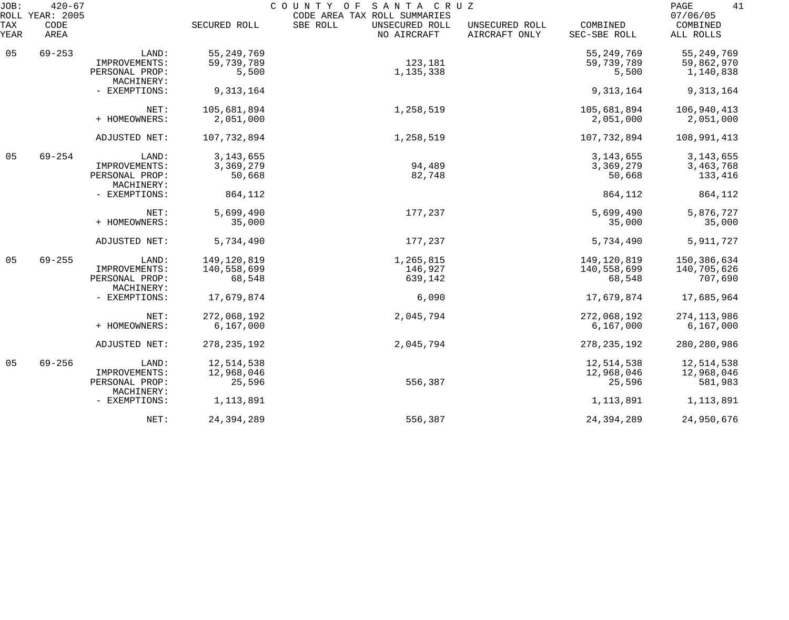| JOB:        | $420 - 67$<br>ROLL YEAR: 2005 |                              |               | COUNTY OF SANTA CRUZ<br>CODE AREA TAX ROLL SUMMARIES |                                 |                          | 41<br>PAGE<br>07/06/05 |
|-------------|-------------------------------|------------------------------|---------------|------------------------------------------------------|---------------------------------|--------------------------|------------------------|
| TAX<br>YEAR | CODE<br>AREA                  |                              | SECURED ROLL  | SBE ROLL<br>UNSECURED ROLL<br>NO AIRCRAFT            | UNSECURED ROLL<br>AIRCRAFT ONLY | COMBINED<br>SEC-SBE ROLL | COMBINED<br>ALL ROLLS  |
| 05          | $69 - 253$                    | LAND:                        | 55, 249, 769  |                                                      |                                 | 55, 249, 769             | 55, 249, 769           |
|             |                               | IMPROVEMENTS:                | 59,739,789    | 123,181                                              |                                 | 59,739,789               | 59,862,970             |
|             |                               | PERSONAL PROP:<br>MACHINERY: | 5,500         | 1,135,338                                            |                                 | 5,500                    | 1,140,838              |
|             |                               | - EXEMPTIONS:                | 9,313,164     |                                                      |                                 | 9,313,164                | 9,313,164              |
|             |                               | NET:                         | 105,681,894   | 1,258,519                                            |                                 | 105,681,894              | 106,940,413            |
|             |                               | + HOMEOWNERS:                | 2,051,000     |                                                      |                                 | 2,051,000                | 2,051,000              |
|             |                               | ADJUSTED NET:                | 107,732,894   | 1,258,519                                            |                                 | 107,732,894              | 108,991,413            |
| 05          | $69 - 254$                    | LAND:                        | 3, 143, 655   |                                                      |                                 | 3, 143, 655              | 3, 143, 655            |
|             |                               | IMPROVEMENTS:                | 3,369,279     | 94,489                                               |                                 | 3,369,279                | 3,463,768              |
|             |                               | PERSONAL PROP:<br>MACHINERY: | 50,668        | 82,748                                               |                                 | 50,668                   | 133,416                |
|             |                               | - EXEMPTIONS:                | 864,112       |                                                      |                                 | 864,112                  | 864,112                |
|             |                               | NET:                         | 5,699,490     | 177,237                                              |                                 | 5,699,490                | 5,876,727              |
|             |                               | + HOMEOWNERS:                | 35,000        |                                                      |                                 | 35,000                   | 35,000                 |
|             |                               | ADJUSTED NET:                | 5,734,490     | 177,237                                              |                                 | 5,734,490                | 5,911,727              |
| 05          | $69 - 255$                    | LAND:                        | 149,120,819   | 1,265,815                                            |                                 | 149,120,819              | 150,386,634            |
|             |                               | IMPROVEMENTS:                | 140,558,699   | 146,927                                              |                                 | 140,558,699              | 140,705,626            |
|             |                               | PERSONAL PROP:<br>MACHINERY: | 68,548        | 639,142                                              |                                 | 68,548                   | 707,690                |
|             |                               | - EXEMPTIONS:                | 17,679,874    | 6,090                                                |                                 | 17,679,874               | 17,685,964             |
|             |                               | NET:                         | 272,068,192   | 2,045,794                                            |                                 | 272,068,192              | 274, 113, 986          |
|             |                               | + HOMEOWNERS:                | 6,167,000     |                                                      |                                 | 6,167,000                | 6,167,000              |
|             |                               | ADJUSTED NET:                | 278, 235, 192 | 2,045,794                                            |                                 | 278, 235, 192            | 280, 280, 986          |
| 05          | $69 - 256$                    | LAND:                        | 12,514,538    |                                                      |                                 | 12,514,538               | 12,514,538             |
|             |                               | IMPROVEMENTS:                | 12,968,046    |                                                      |                                 | 12,968,046               | 12,968,046             |
|             |                               | PERSONAL PROP:<br>MACHINERY: | 25,596        | 556,387                                              |                                 | 25,596                   | 581,983                |
|             |                               | - EXEMPTIONS:                | 1,113,891     |                                                      |                                 | 1, 113, 891              | 1,113,891              |
|             |                               | NET:                         | 24, 394, 289  | 556,387                                              |                                 | 24, 394, 289             | 24,950,676             |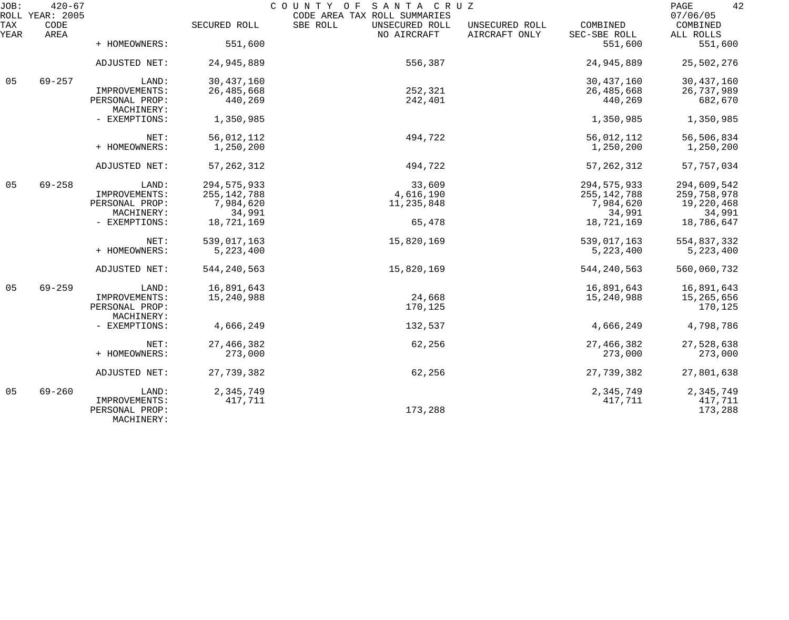| JOB:        | $420 - 67$<br>ROLL YEAR: 2005 |                                               |               | COUNTY OF SANTA CRUZ<br>CODE AREA TAX ROLL SUMMARIES |                                 |                          | 42<br>PAGE<br>07/06/05 |
|-------------|-------------------------------|-----------------------------------------------|---------------|------------------------------------------------------|---------------------------------|--------------------------|------------------------|
| TAX<br>YEAR | CODE<br>AREA                  |                                               | SECURED ROLL  | SBE ROLL<br>UNSECURED ROLL<br>NO AIRCRAFT            | UNSECURED ROLL<br>AIRCRAFT ONLY | COMBINED<br>SEC-SBE ROLL | COMBINED<br>ALL ROLLS  |
|             |                               | + HOMEOWNERS:                                 | 551,600       |                                                      |                                 | 551,600                  | 551,600                |
|             |                               | ADJUSTED NET:                                 | 24,945,889    | 556,387                                              |                                 | 24,945,889               | 25,502,276             |
| 05          | $69 - 257$                    | LAND:                                         | 30, 437, 160  |                                                      |                                 | 30, 437, 160             | 30, 437, 160           |
|             |                               | IMPROVEMENTS:                                 | 26, 485, 668  | 252,321                                              |                                 | 26,485,668               | 26,737,989             |
|             |                               | PERSONAL PROP:<br>MACHINERY:                  | 440,269       | 242,401                                              |                                 | 440,269                  | 682,670                |
|             |                               | - EXEMPTIONS:                                 | 1,350,985     |                                                      |                                 | 1,350,985                | 1,350,985              |
|             |                               | NET:                                          | 56,012,112    | 494,722                                              |                                 | 56,012,112               | 56,506,834             |
|             |                               | + HOMEOWNERS:                                 | 1,250,200     |                                                      |                                 | 1,250,200                | 1,250,200              |
|             |                               | ADJUSTED NET:                                 | 57, 262, 312  | 494,722                                              |                                 | 57, 262, 312             | 57,757,034             |
| 05          | $69 - 258$                    | LAND:                                         | 294, 575, 933 | 33,609                                               |                                 | 294, 575, 933            | 294,609,542            |
|             |                               | IMPROVEMENTS:                                 | 255, 142, 788 | 4,616,190                                            |                                 | 255, 142, 788            | 259,758,978            |
|             |                               | PERSONAL PROP:                                | 7,984,620     | 11,235,848                                           |                                 | 7,984,620                | 19,220,468             |
|             |                               | MACHINERY:                                    | 34,991        |                                                      |                                 | 34,991                   | 34,991                 |
|             |                               | - EXEMPTIONS:                                 | 18,721,169    | 65,478                                               |                                 | 18,721,169               | 18,786,647             |
|             |                               | NET:                                          | 539,017,163   | 15,820,169                                           |                                 | 539,017,163              | 554,837,332            |
|             |                               | + HOMEOWNERS:                                 | 5,223,400     |                                                      |                                 | 5,223,400                | 5,223,400              |
|             |                               | ADJUSTED NET:                                 | 544, 240, 563 | 15,820,169                                           |                                 | 544, 240, 563            | 560,060,732            |
| 05          | $69 - 259$                    | LAND:                                         | 16,891,643    |                                                      |                                 | 16,891,643               | 16,891,643             |
|             |                               | IMPROVEMENTS:                                 | 15,240,988    | 24,668                                               |                                 | 15,240,988               | 15,265,656             |
|             |                               | PERSONAL PROP:<br>MACHINERY:                  |               | 170,125                                              |                                 |                          | 170,125                |
|             |                               | - EXEMPTIONS:                                 | 4,666,249     | 132,537                                              |                                 | 4,666,249                | 4,798,786              |
|             |                               | NET:                                          | 27, 466, 382  | 62,256                                               |                                 | 27,466,382               | 27,528,638             |
|             |                               | + HOMEOWNERS:                                 | 273,000       |                                                      |                                 | 273,000                  | 273,000                |
|             |                               | ADJUSTED NET:                                 | 27,739,382    | 62,256                                               |                                 | 27,739,382               | 27,801,638             |
| 05          | $69 - 260$                    | LAND:                                         | 2,345,749     |                                                      |                                 | 2,345,749                | 2,345,749              |
|             |                               | IMPROVEMENTS:<br>PERSONAL PROP:<br>MACHINERY: | 417,711       | 173,288                                              |                                 | 417,711                  | 417,711<br>173,288     |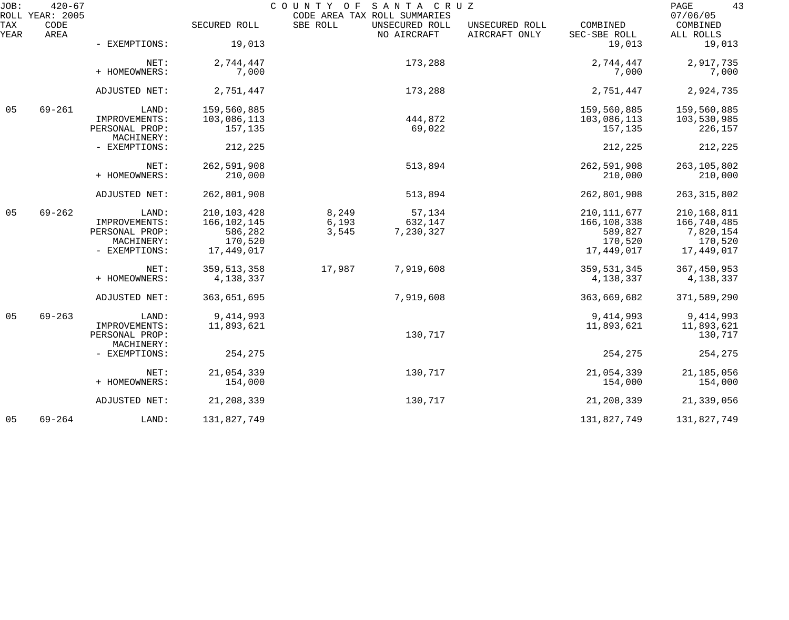| JOB:        | $420 - 67$<br>ROLL YEAR: 2005 |                              |               |          | COUNTY OF SANTA CRUZ<br>CODE AREA TAX ROLL SUMMARIES |                                 |                          | 43<br>PAGE<br>07/06/05 |
|-------------|-------------------------------|------------------------------|---------------|----------|------------------------------------------------------|---------------------------------|--------------------------|------------------------|
| TAX<br>YEAR | CODE<br>AREA                  |                              | SECURED ROLL  | SBE ROLL | UNSECURED ROLL<br>NO AIRCRAFT                        | UNSECURED ROLL<br>AIRCRAFT ONLY | COMBINED<br>SEC-SBE ROLL | COMBINED<br>ALL ROLLS  |
|             |                               | - EXEMPTIONS:                | 19,013        |          |                                                      |                                 | 19,013                   | 19,013                 |
|             |                               | NET:                         | 2,744,447     |          | 173,288                                              |                                 | 2,744,447                | 2,917,735              |
|             |                               | + HOMEOWNERS:                | 7,000         |          |                                                      |                                 | 7,000                    | 7,000                  |
|             |                               | ADJUSTED NET:                | 2,751,447     |          | 173,288                                              |                                 | 2,751,447                | 2,924,735              |
| 05          | $69 - 261$                    | LAND:                        | 159,560,885   |          |                                                      |                                 | 159,560,885              | 159,560,885            |
|             |                               | IMPROVEMENTS:                | 103,086,113   |          | 444,872                                              |                                 | 103,086,113              | 103,530,985            |
|             |                               | PERSONAL PROP:<br>MACHINERY: | 157,135       |          | 69,022                                               |                                 | 157,135                  | 226,157                |
|             |                               | - EXEMPTIONS:                | 212,225       |          |                                                      |                                 | 212,225                  | 212,225                |
|             |                               | NET:                         | 262,591,908   |          | 513,894                                              |                                 | 262,591,908              | 263, 105, 802          |
|             |                               | + HOMEOWNERS:                | 210,000       |          |                                                      |                                 | 210,000                  | 210,000                |
|             |                               | ADJUSTED NET:                | 262,801,908   |          | 513,894                                              |                                 | 262,801,908              | 263, 315, 802          |
| 05          | $69 - 262$                    | LAND:                        | 210, 103, 428 | 8,249    | 57,134                                               |                                 | 210, 111, 677            | 210,168,811            |
|             |                               | IMPROVEMENTS:                | 166, 102, 145 | 6,193    | 632,147                                              |                                 | 166,108,338              | 166,740,485            |
|             |                               | PERSONAL PROP:               | 586,282       | 3,545    | 7,230,327                                            |                                 | 589,827                  | 7,820,154              |
|             |                               | MACHINERY:                   | 170,520       |          |                                                      |                                 | 170,520                  | 170,520                |
|             |                               | - EXEMPTIONS:                | 17,449,017    |          |                                                      |                                 | 17,449,017               | 17,449,017             |
|             |                               | NET:                         | 359, 513, 358 | 17,987   | 7,919,608                                            |                                 | 359,531,345              | 367,450,953            |
|             |                               | + HOMEOWNERS:                | 4,138,337     |          |                                                      |                                 | 4,138,337                | 4,138,337              |
|             |                               | ADJUSTED NET:                | 363,651,695   |          | 7,919,608                                            |                                 | 363,669,682              | 371,589,290            |
| 05          | $69 - 263$                    | LAND:                        | 9, 414, 993   |          |                                                      |                                 | 9,414,993                | 9, 414, 993            |
|             |                               | IMPROVEMENTS:                | 11,893,621    |          |                                                      |                                 | 11,893,621               | 11,893,621             |
|             |                               | PERSONAL PROP:               |               |          | 130,717                                              |                                 |                          | 130,717                |
|             |                               | MACHINERY:                   |               |          |                                                      |                                 |                          |                        |
|             |                               | - EXEMPTIONS:                | 254,275       |          |                                                      |                                 | 254,275                  | 254,275                |
|             |                               | NET:                         | 21,054,339    |          | 130,717                                              |                                 | 21,054,339               | 21,185,056             |
|             |                               | + HOMEOWNERS:                | 154,000       |          |                                                      |                                 | 154,000                  | 154,000                |
|             |                               | ADJUSTED NET:                | 21, 208, 339  |          | 130,717                                              |                                 | 21,208,339               | 21,339,056             |
| 05          | $69 - 264$                    | LAND:                        | 131,827,749   |          |                                                      |                                 | 131,827,749              | 131,827,749            |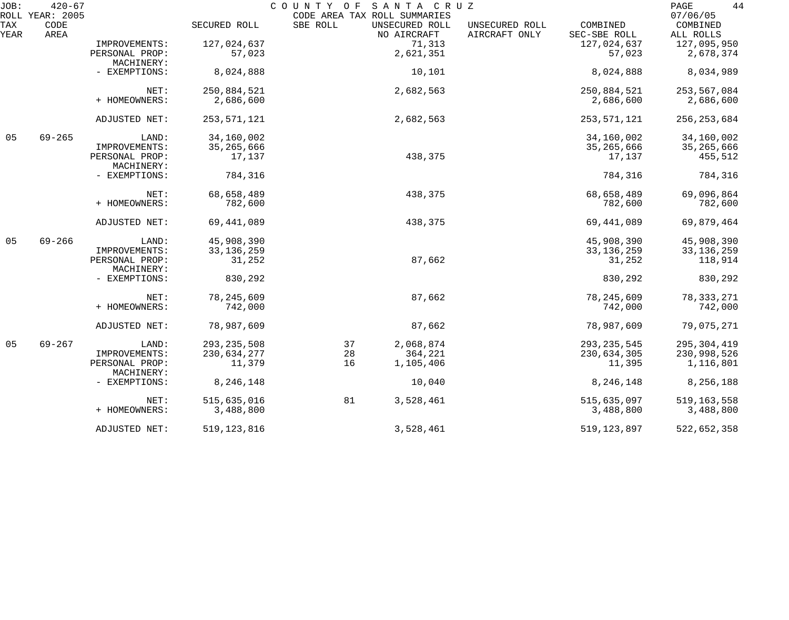| JOB:        | $420 - 67$                      |                              |               | COUNTY OF                                | SANTA CRUZ                    |                                 |                          | 44<br>PAGE                        |
|-------------|---------------------------------|------------------------------|---------------|------------------------------------------|-------------------------------|---------------------------------|--------------------------|-----------------------------------|
| TAX<br>YEAR | ROLL YEAR: 2005<br>CODE<br>AREA |                              | SECURED ROLL  | CODE AREA TAX ROLL SUMMARIES<br>SBE ROLL | UNSECURED ROLL<br>NO AIRCRAFT | UNSECURED ROLL<br>AIRCRAFT ONLY | COMBINED<br>SEC-SBE ROLL | 07/06/05<br>COMBINED<br>ALL ROLLS |
|             |                                 | IMPROVEMENTS:                | 127,024,637   |                                          | 71,313                        |                                 | 127,024,637              | 127,095,950                       |
|             |                                 | PERSONAL PROP:<br>MACHINERY: | 57,023        |                                          | 2,621,351                     |                                 | 57,023                   | 2,678,374                         |
|             |                                 | - EXEMPTIONS:                | 8,024,888     |                                          | 10,101                        |                                 | 8,024,888                | 8,034,989                         |
|             |                                 | NET:                         | 250,884,521   |                                          | 2,682,563                     |                                 | 250,884,521              | 253,567,084                       |
|             |                                 | + HOMEOWNERS:                | 2,686,600     |                                          |                               |                                 | 2,686,600                | 2,686,600                         |
|             |                                 | ADJUSTED NET:                | 253, 571, 121 |                                          | 2,682,563                     |                                 | 253,571,121              | 256, 253, 684                     |
| 05          | $69 - 265$                      | LAND:                        | 34,160,002    |                                          |                               |                                 | 34,160,002               | 34,160,002                        |
|             |                                 | IMPROVEMENTS:                | 35, 265, 666  |                                          |                               |                                 | 35,265,666               | 35,265,666                        |
|             |                                 | PERSONAL PROP:<br>MACHINERY: | 17,137        |                                          | 438,375                       |                                 | 17,137                   | 455,512                           |
|             |                                 | - EXEMPTIONS:                | 784,316       |                                          |                               |                                 | 784,316                  | 784,316                           |
|             |                                 | NET:                         | 68,658,489    |                                          | 438,375                       |                                 | 68,658,489               | 69,096,864                        |
|             |                                 | + HOMEOWNERS:                | 782,600       |                                          |                               |                                 | 782,600                  | 782,600                           |
|             |                                 | ADJUSTED NET:                | 69, 441, 089  |                                          | 438,375                       |                                 | 69, 441, 089             | 69,879,464                        |
| 05          | $69 - 266$                      | LAND:                        | 45,908,390    |                                          |                               |                                 | 45,908,390               | 45,908,390                        |
|             |                                 | IMPROVEMENTS:                | 33, 136, 259  |                                          |                               |                                 | 33, 136, 259             | 33, 136, 259                      |
|             |                                 | PERSONAL PROP:<br>MACHINERY: | 31,252        |                                          | 87,662                        |                                 | 31,252                   | 118,914                           |
|             |                                 | - EXEMPTIONS:                | 830,292       |                                          |                               |                                 | 830,292                  | 830,292                           |
|             |                                 | NET:                         | 78, 245, 609  |                                          | 87,662                        |                                 | 78, 245, 609             | 78, 333, 271                      |
|             |                                 | + HOMEOWNERS:                | 742,000       |                                          |                               |                                 | 742,000                  | 742,000                           |
|             |                                 | ADJUSTED NET:                | 78,987,609    |                                          | 87,662                        |                                 | 78,987,609               | 79,075,271                        |
| 05          | $69 - 267$                      | LAND:                        | 293, 235, 508 | 37                                       | 2,068,874                     |                                 | 293, 235, 545            | 295, 304, 419                     |
|             |                                 | IMPROVEMENTS:                | 230,634,277   | 28                                       | 364,221                       |                                 | 230,634,305              | 230,998,526                       |
|             |                                 | PERSONAL PROP:<br>MACHINERY: | 11,379        | 16                                       | 1,105,406                     |                                 | 11,395                   | 1,116,801                         |
|             |                                 | - EXEMPTIONS:                | 8,246,148     |                                          | 10,040                        |                                 | 8,246,148                | 8,256,188                         |
|             |                                 | NET:                         | 515,635,016   | 81                                       | 3,528,461                     |                                 | 515,635,097              | 519, 163, 558                     |
|             |                                 | + HOMEOWNERS:                | 3,488,800     |                                          |                               |                                 | 3,488,800                | 3,488,800                         |
|             |                                 | ADJUSTED NET:                | 519, 123, 816 |                                          | 3,528,461                     |                                 | 519, 123, 897            | 522,652,358                       |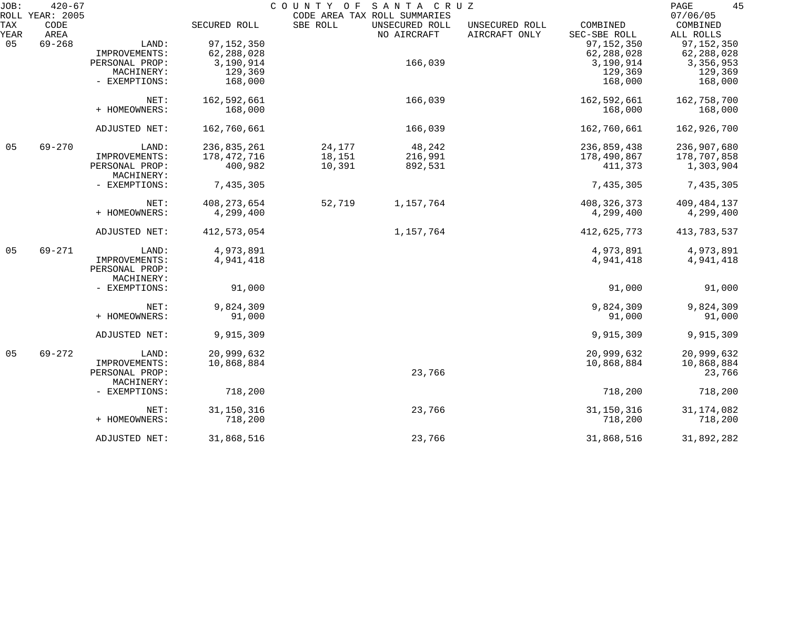| JOB: | $420 - 67$              |                |               | COUNTY OF | SANTA CRUZ                                     |                |               | 45<br>PAGE           |
|------|-------------------------|----------------|---------------|-----------|------------------------------------------------|----------------|---------------|----------------------|
| TAX  | ROLL YEAR: 2005<br>CODE |                | SECURED ROLL  | SBE ROLL  | CODE AREA TAX ROLL SUMMARIES<br>UNSECURED ROLL | UNSECURED ROLL | COMBINED      | 07/06/05<br>COMBINED |
| YEAR | AREA                    |                |               |           | NO AIRCRAFT                                    | AIRCRAFT ONLY  | SEC-SBE ROLL  | ALL ROLLS            |
| 05   | $69 - 268$              | LAND:          | 97, 152, 350  |           |                                                |                | 97, 152, 350  | 97, 152, 350         |
|      |                         | IMPROVEMENTS:  | 62,288,028    |           |                                                |                | 62,288,028    | 62,288,028           |
|      |                         |                |               |           | 166,039                                        |                |               |                      |
|      |                         | PERSONAL PROP: | 3,190,914     |           |                                                |                | 3,190,914     | 3,356,953            |
|      |                         | MACHINERY:     | 129,369       |           |                                                |                | 129,369       | 129,369              |
|      |                         | - EXEMPTIONS:  | 168,000       |           |                                                |                | 168,000       | 168,000              |
|      |                         | NET:           | 162,592,661   |           | 166,039                                        |                | 162,592,661   | 162,758,700          |
|      |                         | + HOMEOWNERS:  | 168,000       |           |                                                |                | 168,000       | 168,000              |
|      |                         |                |               |           |                                                |                |               |                      |
|      |                         | ADJUSTED NET:  | 162,760,661   |           | 166,039                                        |                | 162,760,661   | 162,926,700          |
| 05   | $69 - 270$              | LAND:          | 236,835,261   | 24,177    | 48,242                                         |                | 236,859,438   | 236,907,680          |
|      |                         | IMPROVEMENTS:  | 178,472,716   | 18,151    | 216,991                                        |                | 178,490,867   | 178,707,858          |
|      |                         | PERSONAL PROP: | 400,982       | 10,391    | 892,531                                        |                | 411,373       | 1,303,904            |
|      |                         | MACHINERY:     |               |           |                                                |                |               |                      |
|      |                         | - EXEMPTIONS:  | 7,435,305     |           |                                                |                | 7,435,305     | 7,435,305            |
|      |                         |                |               |           |                                                |                |               |                      |
|      |                         | NET:           | 408, 273, 654 | 52,719    | 1,157,764                                      |                | 408, 326, 373 | 409, 484, 137        |
|      |                         | + HOMEOWNERS:  | 4,299,400     |           |                                                |                | 4,299,400     | 4,299,400            |
|      |                         | ADJUSTED NET:  | 412,573,054   |           | 1,157,764                                      |                | 412,625,773   | 413,783,537          |
| 05   | $69 - 271$              | LAND:          | 4,973,891     |           |                                                |                | 4,973,891     | 4,973,891            |
|      |                         | IMPROVEMENTS:  | 4,941,418     |           |                                                |                | 4,941,418     | 4,941,418            |
|      |                         | PERSONAL PROP: |               |           |                                                |                |               |                      |
|      |                         | MACHINERY:     |               |           |                                                |                |               |                      |
|      |                         |                |               |           |                                                |                |               |                      |
|      |                         | - EXEMPTIONS:  | 91,000        |           |                                                |                | 91,000        | 91,000               |
|      |                         | NET:           | 9,824,309     |           |                                                |                | 9,824,309     | 9,824,309            |
|      |                         | + HOMEOWNERS:  | 91,000        |           |                                                |                | 91,000        | 91,000               |
|      |                         |                |               |           |                                                |                |               |                      |
|      |                         | ADJUSTED NET:  | 9,915,309     |           |                                                |                | 9,915,309     | 9,915,309            |
| 05   | $69 - 272$              | LAND:          | 20,999,632    |           |                                                |                | 20,999,632    | 20,999,632           |
|      |                         | IMPROVEMENTS:  | 10,868,884    |           |                                                |                | 10,868,884    | 10,868,884           |
|      |                         | PERSONAL PROP: |               |           | 23,766                                         |                |               | 23,766               |
|      |                         | MACHINERY:     |               |           |                                                |                |               |                      |
|      |                         | - EXEMPTIONS:  | 718,200       |           |                                                |                | 718,200       | 718,200              |
|      |                         |                |               |           |                                                |                |               |                      |
|      |                         | NET:           | 31, 150, 316  |           | 23,766                                         |                | 31, 150, 316  | 31, 174, 082         |
|      |                         | + HOMEOWNERS:  | 718,200       |           |                                                |                | 718,200       | 718,200              |
|      |                         | ADJUSTED NET:  | 31,868,516    |           | 23,766                                         |                | 31,868,516    | 31,892,282           |
|      |                         |                |               |           |                                                |                |               |                      |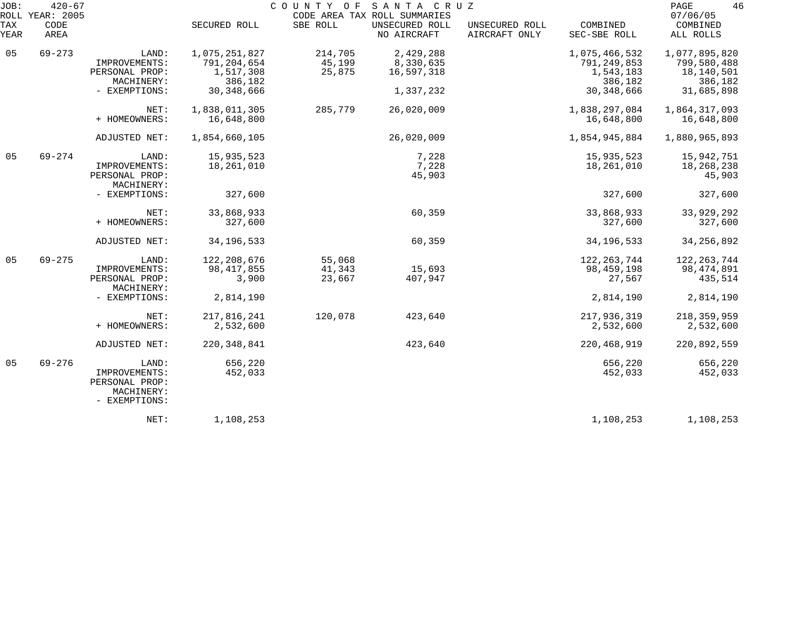| JOB:        | $420 - 67$<br>ROLL YEAR: 2005 |                                                                         |                                        | COUNTY OF SANTA CRUZ       | CODE AREA TAX ROLL SUMMARIES  |                                 |                                       | 46<br>PAGE<br>07/06/05                   |
|-------------|-------------------------------|-------------------------------------------------------------------------|----------------------------------------|----------------------------|-------------------------------|---------------------------------|---------------------------------------|------------------------------------------|
| TAX<br>YEAR | CODE<br>AREA                  |                                                                         | SECURED ROLL                           | SBE ROLL                   | UNSECURED ROLL<br>NO AIRCRAFT | UNSECURED ROLL<br>AIRCRAFT ONLY | COMBINED<br>SEC-SBE ROLL              | COMBINED<br>ALL ROLLS                    |
| 05          | $69 - 273$                    | LAND:<br>IMPROVEMENTS:                                                  | 1,075,251,827<br>791, 204, 654         | 214,705<br>45,199          | 2,429,288<br>8,330,635        |                                 | 1,075,466,532<br>791, 249, 853        | 1,077,895,820<br>799,580,488             |
|             |                               | PERSONAL PROP:<br>MACHINERY:                                            | 1,517,308<br>386,182                   | 25,875                     | 16,597,318                    |                                 | 1,543,183<br>386,182                  | 18,140,501<br>386,182                    |
|             |                               | - EXEMPTIONS:                                                           | 30, 348, 666                           |                            | 1,337,232                     |                                 | 30, 348, 666                          | 31,685,898                               |
|             |                               | NET:<br>+ HOMEOWNERS:                                                   | 1,838,011,305<br>16,648,800            | 285,779                    | 26,020,009                    |                                 | 1,838,297,084<br>16,648,800           | 1,864,317,093<br>16,648,800              |
|             |                               | ADJUSTED NET:                                                           | 1,854,660,105                          |                            | 26,020,009                    |                                 | 1,854,945,884                         | 1,880,965,893                            |
| 05          | $69 - 274$                    | LAND:<br>IMPROVEMENTS:<br>PERSONAL PROP:<br>MACHINERY:                  | 15,935,523<br>18,261,010               |                            | 7,228<br>7,228<br>45,903      |                                 | 15,935,523<br>18,261,010              | 15,942,751<br>18,268,238<br>45,903       |
|             |                               | - EXEMPTIONS:                                                           | 327,600                                |                            |                               |                                 | 327,600                               | 327,600                                  |
|             |                               | NET:<br>+ HOMEOWNERS:                                                   | 33,868,933<br>327,600                  |                            | 60,359                        |                                 | 33,868,933<br>327,600                 | 33,929,292<br>327,600                    |
|             |                               | ADJUSTED NET:                                                           | 34, 196, 533                           |                            | 60,359                        |                                 | 34, 196, 533                          | 34, 256, 892                             |
| 05          | $69 - 275$                    | LAND:<br>IMPROVEMENTS:<br>PERSONAL PROP:<br>MACHINERY:                  | 122, 208, 676<br>98, 417, 855<br>3,900 | 55,068<br>41,343<br>23,667 | 15,693<br>407,947             |                                 | 122, 263, 744<br>98,459,198<br>27,567 | 122, 263, 744<br>98, 474, 891<br>435,514 |
|             |                               | - EXEMPTIONS:                                                           | 2,814,190                              |                            |                               |                                 | 2,814,190                             | 2,814,190                                |
|             |                               | NET:<br>+ HOMEOWNERS:                                                   | 217,816,241<br>2,532,600               | 120,078                    | 423,640                       |                                 | 217,936,319<br>2,532,600              | 218, 359, 959<br>2,532,600               |
|             |                               | ADJUSTED NET:                                                           | 220, 348, 841                          |                            | 423,640                       |                                 | 220,468,919                           | 220,892,559                              |
| 05          | $69 - 276$                    | LAND:<br>IMPROVEMENTS:<br>PERSONAL PROP:<br>MACHINERY:<br>- EXEMPTIONS: | 656,220<br>452,033                     |                            |                               |                                 | 656,220<br>452,033                    | 656,220<br>452,033                       |
|             |                               | NET:                                                                    | 1,108,253                              |                            |                               |                                 | 1,108,253                             | 1,108,253                                |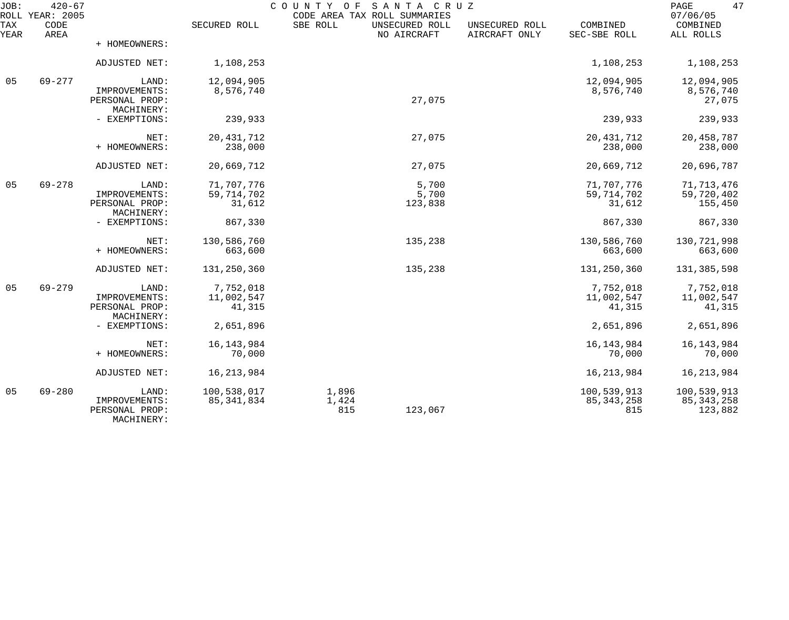| JOB:        | $420 - 67$<br>ROLL YEAR: 2005 |                                               |                        | COUNTY OF SANTA CRUZ<br>CODE AREA TAX ROLL SUMMARIES |                                 |                          | 47<br>PAGE<br>07/06/05  |
|-------------|-------------------------------|-----------------------------------------------|------------------------|------------------------------------------------------|---------------------------------|--------------------------|-------------------------|
| TAX<br>YEAR | CODE<br>AREA                  |                                               | SECURED ROLL           | SBE ROLL<br>UNSECURED ROLL<br>NO AIRCRAFT            | UNSECURED ROLL<br>AIRCRAFT ONLY | COMBINED<br>SEC-SBE ROLL | COMBINED<br>ALL ROLLS   |
|             |                               | + HOMEOWNERS:                                 |                        |                                                      |                                 |                          |                         |
|             |                               | ADJUSTED NET:                                 | 1,108,253              |                                                      |                                 | 1,108,253                | 1,108,253               |
| 05          | $69 - 277$                    | LAND:                                         | 12,094,905             |                                                      |                                 | 12,094,905               | 12,094,905              |
|             |                               | IMPROVEMENTS:<br>PERSONAL PROP:<br>MACHINERY: | 8,576,740              | 27,075                                               |                                 | 8,576,740                | 8,576,740<br>27,075     |
|             |                               | - EXEMPTIONS:                                 | 239,933                |                                                      |                                 | 239,933                  | 239,933                 |
|             |                               | NET:                                          | 20, 431, 712           | 27,075                                               |                                 | 20, 431, 712             | 20,458,787              |
|             |                               | + HOMEOWNERS:                                 | 238,000                |                                                      |                                 | 238,000                  | 238,000                 |
|             |                               | ADJUSTED NET:                                 | 20,669,712             | 27,075                                               |                                 | 20,669,712               | 20,696,787              |
| 05          | $69 - 278$                    | LAND:                                         | 71,707,776             | 5,700                                                |                                 | 71,707,776               | 71, 713, 476            |
|             |                               | IMPROVEMENTS:<br>PERSONAL PROP:               | 59, 714, 702<br>31,612 | 5,700<br>123,838                                     |                                 | 59, 714, 702<br>31,612   | 59,720,402<br>155,450   |
|             |                               | MACHINERY:<br>- EXEMPTIONS:                   | 867,330                |                                                      |                                 | 867,330                  | 867,330                 |
|             |                               |                                               |                        |                                                      |                                 |                          |                         |
|             |                               | NET:<br>+ HOMEOWNERS:                         | 130,586,760<br>663,600 | 135,238                                              |                                 | 130,586,760<br>663,600   | 130,721,998<br>663,600  |
|             |                               |                                               |                        |                                                      |                                 |                          |                         |
|             |                               | ADJUSTED NET:                                 | 131,250,360            | 135,238                                              |                                 | 131,250,360              | 131,385,598             |
| 05          | $69 - 279$                    | LAND:                                         | 7,752,018              |                                                      |                                 | 7,752,018                | 7,752,018               |
|             |                               | IMPROVEMENTS:<br>PERSONAL PROP:               | 11,002,547<br>41,315   |                                                      |                                 | 11,002,547<br>41,315     | 11,002,547<br>41,315    |
|             |                               | MACHINERY:                                    |                        |                                                      |                                 |                          |                         |
|             |                               | - EXEMPTIONS:                                 | 2,651,896              |                                                      |                                 | 2,651,896                | 2,651,896               |
|             |                               | NET:                                          | 16, 143, 984           |                                                      |                                 | 16, 143, 984             | 16,143,984              |
|             |                               | + HOMEOWNERS:                                 | 70,000                 |                                                      |                                 | 70,000                   | 70,000                  |
|             |                               | ADJUSTED NET:                                 | 16, 213, 984           |                                                      |                                 | 16, 213, 984             | 16, 213, 984            |
| 05          | $69 - 280$                    | LAND:                                         | 100,538,017            | 1,896                                                |                                 | 100,539,913              | 100,539,913             |
|             |                               | IMPROVEMENTS:<br>PERSONAL PROP:<br>MACHINERY: | 85,341,834             | 1,424<br>815<br>123,067                              |                                 | 85, 343, 258<br>815      | 85, 343, 258<br>123,882 |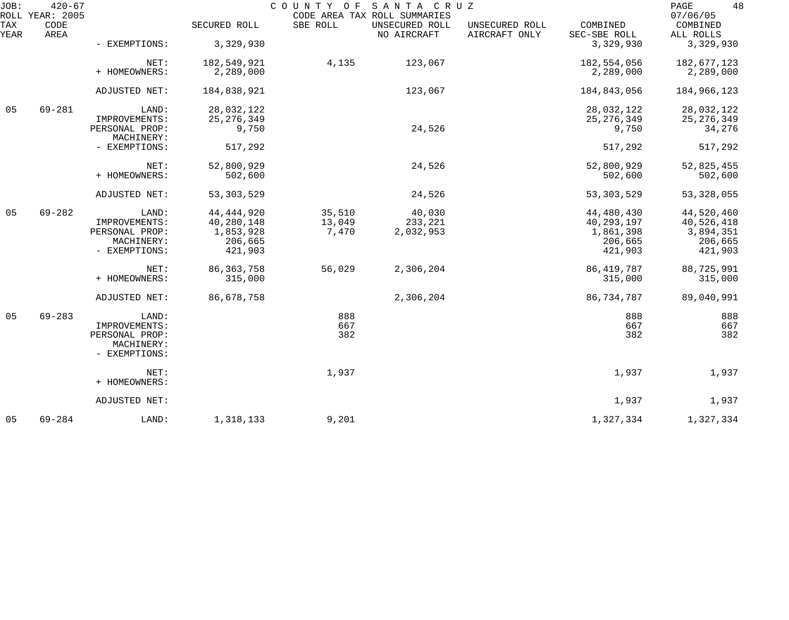| JOB:        | $420 - 67$<br>ROLL YEAR: 2005 |                              |              |          | COUNTY OF SANTA CRUZ<br>CODE AREA TAX ROLL SUMMARIES |                                 |                          | 48<br>PAGE<br>07/06/05 |
|-------------|-------------------------------|------------------------------|--------------|----------|------------------------------------------------------|---------------------------------|--------------------------|------------------------|
| TAX<br>YEAR | CODE<br>AREA                  |                              | SECURED ROLL | SBE ROLL | UNSECURED ROLL<br>NO AIRCRAFT                        | UNSECURED ROLL<br>AIRCRAFT ONLY | COMBINED<br>SEC-SBE ROLL | COMBINED<br>ALL ROLLS  |
|             |                               | - EXEMPTIONS:                | 3,329,930    |          |                                                      |                                 | 3,329,930                | 3,329,930              |
|             |                               | NET:                         | 182,549,921  | 4,135    | 123,067                                              |                                 | 182,554,056              | 182,677,123            |
|             |                               | + HOMEOWNERS:                | 2,289,000    |          |                                                      |                                 | 2,289,000                | 2,289,000              |
|             |                               | ADJUSTED NET:                | 184,838,921  |          | 123,067                                              |                                 | 184,843,056              | 184,966,123            |
| 05          | $69 - 281$                    | LAND:                        | 28,032,122   |          |                                                      |                                 | 28,032,122               | 28,032,122             |
|             |                               | IMPROVEMENTS:                | 25, 276, 349 |          |                                                      |                                 | 25, 276, 349             | 25, 276, 349           |
|             |                               | PERSONAL PROP:<br>MACHINERY: | 9,750        |          | 24,526                                               |                                 | 9,750                    | 34,276                 |
|             |                               | - EXEMPTIONS:                | 517,292      |          |                                                      |                                 | 517,292                  | 517,292                |
|             |                               | NET:                         | 52,800,929   |          | 24,526                                               |                                 | 52,800,929               | 52,825,455             |
|             |                               | + HOMEOWNERS:                | 502,600      |          |                                                      |                                 | 502,600                  | 502,600                |
|             |                               | ADJUSTED NET:                | 53, 303, 529 |          | 24,526                                               |                                 | 53, 303, 529             | 53, 328, 055           |
| 05          | $69 - 282$                    | LAND:                        | 44, 444, 920 | 35,510   | 40,030                                               |                                 | 44,480,430               | 44,520,460             |
|             |                               | IMPROVEMENTS:                | 40,280,148   | 13,049   | 233,221                                              |                                 | 40, 293, 197             | 40,526,418             |
|             |                               | PERSONAL PROP:               | 1,853,928    | 7,470    | 2,032,953                                            |                                 | 1,861,398                | 3,894,351              |
|             |                               | MACHINERY:                   | 206,665      |          |                                                      |                                 | 206,665                  | 206,665                |
|             |                               | - EXEMPTIONS:                | 421,903      |          |                                                      |                                 | 421,903                  | 421,903                |
|             |                               | NET:                         | 86, 363, 758 | 56,029   | 2,306,204                                            |                                 | 86, 419, 787             | 88,725,991             |
|             |                               | + HOMEOWNERS:                | 315,000      |          |                                                      |                                 | 315,000                  | 315,000                |
|             |                               | ADJUSTED NET:                | 86,678,758   |          | 2,306,204                                            |                                 | 86,734,787               | 89,040,991             |
| 05          | $69 - 283$                    | LAND:                        |              | 888      |                                                      |                                 | 888                      | 888                    |
|             |                               | IMPROVEMENTS:                |              | 667      |                                                      |                                 | 667                      | 667                    |
|             |                               | PERSONAL PROP:               |              | 382      |                                                      |                                 | 382                      | 382                    |
|             |                               | MACHINERY:                   |              |          |                                                      |                                 |                          |                        |
|             |                               | - EXEMPTIONS:                |              |          |                                                      |                                 |                          |                        |
|             |                               | NET:                         |              | 1,937    |                                                      |                                 | 1,937                    | 1,937                  |
|             |                               | + HOMEOWNERS:                |              |          |                                                      |                                 |                          |                        |
|             |                               | ADJUSTED NET:                |              |          |                                                      |                                 | 1,937                    | 1,937                  |
| 05          | $69 - 284$                    | LAND:                        | 1,318,133    | 9,201    |                                                      |                                 | 1,327,334                | 1,327,334              |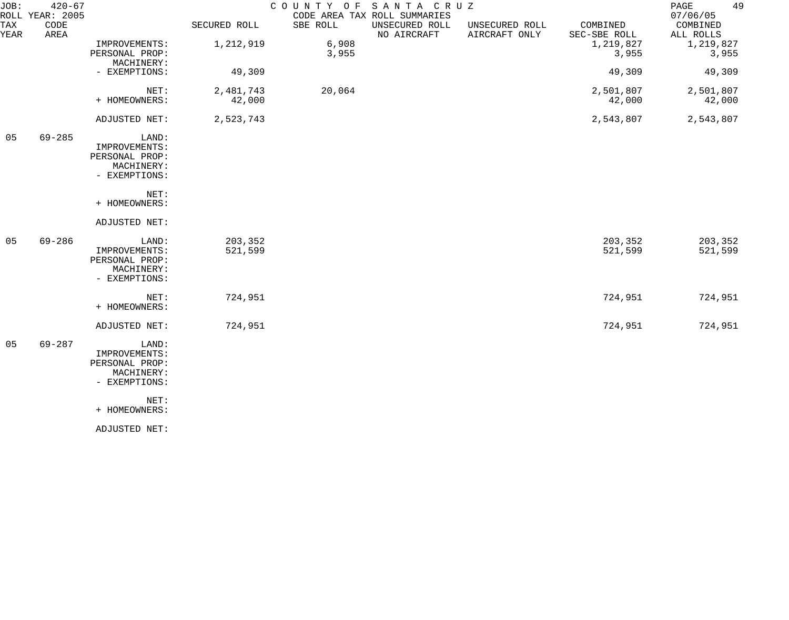| JOB:        | $420 - 67$<br>ROLL YEAR: 2005 |                                                                         |                     | COUNTY OF      | SANTA CRUZ<br>CODE AREA TAX ROLL SUMMARIES |                                 |                          | 49<br>PAGE<br>07/06/05 |
|-------------|-------------------------------|-------------------------------------------------------------------------|---------------------|----------------|--------------------------------------------|---------------------------------|--------------------------|------------------------|
| TAX<br>YEAR | CODE<br>AREA                  |                                                                         | SECURED ROLL        | SBE ROLL       | UNSECURED ROLL<br>NO AIRCRAFT              | UNSECURED ROLL<br>AIRCRAFT ONLY | COMBINED<br>SEC-SBE ROLL | COMBINED<br>ALL ROLLS  |
|             |                               | IMPROVEMENTS:<br>PERSONAL PROP:<br>MACHINERY:                           | 1,212,919           | 6,908<br>3,955 |                                            |                                 | 1,219,827<br>3,955       | 1,219,827<br>3,955     |
|             |                               | - EXEMPTIONS:                                                           | 49,309              |                |                                            |                                 | 49,309                   | 49,309                 |
|             |                               | NET:<br>+ HOMEOWNERS:                                                   | 2,481,743<br>42,000 | 20,064         |                                            |                                 | 2,501,807<br>42,000      | 2,501,807<br>42,000    |
|             |                               | ADJUSTED NET:                                                           | 2,523,743           |                |                                            |                                 | 2,543,807                | 2,543,807              |
| 05          | $69 - 285$                    | LAND:<br>IMPROVEMENTS:<br>PERSONAL PROP:<br>MACHINERY:<br>- EXEMPTIONS: |                     |                |                                            |                                 |                          |                        |
|             |                               | NET:<br>+ HOMEOWNERS:                                                   |                     |                |                                            |                                 |                          |                        |
|             |                               | ADJUSTED NET:                                                           |                     |                |                                            |                                 |                          |                        |
| 05          | $69 - 286$                    | LAND:<br>IMPROVEMENTS:<br>PERSONAL PROP:<br>MACHINERY:<br>- EXEMPTIONS: | 203,352<br>521,599  |                |                                            |                                 | 203,352<br>521,599       | 203,352<br>521,599     |
|             |                               | NET:<br>+ HOMEOWNERS:                                                   | 724,951             |                |                                            |                                 | 724,951                  | 724,951                |
|             |                               | ADJUSTED NET:                                                           | 724,951             |                |                                            |                                 | 724,951                  | 724,951                |
| 05          | $69 - 287$                    | LAND:<br>IMPROVEMENTS:<br>PERSONAL PROP:<br>MACHINERY:<br>- EXEMPTIONS: |                     |                |                                            |                                 |                          |                        |
|             |                               | NET:<br>+ HOMEOWNERS:                                                   |                     |                |                                            |                                 |                          |                        |
|             |                               | ADJUSTED NET:                                                           |                     |                |                                            |                                 |                          |                        |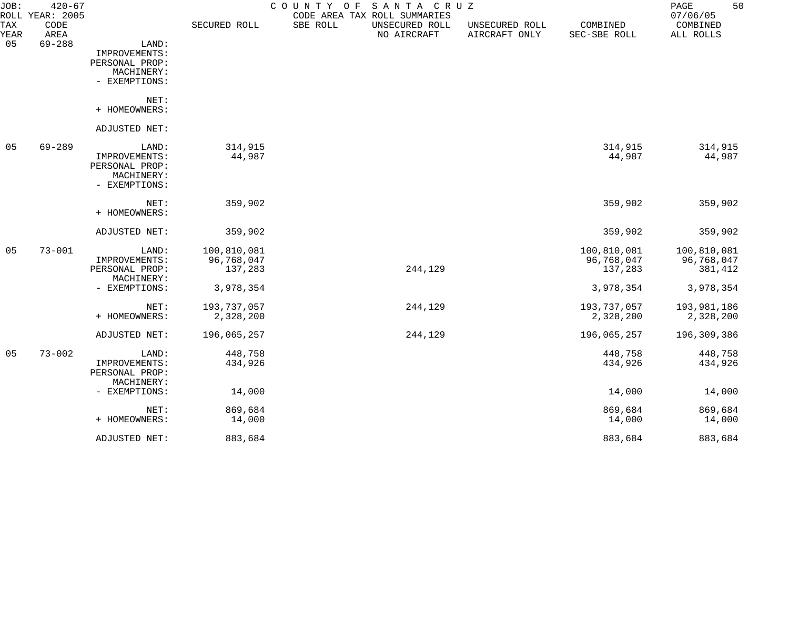| JOB:        | $420 - 67$<br>ROLL YEAR: 2005 |                |              | COUNTY OF | SANTA CRUZ<br>CODE AREA TAX ROLL SUMMARIES |                                 |                          | 50<br>PAGE<br>07/06/05 |
|-------------|-------------------------------|----------------|--------------|-----------|--------------------------------------------|---------------------------------|--------------------------|------------------------|
| TAX<br>YEAR | CODE<br>AREA                  |                | SECURED ROLL | SBE ROLL  | UNSECURED ROLL<br>NO AIRCRAFT              | UNSECURED ROLL<br>AIRCRAFT ONLY | COMBINED<br>SEC-SBE ROLL | COMBINED<br>ALL ROLLS  |
| 05          | $69 - 288$                    | LAND:          |              |           |                                            |                                 |                          |                        |
|             |                               | IMPROVEMENTS:  |              |           |                                            |                                 |                          |                        |
|             |                               | PERSONAL PROP: |              |           |                                            |                                 |                          |                        |
|             |                               | MACHINERY:     |              |           |                                            |                                 |                          |                        |
|             |                               | - EXEMPTIONS:  |              |           |                                            |                                 |                          |                        |
|             |                               | NET:           |              |           |                                            |                                 |                          |                        |
|             |                               | + HOMEOWNERS:  |              |           |                                            |                                 |                          |                        |
|             |                               | ADJUSTED NET:  |              |           |                                            |                                 |                          |                        |
| 05          | $69 - 289$                    | LAND:          | 314,915      |           |                                            |                                 | 314,915                  | 314,915                |
|             |                               | IMPROVEMENTS:  | 44,987       |           |                                            |                                 | 44,987                   | 44,987                 |
|             |                               | PERSONAL PROP: |              |           |                                            |                                 |                          |                        |
|             |                               | MACHINERY:     |              |           |                                            |                                 |                          |                        |
|             |                               | - EXEMPTIONS:  |              |           |                                            |                                 |                          |                        |
|             |                               | NET:           | 359,902      |           |                                            |                                 | 359,902                  | 359,902                |
|             |                               | + HOMEOWNERS:  |              |           |                                            |                                 |                          |                        |
|             |                               | ADJUSTED NET:  | 359,902      |           |                                            |                                 | 359,902                  | 359,902                |
| 05          | $73 - 001$                    | LAND:          | 100,810,081  |           |                                            |                                 | 100,810,081              | 100,810,081            |
|             |                               | IMPROVEMENTS:  | 96,768,047   |           |                                            |                                 | 96,768,047               | 96,768,047             |
|             |                               | PERSONAL PROP: | 137,283      |           | 244,129                                    |                                 | 137,283                  | 381,412                |
|             |                               | MACHINERY:     |              |           |                                            |                                 |                          |                        |
|             |                               | - EXEMPTIONS:  | 3,978,354    |           |                                            |                                 | 3,978,354                | 3,978,354              |
|             |                               | NET:           | 193,737,057  |           | 244,129                                    |                                 | 193,737,057              | 193,981,186            |
|             |                               | + HOMEOWNERS:  | 2,328,200    |           |                                            |                                 | 2,328,200                | 2,328,200              |
|             |                               | ADJUSTED NET:  | 196,065,257  |           | 244,129                                    |                                 | 196,065,257              | 196,309,386            |
| 05          | $73 - 002$                    | LAND:          | 448,758      |           |                                            |                                 | 448,758                  | 448,758                |
|             |                               | IMPROVEMENTS:  | 434,926      |           |                                            |                                 | 434,926                  | 434,926                |
|             |                               | PERSONAL PROP: |              |           |                                            |                                 |                          |                        |
|             |                               | MACHINERY:     |              |           |                                            |                                 |                          |                        |
|             |                               | - EXEMPTIONS:  | 14,000       |           |                                            |                                 | 14,000                   | 14,000                 |
|             |                               | NET:           | 869,684      |           |                                            |                                 | 869,684                  | 869,684                |
|             |                               | + HOMEOWNERS:  | 14,000       |           |                                            |                                 | 14,000                   | 14,000                 |
|             |                               | ADJUSTED NET:  | 883,684      |           |                                            |                                 | 883,684                  | 883,684                |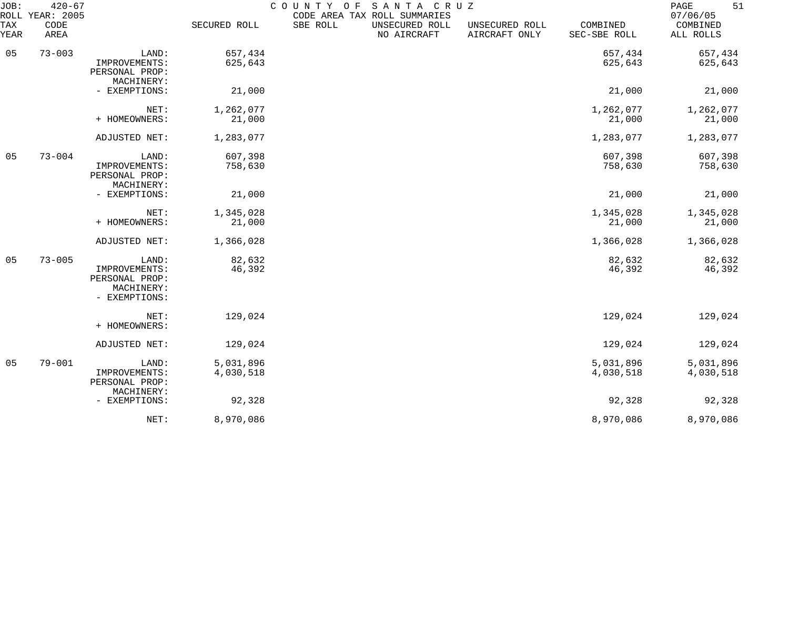| JOB:<br>ROLL   | $420 - 67$<br>YEAR: 2005 |                                                                         |                        | COUNTY OF | SANTA CRUZ<br>CODE AREA TAX ROLL SUMMARIES |                                 |                          | 51<br>PAGE<br>07/06/05 |
|----------------|--------------------------|-------------------------------------------------------------------------|------------------------|-----------|--------------------------------------------|---------------------------------|--------------------------|------------------------|
| TAX<br>YEAR    | CODE<br>AREA             |                                                                         | SECURED ROLL           | SBE ROLL  | UNSECURED ROLL<br>NO AIRCRAFT              | UNSECURED ROLL<br>AIRCRAFT ONLY | COMBINED<br>SEC-SBE ROLL | COMBINED<br>ALL ROLLS  |
| 05             | $73 - 003$               | LAND:<br>IMPROVEMENTS:<br>PERSONAL PROP:<br>MACHINERY:                  | 657,434<br>625,643     |           |                                            |                                 | 657,434<br>625,643       | 657,434<br>625,643     |
|                |                          | - EXEMPTIONS:                                                           | 21,000                 |           |                                            |                                 | 21,000                   | 21,000                 |
|                |                          | NET:<br>+ HOMEOWNERS:                                                   | 1,262,077<br>21,000    |           |                                            |                                 | 1,262,077<br>21,000      | 1,262,077<br>21,000    |
|                |                          | ADJUSTED NET:                                                           | 1,283,077              |           |                                            |                                 | 1,283,077                | 1,283,077              |
| 05             | $73 - 004$               | LAND:<br>IMPROVEMENTS:<br>PERSONAL PROP:<br>MACHINERY:                  | 607,398<br>758,630     |           |                                            |                                 | 607,398<br>758,630       | 607,398<br>758,630     |
|                |                          | - EXEMPTIONS:                                                           | 21,000                 |           |                                            |                                 | 21,000                   | 21,000                 |
|                |                          | NET:<br>+ HOMEOWNERS:                                                   | 1,345,028<br>21,000    |           |                                            |                                 | 1,345,028<br>21,000      | 1,345,028<br>21,000    |
|                |                          | ADJUSTED NET:                                                           | 1,366,028              |           |                                            |                                 | 1,366,028                | 1,366,028              |
| 05             | $73 - 005$               | LAND:<br>IMPROVEMENTS:<br>PERSONAL PROP:<br>MACHINERY:<br>- EXEMPTIONS: | 82,632<br>46,392       |           |                                            |                                 | 82,632<br>46,392         | 82,632<br>46,392       |
|                |                          | NET:<br>+ HOMEOWNERS:                                                   | 129,024                |           |                                            |                                 | 129,024                  | 129,024                |
|                |                          | ADJUSTED NET:                                                           | 129,024                |           |                                            |                                 | 129,024                  | 129,024                |
| 0 <sub>5</sub> | $79 - 001$               | LAND:<br>IMPROVEMENTS:<br>PERSONAL PROP:<br>MACHINERY:                  | 5,031,896<br>4,030,518 |           |                                            |                                 | 5,031,896<br>4,030,518   | 5,031,896<br>4,030,518 |
|                |                          | - EXEMPTIONS:                                                           | 92,328                 |           |                                            |                                 | 92,328                   | 92,328                 |
|                |                          | NET:                                                                    | 8,970,086              |           |                                            |                                 | 8,970,086                | 8,970,086              |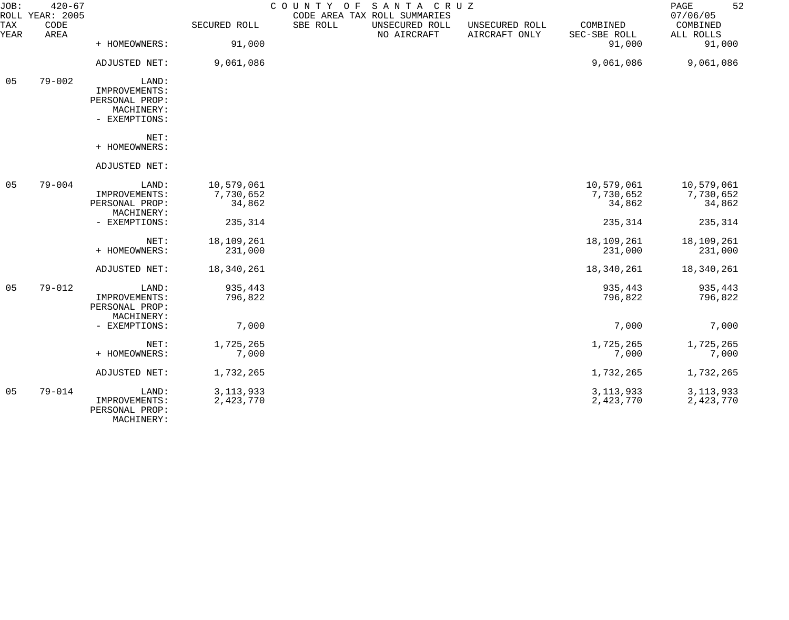| JOB:        | $420 - 67$<br>ROLL YEAR: 2005 |                |              | COUNTY OF<br>SANTA CRUZ<br>CODE AREA TAX ROLL SUMMARIES |                                 |                          | 52<br>PAGE<br>07/06/05 |
|-------------|-------------------------------|----------------|--------------|---------------------------------------------------------|---------------------------------|--------------------------|------------------------|
| TAX<br>YEAR | CODE<br>AREA                  |                | SECURED ROLL | SBE ROLL<br>UNSECURED ROLL<br>NO AIRCRAFT               | UNSECURED ROLL<br>AIRCRAFT ONLY | COMBINED<br>SEC-SBE ROLL | COMBINED<br>ALL ROLLS  |
|             |                               | + HOMEOWNERS:  | 91,000       |                                                         |                                 | 91,000                   | 91,000                 |
|             |                               | ADJUSTED NET:  | 9,061,086    |                                                         |                                 | 9,061,086                | 9,061,086              |
| 05          | $79 - 002$                    | LAND:          |              |                                                         |                                 |                          |                        |
|             |                               | IMPROVEMENTS:  |              |                                                         |                                 |                          |                        |
|             |                               | PERSONAL PROP: |              |                                                         |                                 |                          |                        |
|             |                               | MACHINERY:     |              |                                                         |                                 |                          |                        |
|             |                               | - EXEMPTIONS:  |              |                                                         |                                 |                          |                        |
|             |                               | NET:           |              |                                                         |                                 |                          |                        |
|             |                               | + HOMEOWNERS:  |              |                                                         |                                 |                          |                        |
|             |                               | ADJUSTED NET:  |              |                                                         |                                 |                          |                        |
| 05          | $79 - 004$                    | LAND:          | 10,579,061   |                                                         |                                 | 10,579,061               | 10,579,061             |
|             |                               | IMPROVEMENTS:  | 7,730,652    |                                                         |                                 | 7,730,652                | 7,730,652              |
|             |                               | PERSONAL PROP: | 34,862       |                                                         |                                 | 34,862                   | 34,862                 |
|             |                               | MACHINERY:     |              |                                                         |                                 |                          |                        |
|             |                               | - EXEMPTIONS:  | 235,314      |                                                         |                                 | 235,314                  | 235,314                |
|             |                               | NET:           | 18,109,261   |                                                         |                                 | 18,109,261               | 18,109,261             |
|             |                               | + HOMEOWNERS:  | 231,000      |                                                         |                                 | 231,000                  | 231,000                |
|             |                               | ADJUSTED NET:  | 18,340,261   |                                                         |                                 | 18,340,261               | 18,340,261             |
| 05          | $79 - 012$                    | LAND:          | 935,443      |                                                         |                                 | 935,443                  | 935,443                |
|             |                               | IMPROVEMENTS:  | 796,822      |                                                         |                                 | 796,822                  | 796,822                |
|             |                               | PERSONAL PROP: |              |                                                         |                                 |                          |                        |
|             |                               | MACHINERY:     |              |                                                         |                                 |                          |                        |
|             |                               | - EXEMPTIONS:  | 7,000        |                                                         |                                 | 7,000                    | 7,000                  |
|             |                               | NET:           | 1,725,265    |                                                         |                                 | 1,725,265                | 1,725,265              |
|             |                               | + HOMEOWNERS:  | 7,000        |                                                         |                                 | 7,000                    | 7,000                  |
|             |                               | ADJUSTED NET:  | 1,732,265    |                                                         |                                 | 1,732,265                | 1,732,265              |
| 05          | $79 - 014$                    | LAND:          | 3, 113, 933  |                                                         |                                 | 3, 113, 933              | 3, 113, 933            |
|             |                               | IMPROVEMENTS:  | 2,423,770    |                                                         |                                 | 2,423,770                | 2,423,770              |
|             |                               | PERSONAL PROP: |              |                                                         |                                 |                          |                        |
|             |                               |                |              |                                                         |                                 |                          |                        |

MACHINERY: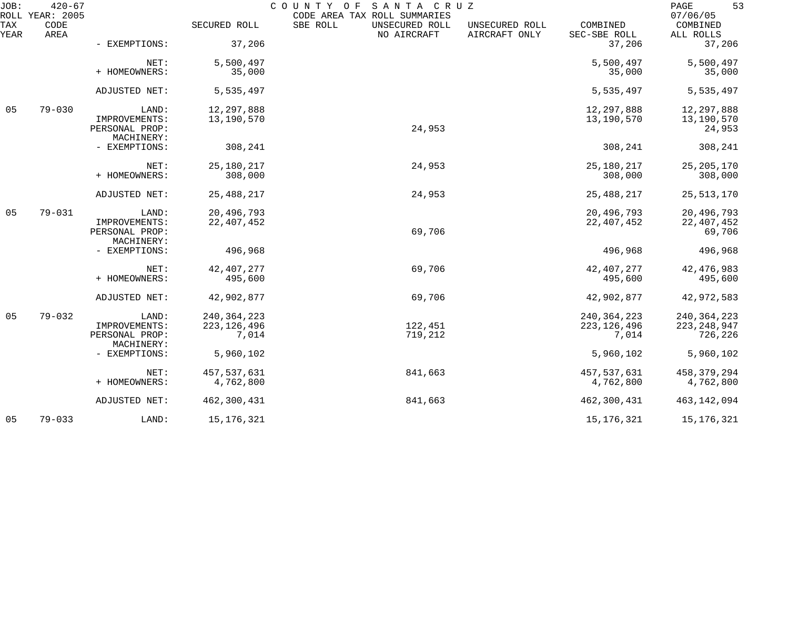| JOB:        | $420 - 67$<br>ROLL YEAR: 2005 |                                 |               | COUNTY<br>SANTA CRUZ<br>O F<br>CODE AREA TAX ROLL SUMMARIES |                                 |                          | 53<br>PAGE<br>07/06/05 |
|-------------|-------------------------------|---------------------------------|---------------|-------------------------------------------------------------|---------------------------------|--------------------------|------------------------|
| TAX<br>YEAR | CODE<br>AREA                  |                                 | SECURED ROLL  | SBE ROLL<br>UNSECURED ROLL<br>NO AIRCRAFT                   | UNSECURED ROLL<br>AIRCRAFT ONLY | COMBINED<br>SEC-SBE ROLL | COMBINED<br>ALL ROLLS  |
|             |                               | - EXEMPTIONS:                   | 37,206        |                                                             |                                 | 37,206                   | 37,206                 |
|             |                               | NET:                            | 5,500,497     |                                                             |                                 | 5,500,497                | 5,500,497              |
|             |                               | + HOMEOWNERS:                   | 35,000        |                                                             |                                 | 35,000                   | 35,000                 |
|             |                               | ADJUSTED NET:                   | 5,535,497     |                                                             |                                 | 5,535,497                | 5,535,497              |
| 05          | $79 - 030$                    | LAND:                           | 12, 297, 888  |                                                             |                                 | 12,297,888               | 12,297,888             |
|             |                               | IMPROVEMENTS:<br>PERSONAL PROP: | 13,190,570    | 24,953                                                      |                                 | 13,190,570               | 13,190,570<br>24,953   |
|             |                               | MACHINERY:                      |               |                                                             |                                 |                          |                        |
|             |                               | - EXEMPTIONS:                   | 308,241       |                                                             |                                 | 308,241                  | 308,241                |
|             |                               | NET:                            | 25, 180, 217  | 24,953                                                      |                                 | 25,180,217               | 25, 205, 170           |
|             |                               | + HOMEOWNERS:                   | 308,000       |                                                             |                                 | 308,000                  | 308,000                |
|             |                               | ADJUSTED NET:                   | 25, 488, 217  | 24,953                                                      |                                 | 25, 488, 217             | 25, 513, 170           |
| 05          | $79 - 031$                    | LAND:                           | 20,496,793    |                                                             |                                 | 20,496,793               | 20,496,793             |
|             |                               | IMPROVEMENTS:<br>PERSONAL PROP: | 22, 407, 452  | 69,706                                                      |                                 | 22, 407, 452             | 22, 407, 452<br>69,706 |
|             |                               | MACHINERY:                      |               |                                                             |                                 |                          |                        |
|             |                               | - EXEMPTIONS:                   | 496,968       |                                                             |                                 | 496,968                  | 496,968                |
|             |                               | NET:                            | 42, 407, 277  | 69,706                                                      |                                 | 42, 407, 277             | 42, 476, 983           |
|             |                               | + HOMEOWNERS:                   | 495,600       |                                                             |                                 | 495,600                  | 495,600                |
|             |                               | ADJUSTED NET:                   | 42,902,877    | 69,706                                                      |                                 | 42,902,877               | 42,972,583             |
| 05          | $79 - 032$                    | LAND:                           | 240, 364, 223 |                                                             |                                 | 240, 364, 223            | 240, 364, 223          |
|             |                               | IMPROVEMENTS:                   | 223, 126, 496 | 122,451                                                     |                                 | 223, 126, 496            | 223, 248, 947          |
|             |                               | PERSONAL PROP:<br>MACHINERY:    | 7,014         | 719,212                                                     |                                 | 7,014                    | 726,226                |
|             |                               | - EXEMPTIONS:                   | 5,960,102     |                                                             |                                 | 5,960,102                | 5,960,102              |
|             |                               | NET:                            | 457,537,631   | 841,663                                                     |                                 | 457, 537, 631            | 458, 379, 294          |
|             |                               | + HOMEOWNERS:                   | 4,762,800     |                                                             |                                 | 4,762,800                | 4,762,800              |
|             |                               | ADJUSTED NET:                   | 462,300,431   | 841,663                                                     |                                 | 462,300,431              | 463, 142, 094          |
| 05          | $79 - 033$                    | LAND:                           | 15, 176, 321  |                                                             |                                 | 15, 176, 321             | 15,176,321             |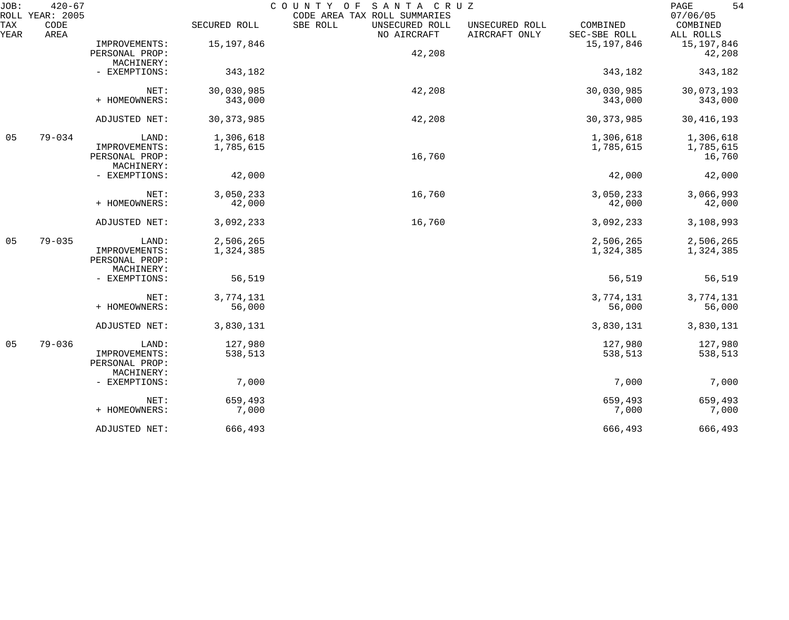| JOB:        | $420 - 67$<br>ROLL YEAR: 2005 |                                                        |                        | SANTA CRUZ<br>COUNTY OF<br>CODE AREA TAX ROLL SUMMARIES |                                                             | 54<br>PAGE<br>07/06/05           |
|-------------|-------------------------------|--------------------------------------------------------|------------------------|---------------------------------------------------------|-------------------------------------------------------------|----------------------------------|
| TAX<br>YEAR | CODE<br>AREA                  |                                                        | SECURED ROLL           | SBE ROLL<br>UNSECURED ROLL<br>NO AIRCRAFT               | COMBINED<br>UNSECURED ROLL<br>AIRCRAFT ONLY<br>SEC-SBE ROLL | COMBINED<br>ALL ROLLS            |
|             |                               | IMPROVEMENTS:<br>PERSONAL PROP:                        | 15, 197, 846           | 42,208                                                  | 15, 197, 846                                                | 15,197,846<br>42,208             |
|             |                               | MACHINERY:<br>- EXEMPTIONS:                            | 343,182                |                                                         | 343,182                                                     | 343,182                          |
|             |                               | NET:<br>+ HOMEOWNERS:                                  | 30,030,985<br>343,000  | 42,208                                                  | 30,030,985<br>343,000                                       | 30,073,193<br>343,000            |
|             |                               | ADJUSTED NET:                                          | 30, 373, 985           | 42,208                                                  | 30, 373, 985                                                | 30, 416, 193                     |
| 05          | $79 - 034$                    | LAND:<br>IMPROVEMENTS:<br>PERSONAL PROP:               | 1,306,618<br>1,785,615 | 16,760                                                  | 1,306,618<br>1,785,615                                      | 1,306,618<br>1,785,615<br>16,760 |
|             |                               | MACHINERY:<br>- EXEMPTIONS:                            | 42,000                 |                                                         | 42,000                                                      | 42,000                           |
|             |                               | NET:<br>+ HOMEOWNERS:                                  | 3,050,233<br>42,000    | 16,760                                                  | 3,050,233<br>42,000                                         | 3,066,993<br>42,000              |
|             |                               | ADJUSTED NET:                                          | 3,092,233              | 16,760                                                  | 3,092,233                                                   | 3,108,993                        |
| 05          | $79 - 035$                    | LAND:<br>IMPROVEMENTS:<br>PERSONAL PROP:<br>MACHINERY: | 2,506,265<br>1,324,385 |                                                         | 2,506,265<br>1,324,385                                      | 2,506,265<br>1,324,385           |
|             |                               | - EXEMPTIONS:                                          | 56,519                 |                                                         | 56,519                                                      | 56,519                           |
|             |                               | NET:<br>+ HOMEOWNERS:                                  | 3,774,131<br>56,000    |                                                         | 3,774,131<br>56,000                                         | 3,774,131<br>56,000              |
|             |                               | ADJUSTED NET:                                          | 3,830,131              |                                                         | 3,830,131                                                   | 3,830,131                        |
| 05          | $79 - 036$                    | LAND:<br>IMPROVEMENTS:<br>PERSONAL PROP:<br>MACHINERY: | 127,980<br>538,513     |                                                         | 127,980<br>538,513                                          | 127,980<br>538,513               |
|             |                               | - EXEMPTIONS:                                          | 7,000                  |                                                         | 7,000                                                       | 7,000                            |
|             |                               | NET:<br>+ HOMEOWNERS:                                  | 659,493<br>7,000       |                                                         | 659,493<br>7,000                                            | 659,493<br>7,000                 |
|             |                               | ADJUSTED NET:                                          | 666,493                |                                                         | 666,493                                                     | 666,493                          |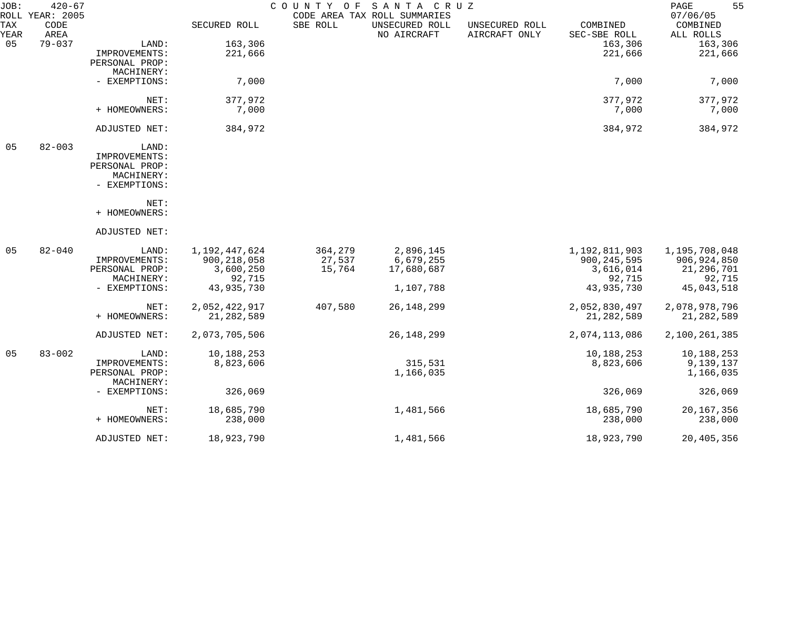| JOB:        | $420 - 67$<br>ROLL YEAR: 2005 |                |               | COUNTY OF | SANTA CRUZ<br>CODE AREA TAX ROLL SUMMARIES |                                 |                          | 55<br>PAGE<br>07/06/05 |
|-------------|-------------------------------|----------------|---------------|-----------|--------------------------------------------|---------------------------------|--------------------------|------------------------|
| TAX<br>YEAR | CODE<br>AREA                  |                | SECURED ROLL  | SBE ROLL  | UNSECURED ROLL<br>NO AIRCRAFT              | UNSECURED ROLL<br>AIRCRAFT ONLY | COMBINED<br>SEC-SBE ROLL | COMBINED<br>ALL ROLLS  |
| 05          | $79 - 037$                    | LAND:          | 163,306       |           |                                            |                                 | 163,306                  | 163,306                |
|             |                               | IMPROVEMENTS:  | 221,666       |           |                                            |                                 | 221,666                  | 221,666                |
|             |                               | PERSONAL PROP: |               |           |                                            |                                 |                          |                        |
|             |                               | MACHINERY:     |               |           |                                            |                                 |                          |                        |
|             |                               | - EXEMPTIONS:  | 7,000         |           |                                            |                                 | 7,000                    | 7,000                  |
|             |                               | NET:           | 377,972       |           |                                            |                                 | 377,972                  | 377,972                |
|             |                               | + HOMEOWNERS:  | 7,000         |           |                                            |                                 | 7,000                    | 7,000                  |
|             |                               | ADJUSTED NET:  | 384,972       |           |                                            |                                 | 384,972                  | 384,972                |
| 05          | $82 - 003$                    | LAND:          |               |           |                                            |                                 |                          |                        |
|             |                               | IMPROVEMENTS:  |               |           |                                            |                                 |                          |                        |
|             |                               | PERSONAL PROP: |               |           |                                            |                                 |                          |                        |
|             |                               | MACHINERY:     |               |           |                                            |                                 |                          |                        |
|             |                               | - EXEMPTIONS:  |               |           |                                            |                                 |                          |                        |
|             |                               | NET:           |               |           |                                            |                                 |                          |                        |
|             |                               | + HOMEOWNERS:  |               |           |                                            |                                 |                          |                        |
|             |                               | ADJUSTED NET:  |               |           |                                            |                                 |                          |                        |
| 05          | $82 - 040$                    | LAND:          | 1,192,447,624 | 364,279   | 2,896,145                                  |                                 | 1,192,811,903            | 1,195,708,048          |
|             |                               | IMPROVEMENTS:  | 900, 218, 058 | 27,537    | 6,679,255                                  |                                 | 900, 245, 595            | 906, 924, 850          |
|             |                               | PERSONAL PROP: | 3,600,250     | 15,764    | 17,680,687                                 |                                 | 3,616,014                | 21, 296, 701           |
|             |                               | MACHINERY:     | 92,715        |           |                                            |                                 | 92,715                   | 92,715                 |
|             |                               | - EXEMPTIONS:  | 43,935,730    |           | 1,107,788                                  |                                 | 43,935,730               | 45,043,518             |
|             |                               | NET:           | 2,052,422,917 | 407,580   | 26, 148, 299                               |                                 | 2,052,830,497            | 2,078,978,796          |
|             |                               | + HOMEOWNERS:  | 21, 282, 589  |           |                                            |                                 | 21, 282, 589             | 21, 282, 589           |
|             |                               | ADJUSTED NET:  | 2,073,705,506 |           | 26, 148, 299                               |                                 | 2,074,113,086            | 2,100,261,385          |
| 05          | $83 - 002$                    | LAND:          | 10,188,253    |           |                                            |                                 | 10,188,253               | 10,188,253             |
|             |                               | IMPROVEMENTS:  | 8,823,606     |           | 315,531                                    |                                 | 8,823,606                | 9,139,137              |
|             |                               | PERSONAL PROP: |               |           | 1,166,035                                  |                                 |                          | 1,166,035              |
|             |                               | MACHINERY:     |               |           |                                            |                                 |                          |                        |
|             |                               | - EXEMPTIONS:  | 326,069       |           |                                            |                                 | 326,069                  | 326,069                |
|             |                               | NET:           | 18,685,790    |           | 1,481,566                                  |                                 | 18,685,790               | 20, 167, 356           |
|             |                               | + HOMEOWNERS:  | 238,000       |           |                                            |                                 | 238,000                  | 238,000                |
|             |                               | ADJUSTED NET:  | 18,923,790    |           | 1,481,566                                  |                                 | 18,923,790               | 20,405,356             |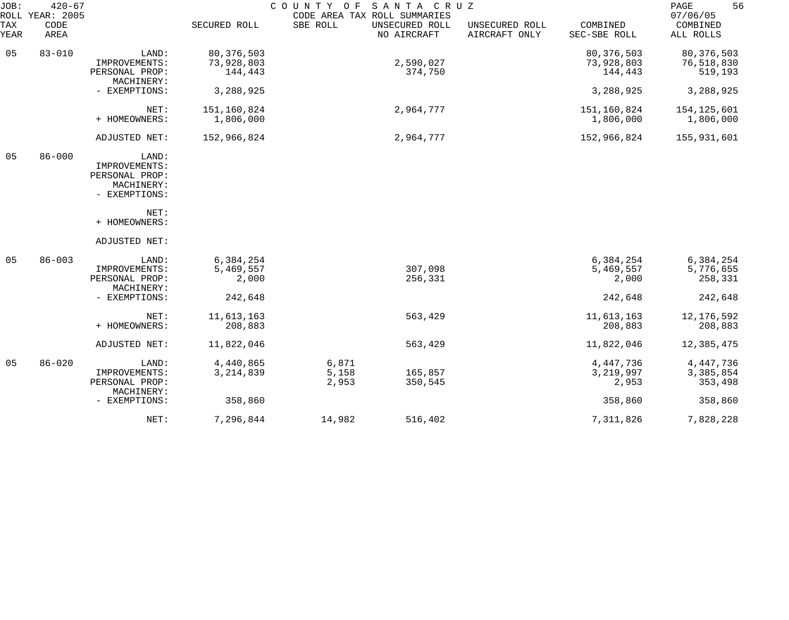| JOB:<br>ROLL | $420 - 67$<br>YEAR: 2005 |                                                                         |                                       | COUNTY OF               | SANTA CRUZ<br>CODE AREA TAX ROLL SUMMARIES |                                 |                                       | 56<br>PAGE<br>07/06/05                |
|--------------|--------------------------|-------------------------------------------------------------------------|---------------------------------------|-------------------------|--------------------------------------------|---------------------------------|---------------------------------------|---------------------------------------|
| TAX<br>YEAR  | CODE<br>AREA             |                                                                         | SECURED ROLL                          | SBE ROLL                | UNSECURED ROLL<br>NO AIRCRAFT              | UNSECURED ROLL<br>AIRCRAFT ONLY | COMBINED<br>SEC-SBE ROLL              | COMBINED<br>ALL ROLLS                 |
| 05           | $83 - 010$               | LAND:<br>IMPROVEMENTS:<br>PERSONAL PROP:                                | 80, 376, 503<br>73,928,803<br>144,443 |                         | 2,590,027<br>374,750                       |                                 | 80, 376, 503<br>73,928,803<br>144,443 | 80, 376, 503<br>76,518,830<br>519,193 |
|              |                          | MACHINERY:<br>- EXEMPTIONS:                                             | 3,288,925                             |                         |                                            |                                 | 3,288,925                             | 3,288,925                             |
|              |                          | NET:<br>+ HOMEOWNERS:                                                   | 151,160,824<br>1,806,000              |                         | 2,964,777                                  |                                 | 151,160,824<br>1,806,000              | 154,125,601<br>1,806,000              |
|              |                          | ADJUSTED NET:                                                           | 152,966,824                           |                         | 2,964,777                                  |                                 | 152,966,824                           | 155,931,601                           |
| 05           | $86 - 000$               | LAND:<br>IMPROVEMENTS:<br>PERSONAL PROP:<br>MACHINERY:<br>- EXEMPTIONS: |                                       |                         |                                            |                                 |                                       |                                       |
|              |                          | NET:<br>+ HOMEOWNERS:                                                   |                                       |                         |                                            |                                 |                                       |                                       |
|              |                          | ADJUSTED NET:                                                           |                                       |                         |                                            |                                 |                                       |                                       |
| 05           | $86 - 003$               | LAND:<br>IMPROVEMENTS:<br>PERSONAL PROP:<br>MACHINERY:                  | 6,384,254<br>5,469,557<br>2,000       |                         | 307,098<br>256,331                         |                                 | 6,384,254<br>5,469,557<br>2,000       | 6,384,254<br>5,776,655<br>258,331     |
|              |                          | - EXEMPTIONS:                                                           | 242,648                               |                         |                                            |                                 | 242,648                               | 242,648                               |
|              |                          | NET:<br>+ HOMEOWNERS:                                                   | 11,613,163<br>208,883                 |                         | 563,429                                    |                                 | 11,613,163<br>208,883                 | 12,176,592<br>208,883                 |
|              |                          | ADJUSTED NET:                                                           | 11,822,046                            |                         | 563,429                                    |                                 | 11,822,046                            | 12,385,475                            |
| 05           | $86 - 020$               | LAND:<br>IMPROVEMENTS:<br>PERSONAL PROP:<br>MACHINERY:                  | 4,440,865<br>3, 214, 839              | 6,871<br>5,158<br>2,953 | 165,857<br>350,545                         |                                 | 4, 447, 736<br>3, 219, 997<br>2,953   | 4, 447, 736<br>3,385,854<br>353,498   |
|              |                          | - EXEMPTIONS:                                                           | 358,860                               |                         |                                            |                                 | 358,860                               | 358,860                               |
|              |                          | NET:                                                                    | 7,296,844                             | 14,982                  | 516,402                                    |                                 | 7,311,826                             | 7,828,228                             |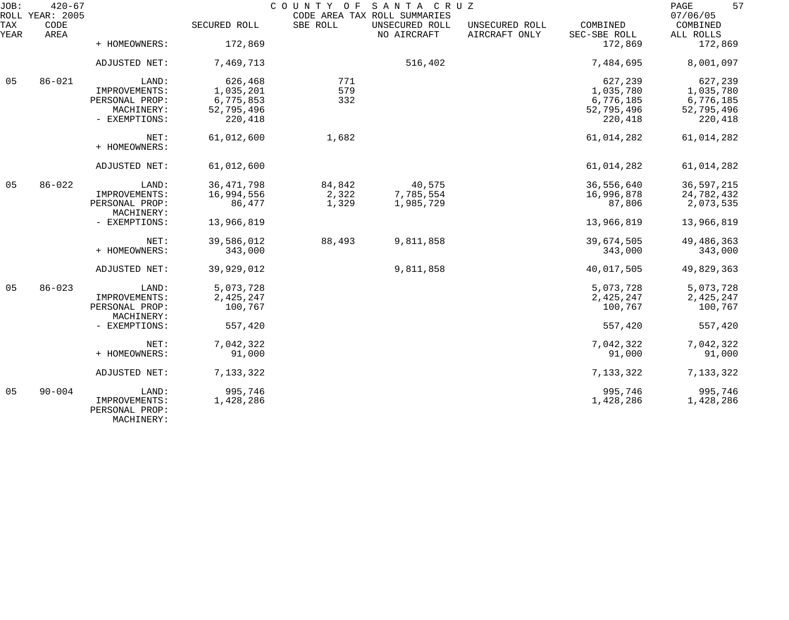| JOB:        | $420 - 67$<br>ROLL YEAR: 2005 |                                               |              |          | COUNTY OF SANTA CRUZ<br>CODE AREA TAX ROLL SUMMARIES |                                 |                          | 57<br>PAGE<br>07/06/05 |
|-------------|-------------------------------|-----------------------------------------------|--------------|----------|------------------------------------------------------|---------------------------------|--------------------------|------------------------|
| TAX<br>YEAR | CODE<br>AREA                  |                                               | SECURED ROLL | SBE ROLL | UNSECURED ROLL<br>NO AIRCRAFT                        | UNSECURED ROLL<br>AIRCRAFT ONLY | COMBINED<br>SEC-SBE ROLL | COMBINED<br>ALL ROLLS  |
|             |                               | + HOMEOWNERS:                                 | 172,869      |          |                                                      |                                 | 172,869                  | 172,869                |
|             |                               | ADJUSTED NET:                                 | 7,469,713    |          | 516,402                                              |                                 | 7,484,695                | 8,001,097              |
| 05          | $86 - 021$                    | LAND:                                         | 626,468      | 771      |                                                      |                                 | 627,239                  | 627,239                |
|             |                               | IMPROVEMENTS:                                 | 1,035,201    | 579      |                                                      |                                 | 1,035,780                | 1,035,780              |
|             |                               | PERSONAL PROP:                                | 6,775,853    | 332      |                                                      |                                 | 6,776,185                | 6,776,185              |
|             |                               | MACHINERY:                                    | 52,795,496   |          |                                                      |                                 | 52,795,496               | 52,795,496             |
|             |                               | - EXEMPTIONS:                                 | 220,418      |          |                                                      |                                 | 220,418                  | 220,418                |
|             |                               | NET:                                          | 61,012,600   | 1,682    |                                                      |                                 | 61,014,282               | 61,014,282             |
|             |                               | + HOMEOWNERS:                                 |              |          |                                                      |                                 |                          |                        |
|             |                               | ADJUSTED NET:                                 | 61,012,600   |          |                                                      |                                 | 61,014,282               | 61,014,282             |
| 05          | $86 - 022$                    | LAND:                                         | 36, 471, 798 | 84,842   | 40,575                                               |                                 | 36,556,640               | 36,597,215             |
|             |                               | IMPROVEMENTS:                                 | 16,994,556   | 2,322    | 7,785,554                                            |                                 | 16,996,878               | 24,782,432             |
|             |                               | PERSONAL PROP:                                | 86,477       | 1,329    | 1,985,729                                            |                                 | 87,806                   | 2,073,535              |
|             |                               | MACHINERY:                                    |              |          |                                                      |                                 |                          |                        |
|             |                               | - EXEMPTIONS:                                 | 13,966,819   |          |                                                      |                                 | 13,966,819               | 13,966,819             |
|             |                               | NET:                                          | 39,586,012   | 88,493   | 9,811,858                                            |                                 | 39,674,505               | 49, 486, 363           |
|             |                               | + HOMEOWNERS:                                 | 343,000      |          |                                                      |                                 | 343,000                  | 343,000                |
|             |                               | ADJUSTED NET:                                 | 39,929,012   |          | 9,811,858                                            |                                 | 40,017,505               | 49,829,363             |
| 05          | $86 - 023$                    | LAND:                                         | 5,073,728    |          |                                                      |                                 | 5,073,728                | 5,073,728              |
|             |                               | IMPROVEMENTS:                                 | 2,425,247    |          |                                                      |                                 | 2,425,247                | 2,425,247              |
|             |                               | PERSONAL PROP:<br>MACHINERY:                  | 100,767      |          |                                                      |                                 | 100,767                  | 100,767                |
|             |                               | - EXEMPTIONS:                                 | 557,420      |          |                                                      |                                 | 557,420                  | 557,420                |
|             |                               | NET:                                          | 7,042,322    |          |                                                      |                                 | 7,042,322                | 7,042,322              |
|             |                               | + HOMEOWNERS:                                 | 91,000       |          |                                                      |                                 | 91,000                   | 91,000                 |
|             |                               | ADJUSTED NET:                                 | 7,133,322    |          |                                                      |                                 | 7,133,322                | 7,133,322              |
| 05          | $90 - 004$                    | LAND:                                         | 995,746      |          |                                                      |                                 | 995,746                  | 995,746                |
|             |                               | IMPROVEMENTS:<br>PERSONAL PROP:<br>MACHINERY: | 1,428,286    |          |                                                      |                                 | 1,428,286                | 1,428,286              |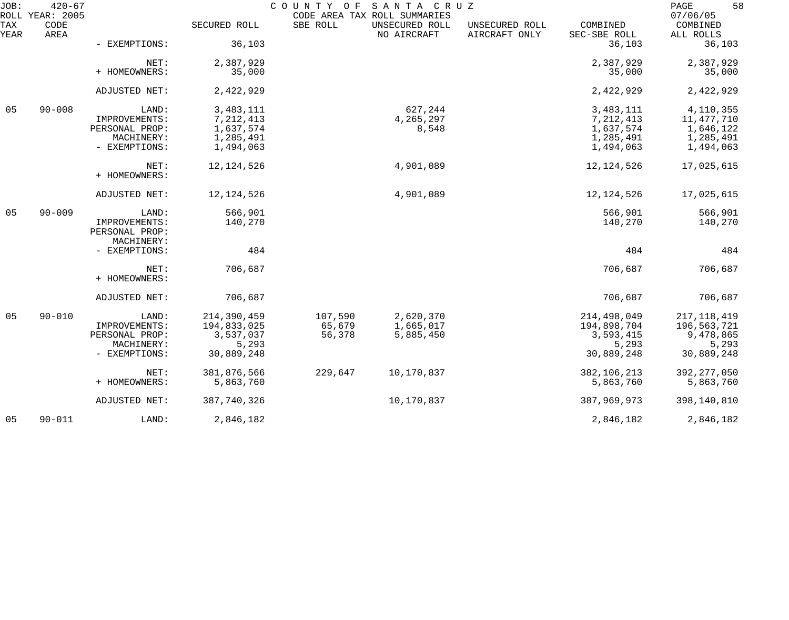| JOB:        | $420 - 67$<br>ROLL YEAR: 2005 |                                 |              | COUNTY OF | SANTA CRUZ<br>CODE AREA TAX ROLL SUMMARIES |                                 |                          | 58<br>PAGE<br>07/06/05 |
|-------------|-------------------------------|---------------------------------|--------------|-----------|--------------------------------------------|---------------------------------|--------------------------|------------------------|
| TAX<br>YEAR | CODE<br>AREA                  |                                 | SECURED ROLL | SBE ROLL  | UNSECURED ROLL<br>NO AIRCRAFT              | UNSECURED ROLL<br>AIRCRAFT ONLY | COMBINED<br>SEC-SBE ROLL | COMBINED<br>ALL ROLLS  |
|             |                               | - EXEMPTIONS:                   | 36,103       |           |                                            |                                 | 36,103                   | 36,103                 |
|             |                               | NET:                            | 2,387,929    |           |                                            |                                 | 2,387,929                | 2,387,929              |
|             |                               | + HOMEOWNERS:                   | 35,000       |           |                                            |                                 | 35,000                   | 35,000                 |
|             |                               | ADJUSTED NET:                   | 2,422,929    |           |                                            |                                 | 2,422,929                | 2,422,929              |
| 05          | $90 - 008$                    | LAND:                           | 3, 483, 111  |           | 627,244                                    |                                 | 3, 483, 111              | 4,110,355              |
|             |                               | IMPROVEMENTS:                   | 7, 212, 413  |           | 4,265,297                                  |                                 | 7, 212, 413              | 11,477,710             |
|             |                               | PERSONAL PROP:                  | 1,637,574    |           | 8,548                                      |                                 | 1,637,574                | 1,646,122              |
|             |                               | MACHINERY:                      | 1,285,491    |           |                                            |                                 | 1,285,491                | 1,285,491              |
|             |                               | - EXEMPTIONS:                   | 1,494,063    |           |                                            |                                 | 1,494,063                | 1,494,063              |
|             |                               | NET:                            | 12, 124, 526 |           | 4,901,089                                  |                                 | 12, 124, 526             | 17,025,615             |
|             |                               | + HOMEOWNERS:                   |              |           |                                            |                                 |                          |                        |
|             |                               | ADJUSTED NET:                   | 12, 124, 526 |           | 4,901,089                                  |                                 | 12, 124, 526             | 17,025,615             |
| 05          | $90 - 009$                    | LAND:                           | 566,901      |           |                                            |                                 | 566,901                  | 566,901                |
|             |                               | IMPROVEMENTS:<br>PERSONAL PROP: | 140,270      |           |                                            |                                 | 140,270                  | 140,270                |
|             |                               | MACHINERY:                      |              |           |                                            |                                 |                          |                        |
|             |                               | - EXEMPTIONS:                   | 484          |           |                                            |                                 | 484                      | 484                    |
|             |                               | NET:                            | 706,687      |           |                                            |                                 | 706,687                  | 706,687                |
|             |                               | + HOMEOWNERS:                   |              |           |                                            |                                 |                          |                        |
|             |                               | ADJUSTED NET:                   | 706,687      |           |                                            |                                 | 706,687                  | 706,687                |
| 05          | $90 - 010$                    | LAND:                           | 214,390,459  | 107,590   | 2,620,370                                  |                                 | 214,498,049              | 217, 118, 419          |
|             |                               | IMPROVEMENTS:                   | 194,833,025  | 65,679    | 1,665,017                                  |                                 | 194,898,704              | 196,563,721            |
|             |                               | PERSONAL PROP:                  | 3,537,037    | 56,378    | 5,885,450                                  |                                 | 3,593,415                | 9,478,865              |
|             |                               | MACHINERY:                      | 5,293        |           |                                            |                                 | 5,293                    | 5,293                  |
|             |                               | - EXEMPTIONS:                   | 30,889,248   |           |                                            |                                 | 30,889,248               | 30,889,248             |
|             |                               | NET:                            | 381,876,566  | 229,647   | 10,170,837                                 |                                 | 382, 106, 213            | 392, 277, 050          |
|             |                               | + HOMEOWNERS:                   | 5,863,760    |           |                                            |                                 | 5,863,760                | 5,863,760              |
|             |                               | ADJUSTED NET:                   | 387,740,326  |           | 10,170,837                                 |                                 | 387,969,973              | 398,140,810            |
| 05          | $90 - 011$                    | LAND:                           | 2,846,182    |           |                                            |                                 | 2,846,182                | 2,846,182              |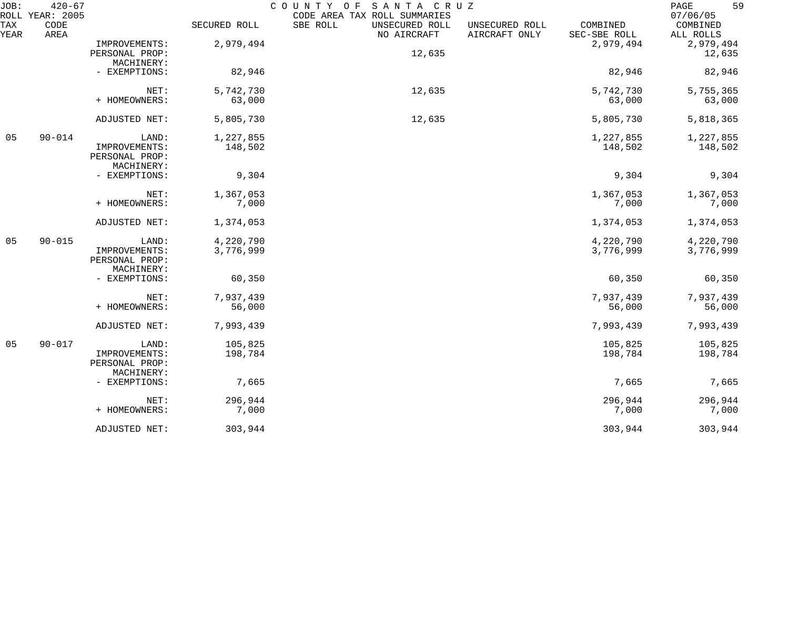| JOB:        | $420 - 67$<br>ROLL YEAR: 2005 |                              |              | COUNTY OF<br>SANTA CRUZ<br>CODE AREA TAX ROLL SUMMARIES |                                 |                          | 59<br>PAGE<br>07/06/05 |
|-------------|-------------------------------|------------------------------|--------------|---------------------------------------------------------|---------------------------------|--------------------------|------------------------|
| TAX<br>YEAR | CODE<br>AREA                  |                              | SECURED ROLL | SBE ROLL<br>UNSECURED ROLL<br>NO AIRCRAFT               | UNSECURED ROLL<br>AIRCRAFT ONLY | COMBINED<br>SEC-SBE ROLL | COMBINED<br>ALL ROLLS  |
|             |                               | IMPROVEMENTS:                | 2,979,494    |                                                         |                                 | 2,979,494                | 2,979,494              |
|             |                               | PERSONAL PROP:               |              | 12,635                                                  |                                 |                          | 12,635                 |
|             |                               | MACHINERY:                   |              |                                                         |                                 |                          |                        |
|             |                               | - EXEMPTIONS:                | 82,946       |                                                         |                                 | 82,946                   | 82,946                 |
|             |                               | NET:                         | 5,742,730    | 12,635                                                  |                                 | 5,742,730                | 5,755,365              |
|             |                               | + HOMEOWNERS:                | 63,000       |                                                         |                                 | 63,000                   | 63,000                 |
|             |                               | ADJUSTED NET:                | 5,805,730    | 12,635                                                  |                                 | 5,805,730                | 5,818,365              |
| 05          | $90 - 014$                    | LAND:                        | 1,227,855    |                                                         |                                 | 1,227,855                | 1,227,855              |
|             |                               | IMPROVEMENTS:                | 148,502      |                                                         |                                 | 148,502                  | 148,502                |
|             |                               | PERSONAL PROP:<br>MACHINERY: |              |                                                         |                                 |                          |                        |
|             |                               | - EXEMPTIONS:                | 9,304        |                                                         |                                 | 9,304                    | 9,304                  |
|             |                               | NET:                         | 1,367,053    |                                                         |                                 | 1,367,053                | 1,367,053              |
|             |                               | + HOMEOWNERS:                | 7,000        |                                                         |                                 | 7,000                    | 7,000                  |
|             |                               | ADJUSTED NET:                | 1,374,053    |                                                         |                                 | 1,374,053                | 1,374,053              |
|             |                               |                              |              |                                                         |                                 |                          |                        |
| 05          | $90 - 015$                    | LAND:                        | 4,220,790    |                                                         |                                 | 4,220,790                | 4,220,790              |
|             |                               | IMPROVEMENTS:                | 3,776,999    |                                                         |                                 | 3,776,999                | 3,776,999              |
|             |                               | PERSONAL PROP:               |              |                                                         |                                 |                          |                        |
|             |                               | MACHINERY:<br>- EXEMPTIONS:  | 60,350       |                                                         |                                 | 60,350                   | 60,350                 |
|             |                               |                              |              |                                                         |                                 |                          |                        |
|             |                               | NET:                         | 7,937,439    |                                                         |                                 | 7,937,439                | 7,937,439              |
|             |                               | + HOMEOWNERS:                | 56,000       |                                                         |                                 | 56,000                   | 56,000                 |
|             |                               | ADJUSTED NET:                | 7,993,439    |                                                         |                                 | 7,993,439                | 7,993,439              |
| 05          | $90 - 017$                    | LAND:                        | 105,825      |                                                         |                                 | 105,825                  | 105,825                |
|             |                               | IMPROVEMENTS:                | 198,784      |                                                         |                                 | 198,784                  | 198,784                |
|             |                               | PERSONAL PROP:               |              |                                                         |                                 |                          |                        |
|             |                               | MACHINERY:                   |              |                                                         |                                 |                          |                        |
|             |                               | - EXEMPTIONS:                | 7,665        |                                                         |                                 | 7,665                    | 7,665                  |
|             |                               | NET:                         | 296,944      |                                                         |                                 | 296,944                  | 296,944                |
|             |                               | + HOMEOWNERS:                | 7,000        |                                                         |                                 | 7,000                    | 7,000                  |
|             |                               | ADJUSTED NET:                | 303,944      |                                                         |                                 | 303,944                  | 303,944                |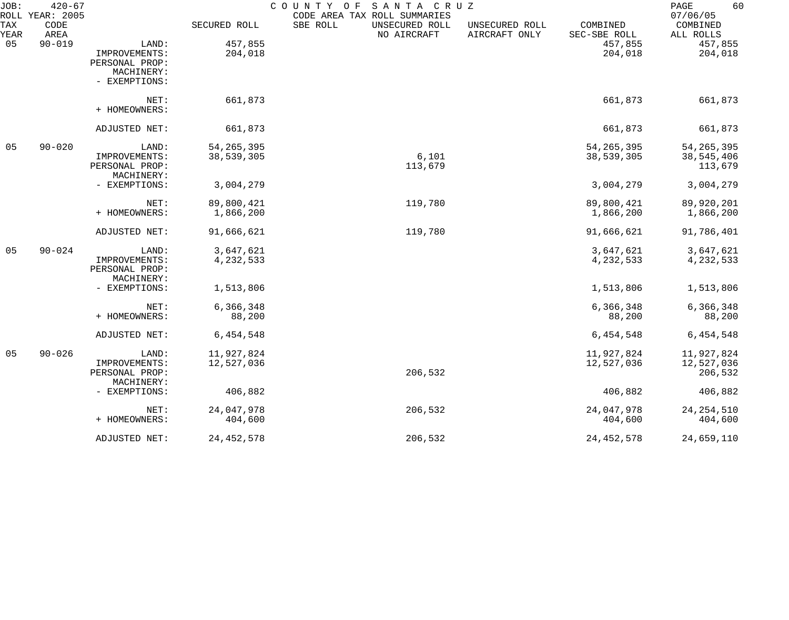| JOB:        | $420 - 67$<br>ROLL YEAR: 2005 |                |              | COUNTY OF<br>SANTA CRUZ<br>CODE AREA TAX ROLL SUMMARIES |                                 |                          | 60<br>PAGE<br>07/06/05 |
|-------------|-------------------------------|----------------|--------------|---------------------------------------------------------|---------------------------------|--------------------------|------------------------|
| TAX<br>YEAR | CODE<br>AREA                  |                | SECURED ROLL | SBE ROLL<br>UNSECURED ROLL<br>NO AIRCRAFT               | UNSECURED ROLL<br>AIRCRAFT ONLY | COMBINED<br>SEC-SBE ROLL | COMBINED<br>ALL ROLLS  |
| 05          | $90 - 019$                    | LAND:          | 457,855      |                                                         |                                 | 457,855                  | 457,855                |
|             |                               | IMPROVEMENTS:  | 204,018      |                                                         |                                 | 204,018                  | 204,018                |
|             |                               | PERSONAL PROP: |              |                                                         |                                 |                          |                        |
|             |                               | MACHINERY:     |              |                                                         |                                 |                          |                        |
|             |                               | - EXEMPTIONS:  |              |                                                         |                                 |                          |                        |
|             |                               | NET:           | 661,873      |                                                         |                                 | 661,873                  | 661,873                |
|             |                               | + HOMEOWNERS:  |              |                                                         |                                 |                          |                        |
|             |                               | ADJUSTED NET:  | 661,873      |                                                         |                                 | 661,873                  | 661,873                |
| 05          | $90 - 020$                    | LAND:          | 54, 265, 395 |                                                         |                                 | 54, 265, 395             | 54, 265, 395           |
|             |                               | IMPROVEMENTS:  | 38,539,305   | 6,101                                                   |                                 | 38,539,305               | 38,545,406             |
|             |                               | PERSONAL PROP: |              | 113,679                                                 |                                 |                          | 113,679                |
|             |                               | MACHINERY:     |              |                                                         |                                 |                          |                        |
|             |                               | - EXEMPTIONS:  | 3,004,279    |                                                         |                                 | 3,004,279                | 3,004,279              |
|             |                               | NET:           | 89,800,421   | 119,780                                                 |                                 | 89,800,421               | 89,920,201             |
|             |                               | + HOMEOWNERS:  | 1,866,200    |                                                         |                                 | 1,866,200                | 1,866,200              |
|             |                               | ADJUSTED NET:  | 91,666,621   | 119,780                                                 |                                 | 91,666,621               | 91,786,401             |
| 05          | $90 - 024$                    | LAND:          | 3,647,621    |                                                         |                                 | 3,647,621                | 3,647,621              |
|             |                               | IMPROVEMENTS:  | 4,232,533    |                                                         |                                 | 4,232,533                | 4,232,533              |
|             |                               | PERSONAL PROP: |              |                                                         |                                 |                          |                        |
|             |                               | MACHINERY:     |              |                                                         |                                 |                          |                        |
|             |                               | - EXEMPTIONS:  | 1,513,806    |                                                         |                                 | 1,513,806                | 1,513,806              |
|             |                               | NET:           | 6,366,348    |                                                         |                                 | 6,366,348                | 6,366,348              |
|             |                               | + HOMEOWNERS:  | 88,200       |                                                         |                                 | 88,200                   | 88,200                 |
|             |                               | ADJUSTED NET:  | 6,454,548    |                                                         |                                 | 6,454,548                | 6,454,548              |
| 05          | $90 - 026$                    | LAND:          | 11,927,824   |                                                         |                                 | 11,927,824               | 11,927,824             |
|             |                               | IMPROVEMENTS:  | 12,527,036   |                                                         |                                 | 12,527,036               | 12,527,036             |
|             |                               | PERSONAL PROP: |              | 206,532                                                 |                                 |                          | 206,532                |
|             |                               | MACHINERY:     |              |                                                         |                                 |                          |                        |
|             |                               | - EXEMPTIONS:  | 406,882      |                                                         |                                 | 406,882                  | 406,882                |
|             |                               | NET:           | 24,047,978   | 206,532                                                 |                                 | 24,047,978               | 24, 254, 510           |
|             |                               | + HOMEOWNERS:  | 404,600      |                                                         |                                 | 404,600                  | 404,600                |
|             |                               | ADJUSTED NET:  | 24, 452, 578 | 206,532                                                 |                                 | 24, 452, 578             | 24,659,110             |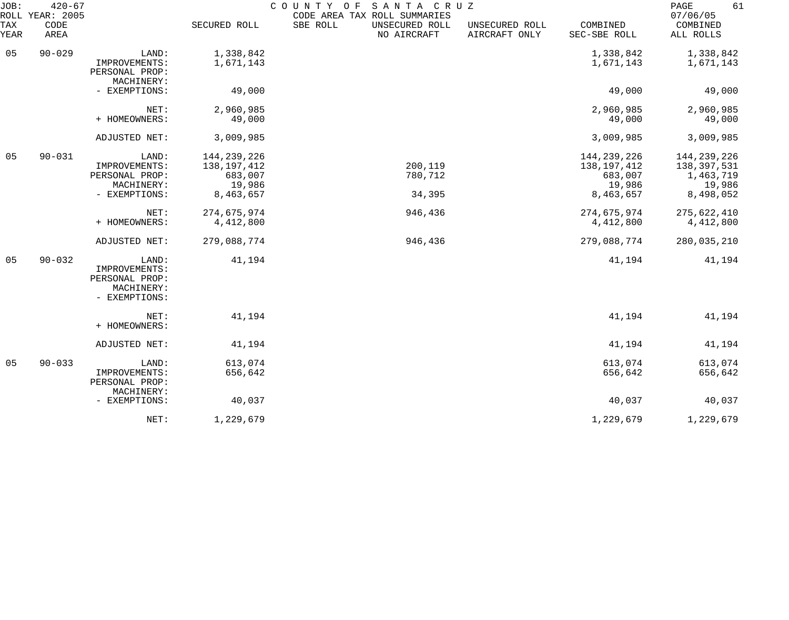| JOB:        | $420 - 67$<br>ROLL YEAR: 2005 |                                                                         |                                                                  | COUNTY OF<br>SANTA CRUZ<br>CODE AREA TAX ROLL SUMMARIES |                                 |                                                                  | 61<br>PAGE<br>07/06/05                                           |
|-------------|-------------------------------|-------------------------------------------------------------------------|------------------------------------------------------------------|---------------------------------------------------------|---------------------------------|------------------------------------------------------------------|------------------------------------------------------------------|
| TAX<br>YEAR | CODE<br>AREA                  |                                                                         | SECURED ROLL                                                     | SBE ROLL<br>UNSECURED ROLL<br>NO AIRCRAFT               | UNSECURED ROLL<br>AIRCRAFT ONLY | COMBINED<br>SEC-SBE ROLL                                         | COMBINED<br>ALL ROLLS                                            |
| 05          | $90 - 029$                    | LAND:<br>IMPROVEMENTS:<br>PERSONAL PROP:                                | 1,338,842<br>1,671,143                                           |                                                         |                                 | 1,338,842<br>1,671,143                                           | 1,338,842<br>1,671,143                                           |
|             |                               | MACHINERY:<br>- EXEMPTIONS:                                             | 49,000                                                           |                                                         |                                 | 49,000                                                           | 49,000                                                           |
|             |                               | NET:<br>+ HOMEOWNERS:                                                   | 2,960,985<br>49,000                                              |                                                         |                                 | 2,960,985<br>49,000                                              | 2,960,985<br>49,000                                              |
|             |                               | ADJUSTED NET:                                                           | 3,009,985                                                        |                                                         |                                 | 3,009,985                                                        | 3,009,985                                                        |
| 05          | $90 - 031$                    | LAND:<br>IMPROVEMENTS:<br>PERSONAL PROP:<br>MACHINERY:<br>- EXEMPTIONS: | 144, 239, 226<br>138, 197, 412<br>683,007<br>19,986<br>8,463,657 | 200,119<br>780,712<br>34,395                            |                                 | 144, 239, 226<br>138, 197, 412<br>683,007<br>19,986<br>8,463,657 | 144, 239, 226<br>138,397,531<br>1,463,719<br>19,986<br>8,498,052 |
|             |                               | NET:<br>+ HOMEOWNERS:                                                   | 274,675,974<br>4,412,800                                         | 946,436                                                 |                                 | 274,675,974<br>4,412,800                                         | 275,622,410<br>4,412,800                                         |
|             |                               | ADJUSTED NET:                                                           | 279,088,774                                                      | 946,436                                                 |                                 | 279,088,774                                                      | 280,035,210                                                      |
| 05          | $90 - 032$                    | LAND:<br>IMPROVEMENTS:<br>PERSONAL PROP:<br>MACHINERY:<br>- EXEMPTIONS: | 41,194                                                           |                                                         |                                 | 41,194                                                           | 41,194                                                           |
|             |                               | NET:<br>+ HOMEOWNERS:                                                   | 41,194                                                           |                                                         |                                 | 41,194                                                           | 41,194                                                           |
|             |                               | ADJUSTED NET:                                                           | 41,194                                                           |                                                         |                                 | 41,194                                                           | 41,194                                                           |
| 05          | $90 - 033$                    | LAND:<br>IMPROVEMENTS:<br>PERSONAL PROP:<br>MACHINERY:                  | 613,074<br>656,642                                               |                                                         |                                 | 613,074<br>656,642                                               | 613,074<br>656,642                                               |
|             |                               | - EXEMPTIONS:                                                           | 40,037                                                           |                                                         |                                 | 40,037                                                           | 40,037                                                           |
|             |                               | NET:                                                                    | 1,229,679                                                        |                                                         |                                 | 1,229,679                                                        | 1,229,679                                                        |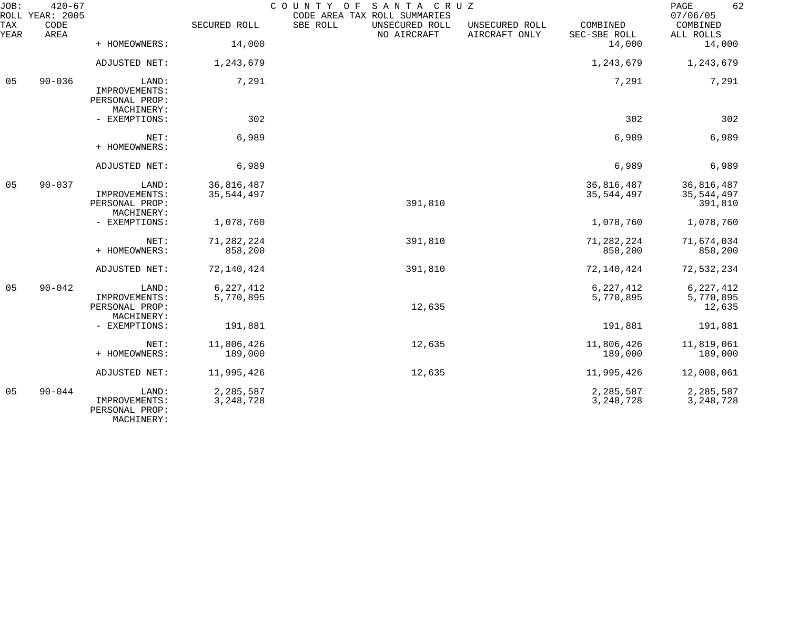| JOB:             | $420 - 67$<br>ROLL YEAR: 2005                          |                                                        |                          | COUNTY OF<br>SANTA CRUZ<br>CODE AREA TAX ROLL SUMMARIES |                                 |                          | 62<br>PAGE<br>07/06/05                |
|------------------|--------------------------------------------------------|--------------------------------------------------------|--------------------------|---------------------------------------------------------|---------------------------------|--------------------------|---------------------------------------|
| TAX<br>YEAR      | CODE<br>AREA                                           |                                                        | SECURED ROLL             | SBE ROLL<br>UNSECURED ROLL<br>NO AIRCRAFT               | UNSECURED ROLL<br>AIRCRAFT ONLY | COMBINED<br>SEC-SBE ROLL | COMBINED<br>ALL ROLLS                 |
|                  |                                                        | + HOMEOWNERS:                                          | 14,000                   |                                                         |                                 | 14,000                   | 14,000                                |
|                  |                                                        | ADJUSTED NET:                                          | 1,243,679                |                                                         |                                 | 1,243,679                | 1,243,679                             |
| $90 - 036$<br>05 | LAND:<br>IMPROVEMENTS:<br>PERSONAL PROP:<br>MACHINERY: | 7,291                                                  |                          |                                                         | 7,291                           | 7,291                    |                                       |
|                  |                                                        | - EXEMPTIONS:                                          | 302                      |                                                         |                                 | 302                      | 302                                   |
|                  |                                                        | NET:<br>+ HOMEOWNERS:                                  | 6,989                    |                                                         |                                 | 6,989                    | 6,989                                 |
|                  |                                                        | ADJUSTED NET:                                          | 6,989                    |                                                         |                                 | 6,989                    | 6,989                                 |
| 05               | $90 - 037$                                             | LAND:<br>IMPROVEMENTS:<br>PERSONAL PROP:<br>MACHINERY: | 36,816,487<br>35,544,497 | 391,810                                                 |                                 | 36,816,487<br>35,544,497 | 36,816,487<br>35, 544, 497<br>391,810 |
|                  |                                                        | - EXEMPTIONS:                                          | 1,078,760                |                                                         |                                 | 1,078,760                | 1,078,760                             |
|                  |                                                        | NET:<br>+ HOMEOWNERS:                                  | 71, 282, 224<br>858,200  | 391,810                                                 |                                 | 71,282,224<br>858,200    | 71,674,034<br>858,200                 |
|                  |                                                        | ADJUSTED NET:                                          | 72,140,424               | 391,810                                                 |                                 | 72,140,424               | 72,532,234                            |
| 05               | $90 - 042$                                             | LAND:<br>IMPROVEMENTS:<br>PERSONAL PROP:<br>MACHINERY: | 6,227,412<br>5,770,895   | 12,635                                                  |                                 | 6,227,412<br>5,770,895   | 6, 227, 412<br>5,770,895<br>12,635    |
|                  |                                                        | - EXEMPTIONS:                                          | 191,881                  |                                                         |                                 | 191,881                  | 191,881                               |
|                  |                                                        | NET:<br>+ HOMEOWNERS:                                  | 11,806,426<br>189,000    | 12,635                                                  |                                 | 11,806,426<br>189,000    | 11,819,061<br>189,000                 |
|                  |                                                        | ADJUSTED NET:                                          | 11,995,426               | 12,635                                                  |                                 | 11,995,426               | 12,008,061                            |
| 05               | $90 - 044$                                             | LAND:<br>IMPROVEMENTS:<br>PERSONAL PROP:<br>MACHINERY: | 2,285,587<br>3, 248, 728 |                                                         |                                 | 2,285,587<br>3, 248, 728 | 2,285,587<br>3, 248, 728              |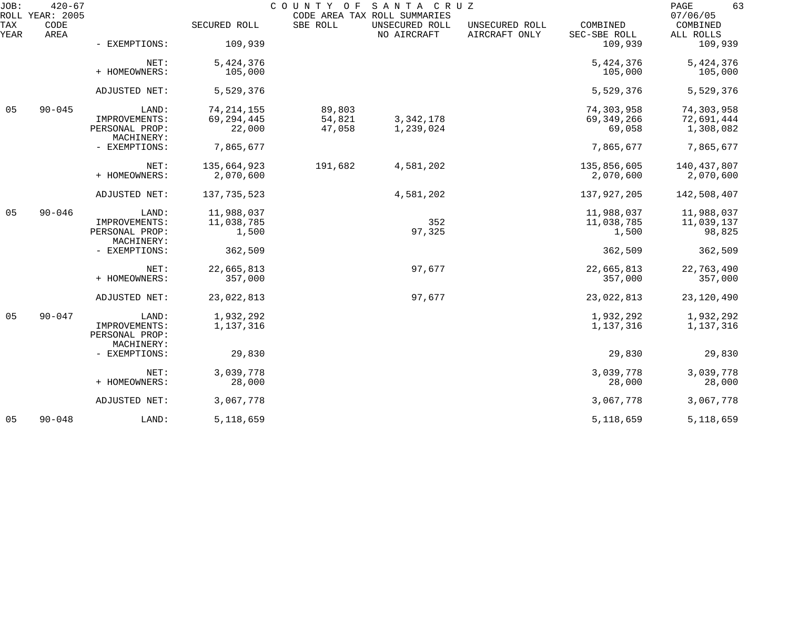| JOB:        | $420 - 67$<br>ROLL YEAR: 2005 |                                 |                        |                  | COUNTY OF SANTA CRUZ<br>CODE AREA TAX ROLL SUMMARIES |                                 |                          | 63<br>PAGE<br>07/06/05  |
|-------------|-------------------------------|---------------------------------|------------------------|------------------|------------------------------------------------------|---------------------------------|--------------------------|-------------------------|
| TAX<br>YEAR | CODE<br>AREA                  |                                 | SECURED ROLL           | SBE ROLL         | UNSECURED ROLL<br>NO AIRCRAFT                        | UNSECURED ROLL<br>AIRCRAFT ONLY | COMBINED<br>SEC-SBE ROLL | COMBINED<br>ALL ROLLS   |
|             |                               | - EXEMPTIONS:                   | 109,939                |                  |                                                      |                                 | 109,939                  | 109,939                 |
|             |                               | NET:                            | 5,424,376              |                  |                                                      |                                 | 5,424,376                | 5,424,376               |
|             |                               | + HOMEOWNERS:                   | 105,000                |                  |                                                      |                                 | 105,000                  | 105,000                 |
|             |                               | ADJUSTED NET:                   | 5,529,376              |                  |                                                      |                                 | 5,529,376                | 5,529,376               |
| 05          | $90 - 045$                    | LAND:                           | 74, 214, 155           | 89,803           |                                                      |                                 | 74,303,958               | 74,303,958              |
|             |                               | IMPROVEMENTS:<br>PERSONAL PROP: | 69, 294, 445<br>22,000 | 54,821<br>47,058 | 3, 342, 178<br>1,239,024                             |                                 | 69, 349, 266<br>69,058   | 72,691,444<br>1,308,082 |
|             |                               | MACHINERY:                      |                        |                  |                                                      |                                 |                          |                         |
|             |                               | - EXEMPTIONS:                   | 7,865,677              |                  |                                                      |                                 | 7,865,677                | 7,865,677               |
|             |                               | NET:                            | 135,664,923            | 191,682          | 4,581,202                                            |                                 | 135,856,605              | 140,437,807             |
|             |                               | + HOMEOWNERS:                   | 2,070,600              |                  |                                                      |                                 | 2,070,600                | 2,070,600               |
|             |                               | ADJUSTED NET:                   | 137, 735, 523          |                  | 4,581,202                                            |                                 | 137,927,205              | 142,508,407             |
| 05          | $90 - 046$                    | LAND:                           | 11,988,037             |                  |                                                      |                                 | 11,988,037               | 11,988,037              |
|             |                               | IMPROVEMENTS:                   | 11,038,785             |                  | 352                                                  |                                 | 11,038,785               | 11,039,137              |
|             |                               | PERSONAL PROP:<br>MACHINERY:    | 1,500                  |                  | 97,325                                               |                                 | 1,500                    | 98,825                  |
|             |                               | - EXEMPTIONS:                   | 362,509                |                  |                                                      |                                 | 362,509                  | 362,509                 |
|             |                               | NET:                            | 22,665,813             |                  | 97,677                                               |                                 | 22,665,813               | 22,763,490              |
|             |                               | + HOMEOWNERS:                   | 357,000                |                  |                                                      |                                 | 357,000                  | 357,000                 |
|             |                               | ADJUSTED NET:                   | 23,022,813             |                  | 97,677                                               |                                 | 23,022,813               | 23,120,490              |
| 05          | $90 - 047$                    | LAND:                           | 1,932,292              |                  |                                                      |                                 | 1,932,292                | 1,932,292               |
|             |                               | IMPROVEMENTS:<br>PERSONAL PROP: | 1,137,316              |                  |                                                      |                                 | 1,137,316                | 1,137,316               |
|             |                               | MACHINERY:<br>- EXEMPTIONS:     | 29,830                 |                  |                                                      |                                 | 29,830                   | 29,830                  |
|             |                               | NET:                            | 3,039,778              |                  |                                                      |                                 | 3,039,778                | 3,039,778               |
|             |                               | + HOMEOWNERS:                   | 28,000                 |                  |                                                      |                                 | 28,000                   | 28,000                  |
|             |                               | ADJUSTED NET:                   | 3,067,778              |                  |                                                      |                                 | 3,067,778                | 3,067,778               |
| 05          | $90 - 048$                    | LAND:                           | 5, 118, 659            |                  |                                                      |                                 | 5, 118, 659              | 5, 118, 659             |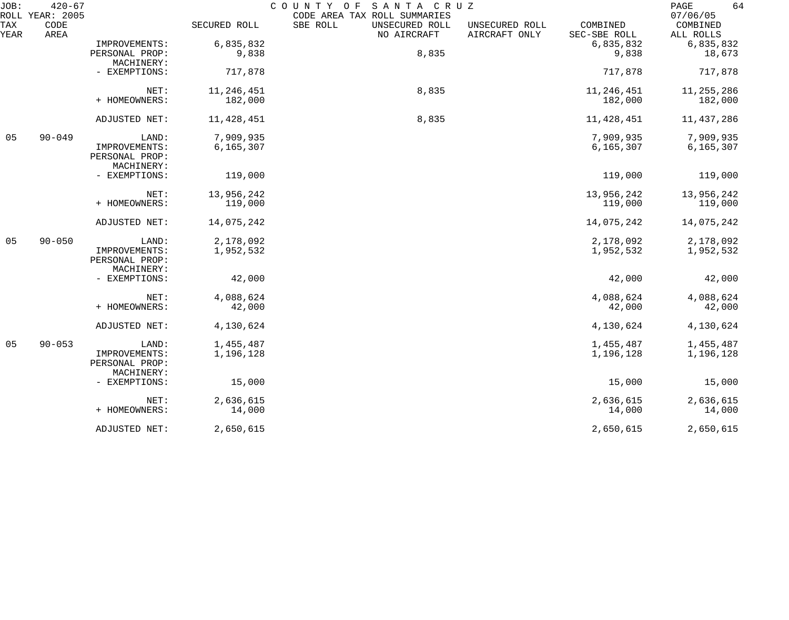| JOB:        | $420 - 67$<br>ROLL YEAR: 2005 |                                               |              | COUNTY OF<br>SANTA CRUZ<br>CODE AREA TAX ROLL SUMMARIES |                                                             | 64<br>PAGE<br>07/06/05 |
|-------------|-------------------------------|-----------------------------------------------|--------------|---------------------------------------------------------|-------------------------------------------------------------|------------------------|
| TAX<br>YEAR | CODE<br>AREA                  |                                               | SECURED ROLL | SBE ROLL<br>UNSECURED ROLL<br>NO AIRCRAFT               | COMBINED<br>UNSECURED ROLL<br>AIRCRAFT ONLY<br>SEC-SBE ROLL | COMBINED<br>ALL ROLLS  |
|             |                               | IMPROVEMENTS:                                 | 6,835,832    |                                                         | 6,835,832                                                   | 6,835,832              |
|             |                               | PERSONAL PROP:<br>MACHINERY:                  | 9,838        | 8,835                                                   | 9,838                                                       | 18,673                 |
|             |                               | - EXEMPTIONS:                                 | 717,878      |                                                         | 717,878                                                     | 717,878                |
|             |                               | NET:                                          | 11,246,451   | 8,835                                                   | 11,246,451                                                  | 11, 255, 286           |
|             |                               | + HOMEOWNERS:                                 | 182,000      |                                                         | 182,000                                                     | 182,000                |
|             |                               | ADJUSTED NET:                                 | 11, 428, 451 | 8,835                                                   | 11, 428, 451                                                | 11,437,286             |
| 05          | $90 - 049$                    | LAND:                                         | 7,909,935    |                                                         | 7,909,935                                                   | 7,909,935              |
|             |                               | IMPROVEMENTS:<br>PERSONAL PROP:<br>MACHINERY: | 6, 165, 307  |                                                         | 6, 165, 307                                                 | 6, 165, 307            |
|             |                               | - EXEMPTIONS:                                 | 119,000      |                                                         | 119,000                                                     | 119,000                |
|             |                               | NET:                                          | 13,956,242   |                                                         | 13,956,242                                                  | 13,956,242             |
|             |                               | + HOMEOWNERS:                                 | 119,000      |                                                         | 119,000                                                     | 119,000                |
|             |                               | ADJUSTED NET:                                 | 14,075,242   |                                                         | 14,075,242                                                  | 14,075,242             |
| 05          | $90 - 050$                    | LAND:                                         | 2,178,092    |                                                         | 2,178,092                                                   | 2,178,092              |
|             |                               | IMPROVEMENTS:<br>PERSONAL PROP:<br>MACHINERY: | 1,952,532    |                                                         | 1,952,532                                                   | 1,952,532              |
|             |                               | - EXEMPTIONS:                                 | 42,000       |                                                         | 42,000                                                      | 42,000                 |
|             |                               | NET:                                          | 4,088,624    |                                                         | 4,088,624                                                   | 4,088,624              |
|             |                               | + HOMEOWNERS:                                 | 42,000       |                                                         | 42,000                                                      | 42,000                 |
|             |                               | ADJUSTED NET:                                 | 4,130,624    |                                                         | 4,130,624                                                   | 4,130,624              |
| 05          | $90 - 053$                    | LAND:                                         | 1,455,487    |                                                         | 1,455,487                                                   | 1,455,487              |
|             |                               | IMPROVEMENTS:<br>PERSONAL PROP:<br>MACHINERY: | 1,196,128    |                                                         | 1,196,128                                                   | 1,196,128              |
|             |                               | - EXEMPTIONS:                                 | 15,000       |                                                         | 15,000                                                      | 15,000                 |
|             |                               | NET:                                          | 2,636,615    |                                                         | 2,636,615                                                   | 2,636,615              |
|             |                               | + HOMEOWNERS:                                 | 14,000       |                                                         | 14,000                                                      | 14,000                 |
|             |                               | ADJUSTED NET:                                 | 2,650,615    |                                                         | 2,650,615                                                   | 2,650,615              |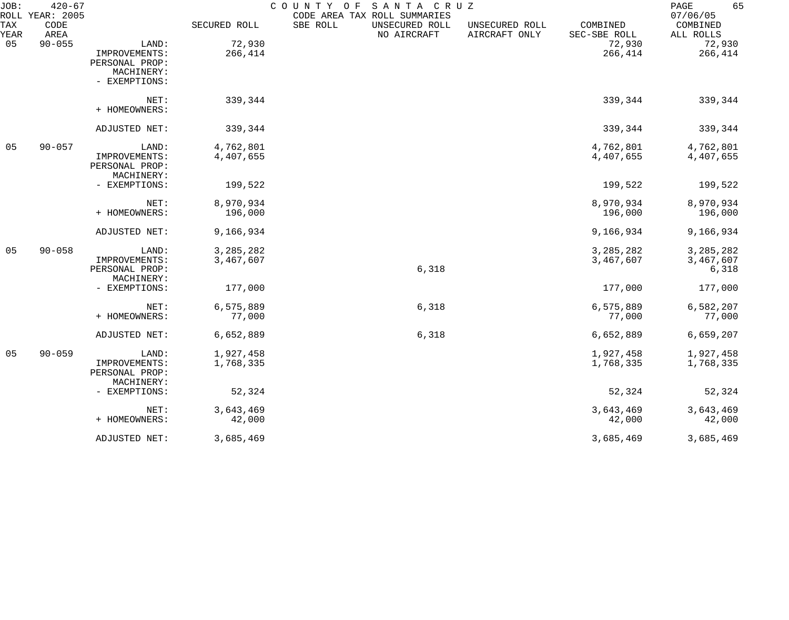| JOB:        | $420 - 67$<br>ROLL YEAR: 2005 |                |              | COUNTY OF<br>SANTA CRUZ<br>CODE AREA TAX ROLL SUMMARIES |                                 |                          | 65<br>PAGE<br>07/06/05 |
|-------------|-------------------------------|----------------|--------------|---------------------------------------------------------|---------------------------------|--------------------------|------------------------|
| TAX<br>YEAR | CODE<br>AREA                  |                | SECURED ROLL | SBE ROLL<br>UNSECURED ROLL<br>NO AIRCRAFT               | UNSECURED ROLL<br>AIRCRAFT ONLY | COMBINED<br>SEC-SBE ROLL | COMBINED<br>ALL ROLLS  |
| 05          | $90 - 055$                    | LAND:          | 72,930       |                                                         |                                 | 72,930                   | 72,930                 |
|             |                               | IMPROVEMENTS:  | 266,414      |                                                         |                                 | 266,414                  | 266,414                |
|             |                               | PERSONAL PROP: |              |                                                         |                                 |                          |                        |
|             |                               | MACHINERY:     |              |                                                         |                                 |                          |                        |
|             |                               | - EXEMPTIONS:  |              |                                                         |                                 |                          |                        |
|             |                               | NET:           | 339,344      |                                                         |                                 | 339,344                  | 339,344                |
|             |                               | + HOMEOWNERS:  |              |                                                         |                                 |                          |                        |
|             |                               | ADJUSTED NET:  | 339,344      |                                                         |                                 | 339,344                  | 339,344                |
| 05          | $90 - 057$                    | LAND:          | 4,762,801    |                                                         |                                 | 4,762,801                | 4,762,801              |
|             |                               | IMPROVEMENTS:  | 4,407,655    |                                                         |                                 | 4,407,655                | 4,407,655              |
|             |                               | PERSONAL PROP: |              |                                                         |                                 |                          |                        |
|             |                               | MACHINERY:     |              |                                                         |                                 |                          |                        |
|             |                               | - EXEMPTIONS:  | 199,522      |                                                         |                                 | 199,522                  | 199,522                |
|             |                               | NET:           | 8,970,934    |                                                         |                                 | 8,970,934                | 8,970,934              |
|             |                               | + HOMEOWNERS:  | 196,000      |                                                         |                                 | 196,000                  | 196,000                |
|             |                               | ADJUSTED NET:  | 9,166,934    |                                                         |                                 | 9,166,934                | 9,166,934              |
| 05          | $90 - 058$                    | LAND:          | 3, 285, 282  |                                                         |                                 | 3, 285, 282              | 3, 285, 282            |
|             |                               | IMPROVEMENTS:  | 3,467,607    |                                                         |                                 | 3,467,607                | 3,467,607              |
|             |                               | PERSONAL PROP: |              | 6,318                                                   |                                 |                          | 6,318                  |
|             |                               | MACHINERY:     |              |                                                         |                                 |                          |                        |
|             |                               | - EXEMPTIONS:  | 177,000      |                                                         |                                 | 177,000                  | 177,000                |
|             |                               | NET:           | 6,575,889    | 6,318                                                   |                                 | 6,575,889                | 6,582,207              |
|             |                               | + HOMEOWNERS:  | 77,000       |                                                         |                                 | 77,000                   | 77,000                 |
|             |                               | ADJUSTED NET:  | 6,652,889    | 6,318                                                   |                                 | 6,652,889                | 6,659,207              |
| 05          | $90 - 059$                    | LAND:          | 1,927,458    |                                                         |                                 | 1,927,458                | 1,927,458              |
|             |                               | IMPROVEMENTS:  | 1,768,335    |                                                         |                                 | 1,768,335                | 1,768,335              |
|             |                               | PERSONAL PROP: |              |                                                         |                                 |                          |                        |
|             |                               | MACHINERY:     |              |                                                         |                                 |                          |                        |
|             |                               | - EXEMPTIONS:  | 52,324       |                                                         |                                 | 52,324                   | 52,324                 |
|             |                               | NET:           | 3,643,469    |                                                         |                                 | 3,643,469                | 3,643,469              |
|             |                               | + HOMEOWNERS:  | 42,000       |                                                         |                                 | 42,000                   | 42,000                 |
|             |                               | ADJUSTED NET:  | 3,685,469    |                                                         |                                 | 3,685,469                | 3,685,469              |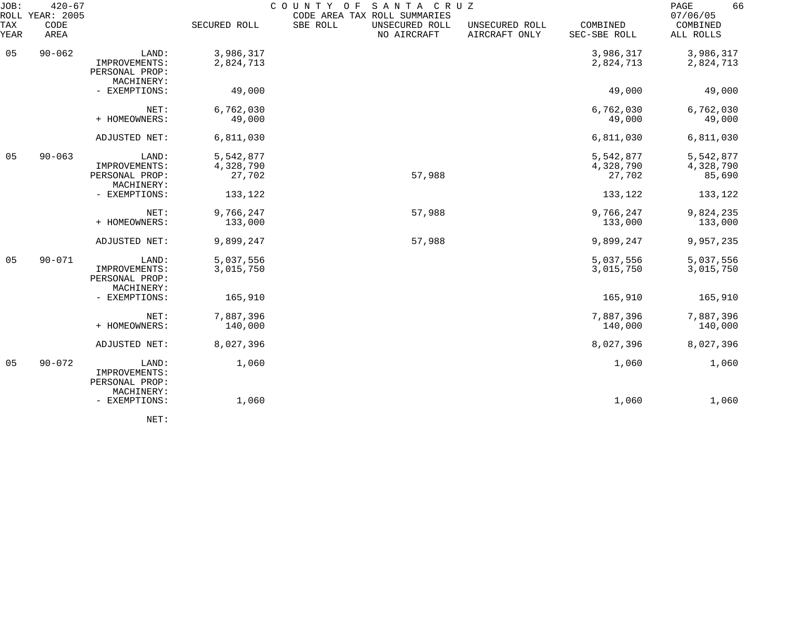| JOB:        | $420 - 67$<br>ROLL YEAR: 2005 |                                                        | COUNTY OF              | 66<br>PAGE<br>07/06/05                    |                                 |                          |                        |
|-------------|-------------------------------|--------------------------------------------------------|------------------------|-------------------------------------------|---------------------------------|--------------------------|------------------------|
| TAX<br>YEAR | CODE<br>AREA                  |                                                        | SECURED ROLL           | SBE ROLL<br>UNSECURED ROLL<br>NO AIRCRAFT | UNSECURED ROLL<br>AIRCRAFT ONLY | COMBINED<br>SEC-SBE ROLL | COMBINED<br>ALL ROLLS  |
| 05          | $90 - 062$                    | LAND:<br>IMPROVEMENTS:<br>PERSONAL PROP:               | 3,986,317<br>2,824,713 |                                           |                                 | 3,986,317<br>2,824,713   | 3,986,317<br>2,824,713 |
|             |                               | MACHINERY:<br>- EXEMPTIONS:                            | 49,000                 |                                           |                                 | 49,000                   | 49,000                 |
|             |                               | NET:<br>+ HOMEOWNERS:                                  | 6,762,030<br>49,000    |                                           |                                 | 6,762,030<br>49,000      | 6,762,030<br>49,000    |
|             |                               | ADJUSTED NET:                                          | 6,811,030              |                                           |                                 | 6,811,030                | 6,811,030              |
| 05          | $90 - 063$                    | LAND:                                                  | 5,542,877              |                                           |                                 | 5,542,877                | 5,542,877              |
|             |                               | IMPROVEMENTS:<br>PERSONAL PROP:                        | 4,328,790<br>27,702    | 57,988                                    |                                 | 4,328,790<br>27,702      | 4,328,790<br>85,690    |
|             |                               | MACHINERY:<br>- EXEMPTIONS:                            | 133,122                |                                           |                                 | 133,122                  | 133,122                |
|             |                               | NET:<br>+ HOMEOWNERS:                                  | 9,766,247<br>133,000   | 57,988                                    |                                 | 9,766,247<br>133,000     | 9,824,235<br>133,000   |
|             |                               | ADJUSTED NET:                                          | 9,899,247              | 57,988                                    |                                 | 9,899,247                | 9,957,235              |
| 05          | $90 - 071$                    | LAND:<br>IMPROVEMENTS:<br>PERSONAL PROP:               | 5,037,556<br>3,015,750 |                                           |                                 | 5,037,556<br>3,015,750   | 5,037,556<br>3,015,750 |
|             |                               | MACHINERY:<br>- EXEMPTIONS:                            | 165,910                |                                           |                                 | 165,910                  | 165,910                |
|             |                               | NET:<br>+ HOMEOWNERS:                                  | 7,887,396<br>140,000   |                                           |                                 | 7,887,396<br>140,000     | 7,887,396<br>140,000   |
|             |                               | ADJUSTED NET:                                          | 8,027,396              |                                           |                                 | 8,027,396                | 8,027,396              |
| 05          | $90 - 072$                    | LAND:<br>IMPROVEMENTS:<br>PERSONAL PROP:<br>MACHINERY: | 1,060                  |                                           |                                 | 1,060                    | 1,060                  |
|             |                               | - EXEMPTIONS:                                          | 1,060                  |                                           |                                 | 1,060                    | 1,060                  |
|             |                               |                                                        |                        |                                           |                                 |                          |                        |

NET: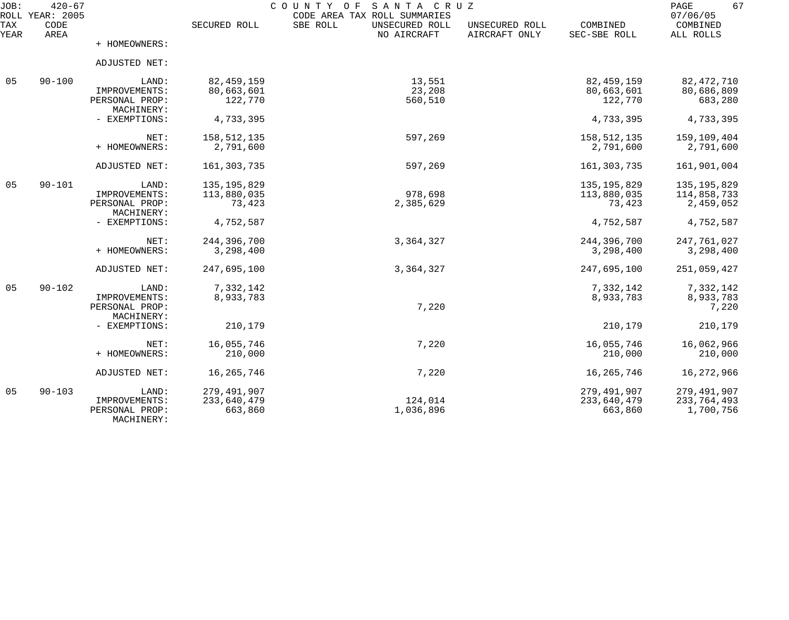| JOB:<br>ROLL | $420 - 67$<br><b>YEAR: 2005</b> |                              |               | SANTA CRUZ<br>COUNTY<br>O F<br>CODE AREA TAX ROLL SUMMARIES |                                 |                          | PAGE<br>67<br>07/06/05 |
|--------------|---------------------------------|------------------------------|---------------|-------------------------------------------------------------|---------------------------------|--------------------------|------------------------|
| TAX<br>YEAR  | CODE<br>AREA                    |                              | SECURED ROLL  | SBE ROLL<br>UNSECURED ROLL<br>NO AIRCRAFT                   | UNSECURED ROLL<br>AIRCRAFT ONLY | COMBINED<br>SEC-SBE ROLL | COMBINED<br>ALL ROLLS  |
|              |                                 | + HOMEOWNERS:                |               |                                                             |                                 |                          |                        |
|              |                                 | ADJUSTED NET:                |               |                                                             |                                 |                          |                        |
| 05           | $90 - 100$                      | LAND:                        | 82, 459, 159  | 13,551                                                      |                                 | 82, 459, 159             | 82, 472, 710           |
|              |                                 | IMPROVEMENTS:                | 80,663,601    | 23,208                                                      |                                 | 80,663,601               | 80,686,809             |
|              |                                 | PERSONAL PROP:<br>MACHINERY: | 122,770       | 560,510                                                     |                                 | 122,770                  | 683,280                |
|              |                                 | - EXEMPTIONS:                | 4,733,395     |                                                             |                                 | 4,733,395                | 4,733,395              |
|              |                                 |                              |               |                                                             |                                 |                          |                        |
|              |                                 | NET:                         | 158, 512, 135 | 597,269                                                     |                                 | 158, 512, 135            | 159,109,404            |
|              |                                 | + HOMEOWNERS:                | 2,791,600     |                                                             |                                 | 2,791,600                | 2,791,600              |
|              |                                 | ADJUSTED NET:                | 161, 303, 735 | 597,269                                                     |                                 | 161, 303, 735            | 161,901,004            |
| 05           | $90 - 101$                      | LAND:                        | 135, 195, 829 |                                                             |                                 | 135, 195, 829            | 135, 195, 829          |
|              |                                 | IMPROVEMENTS:                | 113,880,035   | 978,698                                                     |                                 | 113,880,035              | 114,858,733            |
|              |                                 | PERSONAL PROP:               | 73,423        | 2,385,629                                                   |                                 | 73,423                   | 2,459,052              |
|              |                                 | MACHINERY:                   |               |                                                             |                                 |                          |                        |
|              |                                 | - EXEMPTIONS:                | 4,752,587     |                                                             |                                 | 4,752,587                | 4,752,587              |
|              |                                 | NET:                         | 244,396,700   | 3,364,327                                                   |                                 | 244,396,700              | 247,761,027            |
|              |                                 | + HOMEOWNERS:                | 3,298,400     |                                                             |                                 | 3,298,400                | 3,298,400              |
|              |                                 | ADJUSTED NET:                | 247,695,100   | 3,364,327                                                   |                                 | 247,695,100              | 251,059,427            |
| 05           | $90 - 102$                      | LAND:                        | 7,332,142     |                                                             |                                 | 7,332,142                | 7,332,142              |
|              |                                 | IMPROVEMENTS:                | 8,933,783     |                                                             |                                 | 8,933,783                | 8,933,783              |
|              |                                 | PERSONAL PROP:               |               | 7,220                                                       |                                 |                          | 7,220                  |
|              |                                 | MACHINERY:                   |               |                                                             |                                 |                          |                        |
|              |                                 | - EXEMPTIONS:                | 210,179       |                                                             |                                 | 210,179                  | 210,179                |
|              |                                 | NET:                         | 16,055,746    | 7,220                                                       |                                 | 16,055,746               | 16,062,966             |
|              |                                 | + HOMEOWNERS:                | 210,000       |                                                             |                                 | 210,000                  | 210,000                |
|              |                                 | ADJUSTED NET:                | 16, 265, 746  | 7,220                                                       |                                 | 16, 265, 746             | 16, 272, 966           |
| 05           | $90 - 103$                      | LAND:                        | 279,491,907   |                                                             |                                 | 279,491,907              | 279,491,907            |
|              |                                 | IMPROVEMENTS:                | 233,640,479   | 124,014                                                     |                                 | 233,640,479              | 233,764,493            |
|              |                                 | PERSONAL PROP:<br>MACHINERY: | 663,860       | 1,036,896                                                   |                                 | 663,860                  | 1,700,756              |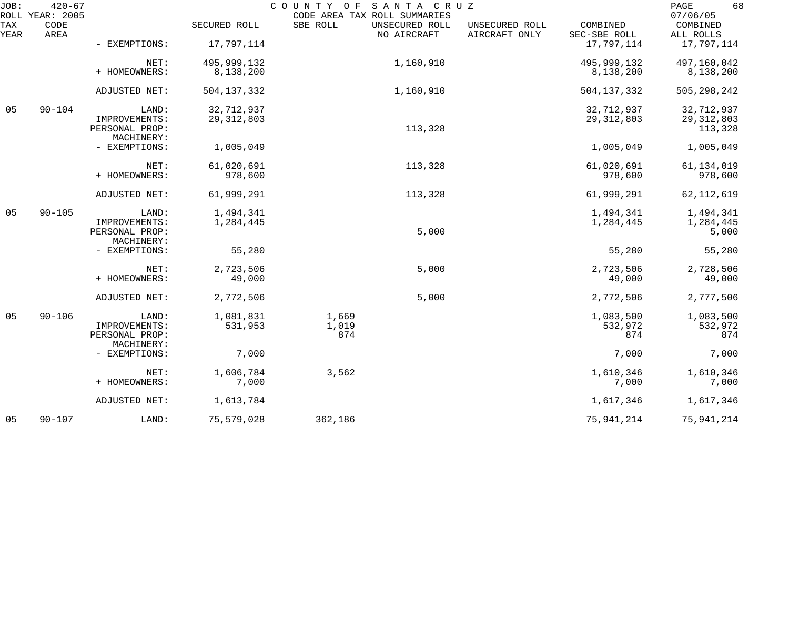| JOB:        | $420 - 67$<br>ROLL YEAR: 2005 |                                               |               | COUNTY OF<br>CODE AREA TAX ROLL SUMMARIES | SANTA CRUZ                    |                                 |                          | 68<br>PAGE<br>07/06/05  |
|-------------|-------------------------------|-----------------------------------------------|---------------|-------------------------------------------|-------------------------------|---------------------------------|--------------------------|-------------------------|
| TAX<br>YEAR | CODE<br>AREA                  |                                               | SECURED ROLL  | SBE ROLL                                  | UNSECURED ROLL<br>NO AIRCRAFT | UNSECURED ROLL<br>AIRCRAFT ONLY | COMBINED<br>SEC-SBE ROLL | COMBINED<br>ALL ROLLS   |
|             |                               | - EXEMPTIONS:                                 | 17,797,114    |                                           |                               |                                 | 17,797,114               | 17,797,114              |
|             |                               | NET:                                          | 495,999,132   |                                           | 1,160,910                     |                                 | 495,999,132              | 497,160,042             |
|             |                               | + HOMEOWNERS:                                 | 8,138,200     |                                           |                               |                                 | 8,138,200                | 8,138,200               |
|             |                               | ADJUSTED NET:                                 | 504, 137, 332 |                                           | 1,160,910                     |                                 | 504, 137, 332            | 505, 298, 242           |
| 05          | $90 - 104$                    | LAND:                                         | 32,712,937    |                                           |                               |                                 | 32,712,937               | 32,712,937              |
|             |                               | IMPROVEMENTS:<br>PERSONAL PROP:<br>MACHINERY: | 29, 312, 803  |                                           | 113,328                       |                                 | 29, 312, 803             | 29, 312, 803<br>113,328 |
|             |                               | - EXEMPTIONS:                                 | 1,005,049     |                                           |                               |                                 | 1,005,049                | 1,005,049               |
|             |                               | NET:                                          | 61,020,691    |                                           | 113,328                       |                                 | 61,020,691               | 61, 134, 019            |
|             |                               | + HOMEOWNERS:                                 | 978,600       |                                           |                               |                                 | 978,600                  | 978,600                 |
|             |                               | ADJUSTED NET:                                 | 61,999,291    |                                           | 113,328                       |                                 | 61,999,291               | 62, 112, 619            |
| 05          | $90 - 105$                    | LAND:                                         | 1,494,341     |                                           |                               |                                 | 1,494,341                | 1,494,341               |
|             |                               | IMPROVEMENTS:<br>PERSONAL PROP:<br>MACHINERY: | 1,284,445     |                                           | 5,000                         |                                 | 1,284,445                | 1,284,445<br>5,000      |
|             |                               | - EXEMPTIONS:                                 | 55,280        |                                           |                               |                                 | 55,280                   | 55,280                  |
|             |                               | NET:                                          | 2,723,506     |                                           | 5,000                         |                                 | 2,723,506                | 2,728,506               |
|             |                               | + HOMEOWNERS:                                 | 49,000        |                                           |                               |                                 | 49,000                   | 49,000                  |
|             |                               | ADJUSTED NET:                                 | 2,772,506     |                                           | 5,000                         |                                 | 2,772,506                | 2,777,506               |
| 05          | $90 - 106$                    | LAND:                                         | 1,081,831     | 1,669                                     |                               |                                 | 1,083,500                | 1,083,500               |
|             |                               | IMPROVEMENTS:<br>PERSONAL PROP:               | 531,953       | 1,019<br>874                              |                               |                                 | 532,972<br>874           | 532,972<br>874          |
|             |                               | MACHINERY:<br>- EXEMPTIONS:                   | 7,000         |                                           |                               |                                 | 7,000                    | 7,000                   |
|             |                               | NET:                                          | 1,606,784     | 3,562                                     |                               |                                 | 1,610,346                | 1,610,346               |
|             |                               | + HOMEOWNERS:                                 | 7,000         |                                           |                               |                                 | 7,000                    | 7,000                   |
|             |                               | ADJUSTED NET:                                 | 1,613,784     |                                           |                               |                                 | 1,617,346                | 1,617,346               |
| 05          | $90 - 107$                    | LAND:                                         | 75,579,028    | 362,186                                   |                               |                                 | 75, 941, 214             | 75,941,214              |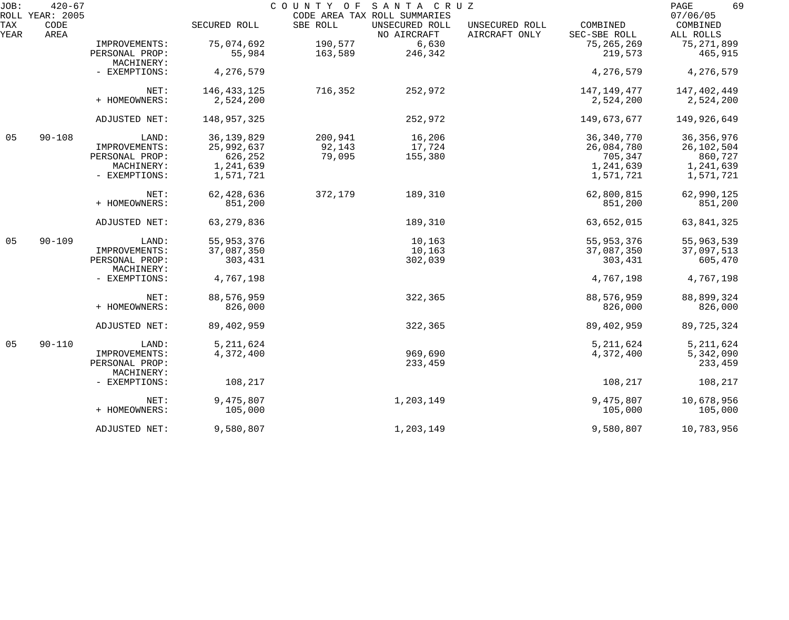| JOB:        | $420 - 67$<br>ROLL YEAR: 2005 |                              |               | COUNTY OF | SANTA CRUZ<br>CODE AREA TAX ROLL SUMMARIES |                                 |                          | 69<br>PAGE<br>07/06/05 |
|-------------|-------------------------------|------------------------------|---------------|-----------|--------------------------------------------|---------------------------------|--------------------------|------------------------|
| TAX<br>YEAR | CODE<br>AREA                  |                              | SECURED ROLL  | SBE ROLL  | UNSECURED ROLL<br>NO AIRCRAFT              | UNSECURED ROLL<br>AIRCRAFT ONLY | COMBINED<br>SEC-SBE ROLL | COMBINED<br>ALL ROLLS  |
|             |                               | IMPROVEMENTS:                | 75,074,692    | 190,577   | 6,630                                      |                                 | 75, 265, 269             | 75, 271, 899           |
|             |                               | PERSONAL PROP:<br>MACHINERY: | 55,984        | 163,589   | 246,342                                    |                                 | 219,573                  | 465,915                |
|             |                               | - EXEMPTIONS:                | 4,276,579     |           |                                            |                                 | 4,276,579                | 4,276,579              |
|             |                               | NET:                         | 146, 433, 125 | 716,352   | 252,972                                    |                                 | 147,149,477              | 147,402,449            |
|             |                               | + HOMEOWNERS:                | 2,524,200     |           |                                            |                                 | 2,524,200                | 2,524,200              |
|             |                               | ADJUSTED NET:                | 148,957,325   |           | 252,972                                    |                                 | 149,673,677              | 149,926,649            |
| 05          | $90 - 108$                    | LAND:                        | 36, 139, 829  | 200,941   | 16,206                                     |                                 | 36, 340, 770             | 36, 356, 976           |
|             |                               | IMPROVEMENTS:                | 25,992,637    | 92,143    | 17,724                                     |                                 | 26,084,780               | 26,102,504             |
|             |                               | PERSONAL PROP:               | 626,252       | 79,095    | 155,380                                    |                                 | 705,347                  | 860,727                |
|             |                               | MACHINERY:                   | 1,241,639     |           |                                            |                                 | 1,241,639                | 1,241,639              |
|             |                               | - EXEMPTIONS:                | 1,571,721     |           |                                            |                                 | 1,571,721                | 1,571,721              |
|             |                               | NET:                         | 62, 428, 636  | 372,179   | 189,310                                    |                                 | 62,800,815               | 62,990,125             |
|             |                               | + HOMEOWNERS:                | 851,200       |           |                                            |                                 | 851,200                  | 851,200                |
|             |                               | ADJUSTED NET:                | 63, 279, 836  |           | 189,310                                    |                                 | 63,652,015               | 63,841,325             |
| 05          | $90 - 109$                    | LAND:                        | 55, 953, 376  |           | 10,163                                     |                                 | 55, 953, 376             | 55,963,539             |
|             |                               | IMPROVEMENTS:                | 37,087,350    |           | 10,163                                     |                                 | 37,087,350               | 37,097,513             |
|             |                               | PERSONAL PROP:<br>MACHINERY: | 303,431       |           | 302,039                                    |                                 | 303,431                  | 605,470                |
|             |                               | - EXEMPTIONS:                | 4,767,198     |           |                                            |                                 | 4,767,198                | 4,767,198              |
|             |                               | NET:                         | 88,576,959    |           | 322,365                                    |                                 | 88,576,959               | 88,899,324             |
|             |                               | + HOMEOWNERS:                | 826,000       |           |                                            |                                 | 826,000                  | 826,000                |
|             |                               | ADJUSTED NET:                | 89, 402, 959  |           | 322,365                                    |                                 | 89, 402, 959             | 89,725,324             |
| 05          | $90 - 110$                    | LAND:                        | 5, 211, 624   |           |                                            |                                 | 5, 211, 624              | 5, 211, 624            |
|             |                               | IMPROVEMENTS:                | 4,372,400     |           | 969,690                                    |                                 | 4,372,400                | 5,342,090              |
|             |                               | PERSONAL PROP:               |               |           | 233,459                                    |                                 |                          | 233,459                |
|             |                               | MACHINERY:                   |               |           |                                            |                                 |                          |                        |
|             |                               | - EXEMPTIONS:                | 108,217       |           |                                            |                                 | 108,217                  | 108,217                |
|             |                               | NET:                         | 9,475,807     |           | 1,203,149                                  |                                 | 9,475,807                | 10,678,956             |
|             |                               | + HOMEOWNERS:                | 105,000       |           |                                            |                                 | 105,000                  | 105,000                |
|             |                               | ADJUSTED NET:                | 9,580,807     |           | 1,203,149                                  |                                 | 9,580,807                | 10,783,956             |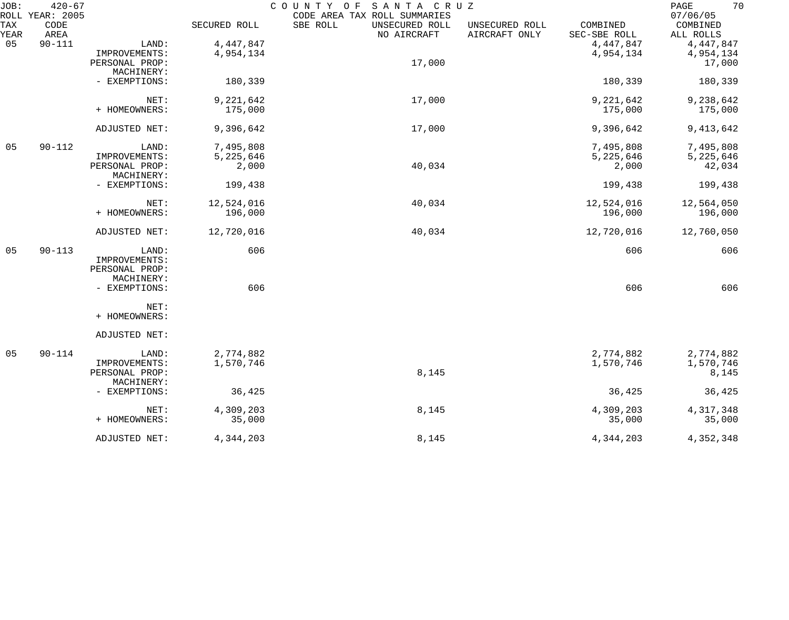| JOB:        | $420 - 67$                      |                |              | SANTA CRUZ<br>COUNTY<br>O F                                               |                                 |                          | 70<br>$\mathop{\mathrm{PAGE}}$    |
|-------------|---------------------------------|----------------|--------------|---------------------------------------------------------------------------|---------------------------------|--------------------------|-----------------------------------|
| TAX<br>YEAR | ROLL YEAR: 2005<br>CODE<br>AREA |                | SECURED ROLL | CODE AREA TAX ROLL SUMMARIES<br>SBE ROLL<br>UNSECURED ROLL<br>NO AIRCRAFT | UNSECURED ROLL<br>AIRCRAFT ONLY | COMBINED<br>SEC-SBE ROLL | 07/06/05<br>COMBINED<br>ALL ROLLS |
| 05          | $90 - 111$                      | LAND:          | 4, 447, 847  |                                                                           |                                 | 4, 447, 847              | 4, 447, 847                       |
|             |                                 | IMPROVEMENTS:  | 4,954,134    |                                                                           |                                 | 4,954,134                | 4,954,134                         |
|             |                                 | PERSONAL PROP: |              | 17,000                                                                    |                                 |                          | 17,000                            |
|             |                                 | MACHINERY:     |              |                                                                           |                                 |                          |                                   |
|             |                                 | - EXEMPTIONS:  | 180,339      |                                                                           |                                 | 180,339                  | 180,339                           |
|             |                                 | NET:           | 9,221,642    | 17,000                                                                    |                                 | 9,221,642                | 9,238,642                         |
|             |                                 | + HOMEOWNERS:  | 175,000      |                                                                           |                                 | 175,000                  | 175,000                           |
|             |                                 | ADJUSTED NET:  | 9,396,642    | 17,000                                                                    |                                 | 9,396,642                | 9, 413, 642                       |
| 05          | $90 - 112$                      | LAND:          | 7,495,808    |                                                                           |                                 | 7,495,808                | 7,495,808                         |
|             |                                 | IMPROVEMENTS:  | 5,225,646    |                                                                           |                                 | 5,225,646                | 5,225,646                         |
|             |                                 | PERSONAL PROP: | 2,000        | 40,034                                                                    |                                 | 2,000                    | 42,034                            |
|             |                                 | MACHINERY:     |              |                                                                           |                                 |                          |                                   |
|             |                                 | - EXEMPTIONS:  | 199,438      |                                                                           |                                 | 199,438                  | 199,438                           |
|             |                                 | NET:           | 12,524,016   | 40,034                                                                    |                                 | 12,524,016               | 12,564,050                        |
|             |                                 | + HOMEOWNERS:  | 196,000      |                                                                           |                                 | 196,000                  | 196,000                           |
|             |                                 | ADJUSTED NET:  | 12,720,016   | 40,034                                                                    |                                 | 12,720,016               | 12,760,050                        |
| 05          | $90 - 113$                      | LAND:          | 606          |                                                                           |                                 | 606                      | 606                               |
|             |                                 | IMPROVEMENTS:  |              |                                                                           |                                 |                          |                                   |
|             |                                 | PERSONAL PROP: |              |                                                                           |                                 |                          |                                   |
|             |                                 | MACHINERY:     |              |                                                                           |                                 |                          |                                   |
|             |                                 | - EXEMPTIONS:  | 606          |                                                                           |                                 | 606                      | 606                               |
|             |                                 | NET:           |              |                                                                           |                                 |                          |                                   |
|             |                                 | + HOMEOWNERS:  |              |                                                                           |                                 |                          |                                   |
|             |                                 | ADJUSTED NET:  |              |                                                                           |                                 |                          |                                   |
| 05          | $90 - 114$                      | LAND:          | 2,774,882    |                                                                           |                                 | 2,774,882                | 2,774,882                         |
|             |                                 | IMPROVEMENTS:  | 1,570,746    |                                                                           |                                 | 1,570,746                | 1,570,746                         |
|             |                                 | PERSONAL PROP: |              | 8,145                                                                     |                                 |                          | 8,145                             |
|             |                                 | MACHINERY:     |              |                                                                           |                                 |                          |                                   |
|             |                                 | - EXEMPTIONS:  | 36,425       |                                                                           |                                 | 36,425                   | 36,425                            |
|             |                                 | NET:           | 4,309,203    | 8,145                                                                     |                                 | 4,309,203                | 4, 317, 348                       |
|             |                                 | + HOMEOWNERS:  | 35,000       |                                                                           |                                 | 35,000                   | 35,000                            |
|             |                                 | ADJUSTED NET:  | 4,344,203    | 8,145                                                                     |                                 | 4,344,203                | 4,352,348                         |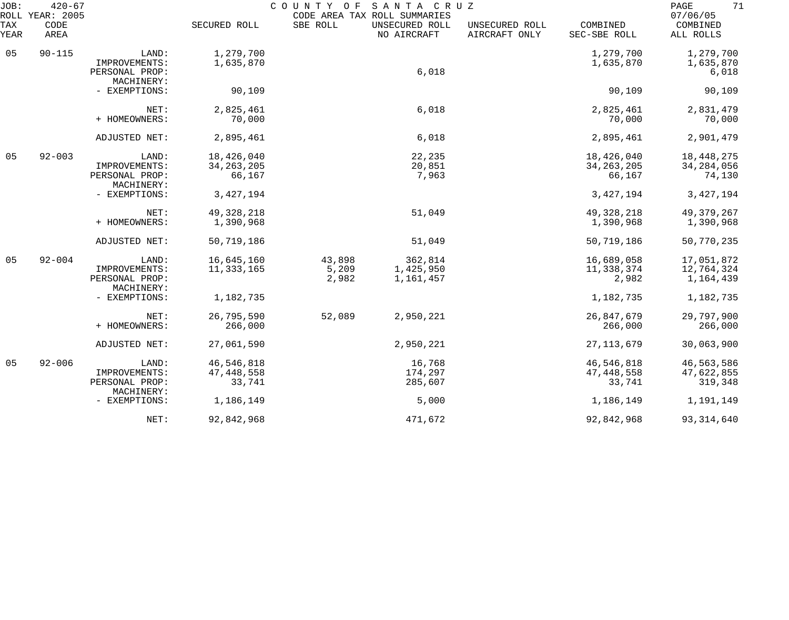| JOB:<br>ROLL | $420 - 67$<br><b>YEAR: 2005</b> |                                               |                            | COUNTY<br>O F  | SANTA CRUZ<br>CODE AREA TAX ROLL SUMMARIES |                                 |                            | 71<br>PAGE<br>07/06/05    |
|--------------|---------------------------------|-----------------------------------------------|----------------------------|----------------|--------------------------------------------|---------------------------------|----------------------------|---------------------------|
| TAX<br>YEAR  | CODE<br>AREA                    |                                               | SECURED ROLL               | SBE ROLL       | UNSECURED ROLL<br>NO AIRCRAFT              | UNSECURED ROLL<br>AIRCRAFT ONLY | COMBINED<br>SEC-SBE ROLL   | COMBINED<br>ALL ROLLS     |
| 05           | $90 - 115$                      | LAND:<br>IMPROVEMENTS:                        | 1,279,700<br>1,635,870     |                |                                            |                                 | 1,279,700<br>1,635,870     | 1,279,700<br>1,635,870    |
|              |                                 | PERSONAL PROP:<br>MACHINERY:                  |                            |                | 6,018                                      |                                 |                            | 6,018                     |
|              |                                 | - EXEMPTIONS:                                 | 90,109                     |                |                                            |                                 | 90,109                     | 90,109                    |
|              |                                 | NET:<br>+ HOMEOWNERS:                         | 2,825,461<br>70,000        |                | 6,018                                      |                                 | 2,825,461<br>70,000        | 2,831,479<br>70,000       |
|              |                                 | ADJUSTED NET:                                 | 2,895,461                  |                | 6,018                                      |                                 | 2,895,461                  | 2,901,479                 |
| 05           | $92 - 003$                      | LAND:                                         | 18,426,040                 |                | 22,235                                     |                                 | 18,426,040                 | 18, 448, 275              |
|              |                                 | IMPROVEMENTS:<br>PERSONAL PROP:<br>MACHINERY: | 34, 263, 205<br>66,167     |                | 20,851<br>7,963                            |                                 | 34, 263, 205<br>66,167     | 34, 284, 056<br>74,130    |
|              |                                 | - EXEMPTIONS:                                 | 3, 427, 194                |                |                                            |                                 | 3, 427, 194                | 3, 427, 194               |
|              |                                 | NET:<br>+ HOMEOWNERS:                         | 49, 328, 218<br>1,390,968  |                | 51,049                                     |                                 | 49, 328, 218<br>1,390,968  | 49, 379, 267<br>1,390,968 |
|              |                                 | ADJUSTED NET:                                 | 50,719,186                 |                | 51,049                                     |                                 | 50,719,186                 | 50,770,235                |
| 05           | $92 - 004$                      | LAND:                                         | 16,645,160                 | 43,898         | 362,814                                    |                                 | 16,689,058                 | 17,051,872                |
|              |                                 | IMPROVEMENTS:<br>PERSONAL PROP:<br>MACHINERY: | 11, 333, 165               | 5,209<br>2,982 | 1,425,950<br>1,161,457                     |                                 | 11,338,374<br>2,982        | 12,764,324<br>1,164,439   |
|              |                                 | - EXEMPTIONS:                                 | 1,182,735                  |                |                                            |                                 | 1,182,735                  | 1,182,735                 |
|              |                                 | NET:                                          | 26,795,590                 | 52,089         | 2,950,221                                  |                                 | 26,847,679                 | 29,797,900                |
|              |                                 | + HOMEOWNERS:                                 | 266,000                    |                |                                            |                                 | 266,000                    | 266,000                   |
|              |                                 | ADJUSTED NET:                                 | 27,061,590                 |                | 2,950,221                                  |                                 | 27, 113, 679               | 30,063,900                |
| 05           | $92 - 006$                      | LAND:<br>IMPROVEMENTS:                        | 46,546,818<br>47, 448, 558 |                | 16,768<br>174,297                          |                                 | 46,546,818<br>47, 448, 558 | 46,563,586<br>47,622,855  |
|              |                                 | PERSONAL PROP:                                | 33,741                     |                | 285,607                                    |                                 | 33,741                     | 319,348                   |
|              |                                 | MACHINERY:<br>- EXEMPTIONS:                   | 1,186,149                  |                | 5,000                                      |                                 | 1,186,149                  | 1,191,149                 |
|              |                                 | NET:                                          | 92,842,968                 |                | 471,672                                    |                                 | 92,842,968                 | 93, 314, 640              |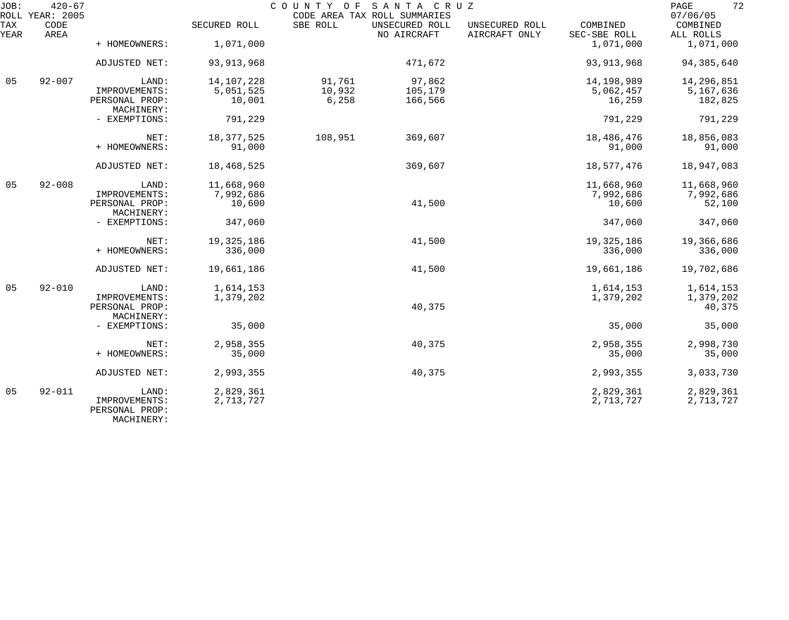| JOB:        | $420 - 67$<br>ROLL YEAR: 2005 |                                 |              |          | COUNTY OF SANTA CRUZ<br>CODE AREA TAX ROLL SUMMARIES |                                 |                          | 72<br>PAGE<br>07/06/05 |
|-------------|-------------------------------|---------------------------------|--------------|----------|------------------------------------------------------|---------------------------------|--------------------------|------------------------|
| TAX<br>YEAR | CODE<br>AREA                  |                                 | SECURED ROLL | SBE ROLL | UNSECURED ROLL<br>NO AIRCRAFT                        | UNSECURED ROLL<br>AIRCRAFT ONLY | COMBINED<br>SEC-SBE ROLL | COMBINED<br>ALL ROLLS  |
|             |                               | + HOMEOWNERS:                   | 1,071,000    |          |                                                      |                                 | 1,071,000                | 1,071,000              |
|             |                               | ADJUSTED NET:                   | 93, 913, 968 |          | 471,672                                              |                                 | 93, 913, 968             | 94, 385, 640           |
| 05          | $92 - 007$                    | LAND:                           | 14,107,228   | 91,761   | 97,862                                               |                                 | 14,198,989               | 14,296,851             |
|             |                               | IMPROVEMENTS:                   | 5,051,525    | 10,932   | 105,179                                              |                                 | 5,062,457                | 5,167,636              |
|             |                               | PERSONAL PROP:<br>MACHINERY:    | 10,001       | 6,258    | 166,566                                              |                                 | 16,259                   | 182,825                |
|             |                               | - EXEMPTIONS:                   | 791,229      |          |                                                      |                                 | 791,229                  | 791,229                |
|             |                               | NET:                            | 18, 377, 525 | 108,951  | 369,607                                              |                                 | 18,486,476               | 18,856,083             |
|             |                               | + HOMEOWNERS:                   | 91,000       |          |                                                      |                                 | 91,000                   | 91,000                 |
|             |                               | ADJUSTED NET:                   | 18,468,525   |          | 369,607                                              |                                 | 18,577,476               | 18,947,083             |
| 05          | $92 - 008$                    | LAND:                           | 11,668,960   |          |                                                      |                                 | 11,668,960               | 11,668,960             |
|             |                               | IMPROVEMENTS:                   | 7,992,686    |          |                                                      |                                 | 7,992,686                | 7,992,686              |
|             |                               | PERSONAL PROP:<br>MACHINERY:    | 10,600       |          | 41,500                                               |                                 | 10,600                   | 52,100                 |
|             |                               | - EXEMPTIONS:                   | 347,060      |          |                                                      |                                 | 347,060                  | 347,060                |
|             |                               | NET:                            | 19, 325, 186 |          | 41,500                                               |                                 | 19,325,186               | 19,366,686             |
|             |                               | + HOMEOWNERS:                   | 336,000      |          |                                                      |                                 | 336,000                  | 336,000                |
|             |                               | ADJUSTED NET:                   | 19,661,186   |          | 41,500                                               |                                 | 19,661,186               | 19,702,686             |
| 05          | $92 - 010$                    | LAND:                           | 1,614,153    |          |                                                      |                                 | 1,614,153                | 1,614,153              |
|             |                               | IMPROVEMENTS:                   | 1,379,202    |          |                                                      |                                 | 1,379,202                | 1,379,202              |
|             |                               | PERSONAL PROP:<br>MACHINERY:    |              |          | 40,375                                               |                                 |                          | 40,375                 |
|             |                               | - EXEMPTIONS:                   | 35,000       |          |                                                      |                                 | 35,000                   | 35,000                 |
|             |                               | NET:                            | 2,958,355    |          | 40,375                                               |                                 | 2,958,355                | 2,998,730              |
|             |                               | + HOMEOWNERS:                   | 35,000       |          |                                                      |                                 | 35,000                   | 35,000                 |
|             |                               | <b>ADJUSTED NET:</b>            | 2,993,355    |          | 40,375                                               |                                 | 2,993,355                | 3,033,730              |
| 05          | $92 - 011$                    | LAND:                           | 2,829,361    |          |                                                      |                                 | 2,829,361                | 2,829,361              |
|             |                               | IMPROVEMENTS:<br>PERSONAL PROP: | 2,713,727    |          |                                                      |                                 | 2,713,727                | 2,713,727              |

MACHINERY: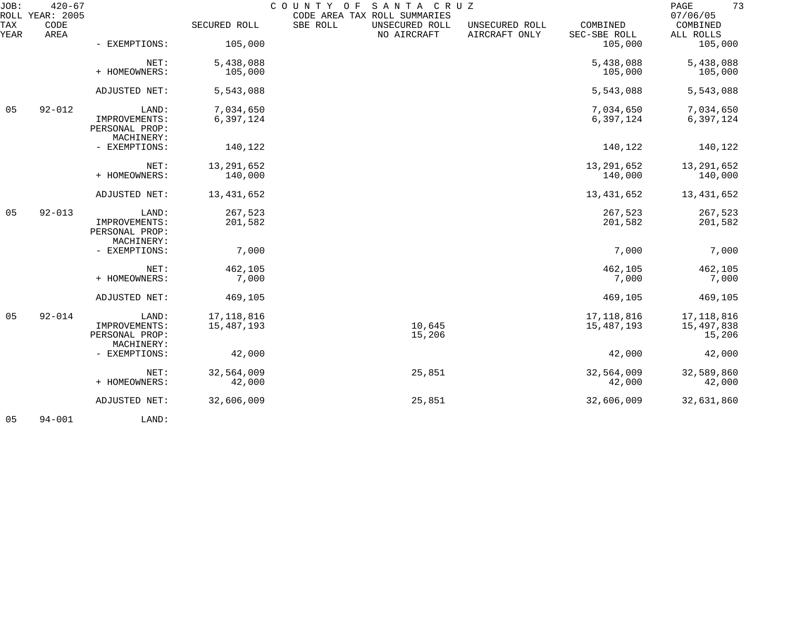| JOB:        | $420 - 67$<br>ROLL YEAR: 2005 |                                               |              | COUNTY OF SANTA CRUZ | CODE AREA TAX ROLL SUMMARIES  |                                 |                          | 73<br>$\mathop{\mathtt{PAGE}}$<br>07/06/05 |
|-------------|-------------------------------|-----------------------------------------------|--------------|----------------------|-------------------------------|---------------------------------|--------------------------|--------------------------------------------|
| TAX<br>YEAR | CODE<br>AREA                  |                                               | SECURED ROLL | SBE ROLL             | UNSECURED ROLL<br>NO AIRCRAFT | UNSECURED ROLL<br>AIRCRAFT ONLY | COMBINED<br>SEC-SBE ROLL | COMBINED<br>ALL ROLLS                      |
|             |                               | - EXEMPTIONS:                                 | 105,000      |                      |                               |                                 | 105,000                  | 105,000                                    |
|             |                               | NET:                                          | 5,438,088    |                      |                               |                                 | 5,438,088                | 5,438,088                                  |
|             |                               | + HOMEOWNERS:                                 | 105,000      |                      |                               |                                 | 105,000                  | 105,000                                    |
|             |                               | ADJUSTED NET:                                 | 5,543,088    |                      |                               |                                 | 5,543,088                | 5,543,088                                  |
| 05          | $92 - 012$                    | LAND:                                         | 7,034,650    |                      |                               |                                 | 7,034,650                | 7,034,650                                  |
|             |                               | IMPROVEMENTS:<br>PERSONAL PROP:<br>MACHINERY: | 6,397,124    |                      |                               |                                 | 6,397,124                | 6,397,124                                  |
|             |                               | - EXEMPTIONS:                                 | 140,122      |                      |                               |                                 | 140,122                  | 140,122                                    |
|             |                               | NET:                                          | 13, 291, 652 |                      |                               |                                 | 13, 291, 652             | 13,291,652                                 |
|             |                               | + HOMEOWNERS:                                 | 140,000      |                      |                               |                                 | 140,000                  | 140,000                                    |
|             |                               | ADJUSTED NET:                                 | 13,431,652   |                      |                               |                                 | 13, 431, 652             | 13,431,652                                 |
| 05          | $92 - 013$                    | LAND:                                         | 267,523      |                      |                               |                                 | 267,523                  | 267,523                                    |
|             |                               | IMPROVEMENTS:<br>PERSONAL PROP:<br>MACHINERY: | 201,582      |                      |                               |                                 | 201,582                  | 201,582                                    |
|             |                               | - EXEMPTIONS:                                 | 7,000        |                      |                               |                                 | 7,000                    | 7,000                                      |
|             |                               | NET:                                          | 462,105      |                      |                               |                                 | 462,105                  | 462,105                                    |
|             |                               | + HOMEOWNERS:                                 | 7,000        |                      |                               |                                 | 7,000                    | 7,000                                      |
|             |                               | ADJUSTED NET:                                 | 469,105      |                      |                               |                                 | 469,105                  | 469,105                                    |
| 05          | $92 - 014$                    | LAND:                                         | 17,118,816   |                      |                               |                                 | 17, 118, 816             | 17,118,816                                 |
|             |                               | IMPROVEMENTS:<br>PERSONAL PROP:               | 15,487,193   |                      | 10,645<br>15,206              |                                 | 15,487,193               | 15,497,838<br>15,206                       |
|             |                               | MACHINERY:                                    |              |                      |                               |                                 |                          |                                            |
|             |                               | - EXEMPTIONS:                                 | 42,000       |                      |                               |                                 | 42,000                   | 42,000                                     |
|             |                               | NET:                                          | 32,564,009   |                      | 25,851                        |                                 | 32,564,009               | 32,589,860                                 |
|             |                               | + HOMEOWNERS:                                 | 42,000       |                      |                               |                                 | 42,000                   | 42,000                                     |
|             |                               | ADJUSTED NET:                                 | 32,606,009   |                      | 25,851                        |                                 | 32,606,009               | 32,631,860                                 |
|             |                               |                                               |              |                      |                               |                                 |                          |                                            |

05 94-001 LAND: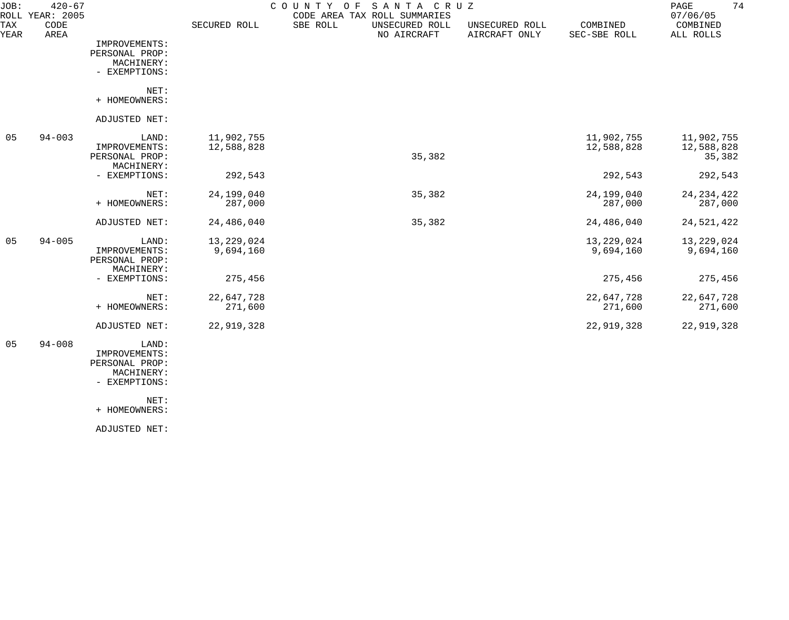| JOB:        | $420 - 67$<br>ROLL YEAR: 2005 |                                                                         |                          | COUNTY<br>SANTA CRUZ<br>O F<br>CODE AREA TAX ROLL SUMMARIES |                                 |                          | 74<br>PAGE<br>07/06/05             |
|-------------|-------------------------------|-------------------------------------------------------------------------|--------------------------|-------------------------------------------------------------|---------------------------------|--------------------------|------------------------------------|
| TAX<br>YEAR | CODE<br>AREA                  |                                                                         | SECURED ROLL             | SBE ROLL<br>UNSECURED ROLL<br>NO AIRCRAFT                   | UNSECURED ROLL<br>AIRCRAFT ONLY | COMBINED<br>SEC-SBE ROLL | COMBINED<br>ALL ROLLS              |
|             |                               | IMPROVEMENTS:<br>PERSONAL PROP:<br>MACHINERY:<br>- EXEMPTIONS:          |                          |                                                             |                                 |                          |                                    |
|             |                               | NET:<br>+ HOMEOWNERS:                                                   |                          |                                                             |                                 |                          |                                    |
|             |                               | ADJUSTED NET:                                                           |                          |                                                             |                                 |                          |                                    |
| 05          | $94 - 003$                    | LAND:<br>IMPROVEMENTS:<br>PERSONAL PROP:                                | 11,902,755<br>12,588,828 | 35,382                                                      |                                 | 11,902,755<br>12,588,828 | 11,902,755<br>12,588,828<br>35,382 |
|             |                               | MACHINERY:<br>- EXEMPTIONS:                                             | 292,543                  |                                                             |                                 | 292,543                  | 292,543                            |
|             |                               | NET:<br>+ HOMEOWNERS:                                                   | 24,199,040<br>287,000    | 35,382                                                      |                                 | 24,199,040<br>287,000    | 24, 234, 422<br>287,000            |
|             |                               | ADJUSTED NET:                                                           | 24,486,040               | 35,382                                                      |                                 | 24,486,040               | 24,521,422                         |
| 05          | $94 - 005$                    | LAND:<br>IMPROVEMENTS:<br>PERSONAL PROP:<br>MACHINERY:                  | 13,229,024<br>9,694,160  |                                                             |                                 | 13,229,024<br>9,694,160  | 13,229,024<br>9,694,160            |
|             |                               | - EXEMPTIONS:                                                           | 275,456                  |                                                             |                                 | 275,456                  | 275,456                            |
|             |                               | NET:<br>+ HOMEOWNERS:                                                   | 22,647,728<br>271,600    |                                                             |                                 | 22,647,728<br>271,600    | 22,647,728<br>271,600              |
|             |                               | ADJUSTED NET:                                                           | 22,919,328               |                                                             |                                 | 22,919,328               | 22,919,328                         |
| 05          | $94 - 008$                    | LAND:<br>IMPROVEMENTS:<br>PERSONAL PROP:<br>MACHINERY:<br>- EXEMPTIONS: |                          |                                                             |                                 |                          |                                    |
|             |                               | NET:<br>+ HOMEOWNERS:                                                   |                          |                                                             |                                 |                          |                                    |
|             |                               | ADJUSTED NET:                                                           |                          |                                                             |                                 |                          |                                    |
|             |                               |                                                                         |                          |                                                             |                                 |                          |                                    |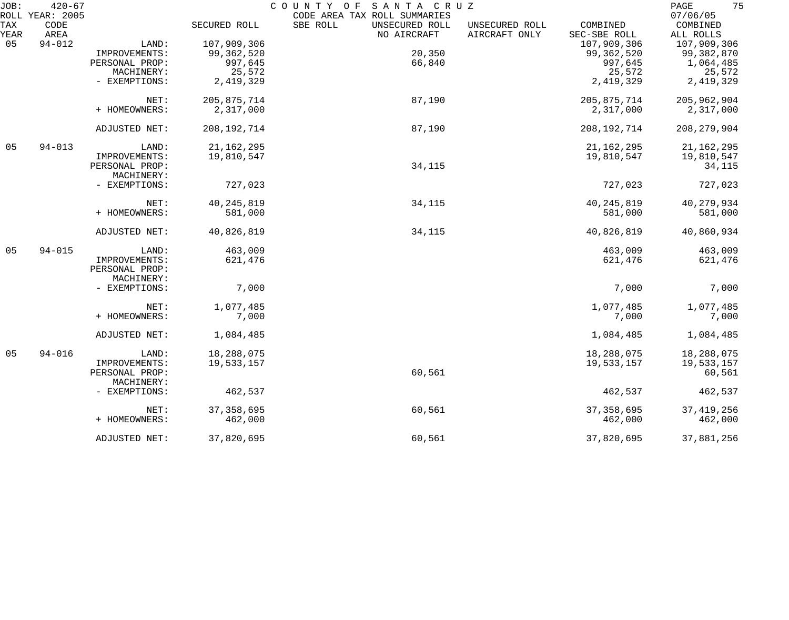| JOB: | $420 - 67$<br>ROLL YEAR: 2005 |                |               | COUNTY OF SANTA CRUZ<br>CODE AREA TAX ROLL SUMMARIES |               | 75<br>PAGE<br>07/06/05 |
|------|-------------------------------|----------------|---------------|------------------------------------------------------|---------------|------------------------|
| TAX  | CODE                          |                | SECURED ROLL  | SBE ROLL<br>UNSECURED ROLL<br>UNSECURED ROLL         | COMBINED      | COMBINED               |
| YEAR | AREA                          |                |               | AIRCRAFT ONLY<br>NO AIRCRAFT                         | SEC-SBE ROLL  | ALL ROLLS              |
| 05   | $94 - 012$                    | LAND:          | 107,909,306   |                                                      | 107,909,306   | 107,909,306            |
|      |                               | IMPROVEMENTS:  | 99, 362, 520  | 20,350                                               | 99,362,520    | 99,382,870             |
|      |                               | PERSONAL PROP: | 997,645       | 66,840                                               | 997,645       | 1,064,485              |
|      |                               | MACHINERY:     | 25,572        |                                                      | 25,572        | 25,572                 |
|      |                               | - EXEMPTIONS:  | 2,419,329     |                                                      | 2,419,329     | 2,419,329              |
|      |                               |                |               |                                                      |               |                        |
|      |                               | NET:           | 205, 875, 714 | 87,190                                               | 205,875,714   | 205, 962, 904          |
|      |                               | + HOMEOWNERS:  | 2,317,000     |                                                      | 2,317,000     | 2,317,000              |
|      |                               |                |               |                                                      |               |                        |
|      |                               | ADJUSTED NET:  | 208, 192, 714 | 87,190                                               | 208, 192, 714 | 208, 279, 904          |
| 05   | $94 - 013$                    | LAND:          | 21, 162, 295  |                                                      | 21, 162, 295  | 21, 162, 295           |
|      |                               | IMPROVEMENTS:  | 19,810,547    |                                                      | 19,810,547    | 19,810,547             |
|      |                               | PERSONAL PROP: |               | 34,115                                               |               | 34,115                 |
|      |                               | MACHINERY:     |               |                                                      |               |                        |
|      |                               | - EXEMPTIONS:  | 727,023       |                                                      | 727,023       | 727,023                |
|      |                               |                |               |                                                      |               |                        |
|      |                               | NET:           | 40, 245, 819  | 34,115                                               | 40, 245, 819  | 40,279,934             |
|      |                               | + HOMEOWNERS:  | 581,000       |                                                      | 581,000       | 581,000                |
|      |                               | ADJUSTED NET:  | 40,826,819    | 34,115                                               | 40,826,819    | 40,860,934             |
| 05   | $94 - 015$                    | LAND:          | 463,009       |                                                      | 463,009       | 463,009                |
|      |                               | IMPROVEMENTS:  | 621,476       |                                                      | 621,476       | 621,476                |
|      |                               | PERSONAL PROP: |               |                                                      |               |                        |
|      |                               | MACHINERY:     |               |                                                      |               |                        |
|      |                               | - EXEMPTIONS:  | 7,000         |                                                      | 7,000         | 7,000                  |
|      |                               |                |               |                                                      |               |                        |
|      |                               | NET:           | 1,077,485     |                                                      | 1,077,485     | 1,077,485              |
|      |                               | + HOMEOWNERS:  | 7,000         |                                                      | 7,000         | 7,000                  |
|      |                               | ADJUSTED NET:  | 1,084,485     |                                                      | 1,084,485     | 1,084,485              |
| 05   | $94 - 016$                    | LAND:          | 18,288,075    |                                                      | 18,288,075    | 18,288,075             |
|      |                               | IMPROVEMENTS:  | 19,533,157    |                                                      | 19,533,157    | 19,533,157             |
|      |                               | PERSONAL PROP: |               | 60,561                                               |               | 60,561                 |
|      |                               | MACHINERY:     |               |                                                      |               |                        |
|      |                               | - EXEMPTIONS:  | 462,537       |                                                      | 462,537       | 462,537                |
|      |                               |                |               |                                                      |               |                        |
|      |                               | NET:           | 37, 358, 695  | 60,561                                               | 37, 358, 695  | 37, 419, 256           |
|      |                               | + HOMEOWNERS:  | 462,000       |                                                      | 462,000       | 462,000                |
|      |                               | ADJUSTED NET:  | 37,820,695    | 60,561                                               | 37,820,695    | 37,881,256             |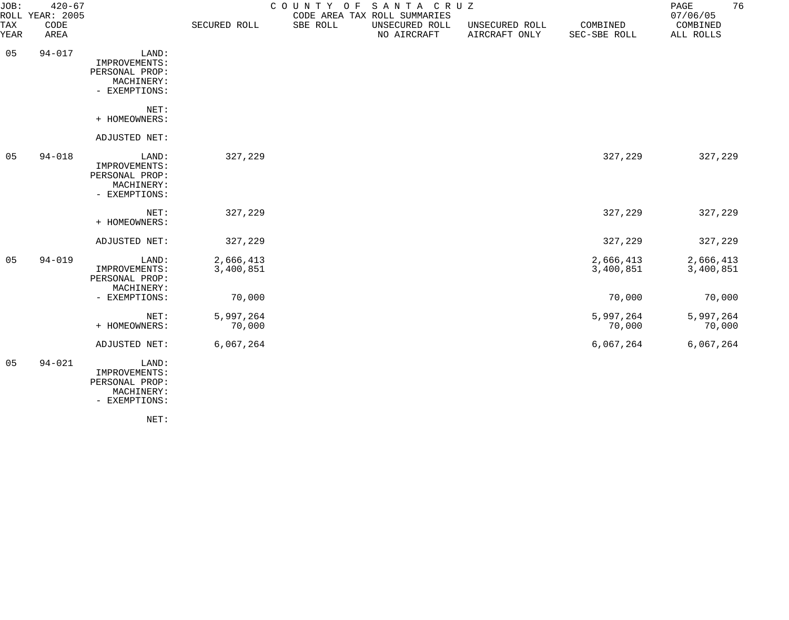| JOB:           | $420 - 67$<br>ROLL YEAR: 2005 |                                                                         |                        | COUNTY OF | SANTA CRUZ<br>CODE AREA TAX ROLL SUMMARIES |                                 |                          | 76<br>PAGE<br>07/06/05 |
|----------------|-------------------------------|-------------------------------------------------------------------------|------------------------|-----------|--------------------------------------------|---------------------------------|--------------------------|------------------------|
| TAX<br>YEAR    | CODE<br>AREA                  |                                                                         | SECURED ROLL           | SBE ROLL  | UNSECURED ROLL<br>NO AIRCRAFT              | UNSECURED ROLL<br>AIRCRAFT ONLY | COMBINED<br>SEC-SBE ROLL | COMBINED<br>ALL ROLLS  |
| 05             | $94 - 017$                    | LAND:<br>IMPROVEMENTS:<br>PERSONAL PROP:<br>MACHINERY:<br>- EXEMPTIONS: |                        |           |                                            |                                 |                          |                        |
|                |                               | NET:<br>+ HOMEOWNERS:                                                   |                        |           |                                            |                                 |                          |                        |
|                |                               | ADJUSTED NET:                                                           |                        |           |                                            |                                 |                          |                        |
| 05             | $94 - 018$                    | LAND:<br>IMPROVEMENTS:<br>PERSONAL PROP:<br>MACHINERY:<br>- EXEMPTIONS: | 327,229                |           |                                            |                                 | 327,229                  | 327,229                |
|                |                               | NET:<br>+ HOMEOWNERS:                                                   | 327,229                |           |                                            |                                 | 327,229                  | 327,229                |
|                |                               | ADJUSTED NET:                                                           | 327,229                |           |                                            |                                 | 327,229                  | 327,229                |
| 0 <sub>5</sub> | $94 - 019$                    | LAND:<br>IMPROVEMENTS:<br>PERSONAL PROP:<br>MACHINERY:                  | 2,666,413<br>3,400,851 |           |                                            |                                 | 2,666,413<br>3,400,851   | 2,666,413<br>3,400,851 |
|                |                               | - EXEMPTIONS:                                                           | 70,000                 |           |                                            |                                 | 70,000                   | 70,000                 |
|                |                               | NET:<br>+ HOMEOWNERS:                                                   | 5,997,264<br>70,000    |           |                                            |                                 | 5,997,264<br>70,000      | 5,997,264<br>70,000    |
|                |                               | ADJUSTED NET:                                                           | 6,067,264              |           |                                            |                                 | 6,067,264                | 6,067,264              |
| 05             | $94 - 021$                    | LAND:<br>IMPROVEMENTS:<br>PERSONAL PROP:<br>MACHINERY:<br>- EXEMPTIONS: |                        |           |                                            |                                 |                          |                        |

NET: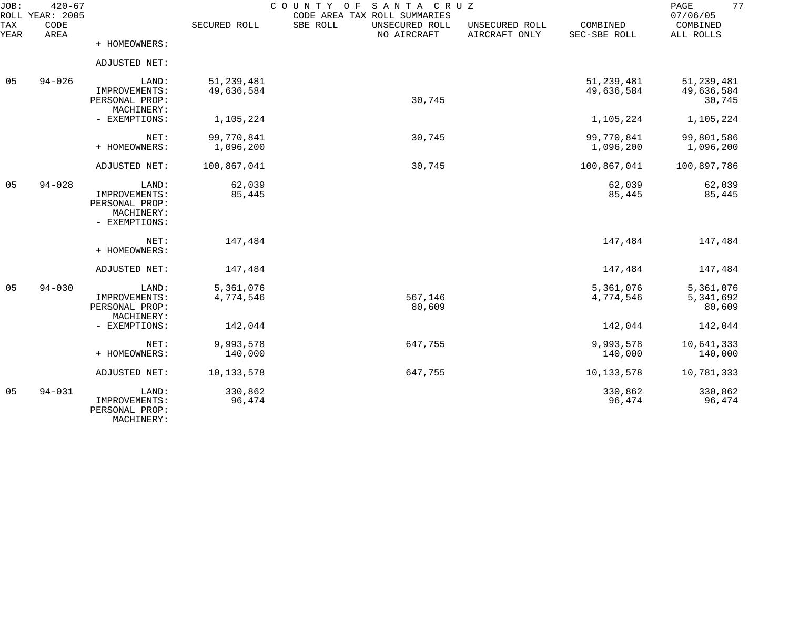| JOB:        | $420 - 67$<br>ROLL YEAR: 2005 |                                                        |                        | COUNTY OF<br>SANTA CRUZ<br>CODE AREA TAX ROLL SUMMARIES |                                 |                          | 77<br>PAGE<br>07/06/05           |
|-------------|-------------------------------|--------------------------------------------------------|------------------------|---------------------------------------------------------|---------------------------------|--------------------------|----------------------------------|
| TAX<br>YEAR | CODE<br>AREA                  |                                                        | SECURED ROLL           | SBE ROLL<br>UNSECURED ROLL<br>NO AIRCRAFT               | UNSECURED ROLL<br>AIRCRAFT ONLY | COMBINED<br>SEC-SBE ROLL | COMBINED<br>ALL ROLLS            |
|             |                               | + HOMEOWNERS:                                          |                        |                                                         |                                 |                          |                                  |
|             |                               | ADJUSTED NET:                                          |                        |                                                         |                                 |                          |                                  |
| 05          | $94 - 026$                    | LAND:                                                  | 51, 239, 481           |                                                         |                                 | 51, 239, 481             | 51, 239, 481                     |
|             |                               | IMPROVEMENTS:<br>PERSONAL PROP:<br>MACHINERY:          | 49,636,584             | 30,745                                                  |                                 | 49,636,584               | 49,636,584<br>30,745             |
|             |                               | - EXEMPTIONS:                                          | 1,105,224              |                                                         |                                 | 1,105,224                | 1,105,224                        |
|             |                               | NET:                                                   | 99,770,841             | 30,745                                                  |                                 | 99,770,841               | 99,801,586                       |
|             |                               | + HOMEOWNERS:                                          | 1,096,200              |                                                         |                                 | 1,096,200                | 1,096,200                        |
|             |                               | <b>ADJUSTED NET:</b>                                   | 100,867,041            | 30,745                                                  |                                 | 100,867,041              | 100,897,786                      |
| 05          | $94 - 028$                    | LAND:<br>IMPROVEMENTS:<br>PERSONAL PROP:               | 62,039<br>85,445       |                                                         |                                 | 62,039<br>85,445         | 62,039<br>85,445                 |
|             |                               | MACHINERY:<br>- EXEMPTIONS:                            |                        |                                                         |                                 |                          |                                  |
|             |                               | NET:<br>+ HOMEOWNERS:                                  | 147,484                |                                                         |                                 | 147,484                  | 147,484                          |
|             |                               | ADJUSTED NET:                                          | 147,484                |                                                         |                                 | 147,484                  | 147,484                          |
| 05          | $94 - 030$                    | LAND:<br>IMPROVEMENTS:<br>PERSONAL PROP:<br>MACHINERY: | 5,361,076<br>4,774,546 | 567,146<br>80,609                                       |                                 | 5,361,076<br>4,774,546   | 5,361,076<br>5,341,692<br>80,609 |
|             |                               | - EXEMPTIONS:                                          | 142,044                |                                                         |                                 | 142,044                  | 142,044                          |
|             |                               | NET:<br>+ HOMEOWNERS:                                  | 9,993,578<br>140,000   | 647,755                                                 |                                 | 9,993,578<br>140,000     | 10,641,333<br>140,000            |
|             |                               | ADJUSTED NET:                                          | 10, 133, 578           | 647,755                                                 |                                 | 10, 133, 578             | 10,781,333                       |
| 05          | $94 - 031$                    | LAND:<br>IMPROVEMENTS:<br>PERSONAL PROP:<br>MACHINERY: | 330,862<br>96,474      |                                                         |                                 | 330,862<br>96,474        | 330,862<br>96,474                |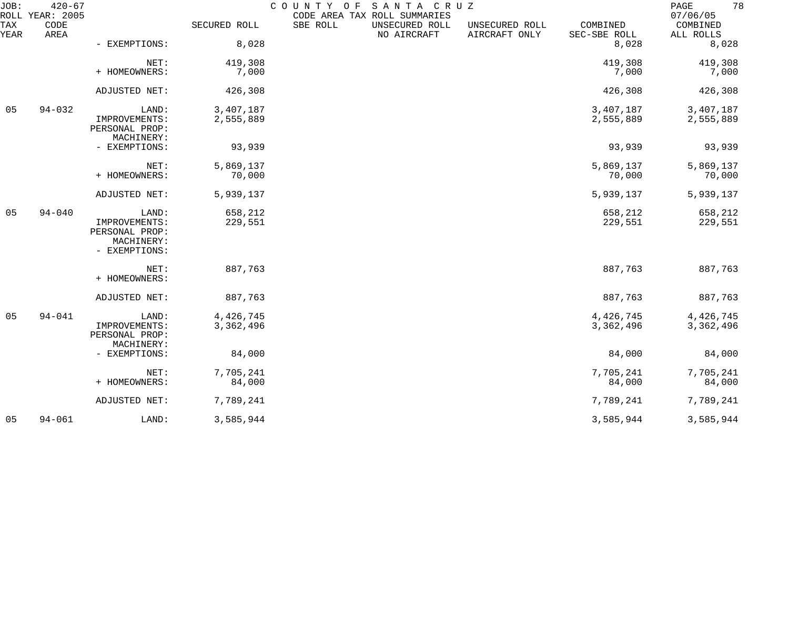| JOB:        | $420 - 67$<br>ROLL YEAR: 2005 |                                                                         |                        | COUNTY OF<br>CODE AREA TAX ROLL SUMMARIES | SANTA CRUZ                    |                                 |                          | 78<br>PAGE<br>07/06/05 |
|-------------|-------------------------------|-------------------------------------------------------------------------|------------------------|-------------------------------------------|-------------------------------|---------------------------------|--------------------------|------------------------|
| TAX<br>YEAR | CODE<br>AREA                  |                                                                         | SECURED ROLL           | SBE ROLL                                  | UNSECURED ROLL<br>NO AIRCRAFT | UNSECURED ROLL<br>AIRCRAFT ONLY | COMBINED<br>SEC-SBE ROLL | COMBINED<br>ALL ROLLS  |
|             |                               | - EXEMPTIONS:                                                           | 8,028                  |                                           |                               |                                 | 8,028                    | 8,028                  |
|             |                               | NET:<br>+ HOMEOWNERS:                                                   | 419,308<br>7,000       |                                           |                               |                                 | 419,308<br>7,000         | 419,308<br>7,000       |
|             |                               | ADJUSTED NET:                                                           | 426,308                |                                           |                               |                                 | 426,308                  | 426,308                |
| 05          | $94 - 032$                    | LAND:<br>IMPROVEMENTS:<br>PERSONAL PROP:<br>MACHINERY:                  | 3,407,187<br>2,555,889 |                                           |                               |                                 | 3,407,187<br>2,555,889   | 3,407,187<br>2,555,889 |
|             |                               | - EXEMPTIONS:                                                           | 93,939                 |                                           |                               |                                 | 93,939                   | 93,939                 |
|             |                               | NET:<br>+ HOMEOWNERS:                                                   | 5,869,137<br>70,000    |                                           |                               |                                 | 5,869,137<br>70,000      | 5,869,137<br>70,000    |
|             |                               | ADJUSTED NET:                                                           | 5,939,137              |                                           |                               |                                 | 5,939,137                | 5,939,137              |
| 05          | $94 - 040$                    | LAND:<br>IMPROVEMENTS:<br>PERSONAL PROP:<br>MACHINERY:<br>- EXEMPTIONS: | 658,212<br>229,551     |                                           |                               |                                 | 658,212<br>229,551       | 658,212<br>229,551     |
|             |                               | NET:<br>+ HOMEOWNERS:                                                   | 887,763                |                                           |                               |                                 | 887,763                  | 887,763                |
|             |                               | ADJUSTED NET:                                                           | 887,763                |                                           |                               |                                 | 887,763                  | 887,763                |
| 05          | $94 - 041$                    | LAND:<br>IMPROVEMENTS:<br>PERSONAL PROP:                                | 4,426,745<br>3,362,496 |                                           |                               |                                 | 4,426,745<br>3,362,496   | 4,426,745<br>3,362,496 |
|             |                               | MACHINERY:<br>- EXEMPTIONS:                                             | 84,000                 |                                           |                               |                                 | 84,000                   | 84,000                 |
|             |                               | NET:<br>+ HOMEOWNERS:                                                   | 7,705,241<br>84,000    |                                           |                               |                                 | 7,705,241<br>84,000      | 7,705,241<br>84,000    |
|             |                               | ADJUSTED NET:                                                           | 7,789,241              |                                           |                               |                                 | 7,789,241                | 7,789,241              |
| 05          | $94 - 061$                    | LAND:                                                                   | 3,585,944              |                                           |                               |                                 | 3,585,944                | 3,585,944              |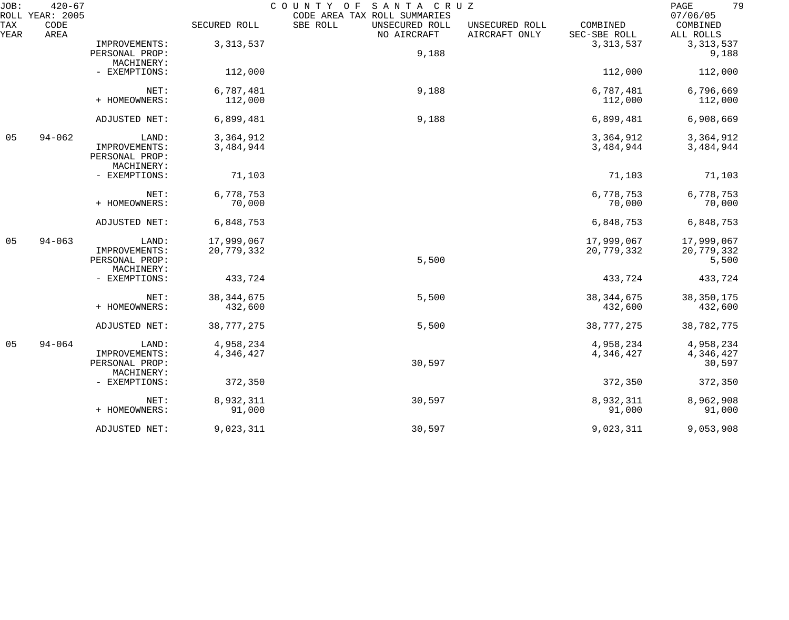| $420 - 67$<br>JOB:<br>COUNTY OF<br>SANTA CRUZ<br>ROLL YEAR: 2005<br>CODE AREA TAX ROLL SUMMARIES |              |                |              |                                           |                                 | 79<br>PAGE<br>07/06/05   |                       |
|--------------------------------------------------------------------------------------------------|--------------|----------------|--------------|-------------------------------------------|---------------------------------|--------------------------|-----------------------|
| TAX<br>YEAR                                                                                      | CODE<br>AREA |                | SECURED ROLL | SBE ROLL<br>UNSECURED ROLL<br>NO AIRCRAFT | UNSECURED ROLL<br>AIRCRAFT ONLY | COMBINED<br>SEC-SBE ROLL | COMBINED<br>ALL ROLLS |
|                                                                                                  |              | IMPROVEMENTS:  | 3, 313, 537  |                                           |                                 | 3, 313, 537              | 3, 313, 537           |
|                                                                                                  |              | PERSONAL PROP: |              | 9,188                                     |                                 |                          | 9,188                 |
|                                                                                                  |              | MACHINERY:     |              |                                           |                                 |                          |                       |
|                                                                                                  |              | - EXEMPTIONS:  | 112,000      |                                           |                                 | 112,000                  | 112,000               |
|                                                                                                  |              | NET:           | 6,787,481    | 9,188                                     |                                 | 6,787,481                | 6,796,669             |
|                                                                                                  |              | + HOMEOWNERS:  | 112,000      |                                           |                                 | 112,000                  | 112,000               |
|                                                                                                  |              | ADJUSTED NET:  | 6,899,481    | 9,188                                     |                                 | 6,899,481                | 6,908,669             |
| 05                                                                                               | $94 - 062$   | LAND:          | 3,364,912    |                                           |                                 | 3,364,912                | 3,364,912             |
|                                                                                                  |              | IMPROVEMENTS:  | 3,484,944    |                                           |                                 | 3,484,944                | 3,484,944             |
|                                                                                                  |              | PERSONAL PROP: |              |                                           |                                 |                          |                       |
|                                                                                                  |              | MACHINERY:     |              |                                           |                                 |                          |                       |
|                                                                                                  |              | - EXEMPTIONS:  | 71,103       |                                           |                                 | 71,103                   | 71,103                |
|                                                                                                  |              | NET:           | 6,778,753    |                                           |                                 | 6,778,753                | 6,778,753             |
|                                                                                                  |              | + HOMEOWNERS:  | 70,000       |                                           |                                 | 70,000                   | 70,000                |
|                                                                                                  |              | ADJUSTED NET:  | 6,848,753    |                                           |                                 | 6,848,753                | 6,848,753             |
| 05                                                                                               | $94 - 063$   | LAND:          | 17,999,067   |                                           |                                 | 17,999,067               | 17,999,067            |
|                                                                                                  |              | IMPROVEMENTS:  | 20,779,332   |                                           |                                 | 20,779,332               | 20,779,332            |
|                                                                                                  |              | PERSONAL PROP: |              | 5,500                                     |                                 |                          | 5,500                 |
|                                                                                                  |              | MACHINERY:     |              |                                           |                                 |                          |                       |
|                                                                                                  |              | - EXEMPTIONS:  | 433,724      |                                           |                                 | 433,724                  | 433,724               |
|                                                                                                  |              | NET:           | 38, 344, 675 | 5,500                                     |                                 | 38, 344, 675             | 38, 350, 175          |
|                                                                                                  |              | + HOMEOWNERS:  | 432,600      |                                           |                                 | 432,600                  | 432,600               |
|                                                                                                  |              | ADJUSTED NET:  | 38,777,275   | 5,500                                     |                                 | 38,777,275               | 38,782,775            |
| 05                                                                                               | $94 - 064$   | LAND:          | 4,958,234    |                                           |                                 | 4,958,234                | 4,958,234             |
|                                                                                                  |              | IMPROVEMENTS:  | 4,346,427    |                                           |                                 | 4,346,427                | 4,346,427             |
|                                                                                                  |              | PERSONAL PROP: |              | 30,597                                    |                                 |                          | 30,597                |
|                                                                                                  |              | MACHINERY:     |              |                                           |                                 |                          |                       |
|                                                                                                  |              | - EXEMPTIONS:  | 372,350      |                                           |                                 | 372,350                  | 372,350               |
|                                                                                                  |              | NET:           | 8,932,311    | 30,597                                    |                                 | 8,932,311                | 8,962,908             |
|                                                                                                  |              | + HOMEOWNERS:  | 91,000       |                                           |                                 | 91,000                   | 91,000                |
|                                                                                                  |              | ADJUSTED NET:  | 9,023,311    | 30,597                                    |                                 | 9,023,311                | 9,053,908             |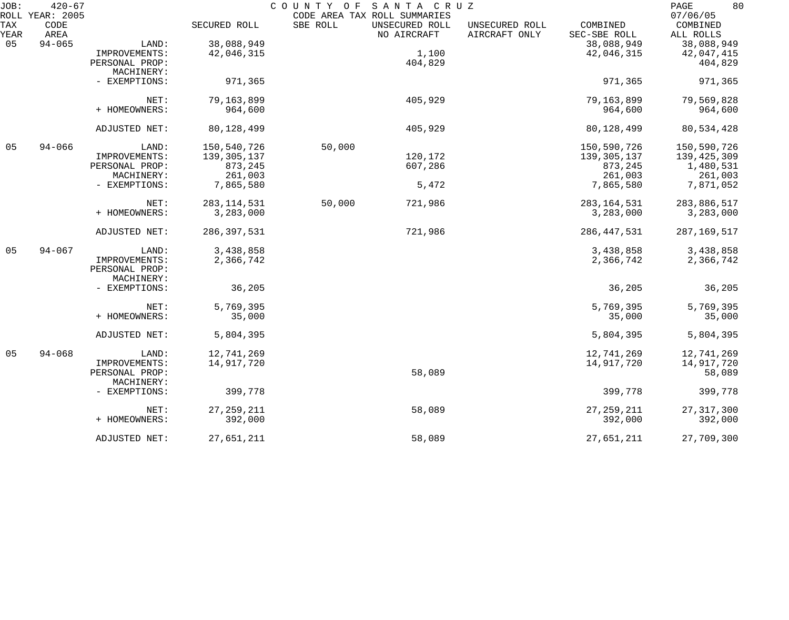| JOB:        | $420 - 67$<br>ROLL YEAR: 2005 |                |               |          | COUNTY OF SANTA CRUZ<br>CODE AREA TAX ROLL SUMMARIES |                                 |                          | 80<br>PAGE<br>07/06/05 |
|-------------|-------------------------------|----------------|---------------|----------|------------------------------------------------------|---------------------------------|--------------------------|------------------------|
| TAX<br>YEAR | CODE<br>AREA                  |                | SECURED ROLL  | SBE ROLL | UNSECURED ROLL<br>NO AIRCRAFT                        | UNSECURED ROLL<br>AIRCRAFT ONLY | COMBINED<br>SEC-SBE ROLL | COMBINED<br>ALL ROLLS  |
| 05          | $94 - 065$                    | LAND:          | 38,088,949    |          |                                                      |                                 | 38,088,949               | 38,088,949             |
|             |                               | IMPROVEMENTS:  | 42,046,315    |          | 1,100                                                |                                 | 42,046,315               | 42,047,415             |
|             |                               |                |               |          |                                                      |                                 |                          |                        |
|             |                               | PERSONAL PROP: |               |          | 404,829                                              |                                 |                          | 404,829                |
|             |                               | MACHINERY:     |               |          |                                                      |                                 |                          |                        |
|             |                               | - EXEMPTIONS:  | 971,365       |          |                                                      |                                 | 971,365                  | 971,365                |
|             |                               | NET:           | 79,163,899    |          | 405,929                                              |                                 | 79,163,899               | 79,569,828             |
|             |                               | + HOMEOWNERS:  | 964,600       |          |                                                      |                                 | 964,600                  | 964,600                |
|             |                               |                |               |          |                                                      |                                 |                          |                        |
|             |                               | ADJUSTED NET:  | 80,128,499    |          | 405,929                                              |                                 | 80,128,499               | 80,534,428             |
| 05          | $94 - 066$                    | LAND:          | 150,540,726   | 50,000   |                                                      |                                 | 150,590,726              | 150,590,726            |
|             |                               | IMPROVEMENTS:  | 139, 305, 137 |          | 120,172                                              |                                 | 139, 305, 137            | 139,425,309            |
|             |                               | PERSONAL PROP: | 873,245       |          | 607,286                                              |                                 | 873,245                  | 1,480,531              |
|             |                               | MACHINERY:     | 261,003       |          |                                                      |                                 | 261,003                  | 261,003                |
|             |                               | - EXEMPTIONS:  | 7,865,580     |          | 5,472                                                |                                 | 7,865,580                | 7,871,052              |
|             |                               |                |               |          |                                                      |                                 |                          |                        |
|             |                               | NET:           | 283, 114, 531 | 50,000   | 721,986                                              |                                 | 283, 164, 531            | 283,886,517            |
|             |                               | + HOMEOWNERS:  | 3,283,000     |          |                                                      |                                 | 3,283,000                | 3,283,000              |
|             |                               | ADJUSTED NET:  | 286, 397, 531 |          | 721,986                                              |                                 | 286, 447, 531            | 287, 169, 517          |
| 05          | $94 - 067$                    | LAND:          | 3,438,858     |          |                                                      |                                 | 3,438,858                | 3,438,858              |
|             |                               | IMPROVEMENTS:  | 2,366,742     |          |                                                      |                                 | 2,366,742                | 2,366,742              |
|             |                               | PERSONAL PROP: |               |          |                                                      |                                 |                          |                        |
|             |                               | MACHINERY:     |               |          |                                                      |                                 |                          |                        |
|             |                               | - EXEMPTIONS:  | 36,205        |          |                                                      |                                 | 36,205                   | 36,205                 |
|             |                               |                |               |          |                                                      |                                 |                          |                        |
|             |                               | NET:           | 5,769,395     |          |                                                      |                                 | 5,769,395                | 5,769,395              |
|             |                               | + HOMEOWNERS:  | 35,000        |          |                                                      |                                 | 35,000                   | 35,000                 |
|             |                               |                |               |          |                                                      |                                 |                          |                        |
|             |                               | ADJUSTED NET:  | 5,804,395     |          |                                                      |                                 | 5,804,395                | 5,804,395              |
| 05          | $94 - 068$                    | LAND:          | 12,741,269    |          |                                                      |                                 | 12,741,269               | 12,741,269             |
|             |                               | IMPROVEMENTS:  | 14,917,720    |          |                                                      |                                 | 14,917,720               | 14,917,720             |
|             |                               | PERSONAL PROP: |               |          | 58,089                                               |                                 |                          | 58,089                 |
|             |                               | MACHINERY:     |               |          |                                                      |                                 |                          |                        |
|             |                               | - EXEMPTIONS:  | 399,778       |          |                                                      |                                 | 399,778                  | 399,778                |
|             |                               |                |               |          |                                                      |                                 |                          |                        |
|             |                               | NET:           | 27, 259, 211  |          | 58,089                                               |                                 | 27, 259, 211             | 27, 317, 300           |
|             |                               | + HOMEOWNERS:  | 392,000       |          |                                                      |                                 | 392,000                  | 392,000                |
|             |                               | ADJUSTED NET:  | 27,651,211    |          | 58,089                                               |                                 | 27,651,211               | 27,709,300             |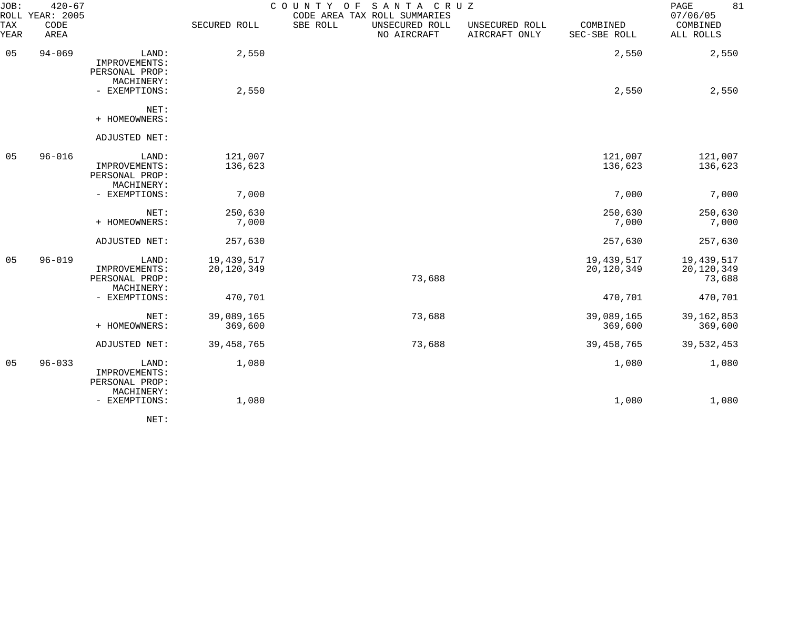| JOB:<br>ROLL   | $420 - 67$<br>YEAR: 2005 |                                                        |                          | COUNTY<br>O F | SANTA CRUZ<br>CODE AREA TAX ROLL SUMMARIES |                                 |                          | 81<br>PAGE<br>07/06/05             |
|----------------|--------------------------|--------------------------------------------------------|--------------------------|---------------|--------------------------------------------|---------------------------------|--------------------------|------------------------------------|
| TAX<br>YEAR    | CODE<br>AREA             |                                                        | SECURED ROLL             | SBE ROLL      | UNSECURED ROLL<br>NO AIRCRAFT              | UNSECURED ROLL<br>AIRCRAFT ONLY | COMBINED<br>SEC-SBE ROLL | COMBINED<br>ALL ROLLS              |
| 05             | $94 - 069$               | LAND:<br>IMPROVEMENTS:<br>PERSONAL PROP:               | 2,550                    |               |                                            |                                 | 2,550                    | 2,550                              |
|                |                          | MACHINERY:<br>- EXEMPTIONS:                            | 2,550                    |               |                                            |                                 | 2,550                    | 2,550                              |
|                |                          | NET:<br>+ HOMEOWNERS:                                  |                          |               |                                            |                                 |                          |                                    |
|                |                          | ADJUSTED NET:                                          |                          |               |                                            |                                 |                          |                                    |
| 05             | $96 - 016$               | LAND:<br>IMPROVEMENTS:<br>PERSONAL PROP:<br>MACHINERY: | 121,007<br>136,623       |               |                                            |                                 | 121,007<br>136,623       | 121,007<br>136,623                 |
|                |                          | - EXEMPTIONS:                                          | 7,000                    |               |                                            |                                 | 7,000                    | 7,000                              |
|                |                          | NET:<br>+ HOMEOWNERS:                                  | 250,630<br>7,000         |               |                                            |                                 | 250,630<br>7,000         | 250,630<br>7,000                   |
|                |                          | ADJUSTED NET:                                          | 257,630                  |               |                                            |                                 | 257,630                  | 257,630                            |
| 05             | $96 - 019$               | LAND:<br>IMPROVEMENTS:<br>PERSONAL PROP:<br>MACHINERY: | 19,439,517<br>20,120,349 |               | 73,688                                     |                                 | 19,439,517<br>20,120,349 | 19,439,517<br>20,120,349<br>73,688 |
|                |                          | - EXEMPTIONS:                                          | 470,701                  |               |                                            |                                 | 470,701                  | 470,701                            |
|                |                          | NET:<br>+ HOMEOWNERS:                                  | 39,089,165<br>369,600    |               | 73,688                                     |                                 | 39,089,165<br>369,600    | 39, 162, 853<br>369,600            |
|                |                          | ADJUSTED NET:                                          | 39, 458, 765             |               | 73,688                                     |                                 | 39, 458, 765             | 39,532,453                         |
| 0 <sub>5</sub> | $96 - 033$               | LAND:<br>IMPROVEMENTS:<br>PERSONAL PROP:<br>MACHINERY: | 1,080                    |               |                                            |                                 | 1,080                    | 1,080                              |
|                |                          | - EXEMPTIONS:                                          | 1,080                    |               |                                            |                                 | 1,080                    | 1,080                              |

NET: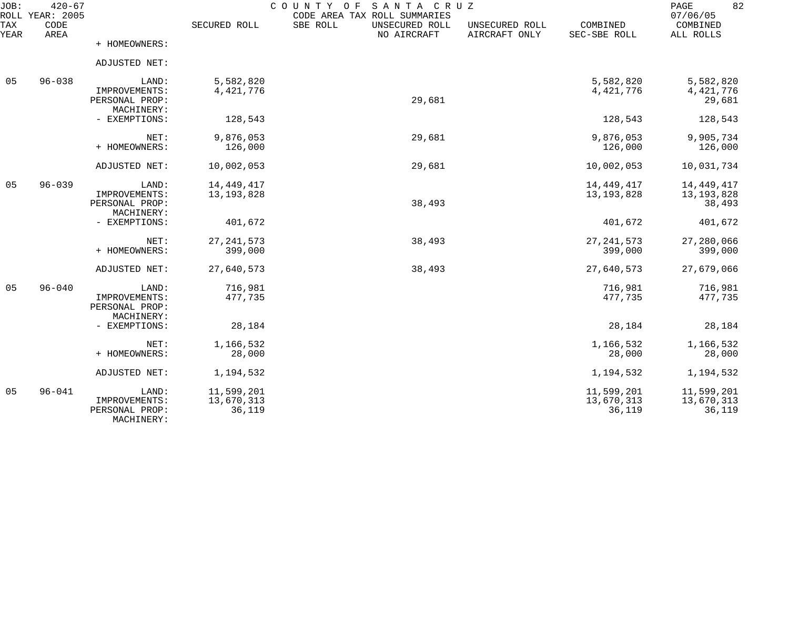| JOB:<br>ROLL | $420 - 67$<br><b>YEAR: 2005</b> |                                                        |                                    | SANTA CRUZ<br>COUNTY<br>O F<br>CODE AREA TAX ROLL SUMMARIES |                                 |                                    | 82<br>PAGE<br>07/06/05                 |
|--------------|---------------------------------|--------------------------------------------------------|------------------------------------|-------------------------------------------------------------|---------------------------------|------------------------------------|----------------------------------------|
| TAX<br>YEAR  | CODE<br>AREA                    |                                                        | SECURED ROLL                       | SBE ROLL<br>UNSECURED ROLL<br>NO AIRCRAFT                   | UNSECURED ROLL<br>AIRCRAFT ONLY | COMBINED<br>SEC-SBE ROLL           | COMBINED<br>ALL ROLLS                  |
|              |                                 | + HOMEOWNERS:                                          |                                    |                                                             |                                 |                                    |                                        |
|              |                                 | ADJUSTED NET:                                          |                                    |                                                             |                                 |                                    |                                        |
| 05           | $96 - 038$                      | LAND:<br>IMPROVEMENTS:<br>PERSONAL PROP:               | 5,582,820<br>4,421,776             | 29,681                                                      |                                 | 5,582,820<br>4, 421, 776           | 5,582,820<br>4,421,776<br>29,681       |
|              |                                 | MACHINERY:<br>- EXEMPTIONS:                            | 128,543                            |                                                             |                                 | 128,543                            | 128,543                                |
|              |                                 | NET:<br>+ HOMEOWNERS:                                  | 9,876,053<br>126,000               | 29,681                                                      |                                 | 9,876,053<br>126,000               | 9,905,734<br>126,000                   |
|              |                                 | ADJUSTED NET:                                          | 10,002,053                         | 29,681                                                      |                                 | 10,002,053                         | 10,031,734                             |
| 05           | $96 - 039$                      | LAND:<br>IMPROVEMENTS:<br>PERSONAL PROP:<br>MACHINERY: | 14, 449, 417<br>13, 193, 828       | 38,493                                                      |                                 | 14, 449, 417<br>13, 193, 828       | 14, 449, 417<br>13, 193, 828<br>38,493 |
|              |                                 | - EXEMPTIONS:                                          | 401,672                            |                                                             |                                 | 401,672                            | 401,672                                |
|              |                                 | NET:<br>+ HOMEOWNERS:                                  | 27, 241, 573<br>399,000            | 38,493                                                      |                                 | 27, 241, 573<br>399,000            | 27,280,066<br>399,000                  |
|              |                                 | ADJUSTED NET:                                          | 27,640,573                         | 38,493                                                      |                                 | 27,640,573                         | 27,679,066                             |
| 05           | $96 - 040$                      | LAND:<br>IMPROVEMENTS:<br>PERSONAL PROP:               | 716,981<br>477,735                 |                                                             |                                 | 716,981<br>477,735                 | 716,981<br>477,735                     |
|              |                                 | MACHINERY:<br>- EXEMPTIONS:                            | 28,184                             |                                                             |                                 | 28,184                             | 28,184                                 |
|              |                                 | NET:<br>+ HOMEOWNERS:                                  | 1,166,532<br>28,000                |                                                             |                                 | 1,166,532<br>28,000                | 1,166,532<br>28,000                    |
|              |                                 | ADJUSTED NET:                                          | 1,194,532                          |                                                             |                                 | 1,194,532                          | 1,194,532                              |
| 05           | $96 - 041$                      | LAND:<br>IMPROVEMENTS:<br>PERSONAL PROP:<br>MACHINERY: | 11,599,201<br>13,670,313<br>36,119 |                                                             |                                 | 11,599,201<br>13,670,313<br>36,119 | 11,599,201<br>13,670,313<br>36,119     |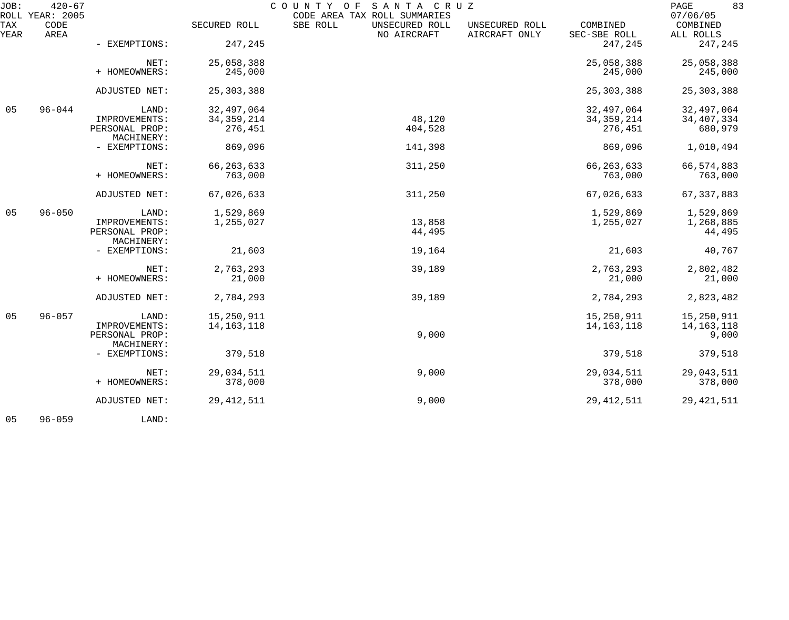| JOB:             | $420 - 67$<br>ROLL YEAR: 2005 |                              |              | COUNTY OF<br>SANTA CRUZ<br>CODE AREA TAX ROLL SUMMARIES |                                 |                          | 83<br>PAGE<br>07/06/05 |
|------------------|-------------------------------|------------------------------|--------------|---------------------------------------------------------|---------------------------------|--------------------------|------------------------|
| TAX<br>YEAR      | CODE<br>AREA                  |                              | SECURED ROLL | SBE ROLL<br>UNSECURED ROLL<br>NO AIRCRAFT               | UNSECURED ROLL<br>AIRCRAFT ONLY | COMBINED<br>SEC-SBE ROLL | COMBINED<br>ALL ROLLS  |
|                  |                               | - EXEMPTIONS:                | 247,245      |                                                         |                                 | 247,245                  | 247,245                |
|                  |                               | NET:                         | 25,058,388   |                                                         |                                 | 25,058,388               | 25,058,388             |
|                  |                               | + HOMEOWNERS:                | 245,000      |                                                         |                                 | 245,000                  | 245,000                |
|                  |                               | ADJUSTED NET:                | 25, 303, 388 |                                                         |                                 | 25, 303, 388             | 25, 303, 388           |
| $96 - 044$<br>05 | LAND:                         | 32,497,064                   |              |                                                         | 32,497,064                      | 32,497,064               |                        |
|                  |                               | IMPROVEMENTS:                | 34, 359, 214 | 48,120                                                  |                                 | 34, 359, 214             | 34, 407, 334           |
|                  |                               | PERSONAL PROP:<br>MACHINERY: | 276,451      | 404,528                                                 |                                 | 276,451                  | 680,979                |
|                  |                               | - EXEMPTIONS:                | 869,096      | 141,398                                                 |                                 | 869,096                  | 1,010,494              |
|                  |                               | NET:                         | 66, 263, 633 | 311,250                                                 |                                 | 66, 263, 633             | 66, 574, 883           |
|                  |                               | + HOMEOWNERS:                | 763,000      |                                                         |                                 | 763,000                  | 763,000                |
|                  |                               | ADJUSTED NET:                | 67,026,633   | 311,250                                                 |                                 | 67,026,633               | 67, 337, 883           |
| 05               | $96 - 050$                    | LAND:                        | 1,529,869    |                                                         |                                 | 1,529,869                | 1,529,869              |
|                  |                               | IMPROVEMENTS:                | 1,255,027    | 13,858                                                  |                                 | 1,255,027                | 1,268,885              |
|                  |                               | PERSONAL PROP:               |              | 44,495                                                  |                                 |                          | 44,495                 |
|                  |                               | MACHINERY:                   |              |                                                         |                                 |                          |                        |
|                  |                               | - EXEMPTIONS:                | 21,603       | 19,164                                                  |                                 | 21,603                   | 40,767                 |
|                  |                               | NET:                         | 2,763,293    | 39,189                                                  |                                 | 2,763,293                | 2,802,482              |
|                  |                               | + HOMEOWNERS:                | 21,000       |                                                         |                                 | 21,000                   | 21,000                 |
|                  |                               | ADJUSTED NET:                | 2,784,293    | 39,189                                                  |                                 | 2,784,293                | 2,823,482              |
| 05               | $96 - 057$                    | LAND:                        | 15,250,911   |                                                         |                                 | 15,250,911               | 15,250,911             |
|                  |                               | IMPROVEMENTS:                | 14, 163, 118 |                                                         |                                 | 14, 163, 118             | 14, 163, 118           |
|                  |                               | PERSONAL PROP:               |              | 9,000                                                   |                                 |                          | 9,000                  |
|                  |                               | MACHINERY:                   |              |                                                         |                                 |                          |                        |
|                  |                               | - EXEMPTIONS:                | 379,518      |                                                         |                                 | 379,518                  | 379,518                |
|                  |                               | NET:                         | 29,034,511   | 9,000                                                   |                                 | 29,034,511               | 29,043,511             |
|                  |                               | + HOMEOWNERS:                | 378,000      |                                                         |                                 | 378,000                  | 378,000                |
|                  |                               | ADJUSTED NET:                | 29, 412, 511 | 9,000                                                   |                                 | 29, 412, 511             | 29, 421, 511           |
|                  |                               |                              |              |                                                         |                                 |                          |                        |

05 96-059 LAND: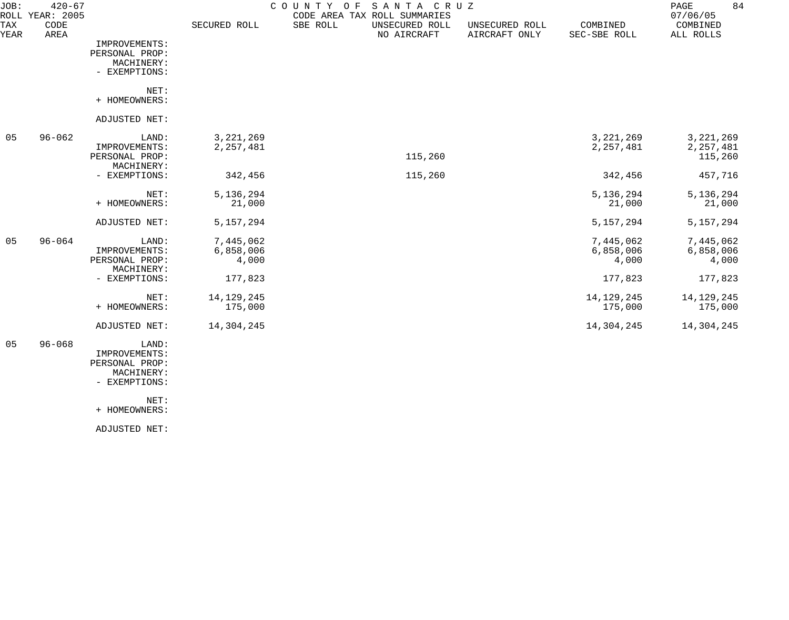| JOB:        | $420 - 67$<br>ROLL YEAR: 2005 |                                                                         |                                            | SANTA CRUZ<br>COUNTY<br>O F<br>CODE AREA TAX ROLL SUMMARIES |                                 |                                            | $\mathop{\mathrm{PAGE}}$<br>84<br>07/06/05 |
|-------------|-------------------------------|-------------------------------------------------------------------------|--------------------------------------------|-------------------------------------------------------------|---------------------------------|--------------------------------------------|--------------------------------------------|
| TAX<br>YEAR | CODE<br>AREA                  |                                                                         | SECURED ROLL                               | SBE ROLL<br>UNSECURED ROLL<br>NO AIRCRAFT                   | UNSECURED ROLL<br>AIRCRAFT ONLY | COMBINED<br>SEC-SBE ROLL                   | COMBINED<br>ALL ROLLS                      |
|             |                               | IMPROVEMENTS:<br>PERSONAL PROP:<br>MACHINERY:<br>- EXEMPTIONS:          |                                            |                                                             |                                 |                                            |                                            |
|             |                               | NET:<br>+ HOMEOWNERS:                                                   |                                            |                                                             |                                 |                                            |                                            |
|             |                               | ADJUSTED NET:                                                           |                                            |                                                             |                                 |                                            |                                            |
| 05          | $96 - 062$                    | LAND:<br>IMPROVEMENTS:<br>PERSONAL PROP:<br>MACHINERY:                  | 3, 221, 269<br>2, 257, 481                 | 115,260                                                     |                                 | 3, 221, 269<br>2, 257, 481                 | 3, 221, 269<br>2, 257, 481<br>115,260      |
|             |                               | - EXEMPTIONS:                                                           | 342,456                                    | 115,260                                                     |                                 | 342,456                                    | 457,716                                    |
|             |                               | NET:<br>+ HOMEOWNERS:                                                   | 5,136,294<br>21,000                        |                                                             |                                 | 5,136,294<br>21,000                        | 5,136,294<br>21,000                        |
|             |                               | ADJUSTED NET:                                                           | 5, 157, 294                                |                                                             |                                 | 5, 157, 294                                | 5, 157, 294                                |
| 05          | $96 - 064$                    | LAND:<br>IMPROVEMENTS:<br>PERSONAL PROP:<br>MACHINERY:<br>- EXEMPTIONS: | 7,445,062<br>6,858,006<br>4,000<br>177,823 |                                                             |                                 | 7,445,062<br>6,858,006<br>4,000<br>177,823 | 7,445,062<br>6,858,006<br>4,000<br>177,823 |
|             |                               | NET:<br>+ HOMEOWNERS:                                                   | 14, 129, 245<br>175,000                    |                                                             |                                 | 14, 129, 245<br>175,000                    | 14, 129, 245<br>175,000                    |
|             |                               | ADJUSTED NET:                                                           | 14,304,245                                 |                                                             |                                 | 14,304,245                                 | 14,304,245                                 |
| 05          | $96 - 068$                    | LAND:<br>IMPROVEMENTS:<br>PERSONAL PROP:<br>MACHINERY:<br>- EXEMPTIONS: |                                            |                                                             |                                 |                                            |                                            |
|             |                               | NET:<br>+ HOMEOWNERS:                                                   |                                            |                                                             |                                 |                                            |                                            |

ADJUSTED NET: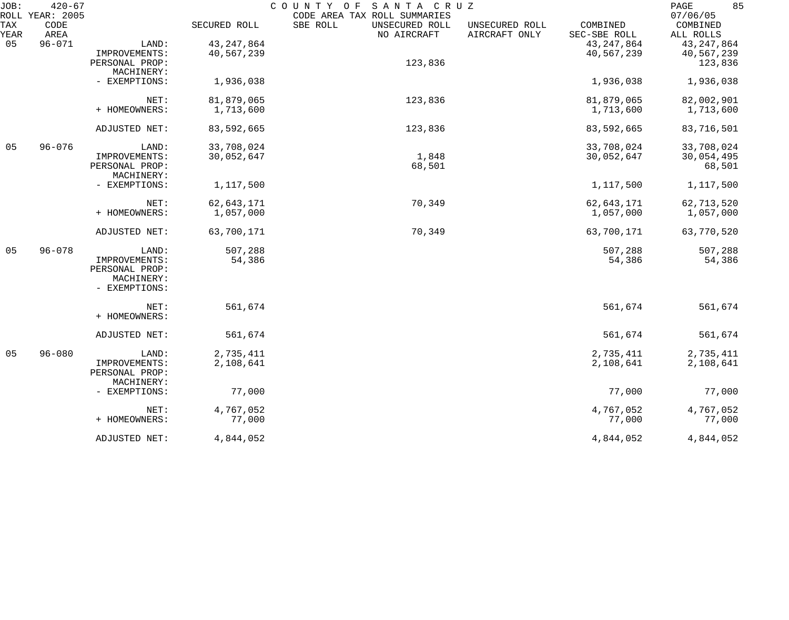| JOB:        | $420 - 67$<br>ROLL YEAR: 2005 |                |              | COUNTY OF<br>SANTA CRUZ<br>CODE AREA TAX ROLL SUMMARIES |                                 |                          | 85<br>PAGE<br>07/06/05 |
|-------------|-------------------------------|----------------|--------------|---------------------------------------------------------|---------------------------------|--------------------------|------------------------|
| TAX<br>YEAR | CODE<br>AREA                  |                | SECURED ROLL | SBE ROLL<br>UNSECURED ROLL<br>NO AIRCRAFT               | UNSECURED ROLL<br>AIRCRAFT ONLY | COMBINED<br>SEC-SBE ROLL | COMBINED<br>ALL ROLLS  |
| 05          | $96 - 071$                    | LAND:          | 43, 247, 864 |                                                         |                                 | 43, 247, 864             | 43, 247, 864           |
|             |                               | IMPROVEMENTS:  | 40,567,239   |                                                         |                                 | 40,567,239               | 40,567,239             |
|             |                               | PERSONAL PROP: |              | 123,836                                                 |                                 |                          | 123,836                |
|             |                               | MACHINERY:     |              |                                                         |                                 |                          |                        |
|             |                               |                |              |                                                         |                                 |                          |                        |
|             |                               | - EXEMPTIONS:  | 1,936,038    |                                                         |                                 | 1,936,038                | 1,936,038              |
|             |                               | NET:           | 81,879,065   | 123,836                                                 |                                 | 81,879,065               | 82,002,901             |
|             |                               | + HOMEOWNERS:  | 1,713,600    |                                                         |                                 | 1,713,600                | 1,713,600              |
|             |                               |                |              |                                                         |                                 |                          |                        |
|             |                               | ADJUSTED NET:  | 83,592,665   | 123,836                                                 |                                 | 83,592,665               | 83,716,501             |
| 05          | $96 - 076$                    | LAND:          | 33,708,024   |                                                         |                                 | 33,708,024               | 33,708,024             |
|             |                               | IMPROVEMENTS:  | 30,052,647   | 1,848                                                   |                                 | 30,052,647               | 30,054,495             |
|             |                               | PERSONAL PROP: |              | 68,501                                                  |                                 |                          | 68,501                 |
|             |                               | MACHINERY:     |              |                                                         |                                 |                          |                        |
|             |                               | - EXEMPTIONS:  | 1,117,500    |                                                         |                                 | 1,117,500                | 1,117,500              |
|             |                               | NET:           | 62,643,171   | 70,349                                                  |                                 | 62,643,171               | 62,713,520             |
|             |                               | + HOMEOWNERS:  | 1,057,000    |                                                         |                                 | 1,057,000                | 1,057,000              |
|             |                               | ADJUSTED NET:  | 63,700,171   | 70,349                                                  |                                 | 63,700,171               | 63,770,520             |
| 05          | $96 - 078$                    | LAND:          | 507,288      |                                                         |                                 | 507,288                  | 507,288                |
|             |                               | IMPROVEMENTS:  | 54,386       |                                                         |                                 | 54,386                   | 54,386                 |
|             |                               | PERSONAL PROP: |              |                                                         |                                 |                          |                        |
|             |                               | MACHINERY:     |              |                                                         |                                 |                          |                        |
|             |                               | - EXEMPTIONS:  |              |                                                         |                                 |                          |                        |
|             |                               | NET:           | 561,674      |                                                         |                                 | 561,674                  | 561,674                |
|             |                               | + HOMEOWNERS:  |              |                                                         |                                 |                          |                        |
|             |                               | ADJUSTED NET:  | 561,674      |                                                         |                                 | 561,674                  | 561,674                |
| 05          | $96 - 080$                    | LAND:          | 2,735,411    |                                                         |                                 | 2,735,411                | 2,735,411              |
|             |                               | IMPROVEMENTS:  | 2,108,641    |                                                         |                                 | 2,108,641                | 2,108,641              |
|             |                               | PERSONAL PROP: |              |                                                         |                                 |                          |                        |
|             |                               | MACHINERY:     |              |                                                         |                                 |                          |                        |
|             |                               | - EXEMPTIONS:  | 77,000       |                                                         |                                 | 77,000                   | 77,000                 |
|             |                               | NET:           | 4,767,052    |                                                         |                                 | 4,767,052                | 4,767,052              |
|             |                               | + HOMEOWNERS:  | 77,000       |                                                         |                                 | 77,000                   | 77,000                 |
|             |                               | ADJUSTED NET:  | 4,844,052    |                                                         |                                 | 4,844,052                | 4,844,052              |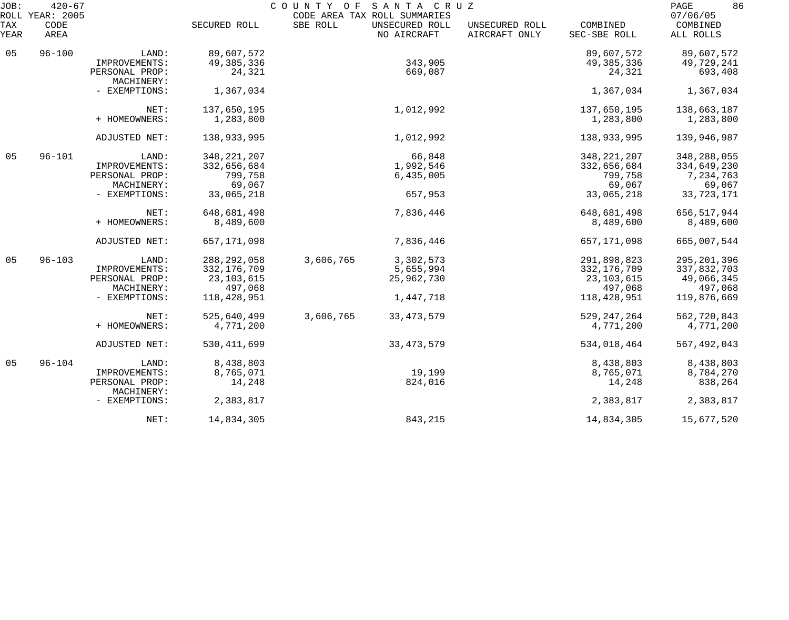| JOB:        | $420 - 67$<br>ROLL YEAR: 2005 | COUNTY OF SANTA CRUZ<br>CODE AREA TAX ROLL SUMMARIES |               |           |                               |                                 |                          | 86<br>PAGE<br>07/06/05 |  |
|-------------|-------------------------------|------------------------------------------------------|---------------|-----------|-------------------------------|---------------------------------|--------------------------|------------------------|--|
| TAX<br>YEAR | CODE<br>AREA                  |                                                      | SECURED ROLL  | SBE ROLL  | UNSECURED ROLL<br>NO AIRCRAFT | UNSECURED ROLL<br>AIRCRAFT ONLY | COMBINED<br>SEC-SBE ROLL | COMBINED<br>ALL ROLLS  |  |
| 05          | $96 - 100$                    | LAND:                                                | 89,607,572    |           |                               |                                 | 89,607,572               | 89,607,572             |  |
|             |                               | IMPROVEMENTS:                                        | 49, 385, 336  |           | 343,905                       |                                 | 49, 385, 336             | 49,729,241             |  |
|             |                               | PERSONAL PROP:<br>MACHINERY:                         | 24,321        |           | 669,087                       |                                 | 24,321                   | 693,408                |  |
|             |                               | - EXEMPTIONS:                                        | 1,367,034     |           |                               |                                 | 1,367,034                | 1,367,034              |  |
|             |                               | NET:                                                 | 137,650,195   |           | 1,012,992                     |                                 | 137,650,195              | 138,663,187            |  |
|             |                               | + HOMEOWNERS:                                        | 1,283,800     |           |                               |                                 | 1,283,800                | 1,283,800              |  |
|             |                               | ADJUSTED NET:                                        | 138,933,995   |           | 1,012,992                     |                                 | 138,933,995              | 139,946,987            |  |
| 05          | $96 - 101$                    | LAND:                                                | 348, 221, 207 |           | 66,848                        |                                 | 348, 221, 207            | 348, 288, 055          |  |
|             |                               | IMPROVEMENTS:                                        | 332,656,684   |           | 1,992,546                     |                                 | 332,656,684              | 334,649,230            |  |
|             |                               | PERSONAL PROP:                                       | 799,758       |           | 6,435,005                     |                                 | 799,758                  | 7,234,763              |  |
|             |                               | MACHINERY:                                           | 69,067        |           |                               |                                 | 69,067                   | 69,067                 |  |
|             |                               | - EXEMPTIONS:                                        | 33,065,218    |           | 657,953                       |                                 | 33,065,218               | 33,723,171             |  |
|             |                               | NET:                                                 | 648,681,498   |           | 7,836,446                     |                                 | 648,681,498              | 656,517,944            |  |
|             |                               | + HOMEOWNERS:                                        | 8,489,600     |           |                               |                                 | 8,489,600                | 8,489,600              |  |
|             |                               | ADJUSTED NET:                                        | 657, 171, 098 |           | 7,836,446                     |                                 | 657,171,098              | 665,007,544            |  |
| 05          | $96 - 103$                    | LAND:                                                | 288, 292, 058 | 3,606,765 | 3,302,573                     |                                 | 291,898,823              | 295, 201, 396          |  |
|             |                               | IMPROVEMENTS:                                        | 332, 176, 709 |           | 5,655,994                     |                                 | 332, 176, 709            | 337,832,703            |  |
|             |                               | PERSONAL PROP:                                       | 23, 103, 615  |           | 25,962,730                    |                                 | 23, 103, 615             | 49,066,345             |  |
|             |                               | MACHINERY:                                           | 497,068       |           |                               |                                 | 497,068                  | 497,068                |  |
|             |                               | - EXEMPTIONS:                                        | 118,428,951   |           | 1,447,718                     |                                 | 118,428,951              | 119,876,669            |  |
|             |                               | NET:                                                 | 525,640,499   | 3,606,765 | 33, 473, 579                  |                                 | 529, 247, 264            | 562,720,843            |  |
|             |                               | + HOMEOWNERS:                                        | 4,771,200     |           |                               |                                 | 4,771,200                | 4,771,200              |  |
|             |                               | ADJUSTED NET:                                        | 530, 411, 699 |           | 33, 473, 579                  |                                 | 534,018,464              | 567, 492, 043          |  |
| 05          | $96 - 104$                    | LAND:                                                | 8,438,803     |           |                               |                                 | 8,438,803                | 8,438,803              |  |
|             |                               | IMPROVEMENTS:                                        | 8,765,071     |           | 19,199                        |                                 | 8,765,071                | 8,784,270              |  |
|             |                               | PERSONAL PROP:<br>MACHINERY:                         | 14,248        |           | 824,016                       |                                 | 14,248                   | 838,264                |  |
|             |                               | - EXEMPTIONS:                                        | 2,383,817     |           |                               |                                 | 2,383,817                | 2,383,817              |  |
|             |                               | NET:                                                 | 14,834,305    |           | 843,215                       |                                 | 14,834,305               | 15,677,520             |  |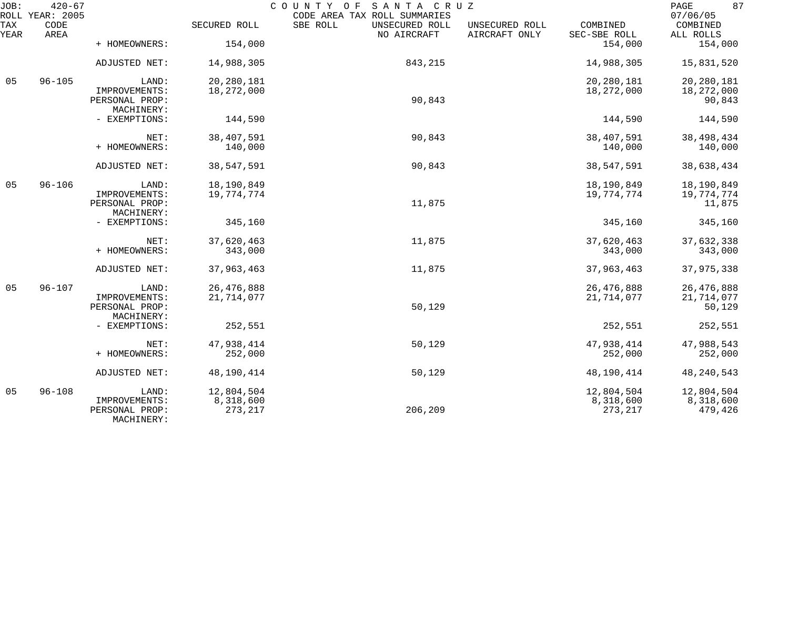| JOB:        | $420 - 67$<br>ROLL YEAR: 2005 | COUNTY OF<br>SANTA CRUZ<br>CODE AREA TAX ROLL SUMMARIES |                       |                                           |                                 |                          |                                   |  |
|-------------|-------------------------------|---------------------------------------------------------|-----------------------|-------------------------------------------|---------------------------------|--------------------------|-----------------------------------|--|
| TAX<br>YEAR | CODE<br>AREA                  |                                                         | SECURED ROLL          | SBE ROLL<br>UNSECURED ROLL<br>NO AIRCRAFT | UNSECURED ROLL<br>AIRCRAFT ONLY | COMBINED<br>SEC-SBE ROLL | 07/06/05<br>COMBINED<br>ALL ROLLS |  |
|             |                               | + HOMEOWNERS:                                           | 154,000               |                                           |                                 | 154,000                  | 154,000                           |  |
|             |                               | ADJUSTED NET:                                           | 14,988,305            | 843,215                                   |                                 | 14,988,305               | 15,831,520                        |  |
| 05          | $96 - 105$                    | LAND:                                                   | 20,280,181            |                                           |                                 | 20,280,181               | 20,280,181                        |  |
|             |                               | IMPROVEMENTS:<br>PERSONAL PROP:<br>MACHINERY:           | 18,272,000            | 90,843                                    |                                 | 18,272,000               | 18,272,000<br>90,843              |  |
|             |                               | - EXEMPTIONS:                                           | 144,590               |                                           |                                 | 144,590                  | 144,590                           |  |
|             |                               | NET:                                                    | 38,407,591            | 90,843                                    |                                 | 38,407,591               | 38, 498, 434                      |  |
|             |                               | + HOMEOWNERS:                                           | 140,000               |                                           |                                 | 140,000                  | 140,000                           |  |
|             |                               | ADJUSTED NET:                                           | 38,547,591            | 90,843                                    |                                 | 38,547,591               | 38,638,434                        |  |
| 05          | $96 - 106$                    | LAND:                                                   | 18,190,849            |                                           |                                 | 18,190,849               | 18,190,849                        |  |
|             |                               | IMPROVEMENTS:<br>PERSONAL PROP:<br>MACHINERY:           | 19,774,774            | 11,875                                    |                                 | 19,774,774               | 19,774,774<br>11,875              |  |
|             |                               | - EXEMPTIONS:                                           | 345,160               |                                           |                                 | 345,160                  | 345,160                           |  |
|             |                               | NET:<br>+ HOMEOWNERS:                                   | 37,620,463<br>343,000 | 11,875                                    |                                 | 37,620,463<br>343,000    | 37,632,338<br>343,000             |  |
|             |                               |                                                         |                       |                                           |                                 |                          |                                   |  |
|             |                               | ADJUSTED NET:                                           | 37,963,463            | 11,875                                    |                                 | 37,963,463               | 37,975,338                        |  |
| 05          | $96 - 107$                    | LAND:                                                   | 26, 476, 888          |                                           |                                 | 26, 476, 888             | 26, 476, 888                      |  |
|             |                               | IMPROVEMENTS:<br>PERSONAL PROP:<br>MACHINERY:           | 21,714,077            | 50,129                                    |                                 | 21,714,077               | 21,714,077<br>50,129              |  |
|             |                               | - EXEMPTIONS:                                           | 252,551               |                                           |                                 | 252,551                  | 252,551                           |  |
|             |                               | NET:                                                    | 47,938,414            | 50,129                                    |                                 | 47,938,414               | 47,988,543                        |  |
|             |                               | + HOMEOWNERS:                                           | 252,000               |                                           |                                 | 252,000                  | 252,000                           |  |
|             |                               | ADJUSTED NET:                                           | 48,190,414            | 50,129                                    |                                 | 48,190,414               | 48, 240, 543                      |  |
| 05          | $96 - 108$                    | LAND:                                                   | 12,804,504            |                                           |                                 | 12,804,504               | 12,804,504                        |  |
|             |                               | IMPROVEMENTS:<br>PERSONAL PROP:<br>MACHINERY:           | 8,318,600<br>273, 217 | 206,209                                   |                                 | 8,318,600<br>273, 217    | 8,318,600<br>479,426              |  |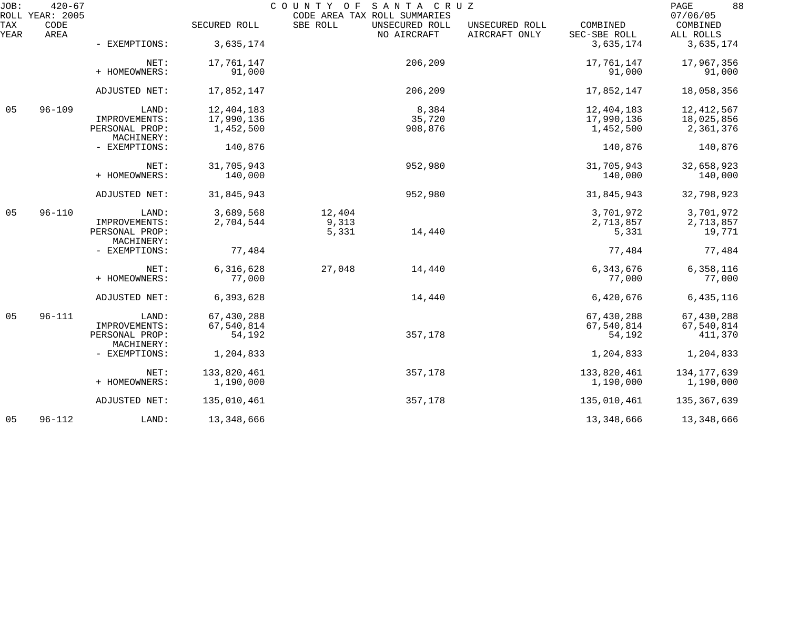| JOB:        | $420 - 67$<br>ROLL YEAR: 2005 | COUNTY OF SANTA CRUZ<br>CODE AREA TAX ROLL SUMMARIES |              |          |                               |                                 |                          |                       |
|-------------|-------------------------------|------------------------------------------------------|--------------|----------|-------------------------------|---------------------------------|--------------------------|-----------------------|
| TAX<br>YEAR | CODE<br>AREA                  |                                                      | SECURED ROLL | SBE ROLL | UNSECURED ROLL<br>NO AIRCRAFT | UNSECURED ROLL<br>AIRCRAFT ONLY | COMBINED<br>SEC-SBE ROLL | COMBINED<br>ALL ROLLS |
|             |                               | - EXEMPTIONS:                                        | 3,635,174    |          |                               |                                 | 3,635,174                | 3,635,174             |
|             |                               | NET:                                                 | 17,761,147   |          | 206,209                       |                                 | 17,761,147               | 17,967,356            |
|             |                               | + HOMEOWNERS:                                        | 91,000       |          |                               |                                 | 91,000                   | 91,000                |
|             |                               | ADJUSTED NET:                                        | 17,852,147   |          | 206,209                       |                                 | 17,852,147               | 18,058,356            |
| 05          | $96 - 109$                    | LAND:                                                | 12,404,183   |          | 8,384                         |                                 | 12,404,183               | 12, 412, 567          |
|             |                               | IMPROVEMENTS:                                        | 17,990,136   |          | 35,720                        |                                 | 17,990,136               | 18,025,856            |
|             |                               | PERSONAL PROP:<br>MACHINERY:                         | 1,452,500    |          | 908,876                       |                                 | 1,452,500                | 2,361,376             |
|             |                               | - EXEMPTIONS:                                        | 140,876      |          |                               |                                 | 140,876                  | 140,876               |
|             |                               | NET:                                                 | 31,705,943   |          | 952,980                       |                                 | 31,705,943               | 32,658,923            |
|             |                               | + HOMEOWNERS:                                        | 140,000      |          |                               |                                 | 140,000                  | 140,000               |
|             |                               | ADJUSTED NET:                                        | 31,845,943   |          | 952,980                       |                                 | 31,845,943               | 32,798,923            |
| 05          | $96 - 110$                    | LAND:                                                | 3,689,568    | 12,404   |                               |                                 | 3,701,972                | 3,701,972             |
|             |                               | IMPROVEMENTS:                                        | 2,704,544    | 9,313    |                               |                                 | 2,713,857                | 2,713,857             |
|             |                               | PERSONAL PROP:<br>MACHINERY:                         |              | 5,331    | 14,440                        |                                 | 5,331                    | 19,771                |
|             |                               | - EXEMPTIONS:                                        | 77,484       |          |                               |                                 | 77,484                   | 77,484                |
|             |                               | NET:                                                 | 6,316,628    | 27,048   | 14,440                        |                                 | 6,343,676                | 6,358,116             |
|             |                               | + HOMEOWNERS:                                        | 77,000       |          |                               |                                 | 77,000                   | 77,000                |
|             |                               | ADJUSTED NET:                                        | 6,393,628    |          | 14,440                        |                                 | 6,420,676                | 6,435,116             |
| 05          | $96 - 111$                    | LAND:                                                | 67,430,288   |          |                               |                                 | 67,430,288               | 67,430,288            |
|             |                               | IMPROVEMENTS:                                        | 67,540,814   |          |                               |                                 | 67,540,814               | 67,540,814            |
|             |                               | PERSONAL PROP:<br>MACHINERY:                         | 54,192       |          | 357,178                       |                                 | 54,192                   | 411,370               |
|             |                               | - EXEMPTIONS:                                        | 1,204,833    |          |                               |                                 | 1,204,833                | 1,204,833             |
|             |                               | NET:                                                 | 133,820,461  |          | 357,178                       |                                 | 133,820,461              | 134, 177, 639         |
|             |                               | + HOMEOWNERS:                                        | 1,190,000    |          |                               |                                 | 1,190,000                | 1,190,000             |
|             |                               | ADJUSTED NET:                                        | 135,010,461  |          | 357,178                       |                                 | 135,010,461              | 135, 367, 639         |
| 05          | $96 - 112$                    | LAND:                                                | 13,348,666   |          |                               |                                 | 13,348,666               | 13,348,666            |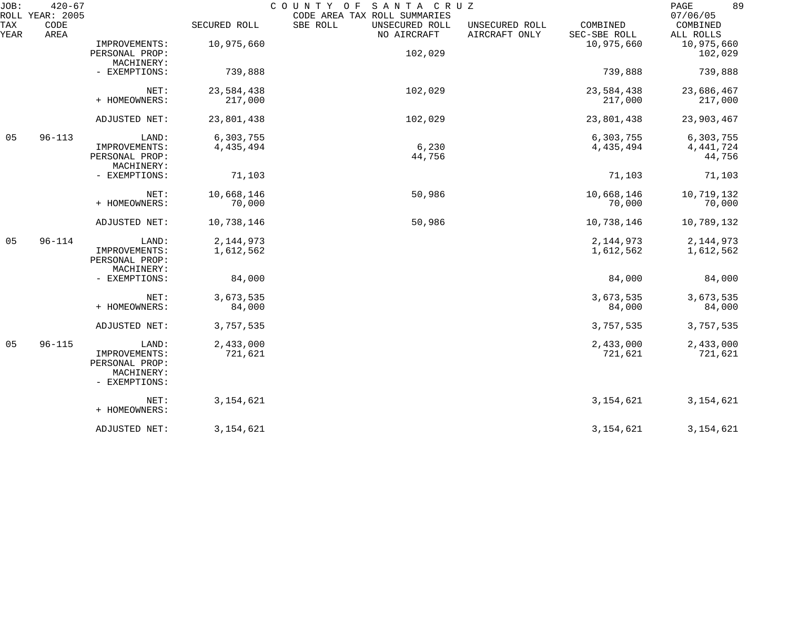| JOB:        | $420 - 67$<br>ROLL YEAR: 2005 |                                                                         |                          | SANTA CRUZ<br>COUNTY OF<br>CODE AREA TAX ROLL SUMMARIES |                                 |                          |                                    |  |
|-------------|-------------------------------|-------------------------------------------------------------------------|--------------------------|---------------------------------------------------------|---------------------------------|--------------------------|------------------------------------|--|
| TAX<br>YEAR | CODE<br>AREA                  |                                                                         | SECURED ROLL             | SBE ROLL<br>UNSECURED ROLL<br>NO AIRCRAFT               | UNSECURED ROLL<br>AIRCRAFT ONLY | COMBINED<br>SEC-SBE ROLL | 07/06/05<br>COMBINED<br>ALL ROLLS  |  |
|             |                               | IMPROVEMENTS:<br>PERSONAL PROP:                                         | 10,975,660               | 102,029                                                 |                                 | 10,975,660               | 10,975,660<br>102,029              |  |
|             |                               | MACHINERY:<br>- EXEMPTIONS:                                             | 739,888                  |                                                         |                                 | 739,888                  | 739,888                            |  |
|             |                               | NET:<br>+ HOMEOWNERS:                                                   | 23,584,438<br>217,000    | 102,029                                                 |                                 | 23,584,438<br>217,000    | 23,686,467<br>217,000              |  |
|             |                               | ADJUSTED NET:                                                           | 23,801,438               | 102,029                                                 |                                 | 23,801,438               | 23,903,467                         |  |
| 05          | $96 - 113$                    | LAND:<br>IMPROVEMENTS:<br>PERSONAL PROP:                                | 6,303,755<br>4,435,494   | 6,230<br>44,756                                         |                                 | 6,303,755<br>4, 435, 494 | 6,303,755<br>4, 441, 724<br>44,756 |  |
|             |                               | MACHINERY:<br>- EXEMPTIONS:                                             | 71,103                   |                                                         |                                 | 71,103                   | 71,103                             |  |
|             |                               | NET:<br>+ HOMEOWNERS:                                                   | 10,668,146<br>70,000     | 50,986                                                  |                                 | 10,668,146<br>70,000     | 10,719,132<br>70,000               |  |
|             |                               | ADJUSTED NET:                                                           | 10,738,146               | 50,986                                                  |                                 | 10,738,146               | 10,789,132                         |  |
| 05          | $96 - 114$                    | LAND:<br>IMPROVEMENTS:<br>PERSONAL PROP:<br>MACHINERY:                  | 2, 144, 973<br>1,612,562 |                                                         |                                 | 2, 144, 973<br>1,612,562 | 2, 144, 973<br>1,612,562           |  |
|             |                               | - EXEMPTIONS:                                                           | 84,000                   |                                                         |                                 | 84,000                   | 84,000                             |  |
|             |                               | NET:<br>+ HOMEOWNERS:                                                   | 3,673,535<br>84,000      |                                                         |                                 | 3,673,535<br>84,000      | 3,673,535<br>84,000                |  |
|             |                               | ADJUSTED NET:                                                           | 3,757,535                |                                                         |                                 | 3,757,535                | 3,757,535                          |  |
| 05          | $96 - 115$                    | LAND:<br>IMPROVEMENTS:<br>PERSONAL PROP:<br>MACHINERY:<br>- EXEMPTIONS: | 2,433,000<br>721,621     |                                                         |                                 | 2,433,000<br>721,621     | 2,433,000<br>721,621               |  |
|             |                               | NET:<br>+ HOMEOWNERS:                                                   | 3, 154, 621              |                                                         |                                 | 3, 154, 621              | 3, 154, 621                        |  |
|             |                               | ADJUSTED NET:                                                           | 3, 154, 621              |                                                         |                                 | 3, 154, 621              | 3, 154, 621                        |  |